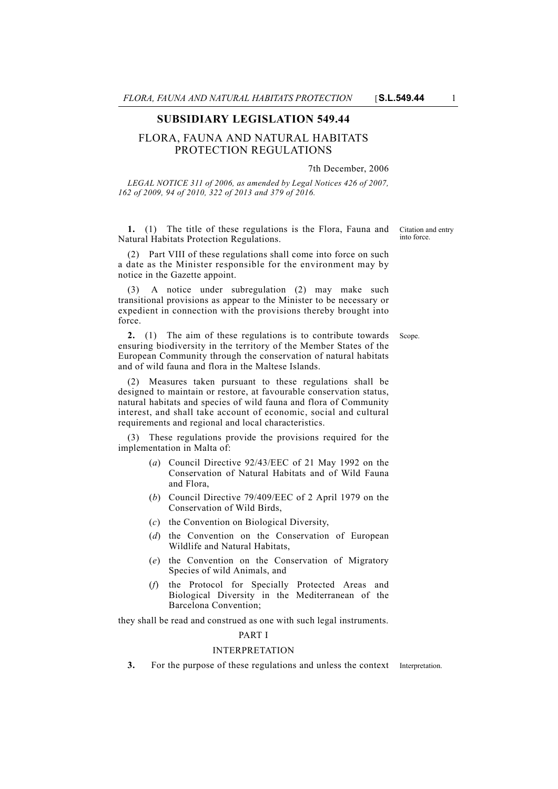# **SUBSIDIARY LEGISLATION 549.44**

# FLORA, FAUNA AND NATURAL HABITATS PROTECTION REGULATIONS

#### 7th December, 2006

*LEGAL NOTICE 311 of 2006, as amended by Legal Notices 426 of 2007, 162 of 2009, 94 of 2010, 322 of 2013 and 379 of 2016.*

**1.** (1) The title of these regulations is the Flora, Fauna and Natural Habitats Protection Regulations.

(2) Part VIII of these regulations shall come into force on such a date as the Minister responsible for the environment may by notice in the Gazette appoint.

(3) A notice under subregulation (2) may make such transitional provisions as appear to the Minister to be necessary or expedient in connection with the provisions thereby brought into force.

**2.** (1) The aim of these regulations is to contribute towards Scope. ensuring biodiversity in the territory of the Member States of the European Community through the conservation of natural habitats and of wild fauna and flora in the Maltese Islands.

(2) Measures taken pursuant to these regulations shall be designed to maintain or restore, at favourable conservation status, natural habitats and species of wild fauna and flora of Community interest, and shall take account of economic, social and cultural requirements and regional and local characteristics.

(3) These regulations provide the provisions required for the implementation in Malta of:

- (*a*) Council Directive 92/43/EEC of 21 May 1992 on the Conservation of Natural Habitats and of Wild Fauna and Flora,
- (*b*) Council Directive 79/409/EEC of 2 April 1979 on the Conservation of Wild Birds,
- (*c*) the Convention on Biological Diversity,
- (*d*) the Convention on the Conservation of European Wildlife and Natural Habitats,
- (*e*) the Convention on the Conservation of Migratory Species of wild Animals, and
- (*f*) the Protocol for Specially Protected Areas and Biological Diversity in the Mediterranean of the Barcelona Convention;

they shall be read and construed as one with such legal instruments.

## PART I

## INTERPRETATION

**3.** For the purpose of these regulations and unless the context Interpretation.

Citation and entry into force.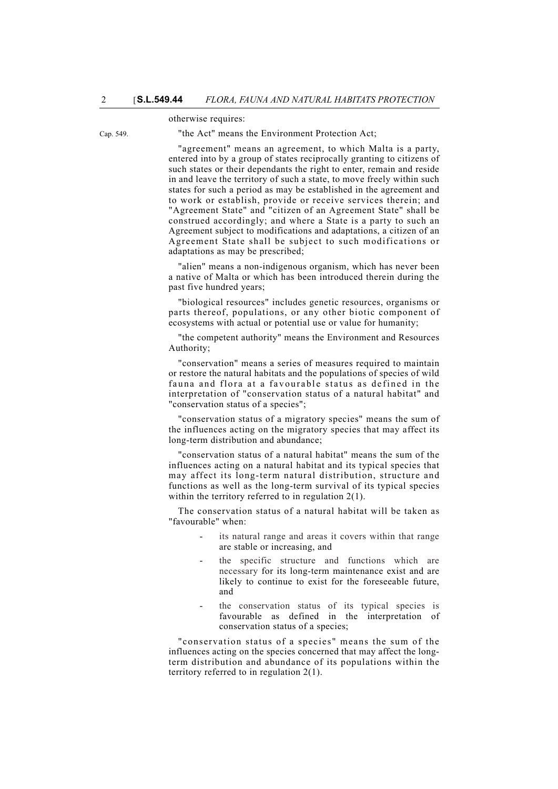#### otherwise requires:

Cap. 549. "the Act" means the Environment Protection Act;

"agreement" means an agreement, to which Malta is a party, entered into by a group of states reciprocally granting to citizens of such states or their dependants the right to enter, remain and reside in and leave the territory of such a state, to move freely within such states for such a period as may be established in the agreement and to work or establish, provide or receive services therein; and "Agreement State" and "citizen of an Agreement State" shall be construed accordingly; and where a State is a party to such an Agreement subject to modifications and adaptations, a citizen of an Agreement State shall be subject to such modifications or adaptations as may be prescribed;

"alien" means a non-indigenous organism, which has never been a native of Malta or which has been introduced therein during the past five hundred years;

"biological resources" includes genetic resources, organisms or parts thereof, populations, or any other biotic component of ecosystems with actual or potential use or value for humanity;

"the competent authority" means the Environment and Resources Authority;

"conservation" means a series of measures required to maintain or restore the natural habitats and the populations of species of wild fauna and flora at a favourable status as defined in the interpretation of "conservation status of a natural habitat" and "conservation status of a species";

"conservation status of a migratory species" means the sum of the influences acting on the migratory species that may affect its long-term distribution and abundance;

"conservation status of a natural habitat" means the sum of the influences acting on a natural habitat and its typical species that may affect its long-term natural distribution, structure and functions as well as the long-term survival of its typical species within the territory referred to in regulation 2(1).

The conservation status of a natural habitat will be taken as "favourable" when:

- its natural range and areas it covers within that range are stable or increasing, and
- the specific structure and functions which are necessary for its long-term maintenance exist and are likely to continue to exist for the foreseeable future, and
- the conservation status of its typical species is favourable as defined in the interpretation of conservation status of a species;

"conservation status of a species" means the sum of the influences acting on the species concerned that may affect the longterm distribution and abundance of its populations within the territory referred to in regulation 2(1).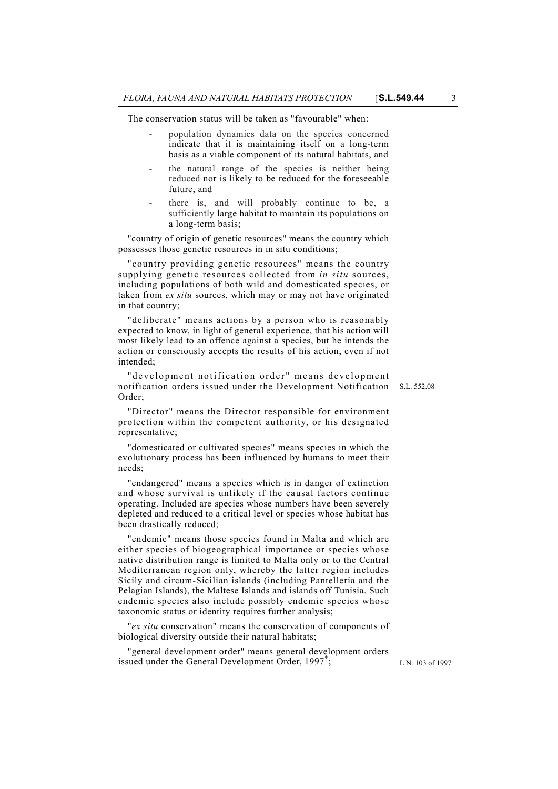The conservation status will be taken as "favourable" when:

- population dynamics data on the species concerned indicate that it is maintaining itself on a long-term basis as a viable component of its natural habitats, and
- the natural range of the species is neither being reduced nor is likely to be reduced for the foreseeable future, and
- there is, and will probably continue to be, a sufficiently large habitat to maintain its populations on a long-term basis;

"country of origin of genetic resources" means the country which possesses those genetic resources in in situ conditions;

"country providing genetic resources" means the country supplying genetic resources collected from *in situ* sources, including populations of both wild and domesticated species, or taken from *ex situ* sources, which may or may not have originated in that country;

"deliberate" means actions by a person who is reasonably expected to know, in light of general experience, that his action will most likely lead to an offence against a species, but he intends the action or consciously accepts the results of his action, even if not intended;

notification orders issued under the Development Notification S.L. 552.08 "development notification order" means development Order;

"Director" means the Director responsible for environment protection within the competent authority, or his designated representative;

"domesticated or cultivated species" means species in which the evolutionary process has been influenced by humans to meet their needs;

"endangered" means a species which is in danger of extinction and whose survival is unlikely if the causal factors continue operating. Included are species whose numbers have been severely depleted and reduced to a critical level or species whose habitat has been drastically reduced;

"endemic" means those species found in Malta and which are either species of biogeographical importance or species whose native distribution range is limited to Malta only or to the Central Mediterranean region only, whereby the latter region includes Sicily and circum-Sicilian islands (including Pantelleria and the Pelagian Islands), the Maltese Islands and islands off Tunisia. Such endemic species also include possibly endemic species whose taxonomic status or identity requires further analysis;

"*ex situ* conservation" means the conservation of components of biological diversity outside their natural habitats;

"general development order" means general development orders issued under the General Development Order, 1997\*;

L.N. 103 of 1997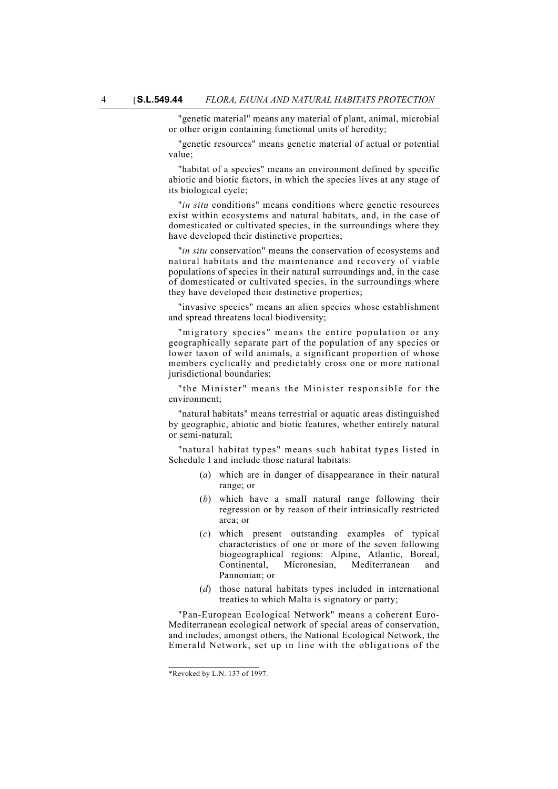"genetic material" means any material of plant, animal, microbial or other origin containing functional units of heredity;

"genetic resources" means genetic material of actual or potential value;

"habitat of a species" means an environment defined by specific abiotic and biotic factors, in which the species lives at any stage of its biological cycle;

"*in situ* conditions" means conditions where genetic resources exist within ecosystems and natural habitats, and, in the case of domesticated or cultivated species, in the surroundings where they have developed their distinctive properties;

"*in situ* conservation" means the conservation of ecosystems and natural habitats and the maintenance and recovery of viable populations of species in their natural surroundings and, in the case of domesticated or cultivated species, in the surroundings where they have developed their distinctive properties;

"invasive species" means an alien species whose establishment and spread threatens local biodiversity;

"migratory species" means the entire population or any geographically separate part of the population of any species or lower taxon of wild animals, a significant proportion of whose members cyclically and predictably cross one or more national jurisdictional boundaries;

"the Minister" means the Minister responsible for the environment;

"natural habitats" means terrestrial or aquatic areas distinguished by geographic, abiotic and biotic features, whether entirely natural or semi-natural;

"natural habitat types" means such habitat types listed in Schedule I and include those natural habitats:

- (*a*) which are in danger of disappearance in their natural range; or
- (*b*) which have a small natural range following their regression or by reason of their intrinsically restricted area; or
- (*c*) which present outstanding examples of typical characteristics of one or more of the seven following biogeographical regions: Alpine, Atlantic, Boreal, Continental, Micronesian, Mediterranean and Pannonian; or
- (*d*) those natural habitats types included in international treaties to which Malta is signatory or party;

"Pan-European Ecological Network" means a coherent Euro-Mediterranean ecological network of special areas of conservation, and includes, amongst others, the National Ecological Network, the Emerald Network, set up in line with the obligations of the

<sup>\*</sup>Revoked by L.N. 137 of 1997.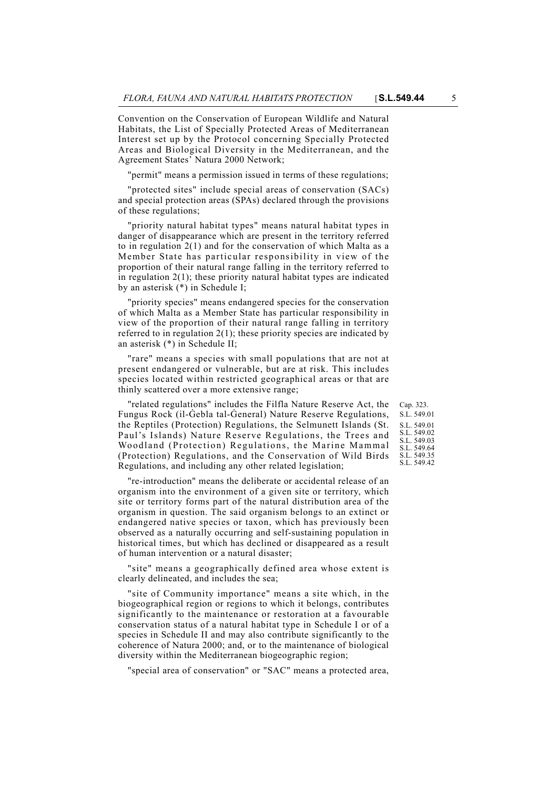Convention on the Conservation of European Wildlife and Natural Habitats, the List of Specially Protected Areas of Mediterranean Interest set up by the Protocol concerning Specially Protected Areas and Biological Diversity in the Mediterranean, and the Agreement States' Natura 2000 Network;

"permit" means a permission issued in terms of these regulations;

"protected sites" include special areas of conservation (SACs) and special protection areas (SPAs) declared through the provisions of these regulations;

"priority natural habitat types" means natural habitat types in danger of disappearance which are present in the territory referred to in regulation 2(1) and for the conservation of which Malta as a Member State has particular responsibility in view of the proportion of their natural range falling in the territory referred to in regulation  $2(1)$ ; these priority natural habitat types are indicated by an asterisk (\*) in Schedule I;

"priority species" means endangered species for the conservation of which Malta as a Member State has particular responsibility in view of the proportion of their natural range falling in territory referred to in regulation  $2(1)$ ; these priority species are indicated by an asterisk (\*) in Schedule II;

"rare" means a species with small populations that are not at present endangered or vulnerable, but are at risk. This includes species located within restricted geographical areas or that are thinly scattered over a more extensive range;

"related regulations" includes the Filfla Nature Reserve Act, the Fungus Rock (il-Gebla tal-General) Nature Reserve Regulations, the Reptiles (Protection) Regulations, the Selmunett Islands (St. Paul's Islands) Nature Reserve Regulations, the Trees and Woodland (Protection) Regulations, the Marine Mammal (Protection) Regulations, and the Conservation of Wild Birds Regulations, and including any other related legislation;

"re-introduction" means the deliberate or accidental release of an organism into the environment of a given site or territory, which site or territory forms part of the natural distribution area of the organism in question. The said organism belongs to an extinct or endangered native species or taxon, which has previously been observed as a naturally occurring and self-sustaining population in historical times, but which has declined or disappeared as a result of human intervention or a natural disaster;

"site" means a geographically defined area whose extent is clearly delineated, and includes the sea;

"site of Community importance" means a site which, in the biogeographical region or regions to which it belongs, contributes significantly to the maintenance or restoration at a favourable conservation status of a natural habitat type in Schedule I or of a species in Schedule II and may also contribute significantly to the coherence of Natura 2000; and, or to the maintenance of biological diversity within the Mediterranean biogeographic region;

"special area of conservation" or "SAC" means a protected area,

Cap. 323. S.L. 549.01 S.L. 549.01 S.L. 549.02 S.L. 549.03 S.L. 549.64 S.L. 549.35 S.L. 549.42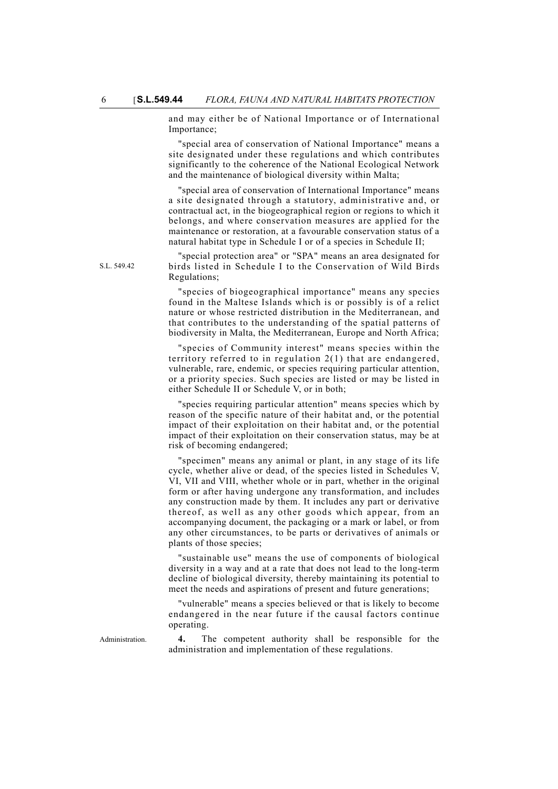and may either be of National Importance or of International Importance;

"special area of conservation of National Importance" means a site designated under these regulations and which contributes significantly to the coherence of the National Ecological Network and the maintenance of biological diversity within Malta;

"special area of conservation of International Importance" means a site designated through a statutory, administrative and, or contractual act, in the biogeographical region or regions to which it belongs, and where conservation measures are applied for the maintenance or restoration, at a favourable conservation status of a natural habitat type in Schedule I or of a species in Schedule II;

"special protection area" or "SPA" means an area designated for birds listed in Schedule I to the Conservation of Wild Birds Regulations;

"species of biogeographical importance" means any species found in the Maltese Islands which is or possibly is of a relict nature or whose restricted distribution in the Mediterranean, and that contributes to the understanding of the spatial patterns of biodiversity in Malta, the Mediterranean, Europe and North Africa;

"species of Community interest" means species within the territory referred to in regulation 2(1) that are endangered, vulnerable, rare, endemic, or species requiring particular attention, or a priority species. Such species are listed or may be listed in either Schedule II or Schedule V, or in both;

"species requiring particular attention" means species which by reason of the specific nature of their habitat and, or the potential impact of their exploitation on their habitat and, or the potential impact of their exploitation on their conservation status, may be at risk of becoming endangered;

"specimen" means any animal or plant, in any stage of its life cycle, whether alive or dead, of the species listed in Schedules V, VI, VII and VIII, whether whole or in part, whether in the original form or after having undergone any transformation, and includes any construction made by them. It includes any part or derivative thereof, as well as any other goods which appear, from an accompanying document, the packaging or a mark or label, or from any other circumstances, to be parts or derivatives of animals or plants of those species;

"sustainable use" means the use of components of biological diversity in a way and at a rate that does not lead to the long-term decline of biological diversity, thereby maintaining its potential to meet the needs and aspirations of present and future generations;

"vulnerable" means a species believed or that is likely to become endangered in the near future if the causal factors continue operating.

Administration. **4.** The competent authority shall be responsible for the administration and implementation of these regulations.

S.L. 549.42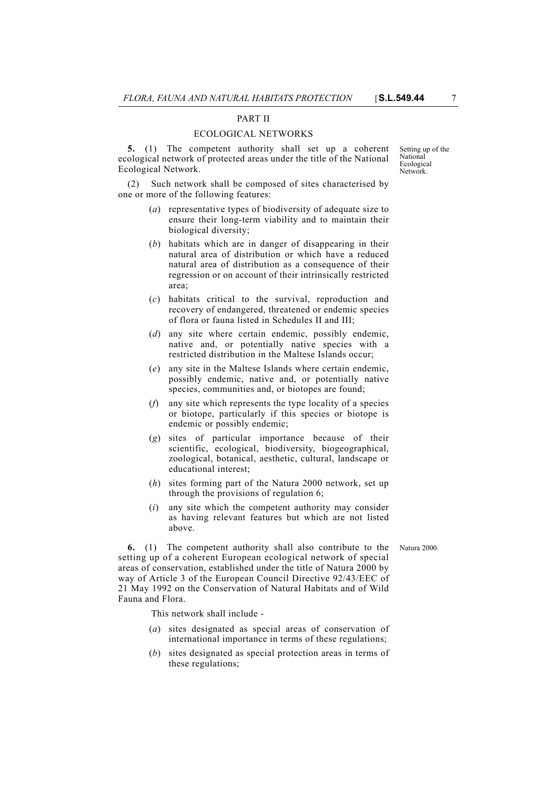## PART II

#### ECOLOGICAL NETWORKS

**5.** (1) The competent authority shall set up a coherent ecological network of protected areas under the title of the National Ecological Network.

Such network shall be composed of sites characterised by one or more of the following features:

- (*a*) representative types of biodiversity of adequate size to ensure their long-term viability and to maintain their biological diversity;
- (*b*) habitats which are in danger of disappearing in their natural area of distribution or which have a reduced natural area of distribution as a consequence of their regression or on account of their intrinsically restricted area;
- (*c*) habitats critical to the survival, reproduction and recovery of endangered, threatened or endemic species of flora or fauna listed in Schedules II and III;
- (*d*) any site where certain endemic, possibly endemic, native and, or potentially native species with a restricted distribution in the Maltese Islands occur;
- (*e*) any site in the Maltese Islands where certain endemic, possibly endemic, native and, or potentially native species, communities and, or biotopes are found;
- (*f*) any site which represents the type locality of a species or biotope, particularly if this species or biotope is endemic or possibly endemic;
- (*g*) sites of particular importance because of their scientific, ecological, biodiversity, biogeographical, zoological, botanical, aesthetic, cultural, landscape or educational interest;
- (*h*) sites forming part of the Natura 2000 network, set up through the provisions of regulation 6;
- (*i*) any site which the competent authority may consider as having relevant features but which are not listed above.

**6.** (1) The competent authority shall also contribute to the Natura 2000. setting up of a coherent European ecological network of special areas of conservation, established under the title of Natura 2000 by way of Article 3 of the European Council Directive 92/43/EEC of 21 May 1992 on the Conservation of Natural Habitats and of Wild Fauna and Flora.

This network shall include -

- (*a*) sites designated as special areas of conservation of international importance in terms of these regulations;
- (*b*) sites designated as special protection areas in terms of these regulations;

**Ecological Network**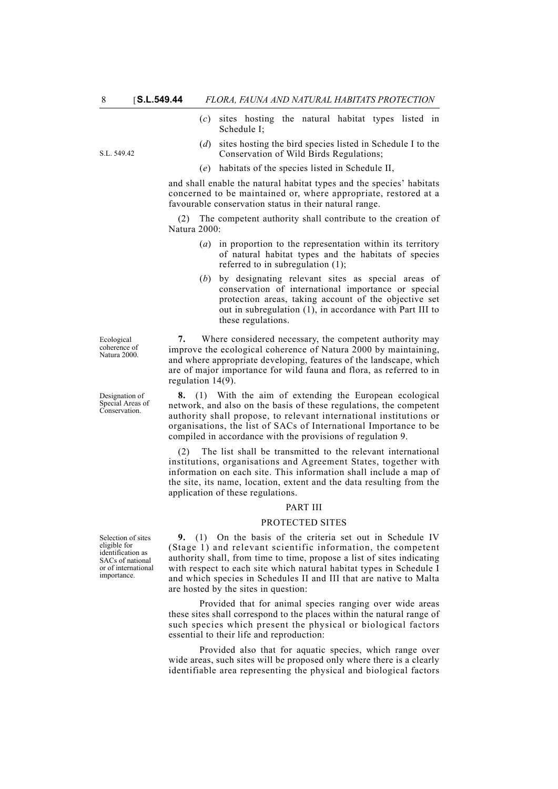S.L. 549.42

- (*c*) sites hosting the natural habitat types listed in Schedule I;
- (*d*) sites hosting the bird species listed in Schedule I to the Conservation of Wild Birds Regulations;
- (*e*) habitats of the species listed in Schedule II,

and shall enable the natural habitat types and the species' habitats concerned to be maintained or, where appropriate, restored at a favourable conservation status in their natural range.

(2) The competent authority shall contribute to the creation of Natura 2000:

- (*a*) in proportion to the representation within its territory of natural habitat types and the habitats of species referred to in subregulation (1);
- (*b*) by designating relevant sites as special areas of conservation of international importance or special protection areas, taking account of the objective set out in subregulation (1), in accordance with Part III to these regulations.

**7.** Where considered necessary, the competent authority may improve the ecological coherence of Natura 2000 by maintaining, and where appropriate developing, features of the landscape, which are of major importance for wild fauna and flora, as referred to in regulation 14(9).

**8.** (1) With the aim of extending the European ecological network, and also on the basis of these regulations, the competent authority shall propose, to relevant international institutions or organisations, the list of SACs of International Importance to be compiled in accordance with the provisions of regulation 9.

The list shall be transmitted to the relevant international institutions, organisations and Agreement States, together with information on each site. This information shall include a map of the site, its name, location, extent and the data resulting from the application of these regulations.

#### PART III

#### PROTECTED SITES

**9.** (1) On the basis of the criteria set out in Schedule IV (Stage 1) and relevant scientific information, the competent authority shall, from time to time, propose a list of sites indicating with respect to each site which natural habitat types in Schedule I and which species in Schedules II and III that are native to Malta are hosted by the sites in question:

Provided that for animal species ranging over wide areas these sites shall correspond to the places within the natural range of such species which present the physical or biological factors essential to their life and reproduction:

Provided also that for aquatic species, which range over wide areas, such sites will be proposed only where there is a clearly identifiable area representing the physical and biological factors

**Ecological** coherence of Natura 2000.

Designation of Special Areas of Conservation.

Selection of sites eligible for identification as SACs of national or of international importance.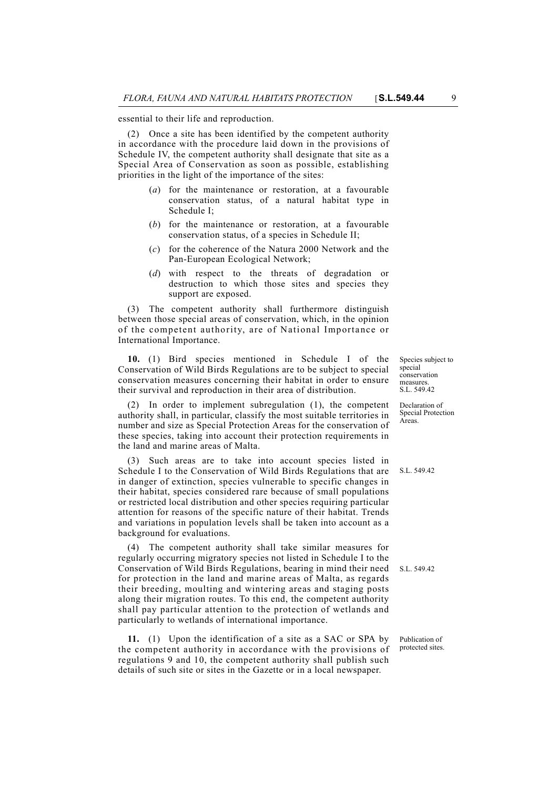essential to their life and reproduction.

(2) Once a site has been identified by the competent authority in accordance with the procedure laid down in the provisions of Schedule IV, the competent authority shall designate that site as a Special Area of Conservation as soon as possible, establishing priorities in the light of the importance of the sites:

- (*a*) for the maintenance or restoration, at a favourable conservation status, of a natural habitat type in Schedule I;
- (*b*) for the maintenance or restoration, at a favourable conservation status, of a species in Schedule II;
- (*c*) for the coherence of the Natura 2000 Network and the Pan-European Ecological Network;
- (*d*) with respect to the threats of degradation or destruction to which those sites and species they support are exposed.

(3) The competent authority shall furthermore distinguish between those special areas of conservation, which, in the opinion of the competent authority, are of National Importance or International Importance.

**10.** (1) Bird species mentioned in Schedule I of the Conservation of Wild Birds Regulations are to be subject to special conservation measures concerning their habitat in order to ensure their survival and reproduction in their area of distribution.

(2) In order to implement subregulation (1), the competent authority shall, in particular, classify the most suitable territories in number and size as Special Protection Areas for the conservation of these species, taking into account their protection requirements in the land and marine areas of Malta.

(3) Such areas are to take into account species listed in Schedule I to the Conservation of Wild Birds Regulations that are in danger of extinction, species vulnerable to specific changes in their habitat, species considered rare because of small populations or restricted local distribution and other species requiring particular attention for reasons of the specific nature of their habitat. Trends and variations in population levels shall be taken into account as a background for evaluations.

Conservation of Wild Birds Regulations, bearing in mind their need S.L. 549.42 (4) The competent authority shall take similar measures for regularly occurring migratory species not listed in Schedule I to the for protection in the land and marine areas of Malta, as regards their breeding, moulting and wintering areas and staging posts along their migration routes. To this end, the competent authority shall pay particular attention to the protection of wetlands and particularly to wetlands of international importance.

**11.** (1) Upon the identification of a site as a SAC or SPA by the competent authority in accordance with the provisions of regulations 9 and 10, the competent authority shall publish such details of such site or sites in the Gazette or in a local newspaper.

Species subject to special conservation measures S.L. 549.42

Declaration of Special Protection Areas.

S.L. 549.42

Publication of protected sites.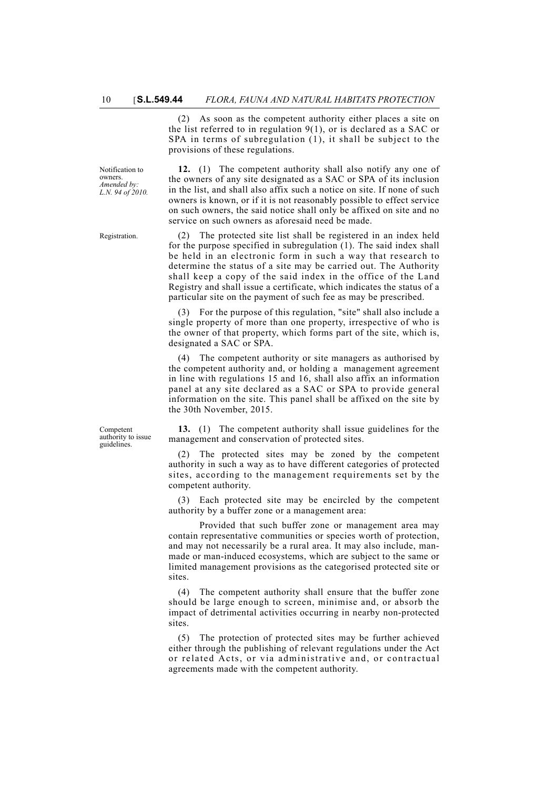(2) As soon as the competent authority either places a site on the list referred to in regulation 9(1), or is declared as a SAC or SPA in terms of subregulation (1), it shall be subject to the provisions of these regulations.

Notification to owners. *Amended by: L.N. 94 of 2010.*

Competent authority to issue guidelines.

**12.** (1) The competent authority shall also notify any one of the owners of any site designated as a SAC or SPA of its inclusion in the list, and shall also affix such a notice on site. If none of such owners is known, or if it is not reasonably possible to effect service on such owners, the said notice shall only be affixed on site and no service on such owners as aforesaid need be made.

Registration. (2) The protected site list shall be registered in an index held for the purpose specified in subregulation (1). The said index shall be held in an electronic form in such a way that research to determine the status of a site may be carried out. The Authority shall keep a copy of the said index in the office of the Land Registry and shall issue a certificate, which indicates the status of a particular site on the payment of such fee as may be prescribed.

> (3) For the purpose of this regulation, "site" shall also include a single property of more than one property, irrespective of who is the owner of that property, which forms part of the site, which is, designated a SAC or SPA.

> (4) The competent authority or site managers as authorised by the competent authority and, or holding a management agreement in line with regulations 15 and 16, shall also affix an information panel at any site declared as a SAC or SPA to provide general information on the site. This panel shall be affixed on the site by the 30th November, 2015.

> **13.** (1) The competent authority shall issue guidelines for the management and conservation of protected sites.

> (2) The protected sites may be zoned by the competent authority in such a way as to have different categories of protected sites, according to the management requirements set by the competent authority.

> (3) Each protected site may be encircled by the competent authority by a buffer zone or a management area:

> Provided that such buffer zone or management area may contain representative communities or species worth of protection, and may not necessarily be a rural area. It may also include, manmade or man-induced ecosystems, which are subject to the same or limited management provisions as the categorised protected site or sites.

> (4) The competent authority shall ensure that the buffer zone should be large enough to screen, minimise and, or absorb the impact of detrimental activities occurring in nearby non-protected sites.

> (5) The protection of protected sites may be further achieved either through the publishing of relevant regulations under the Act or related Acts, or via administrative and, or contractual agreements made with the competent authority.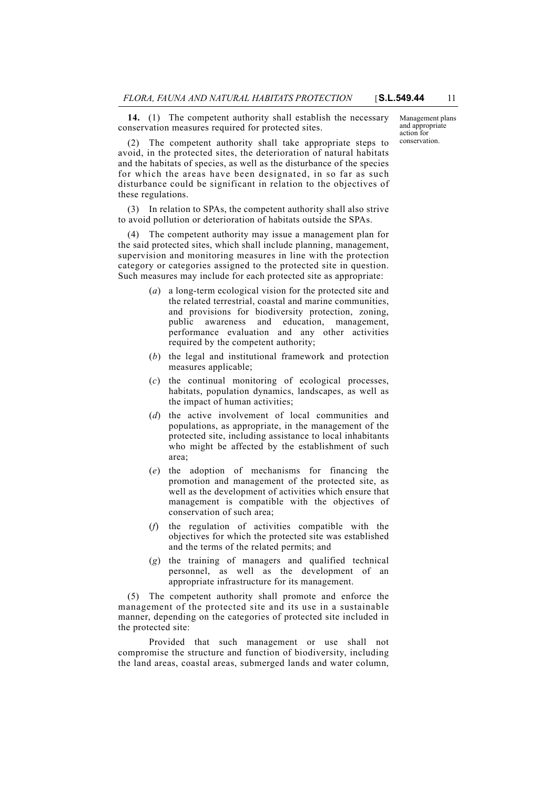**14.** (1) The competent authority shall establish the necessary conservation measures required for protected sites.

Management plans and appropriate action for conservation.

(2) The competent authority shall take appropriate steps to avoid, in the protected sites, the deterioration of natural habitats and the habitats of species, as well as the disturbance of the species for which the areas have been designated, in so far as such disturbance could be significant in relation to the objectives of these regulations.

(3) In relation to SPAs, the competent authority shall also strive to avoid pollution or deterioration of habitats outside the SPAs.

(4) The competent authority may issue a management plan for the said protected sites, which shall include planning, management, supervision and monitoring measures in line with the protection category or categories assigned to the protected site in question. Such measures may include for each protected site as appropriate:

- (*a*) a long-term ecological vision for the protected site and the related terrestrial, coastal and marine communities, and provisions for biodiversity protection, zoning, public awareness and education, management, performance evaluation and any other activities required by the competent authority;
- (*b*) the legal and institutional framework and protection measures applicable;
- (*c*) the continual monitoring of ecological processes, habitats, population dynamics, landscapes, as well as the impact of human activities;
- (*d*) the active involvement of local communities and populations, as appropriate, in the management of the protected site, including assistance to local inhabitants who might be affected by the establishment of such area;
- (*e*) the adoption of mechanisms for financing the promotion and management of the protected site, as well as the development of activities which ensure that management is compatible with the objectives of conservation of such area;
- (*f*) the regulation of activities compatible with the objectives for which the protected site was established and the terms of the related permits; and
- (*g*) the training of managers and qualified technical personnel, as well as the development of an appropriate infrastructure for its management.

(5) The competent authority shall promote and enforce the management of the protected site and its use in a sustainable manner, depending on the categories of protected site included in the protected site:

Provided that such management or use shall not compromise the structure and function of biodiversity, including the land areas, coastal areas, submerged lands and water column,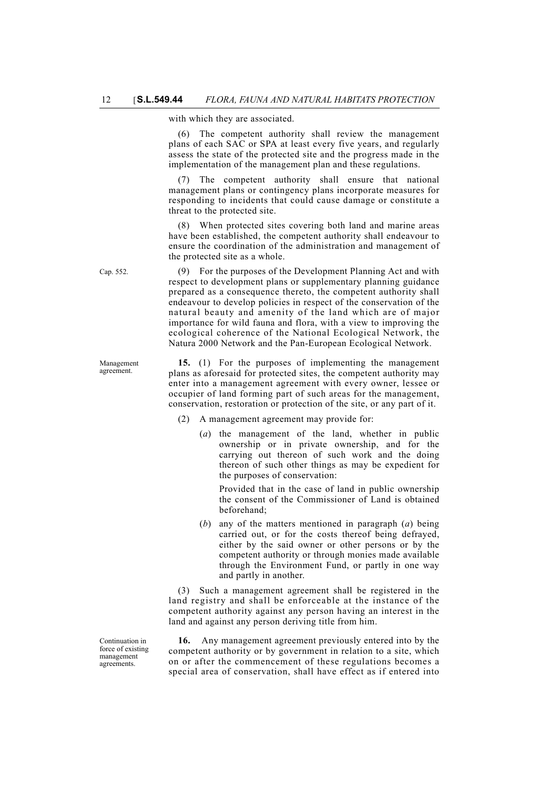with which they are associated.

(6) The competent authority shall review the management plans of each SAC or SPA at least every five years, and regularly assess the state of the protected site and the progress made in the implementation of the management plan and these regulations.

(7) The competent authority shall ensure that national management plans or contingency plans incorporate measures for responding to incidents that could cause damage or constitute a threat to the protected site.

(8) When protected sites covering both land and marine areas have been established, the competent authority shall endeavour to ensure the coordination of the administration and management of the protected site as a whole.

Cap. 552. (9) For the purposes of the Development Planning Act and with respect to development plans or supplementary planning guidance prepared as a consequence thereto, the competent authority shall endeavour to develop policies in respect of the conservation of the natural beauty and amenity of the land which are of major importance for wild fauna and flora, with a view to improving the ecological coherence of the National Ecological Network, the Natura 2000 Network and the Pan-European Ecological Network.

> **15.** (1) For the purposes of implementing the management plans as aforesaid for protected sites, the competent authority may enter into a management agreement with every owner, lessee or occupier of land forming part of such areas for the management, conservation, restoration or protection of the site, or any part of it.

- (2) A management agreement may provide for:
	- (*a*) the management of the land, whether in public ownership or in private ownership, and for the carrying out thereon of such work and the doing thereon of such other things as may be expedient for the purposes of conservation:

Provided that in the case of land in public ownership the consent of the Commissioner of Land is obtained beforehand;

(*b*) any of the matters mentioned in paragraph (*a*) being carried out, or for the costs thereof being defrayed, either by the said owner or other persons or by the competent authority or through monies made available through the Environment Fund, or partly in one way and partly in another.

(3) Such a management agreement shall be registered in the land registry and shall be enforceable at the instance of the competent authority against any person having an interest in the land and against any person deriving title from him.

**16.** Any management agreement previously entered into by the competent authority or by government in relation to a site, which on or after the commencement of these regulations becomes a special area of conservation, shall have effect as if entered into

Management agreement.

Continuation in force of existing management agreements.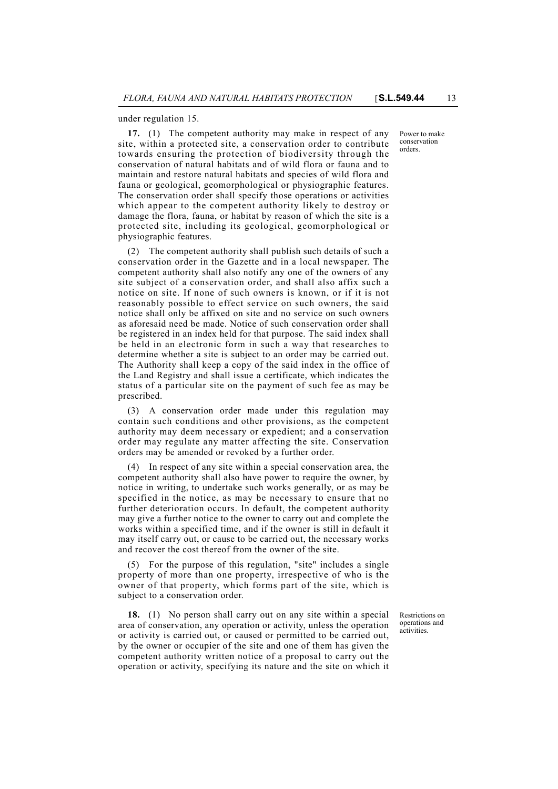under regulation 15.

**17.** (1) The competent authority may make in respect of any site, within a protected site, a conservation order to contribute towards ensuring the protection of biodiversity through the conservation of natural habitats and of wild flora or fauna and to maintain and restore natural habitats and species of wild flora and fauna or geological, geomorphological or physiographic features. The conservation order shall specify those operations or activities which appear to the competent authority likely to destroy or damage the flora, fauna, or habitat by reason of which the site is a protected site, including its geological, geomorphological or physiographic features.

(2) The competent authority shall publish such details of such a conservation order in the Gazette and in a local newspaper. The competent authority shall also notify any one of the owners of any site subject of a conservation order, and shall also affix such a notice on site. If none of such owners is known, or if it is not reasonably possible to effect service on such owners, the said notice shall only be affixed on site and no service on such owners as aforesaid need be made. Notice of such conservation order shall be registered in an index held for that purpose. The said index shall be held in an electronic form in such a way that researches to determine whether a site is subject to an order may be carried out. The Authority shall keep a copy of the said index in the office of the Land Registry and shall issue a certificate, which indicates the status of a particular site on the payment of such fee as may be prescribed.

(3) A conservation order made under this regulation may contain such conditions and other provisions, as the competent authority may deem necessary or expedient; and a conservation order may regulate any matter affecting the site. Conservation orders may be amended or revoked by a further order.

(4) In respect of any site within a special conservation area, the competent authority shall also have power to require the owner, by notice in writing, to undertake such works generally, or as may be specified in the notice, as may be necessary to ensure that no further deterioration occurs. In default, the competent authority may give a further notice to the owner to carry out and complete the works within a specified time, and if the owner is still in default it may itself carry out, or cause to be carried out, the necessary works and recover the cost thereof from the owner of the site.

(5) For the purpose of this regulation, "site" includes a single property of more than one property, irrespective of who is the owner of that property, which forms part of the site, which is subject to a conservation order.

**18.** (1) No person shall carry out on any site within a special area of conservation, any operation or activity, unless the operation or activity is carried out, or caused or permitted to be carried out, by the owner or occupier of the site and one of them has given the competent authority written notice of a proposal to carry out the operation or activity, specifying its nature and the site on which it

Restrictions on operations and activities.

Power to make conservation orders.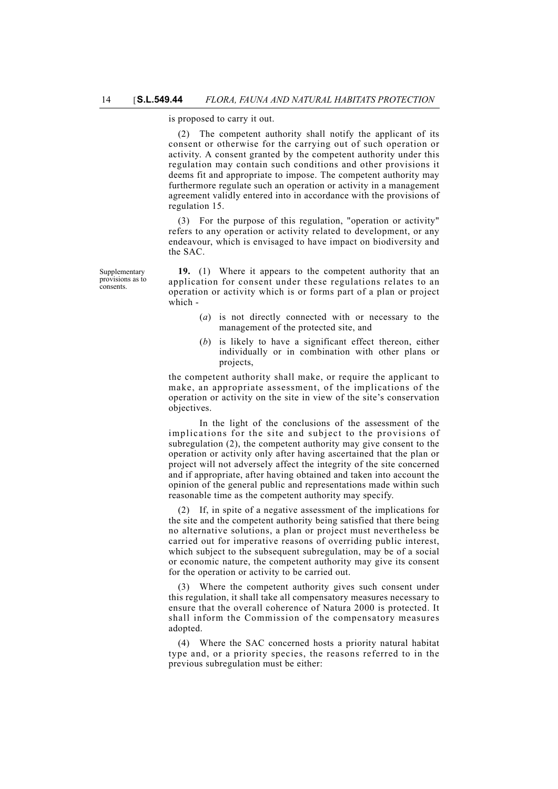is proposed to carry it out.

(2) The competent authority shall notify the applicant of its consent or otherwise for the carrying out of such operation or activity. A consent granted by the competent authority under this regulation may contain such conditions and other provisions it deems fit and appropriate to impose. The competent authority may furthermore regulate such an operation or activity in a management agreement validly entered into in accordance with the provisions of regulation 15.

(3) For the purpose of this regulation, "operation or activity" refers to any operation or activity related to development, or any endeavour, which is envisaged to have impact on biodiversity and the SAC.

Supplementary provisions as to consents.

**19.** (1) Where it appears to the competent authority that an application for consent under these regulations relates to an operation or activity which is or forms part of a plan or project which -

- (*a*) is not directly connected with or necessary to the management of the protected site, and
- (*b*) is likely to have a significant effect thereon, either individually or in combination with other plans or projects,

the competent authority shall make, or require the applicant to make, an appropriate assessment, of the implications of the operation or activity on the site in view of the site's conservation objectives.

In the light of the conclusions of the assessment of the implications for the site and subject to the provisions of subregulation (2), the competent authority may give consent to the operation or activity only after having ascertained that the plan or project will not adversely affect the integrity of the site concerned and if appropriate, after having obtained and taken into account the opinion of the general public and representations made within such reasonable time as the competent authority may specify.

(2) If, in spite of a negative assessment of the implications for the site and the competent authority being satisfied that there being no alternative solutions, a plan or project must nevertheless be carried out for imperative reasons of overriding public interest, which subject to the subsequent subregulation, may be of a social or economic nature, the competent authority may give its consent for the operation or activity to be carried out.

(3) Where the competent authority gives such consent under this regulation, it shall take all compensatory measures necessary to ensure that the overall coherence of Natura 2000 is protected. It shall inform the Commission of the compensatory measures adopted.

(4) Where the SAC concerned hosts a priority natural habitat type and, or a priority species, the reasons referred to in the previous subregulation must be either: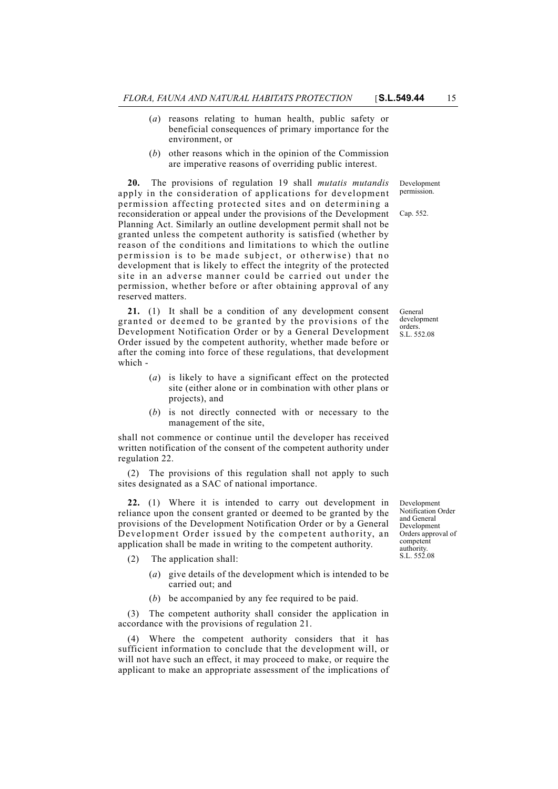- (*a*) reasons relating to human health, public safety or beneficial consequences of primary importance for the environment, or
- (*b*) other reasons which in the opinion of the Commission are imperative reasons of overriding public interest.

**20.** The provisions of regulation 19 shall *mutatis mutandis* apply in the consideration of applications for development permission affecting protected sites and on determining a reconsideration or appeal under the provisions of the Development Planning Act. Similarly an outline development permit shall not be granted unless the competent authority is satisfied (whether by reason of the conditions and limitations to which the outline permission is to be made subject, or otherwise) that no development that is likely to effect the integrity of the protected site in an adverse manner could be carried out under the permission, whether before or after obtaining approval of any reserved matters.

**21.** (1) It shall be a condition of any development consent granted or deemed to be granted by the provisions of the Development Notification Order or by a General Development Order issued by the competent authority, whether made before or after the coming into force of these regulations, that development which -

- (*a*) is likely to have a significant effect on the protected site (either alone or in combination with other plans or projects), and
- (*b*) is not directly connected with or necessary to the management of the site,

shall not commence or continue until the developer has received written notification of the consent of the competent authority under regulation 22.

(2) The provisions of this regulation shall not apply to such sites designated as a SAC of national importance.

**22.** (1) Where it is intended to carry out development in reliance upon the consent granted or deemed to be granted by the provisions of the Development Notification Order or by a General Development Order issued by the competent authority, an application shall be made in writing to the competent authority.

- (2) The application shall:
	- (*a*) give details of the development which is intended to be carried out; and
	- (*b*) be accompanied by any fee required to be paid.

(3) The competent authority shall consider the application in accordance with the provisions of regulation 21.

(4) Where the competent authority considers that it has sufficient information to conclude that the development will, or will not have such an effect, it may proceed to make, or require the applicant to make an appropriate assessment of the implications of

Development Notification Order and General Development Orders approval of competent authority. S.L. 552.08

General development orders. S.L. 552.08

Development permission.

Cap. 552.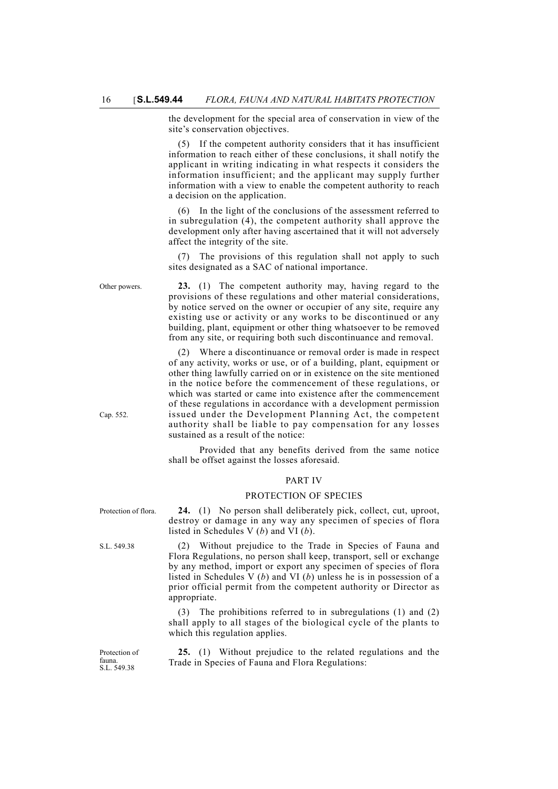the development for the special area of conservation in view of the site's conservation objectives.

If the competent authority considers that it has insufficient information to reach either of these conclusions, it shall notify the applicant in writing indicating in what respects it considers the information insufficient; and the applicant may supply further information with a view to enable the competent authority to reach a decision on the application.

(6) In the light of the conclusions of the assessment referred to in subregulation (4), the competent authority shall approve the development only after having ascertained that it will not adversely affect the integrity of the site.

(7) The provisions of this regulation shall not apply to such sites designated as a SAC of national importance.

Other powers. **23.** (1) The competent authority may, having regard to the provisions of these regulations and other material considerations, by notice served on the owner or occupier of any site, require any existing use or activity or any works to be discontinued or any building, plant, equipment or other thing whatsoever to be removed from any site, or requiring both such discontinuance and removal.

> (2) Where a discontinuance or removal order is made in respect of any activity, works or use, or of a building, plant, equipment or other thing lawfully carried on or in existence on the site mentioned in the notice before the commencement of these regulations, or which was started or came into existence after the commencement of these regulations in accordance with a development permission issued under the Development Planning Act, the competent authority shall be liable to pay compensation for any losses sustained as a result of the notice:

> Provided that any benefits derived from the same notice shall be offset against the losses aforesaid.

#### PART IV

#### PROTECTION OF SPECIES

Protection of flora. **24.** (1) No person shall deliberately pick, collect, cut, uproot, destroy or damage in any way any specimen of species of flora listed in Schedules V (*b*) and VI (*b*).

S.L. 549.38 (2) Without prejudice to the Trade in Species of Fauna and Flora Regulations, no person shall keep, transport, sell or exchange by any method, import or export any specimen of species of flora listed in Schedules V (*b*) and VI (*b*) unless he is in possession of a prior official permit from the competent authority or Director as appropriate.

> (3) The prohibitions referred to in subregulations (1) and (2) shall apply to all stages of the biological cycle of the plants to which this regulation applies.

> **25.** (1) Without prejudice to the related regulations and the Trade in Species of Fauna and Flora Regulations:

Cap. 552.

Protection of fauna. S.L. 549.38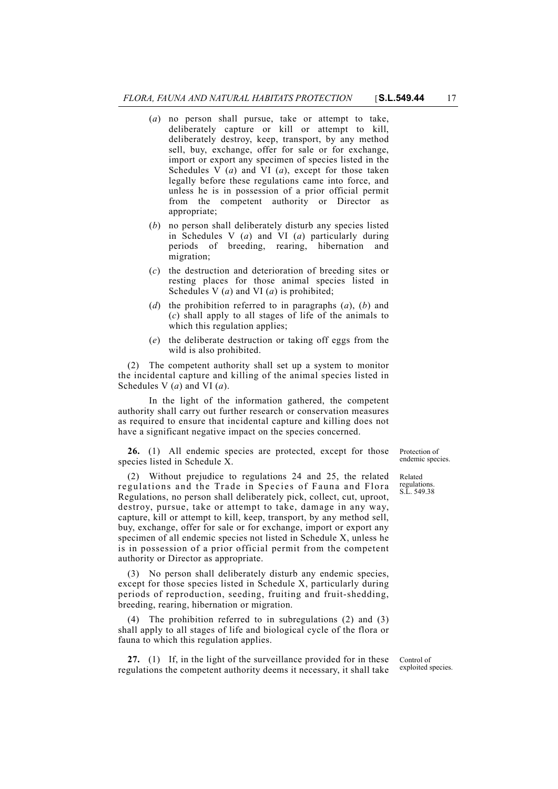- (*a*) no person shall pursue, take or attempt to take, deliberately capture or kill or attempt to kill, deliberately destroy, keep, transport, by any method sell, buy, exchange, offer for sale or for exchange, import or export any specimen of species listed in the Schedules V (*a*) and VI (*a*), except for those taken legally before these regulations came into force, and unless he is in possession of a prior official permit from the competent authority or Director as appropriate;
- (*b*) no person shall deliberately disturb any species listed in Schedules V (*a*) and VI (*a*) particularly during periods of breeding, rearing, hibernation and migration;
- (*c*) the destruction and deterioration of breeding sites or resting places for those animal species listed in Schedules V (*a*) and VI (*a*) is prohibited;
- (*d*) the prohibition referred to in paragraphs (*a*), (*b*) and (*c*) shall apply to all stages of life of the animals to which this regulation applies;
- (*e*) the deliberate destruction or taking off eggs from the wild is also prohibited.

(2) The competent authority shall set up a system to monitor the incidental capture and killing of the animal species listed in Schedules V (*a*) and VI (*a*).

In the light of the information gathered, the competent authority shall carry out further research or conservation measures as required to ensure that incidental capture and killing does not have a significant negative impact on the species concerned.

**26.** (1) All endemic species are protected, except for those species listed in Schedule X.

(2) Without prejudice to regulations 24 and 25, the related regulations and the Trade in Species of Fauna and Flora Regulations, no person shall deliberately pick, collect, cut, uproot, destroy, pursue, take or attempt to take, damage in any way, capture, kill or attempt to kill, keep, transport, by any method sell, buy, exchange, offer for sale or for exchange, import or export any specimen of all endemic species not listed in Schedule X, unless he is in possession of a prior official permit from the competent authority or Director as appropriate.

(3) No person shall deliberately disturb any endemic species, except for those species listed in Schedule X, particularly during periods of reproduction, seeding, fruiting and fruit-shedding, breeding, rearing, hibernation or migration.

(4) The prohibition referred to in subregulations (2) and (3) shall apply to all stages of life and biological cycle of the flora or fauna to which this regulation applies.

**27.** (1) If, in the light of the surveillance provided for in these regulations the competent authority deems it necessary, it shall take

Protection of endemic species.

Related regulations. S. I. 549.38

Control of exploited species.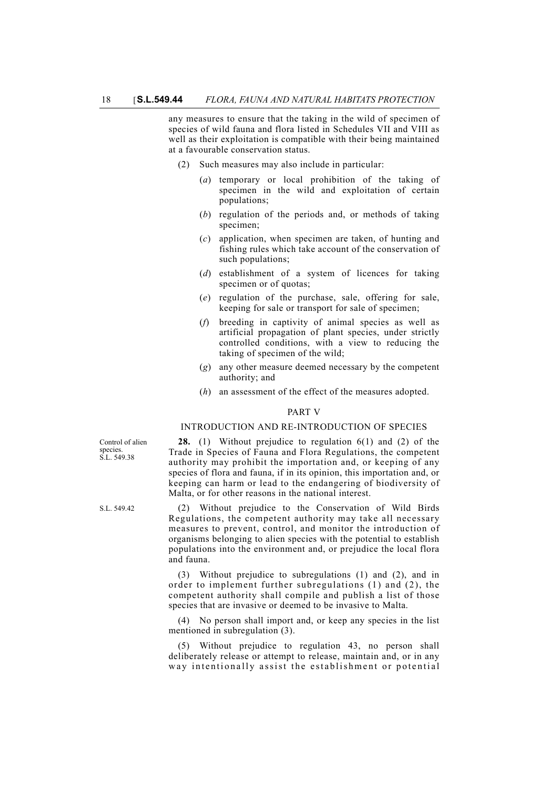any measures to ensure that the taking in the wild of specimen of species of wild fauna and flora listed in Schedules VII and VIII as well as their exploitation is compatible with their being maintained at a favourable conservation status.

- (2) Such measures may also include in particular:
	- (*a*) temporary or local prohibition of the taking of specimen in the wild and exploitation of certain populations;
	- (*b*) regulation of the periods and, or methods of taking specimen;
	- (*c*) application, when specimen are taken, of hunting and fishing rules which take account of the conservation of such populations;
	- (*d*) establishment of a system of licences for taking specimen or of quotas;
	- (*e*) regulation of the purchase, sale, offering for sale, keeping for sale or transport for sale of specimen;
	- (*f*) breeding in captivity of animal species as well as artificial propagation of plant species, under strictly controlled conditions, with a view to reducing the taking of specimen of the wild;
	- (*g*) any other measure deemed necessary by the competent authority; and
	- (*h*) an assessment of the effect of the measures adopted.

#### PART V

# INTRODUCTION AND RE-INTRODUCTION OF SPECIES

**28.** (1) Without prejudice to regulation 6(1) and (2) of the Trade in Species of Fauna and Flora Regulations, the competent authority may prohibit the importation and, or keeping of any species of flora and fauna, if in its opinion, this importation and, or keeping can harm or lead to the endangering of biodiversity of Malta, or for other reasons in the national interest.

S.L. 549.42 (2) Without prejudice to the Conservation of Wild Birds Regulations, the competent authority may take all necessary measures to prevent, control, and monitor the introduction of organisms belonging to alien species with the potential to establish populations into the environment and, or prejudice the local flora and fauna.

> (3) Without prejudice to subregulations (1) and (2), and in order to implement further subregulations (1) and (2), the competent authority shall compile and publish a list of those species that are invasive or deemed to be invasive to Malta.

> (4) No person shall import and, or keep any species in the list mentioned in subregulation (3).

> (5) Without prejudice to regulation 43, no person shall deliberately release or attempt to release, maintain and, or in any way intentionally assist the establishment or potential

Control of alien species. S.L. 549.38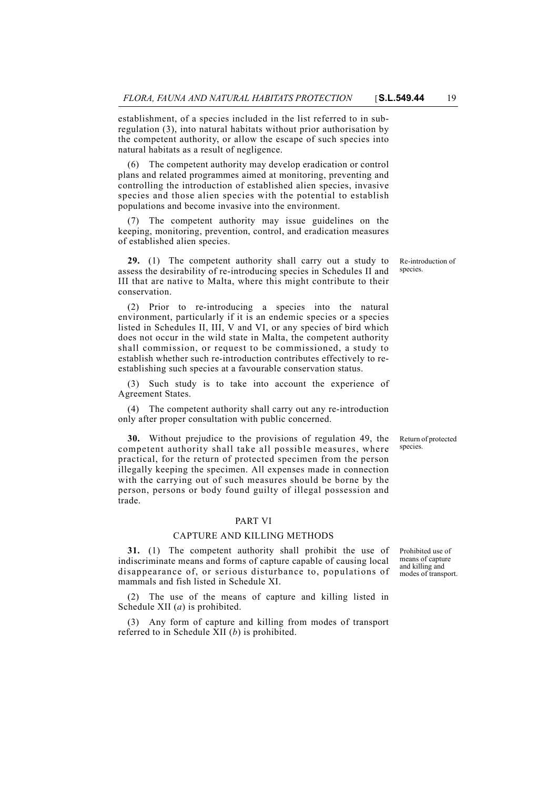establishment, of a species included in the list referred to in subregulation (3), into natural habitats without prior authorisation by the competent authority, or allow the escape of such species into natural habitats as a result of negligence.

(6) The competent authority may develop eradication or control plans and related programmes aimed at monitoring, preventing and controlling the introduction of established alien species, invasive species and those alien species with the potential to establish populations and become invasive into the environment.

(7) The competent authority may issue guidelines on the keeping, monitoring, prevention, control, and eradication measures of established alien species.

**29.** (1) The competent authority shall carry out a study to assess the desirability of re-introducing species in Schedules II and III that are native to Malta, where this might contribute to their conservation.

(2) Prior to re-introducing a species into the natural environment, particularly if it is an endemic species or a species listed in Schedules II, III, V and VI, or any species of bird which does not occur in the wild state in Malta, the competent authority shall commission, or request to be commissioned, a study to establish whether such re-introduction contributes effectively to reestablishing such species at a favourable conservation status.

(3) Such study is to take into account the experience of Agreement States.

(4) The competent authority shall carry out any re-introduction only after proper consultation with public concerned.

**30.** Without prejudice to the provisions of regulation 49, the competent authority shall take all possible measures, where practical, for the return of protected specimen from the person illegally keeping the specimen. All expenses made in connection with the carrying out of such measures should be borne by the person, persons or body found guilty of illegal possession and trade.

#### PART VI

#### CAPTURE AND KILLING METHODS

**31.** (1) The competent authority shall prohibit the use of indiscriminate means and forms of capture capable of causing local disappearance of, or serious disturbance to, populations of mammals and fish listed in Schedule XI.

(2) The use of the means of capture and killing listed in Schedule XII (*a*) is prohibited.

(3) Any form of capture and killing from modes of transport referred to in Schedule XII (*b*) is prohibited.

Re-introduction of species.

Return of protected species.

Prohibited use of means of capture and killing and modes of transport.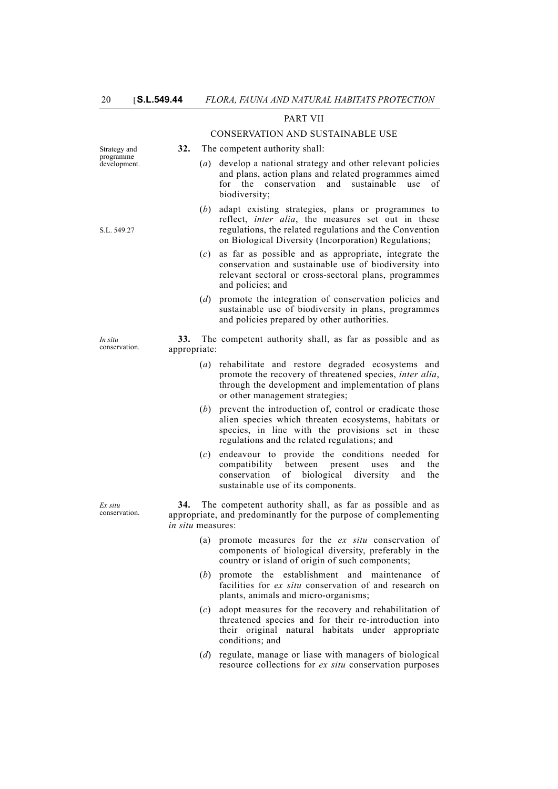## PART VII

#### CONSERVATION AND SUSTAINABLE USE

| Strategy and              | 32.                             |                   | The competent authority shall:                                                                                                                                                                                             |
|---------------------------|---------------------------------|-------------------|----------------------------------------------------------------------------------------------------------------------------------------------------------------------------------------------------------------------------|
| programme<br>development. |                                 | $\left( a\right)$ | develop a national strategy and other relevant policies<br>and plans, action plans and related programmes aimed<br>conservation<br>sustainable<br>for the<br>and<br>use<br>of<br>biodiversity;                             |
| S.L. 549.27               |                                 | ( <i>b</i> )      | adapt existing strategies, plans or programmes to<br>reflect, inter alia, the measures set out in these<br>regulations, the related regulations and the Convention<br>on Biological Diversity (Incorporation) Regulations; |
|                           |                                 | (c)               | as far as possible and as appropriate, integrate the<br>conservation and sustainable use of biodiversity into<br>relevant sectoral or cross-sectoral plans, programmes<br>and policies; and                                |
|                           |                                 | (d)               | promote the integration of conservation policies and<br>sustainable use of biodiversity in plans, programmes<br>and policies prepared by other authorities.                                                                |
| In situ<br>conservation.  | 33.<br>appropriate:             |                   | The competent authority shall, as far as possible and as                                                                                                                                                                   |
|                           |                                 | $\left( a\right)$ | rehabilitate and restore degraded ecosystems and<br>promote the recovery of threatened species, inter alia,<br>through the development and implementation of plans<br>or other management strategies;                      |
|                           |                                 | (b)               | prevent the introduction of, control or eradicate those<br>alien species which threaten ecosystems, habitats or<br>species, in line with the provisions set in these<br>regulations and the related regulations; and       |
|                           |                                 | (c)               | endeavour to provide the conditions needed<br>for<br>compatibility<br>between<br>present<br>the<br>uses<br>and<br>of biological<br>diversity<br>the<br>conservation<br>and<br>sustainable use of its components.           |
| Ex situ<br>conservation.  | 34.<br><i>in situ</i> measures: |                   | The competent authority shall, as far as possible and as<br>appropriate, and predominantly for the purpose of complementing                                                                                                |
|                           |                                 | (a)               | promote measures for the ex situ conservation of<br>components of biological diversity, preferably in the<br>country or island of origin of such components;                                                               |
|                           |                                 | ( <i>b</i> )      | promote the establishment and maintenance<br>οf<br>facilities for ex situ conservation of and research on<br>plants, animals and micro-organisms;                                                                          |
|                           |                                 | (c)               | adopt measures for the recovery and rehabilitation of                                                                                                                                                                      |

- threatened species and for their re-introduction into their original natural habitats under appropriate conditions; and
- (*d*) regulate, manage or liase with managers of biological resource collections for *ex situ* conservation purposes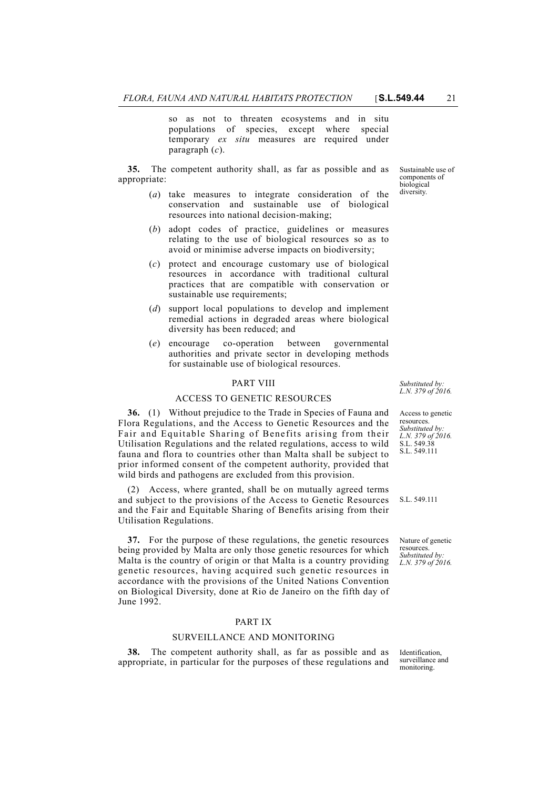so as not to threaten ecosystems and in situ populations of species, except where special temporary *ex situ* measures are required under paragraph (*c*).

**35.** The competent authority shall, as far as possible and as appropriate:

- (*a*) take measures to integrate consideration of the conservation and sustainable use of biological resources into national decision-making;
- (*b*) adopt codes of practice, guidelines or measures relating to the use of biological resources so as to avoid or minimise adverse impacts on biodiversity;
- (*c*) protect and encourage customary use of biological resources in accordance with traditional cultural practices that are compatible with conservation or sustainable use requirements;
- (*d*) support local populations to develop and implement remedial actions in degraded areas where biological diversity has been reduced; and
- (*e*) encourage co-operation between governmental authorities and private sector in developing methods for sustainable use of biological resources.

#### PART VIII

## ACCESS TO GENETIC RESOURCES

**36.** (1) Without prejudice to the Trade in Species of Fauna and Flora Regulations, and the Access to Genetic Resources and the Fair and Equitable Sharing of Benefits arising from their Utilisation Regulations and the related regulations, access to wild fauna and flora to countries other than Malta shall be subject to prior informed consent of the competent authority, provided that wild birds and pathogens are excluded from this provision.

(2) Access, where granted, shall be on mutually agreed terms and subject to the provisions of the Access to Genetic Resources and the Fair and Equitable Sharing of Benefits arising from their Utilisation Regulations.

**37.** For the purpose of these regulations, the genetic resources being provided by Malta are only those genetic resources for which Malta is the country of origin or that Malta is a country providing genetic resources, having acquired such genetic resources in accordance with the provisions of the United Nations Convention on Biological Diversity, done at Rio de Janeiro on the fifth day of June 1992.

## PART IX

#### SURVEILLANCE AND MONITORING

**38.** The competent authority shall, as far as possible and as appropriate, in particular for the purposes of these regulations and

*Substituted by: L.N. 379 of 2016.*

Access to genetic resources. *Substituted by: L.N. 379 of 2016.* S.L. 549.38 S.L. 549.111

S.L. 549.111

Nature of genetic resources. *Substituted by: L.N. 379 of 2016.*

**Identification** surveillance and monitoring.

Sustainable use of components of biological diversity.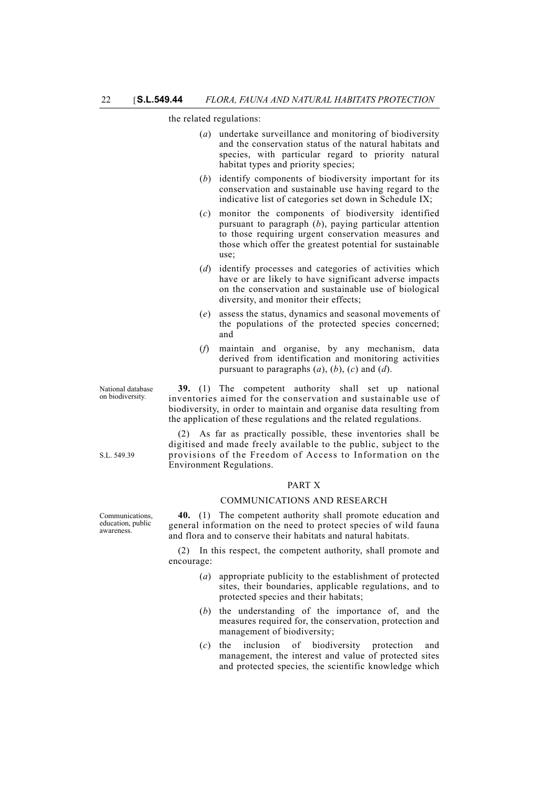the related regulations:

- (*a*) undertake surveillance and monitoring of biodiversity and the conservation status of the natural habitats and species, with particular regard to priority natural habitat types and priority species;
- (*b*) identify components of biodiversity important for its conservation and sustainable use having regard to the indicative list of categories set down in Schedule IX;
- (*c*) monitor the components of biodiversity identified pursuant to paragraph (*b*), paying particular attention to those requiring urgent conservation measures and those which offer the greatest potential for sustainable use;
- (*d*) identify processes and categories of activities which have or are likely to have significant adverse impacts on the conservation and sustainable use of biological diversity, and monitor their effects;
- (*e*) assess the status, dynamics and seasonal movements of the populations of the protected species concerned; and
- (*f*) maintain and organise, by any mechanism, data derived from identification and monitoring activities pursuant to paragraphs (*a*), (*b*), (*c*) and (*d*).

**39.** (1) The competent authority shall set up national inventories aimed for the conservation and sustainable use of biodiversity, in order to maintain and organise data resulting from the application of these regulations and the related regulations.

(2) As far as practically possible, these inventories shall be digitised and made freely available to the public, subject to the provisions of the Freedom of Access to Information on the Environment Regulations.

#### PART X

## COMMUNICATIONS AND RESEARCH

**40.** (1) The competent authority shall promote education and general information on the need to protect species of wild fauna and flora and to conserve their habitats and natural habitats.

(2) In this respect, the competent authority, shall promote and encourage:

- (*a*) appropriate publicity to the establishment of protected sites, their boundaries, applicable regulations, and to protected species and their habitats;
- (*b*) the understanding of the importance of, and the measures required for, the conservation, protection and management of biodiversity;
- (*c*) the inclusion of biodiversity protection and management, the interest and value of protected sites and protected species, the scientific knowledge which

National database on biodiversity.

S.L. 549.39

Communications, education, public awareness.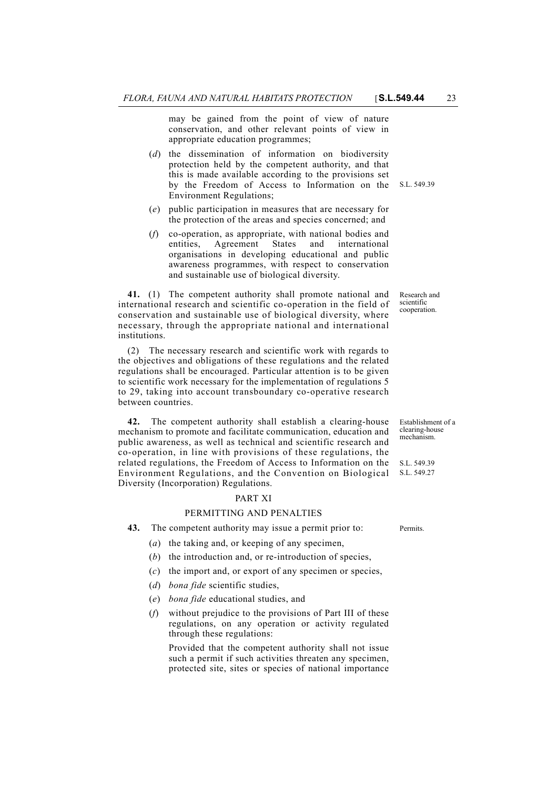may be gained from the point of view of nature conservation, and other relevant points of view in appropriate education programmes;

- by the Freedom of Access to Information on the S.L. 549.39 (*d*) the dissemination of information on biodiversity protection held by the competent authority, and that this is made available according to the provisions set Environment Regulations;
- (*e*) public participation in measures that are necessary for the protection of the areas and species concerned; and
- (*f*) co-operation, as appropriate, with national bodies and entities, Agreement States and international organisations in developing educational and public awareness programmes, with respect to conservation and sustainable use of biological diversity.

**41.** (1) The competent authority shall promote national and international research and scientific co-operation in the field of conservation and sustainable use of biological diversity, where necessary, through the appropriate national and international institutions.

(2) The necessary research and scientific work with regards to the objectives and obligations of these regulations and the related regulations shall be encouraged. Particular attention is to be given to scientific work necessary for the implementation of regulations 5 to 29, taking into account transboundary co-operative research between countries.

**42.** The competent authority shall establish a clearing-house mechanism to promote and facilitate communication, education and public awareness, as well as technical and scientific research and co-operation, in line with provisions of these regulations, the related regulations, the Freedom of Access to Information on the Environment Regulations, and the Convention on Biological Diversity (Incorporation) Regulations.

## PART XI

## PERMITTING AND PENALTIES

**43.** The competent authority may issue a permit prior to: Permits.

- (*a*) the taking and, or keeping of any specimen,
- (*b*) the introduction and, or re-introduction of species,
- (*c*) the import and, or export of any specimen or species,
- (*d*) *bona fide* scientific studies,
- (*e*) *bona fide* educational studies, and
- (*f*) without prejudice to the provisions of Part III of these regulations, on any operation or activity regulated through these regulations:

Provided that the competent authority shall not issue such a permit if such activities threaten any specimen, protected site, sites or species of national importance

Research and scientific cooperation.

Establishment of a clearing-house mechanism.

S.L. 549.39 S.L. 549.27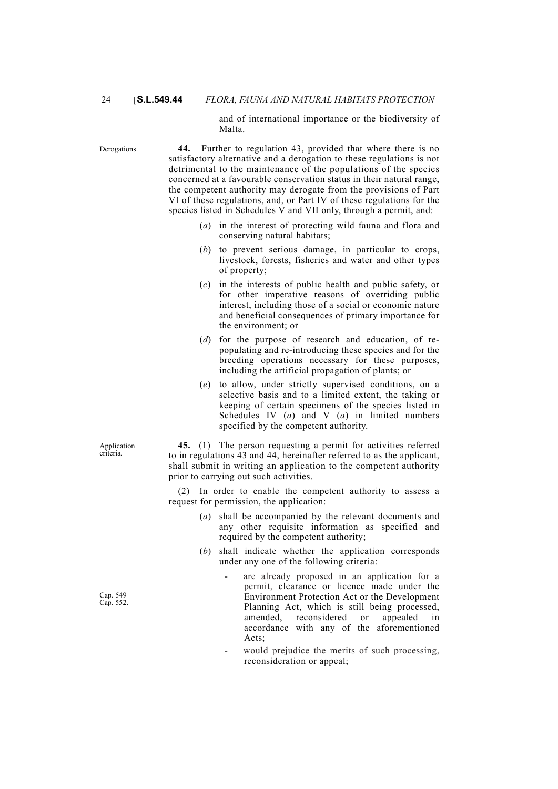and of international importance or the biodiversity of Malta.

Derogations. **44.** Further to regulation 43, provided that where there is no satisfactory alternative and a derogation to these regulations is not detrimental to the maintenance of the populations of the species concerned at a favourable conservation status in their natural range, the competent authority may derogate from the provisions of Part VI of these regulations, and, or Part IV of these regulations for the species listed in Schedules V and VII only, through a permit, and:

- (*a*) in the interest of protecting wild fauna and flora and conserving natural habitats;
- (*b*) to prevent serious damage, in particular to crops, livestock, forests, fisheries and water and other types of property;
- (*c*) in the interests of public health and public safety, or for other imperative reasons of overriding public interest, including those of a social or economic nature and beneficial consequences of primary importance for the environment; or
- (*d*) for the purpose of research and education, of repopulating and re-introducing these species and for the breeding operations necessary for these purposes, including the artificial propagation of plants; or
- (*e*) to allow, under strictly supervised conditions, on a selective basis and to a limited extent, the taking or keeping of certain specimens of the species listed in Schedules IV (*a*) and V (*a*) in limited numbers specified by the competent authority.

**45.** (1) The person requesting a permit for activities referred to in regulations 43 and 44, hereinafter referred to as the applicant, shall submit in writing an application to the competent authority prior to carrying out such activities.

(2) In order to enable the competent authority to assess a request for permission, the application:

- (*a*) shall be accompanied by the relevant documents and any other requisite information as specified and required by the competent authority;
- (*b*) shall indicate whether the application corresponds under any one of the following criteria:
	- are already proposed in an application for a permit, clearance or licence made under the Environment Protection Act or the Development Planning Act, which is still being processed, amended, reconsidered or appealed in accordance with any of the aforementioned Acts:
	- would prejudice the merits of such processing, reconsideration or appeal;

Application criteria.

Cap. 549 Cap. 552.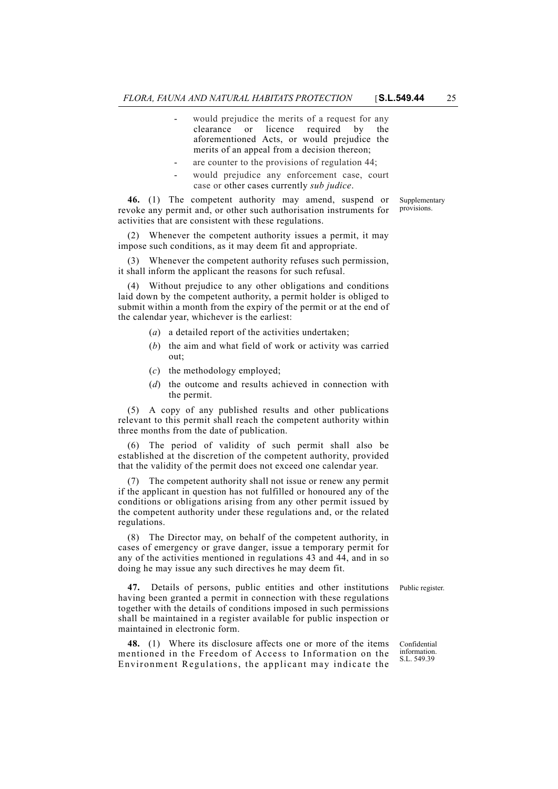- would prejudice the merits of a request for any clearance or licence required by the aforementioned Acts, or would prejudice the merits of an appeal from a decision thereon;
- are counter to the provisions of regulation 44;
- would prejudice any enforcement case, court case or other cases currently *sub judice*.

**46.** (1) The competent authority may amend, suspend or revoke any permit and, or other such authorisation instruments for activities that are consistent with these regulations.

(2) Whenever the competent authority issues a permit, it may impose such conditions, as it may deem fit and appropriate.

(3) Whenever the competent authority refuses such permission, it shall inform the applicant the reasons for such refusal.

(4) Without prejudice to any other obligations and conditions laid down by the competent authority, a permit holder is obliged to submit within a month from the expiry of the permit or at the end of the calendar year, whichever is the earliest:

- (*a*) a detailed report of the activities undertaken;
- (*b*) the aim and what field of work or activity was carried out;
- (*c*) the methodology employed;
- (*d*) the outcome and results achieved in connection with the permit.

(5) A copy of any published results and other publications relevant to this permit shall reach the competent authority within three months from the date of publication.

(6) The period of validity of such permit shall also be established at the discretion of the competent authority, provided that the validity of the permit does not exceed one calendar year.

(7) The competent authority shall not issue or renew any permit if the applicant in question has not fulfilled or honoured any of the conditions or obligations arising from any other permit issued by the competent authority under these regulations and, or the related regulations.

(8) The Director may, on behalf of the competent authority, in cases of emergency or grave danger, issue a temporary permit for any of the activities mentioned in regulations 43 and 44, and in so doing he may issue any such directives he may deem fit.

**47.** Details of persons, public entities and other institutions Public register. having been granted a permit in connection with these regulations together with the details of conditions imposed in such permissions shall be maintained in a register available for public inspection or maintained in electronic form.

**48.** (1) Where its disclosure affects one or more of the items mentioned in the Freedom of Access to Information on the Environment Regulations, the applicant may indicate the

Confidential information. S.L. 549.39

Supplementary provisions.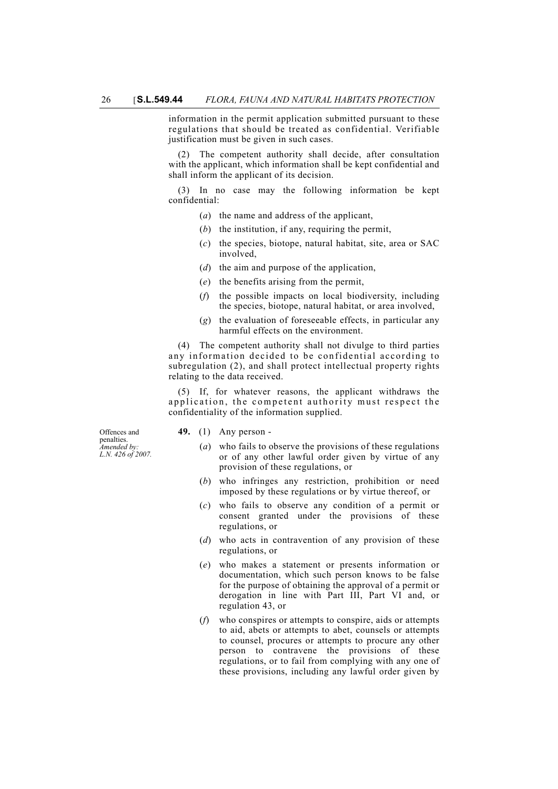information in the permit application submitted pursuant to these regulations that should be treated as confidential. Verifiable justification must be given in such cases.

(2) The competent authority shall decide, after consultation with the applicant, which information shall be kept confidential and shall inform the applicant of its decision.

(3) In no case may the following information be kept confidential:

- (*a*) the name and address of the applicant,
- (*b*) the institution, if any, requiring the permit,
- (*c*) the species, biotope, natural habitat, site, area or SAC involved,
- (*d*) the aim and purpose of the application,
- (*e*) the benefits arising from the permit,
- (*f*) the possible impacts on local biodiversity, including the species, biotope, natural habitat, or area involved,
- (*g*) the evaluation of foreseeable effects, in particular any harmful effects on the environment.

(4) The competent authority shall not divulge to third parties any information decided to be confidential according to subregulation (2), and shall protect intellectual property rights relating to the data received.

(5) If, for whatever reasons, the applicant withdraws the application, the competent authority must respect the confidentiality of the information supplied.

Offences and penalties. *Amended by: L.N. 426 of 2007.*

- **49.** (1) Any person
	- (*a*) who fails to observe the provisions of these regulations or of any other lawful order given by virtue of any provision of these regulations, or
	- (*b*) who infringes any restriction, prohibition or need imposed by these regulations or by virtue thereof, or
	- (*c*) who fails to observe any condition of a permit or consent granted under the provisions of these regulations, or
	- (*d*) who acts in contravention of any provision of these regulations, or
	- (*e*) who makes a statement or presents information or documentation, which such person knows to be false for the purpose of obtaining the approval of a permit or derogation in line with Part III, Part VI and, or regulation 43, or
	- (*f*) who conspires or attempts to conspire, aids or attempts to aid, abets or attempts to abet, counsels or attempts to counsel, procures or attempts to procure any other person to contravene the provisions of these regulations, or to fail from complying with any one of these provisions, including any lawful order given by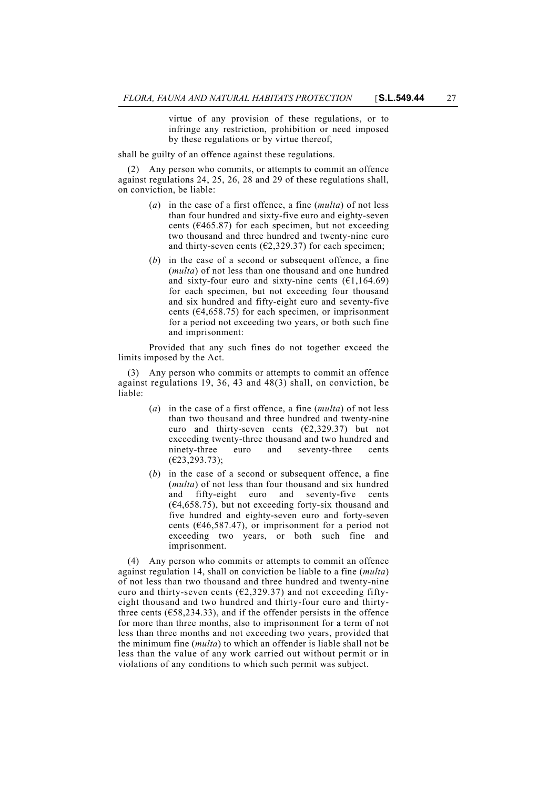virtue of any provision of these regulations, or to infringe any restriction, prohibition or need imposed by these regulations or by virtue thereof,

shall be guilty of an offence against these regulations.

(2) Any person who commits, or attempts to commit an offence against regulations 24, 25, 26, 28 and 29 of these regulations shall, on conviction, be liable:

- (*a*) in the case of a first offence, a fine (*multa*) of not less than four hundred and sixty-five euro and eighty-seven cents ( $\epsilon$ 465.87) for each specimen, but not exceeding two thousand and three hundred and twenty-nine euro and thirty-seven cents ( $\epsilon$ 2,329.37) for each specimen;
- (*b*) in the case of a second or subsequent offence, a fine (*multa*) of not less than one thousand and one hundred and sixty-four euro and sixty-nine cents  $(61, 164.69)$ for each specimen, but not exceeding four thousand and six hundred and fifty-eight euro and seventy-five cents ( $E$ 4,658.75) for each specimen, or imprisonment for a period not exceeding two years, or both such fine and imprisonment:

Provided that any such fines do not together exceed the limits imposed by the Act.

(3) Any person who commits or attempts to commit an offence against regulations 19, 36, 43 and 48(3) shall, on conviction, be liable:

- (*a*) in the case of a first offence, a fine (*multa*) of not less than two thousand and three hundred and twenty-nine euro and thirty-seven cents  $(E2, 329.37)$  but not exceeding twenty-three thousand and two hundred and ninety-three euro and seventy-three cents (€23,293.73);
- (*b*) in the case of a second or subsequent offence, a fine (*multa*) of not less than four thousand and six hundred and fifty-eight euro and seventy-five cents  $(64,658.75)$ , but not exceeding forty-six thousand and five hundred and eighty-seven euro and forty-seven cents ( $\epsilon$ 46,587.47), or imprisonment for a period not exceeding two years, or both such fine and imprisonment.

(4) Any person who commits or attempts to commit an offence against regulation 14, shall on conviction be liable to a fine (*multa*) of not less than two thousand and three hundred and twenty-nine euro and thirty-seven cents ( $E2,329.37$ ) and not exceeding fiftyeight thousand and two hundred and thirty-four euro and thirtythree cents ( $\epsilon$ 58,234.33), and if the offender persists in the offence for more than three months, also to imprisonment for a term of not less than three months and not exceeding two years, provided that the minimum fine (*multa*) to which an offender is liable shall not be less than the value of any work carried out without permit or in violations of any conditions to which such permit was subject.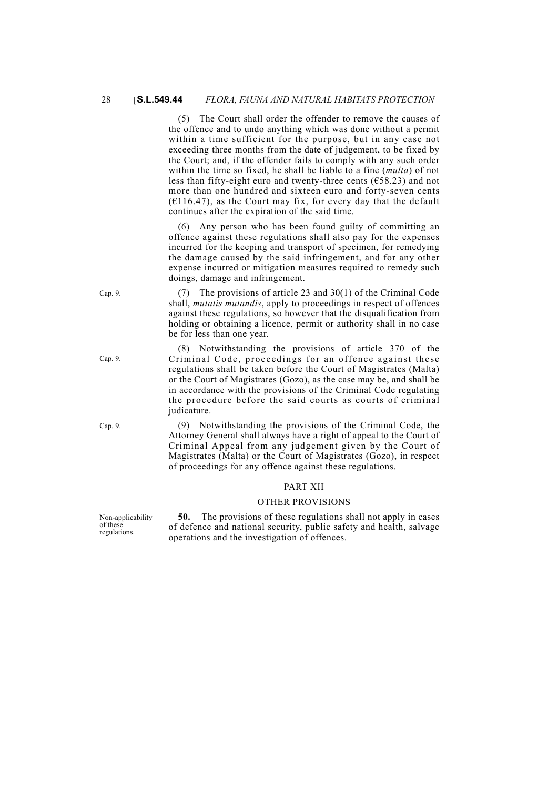(5) The Court shall order the offender to remove the causes of the offence and to undo anything which was done without a permit within a time sufficient for the purpose, but in any case not exceeding three months from the date of judgement, to be fixed by the Court; and, if the offender fails to comply with any such order within the time so fixed, he shall be liable to a fine (*multa*) of not less than fifty-eight euro and twenty-three cents  $(658.23)$  and not more than one hundred and sixteen euro and forty-seven cents  $(6116.47)$ , as the Court may fix, for every day that the default continues after the expiration of the said time.

(6) Any person who has been found guilty of committing an offence against these regulations shall also pay for the expenses incurred for the keeping and transport of specimen, for remedying the damage caused by the said infringement, and for any other expense incurred or mitigation measures required to remedy such doings, damage and infringement.

Cap. 9. (7) The provisions of article 23 and 30(1) of the Criminal Code shall, *mutatis mutandis*, apply to proceedings in respect of offences against these regulations, so however that the disqualification from holding or obtaining a licence, permit or authority shall in no case be for less than one year.

> (8) Notwithstanding the provisions of article 370 of the Criminal Code, proceedings for an offence against these regulations shall be taken before the Court of Magistrates (Malta) or the Court of Magistrates (Gozo), as the case may be, and shall be in accordance with the provisions of the Criminal Code regulating the procedure before the said courts as courts of criminal judicature.

Cap. 9. (9) Notwithstanding the provisions of the Criminal Code, the Attorney General shall always have a right of appeal to the Court of Criminal Appeal from any judgement given by the Court of Magistrates (Malta) or the Court of Magistrates (Gozo), in respect of proceedings for any offence against these regulations.

# PART XII

#### OTHER PROVISIONS

**50.** The provisions of these regulations shall not apply in cases of defence and national security, public safety and health, salvage operations and the investigation of offences.

Cap. 9.

Non-applicability of these regulations.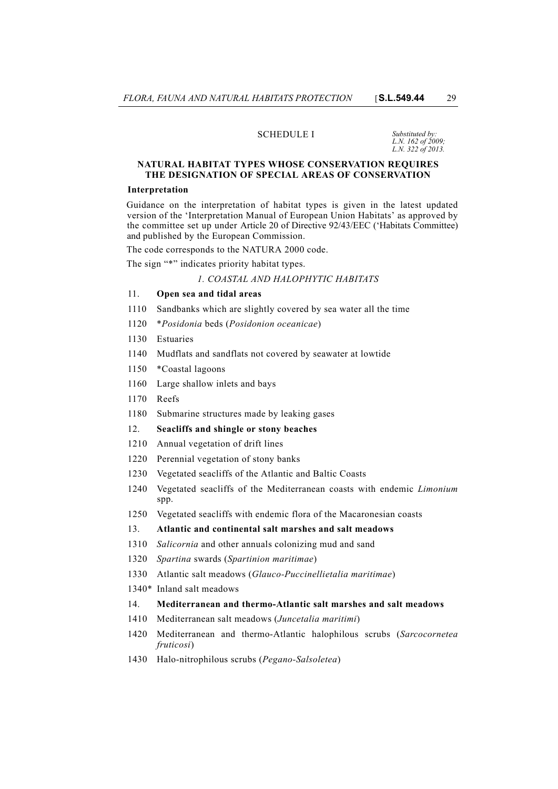#### SCHEDULE I *Substituted by:*

# *L.N. 162 of 2009; L.N. 322 of 2013.*

#### **NATURAL HABITAT TYPES WHOSE CONSERVATION REQUIRES THE DESIGNATION OF SPECIAL AREAS OF CONSERVATION**

#### **Interpretation**

Guidance on the interpretation of habitat types is given in the latest updated version of the 'Interpretation Manual of European Union Habitats' as approved by the committee set up under Article 20 of Directive 92/43/EEC ('Habitats Committee) and published by the European Commission.

The code corresponds to the NATURA 2000 code.

The sign "\*" indicates priority habitat types.

#### *1. COASTAL AND HALOPHYTIC HABITATS*

## 11. **Open sea and tidal areas**

- 1110 Sandbanks which are slightly covered by sea water all the time
- 1120 \**Posidonia* beds (*Posidonion oceanicae*)
- 1130 Estuaries
- 1140 Mudflats and sandflats not covered by seawater at lowtide
- 1150 \*Coastal lagoons
- 1160 Large shallow inlets and bays
- 1170 Reefs
- 1180 Submarine structures made by leaking gases

# 12. **Seacliffs and shingle or stony beaches**

- 1210 Annual vegetation of drift lines
- 1220 Perennial vegetation of stony banks
- 1230 Vegetated seacliffs of the Atlantic and Baltic Coasts
- 1240 Vegetated seacliffs of the Mediterranean coasts with endemic *Limonium* spp.
- 1250 Vegetated seacliffs with endemic flora of the Macaronesian coasts

#### 13. **Atlantic and continental salt marshes and salt meadows**

- 1310 *Salicornia* and other annuals colonizing mud and sand
- 1320 *Spartina* swards (*Spartinion maritimae*)
- 1330 Atlantic salt meadows (*Glauco-Puccinellietalia maritimae*)
- 1340\* Inland salt meadows

## 14. **Mediterranean and thermo-Atlantic salt marshes and salt meadows**

- 1410 Mediterranean salt meadows (*Juncetalia maritimi*)
- 1420 Mediterranean and thermo-Atlantic halophilous scrubs (*Sarcocornetea fruticosi*)
- 1430 Halo-nitrophilous scrubs (*Pegano-Salsoletea*)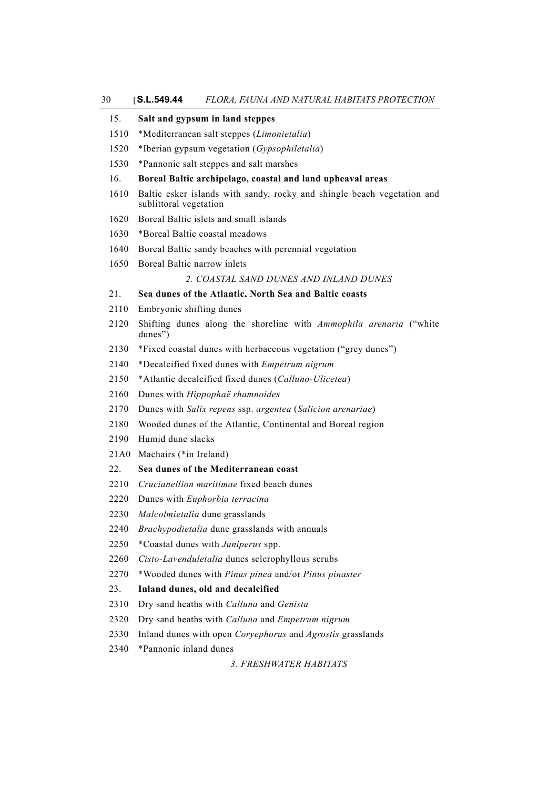# 30 [**S.L.549.44** *FLORA, FAUNA AND NATURAL HABITATS PROTECTION*

| 15.  | Salt and gypsum in land steppes                                                                   |  |  |  |  |  |
|------|---------------------------------------------------------------------------------------------------|--|--|--|--|--|
| 1510 | *Mediterranean salt steppes (Limonietalia)                                                        |  |  |  |  |  |
| 1520 | *Iberian gypsum vegetation (Gypsophiletalia)                                                      |  |  |  |  |  |
| 1530 | *Pannonic salt steppes and salt marshes                                                           |  |  |  |  |  |
| 16.  | Boreal Baltic archipelago, coastal and land upheaval areas                                        |  |  |  |  |  |
| 1610 | Baltic esker islands with sandy, rocky and shingle beach vegetation and<br>sublittoral vegetation |  |  |  |  |  |
| 1620 | Boreal Baltic islets and small islands                                                            |  |  |  |  |  |
| 1630 | *Boreal Baltic coastal meadows                                                                    |  |  |  |  |  |
| 1640 | Boreal Baltic sandy beaches with perennial vegetation                                             |  |  |  |  |  |
| 1650 | Boreal Baltic narrow inlets                                                                       |  |  |  |  |  |
|      | 2. COASTAL SAND DUNES AND INLAND DUNES                                                            |  |  |  |  |  |
| 21.  | Sea dunes of the Atlantic, North Sea and Baltic coasts                                            |  |  |  |  |  |
| 2110 | Embryonic shifting dunes                                                                          |  |  |  |  |  |
| 2120 | Shifting dunes along the shoreline with Ammophila arenaria ("white<br>dunes")                     |  |  |  |  |  |
| 2130 | *Fixed coastal dunes with herbaceous vegetation ("grey dunes")                                    |  |  |  |  |  |
| 2140 | *Decalcified fixed dunes with <i>Empetrum nigrum</i>                                              |  |  |  |  |  |
| 2150 | *Atlantic decalcified fixed dunes (Calluno-Ulicetea)                                              |  |  |  |  |  |
| 2160 | Dunes with Hippophaë rhamnoides                                                                   |  |  |  |  |  |
| 2170 | Dunes with Salix repens ssp. argentea (Salicion arenariae)                                        |  |  |  |  |  |
| 2180 | Wooded dunes of the Atlantic, Continental and Boreal region                                       |  |  |  |  |  |
| 2190 | Humid dune slacks                                                                                 |  |  |  |  |  |
| 21A0 | Machairs (*in Ireland)                                                                            |  |  |  |  |  |
| 22.  | Sea dunes of the Mediterranean coast                                                              |  |  |  |  |  |
| 2210 | Crucianellion maritimae fixed beach dunes                                                         |  |  |  |  |  |
| 2220 | Dunes with Euphorbia terracina                                                                    |  |  |  |  |  |
| 2230 | Malcolmietalia dune grasslands                                                                    |  |  |  |  |  |
| 2240 | Brachypodietalia dune grasslands with annuals                                                     |  |  |  |  |  |
| 2250 | *Coastal dunes with Juniperus spp.                                                                |  |  |  |  |  |
| 2260 | Cisto-Lavenduletalia dunes sclerophyllous scrubs                                                  |  |  |  |  |  |
| 2270 | *Wooded dunes with Pinus pinea and/or Pinus pinaster                                              |  |  |  |  |  |
| 23.  | Inland dunes, old and decalcified                                                                 |  |  |  |  |  |
| 2310 | Dry sand heaths with Calluna and Genista                                                          |  |  |  |  |  |
| 2320 | Dry sand heaths with Calluna and Empetrum nigrum                                                  |  |  |  |  |  |
| 2330 | Inland dunes with open <i>Coryephorus</i> and <i>Agrostis</i> grasslands                          |  |  |  |  |  |
| 2340 | *Pannonic inland dunes                                                                            |  |  |  |  |  |

*3. FRESHWATER HABITATS*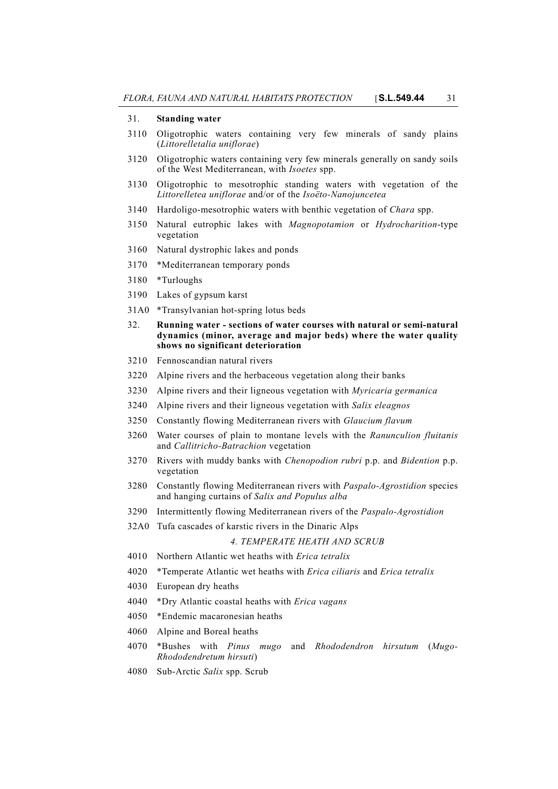## 31. **Standing water**

- 3110 Oligotrophic waters containing very few minerals of sandy plains (*Littorelletalia uniflorae*)
- 3120 Oligotrophic waters containing very few minerals generally on sandy soils of the West Mediterranean, with *Isoetes* spp.
- 3130 Oligotrophic to mesotrophic standing waters with vegetation of the *Littorelletea uniflorae* and/or of the *Isoëto-Nanojuncetea*
- 3140 Hardoligo-mesotrophic waters with benthic vegetation of *Chara* spp.
- 3150 Natural eutrophic lakes with *Magnopotamion* or *Hydrocharition*-type vegetation
- 3160 Natural dystrophic lakes and ponds
- 3170 \*Mediterranean temporary ponds
- 3180 \*Turloughs
- 3190 Lakes of gypsum karst
- 31A0 \*Transylvanian hot-spring lotus beds
- 32. **Running water sections of water courses with natural or semi-natural dynamics (minor, average and major beds) where the water quality shows no significant deterioration**
- 3210 Fennoscandian natural rivers
- 3220 Alpine rivers and the herbaceous vegetation along their banks
- 3230 Alpine rivers and their ligneous vegetation with *Myricaria germanica*
- 3240 Alpine rivers and their ligneous vegetation with *Salix eleagnos*
- 3250 Constantly flowing Mediterranean rivers with *Glaucium flavum*
- 3260 Water courses of plain to montane levels with the *Ranunculion fluitanis* and *Callitricho-Batrachion* vegetation
- 3270 Rivers with muddy banks with *Chenopodion rubri* p.p. and *Bidention* p.p. vegetation
- 3280 Constantly flowing Mediterranean rivers with *Paspalo-Agrostidion* species and hanging curtains of *Salix and Populus alba*
- 3290 Intermittently flowing Mediterranean rivers of the *Paspalo-Agrostidion*
- 32A0 Tufa cascades of karstic rivers in the Dinaric Alps

## *4. TEMPERATE HEATH AND SCRUB*

- 4010 Northern Atlantic wet heaths with *Erica tetralix*
- 4020 \*Temperate Atlantic wet heaths with *Erica ciliaris* and *Erica tetralix*
- 4030 European dry heaths
- 4040 \*Dry Atlantic coastal heaths with *Erica vagans*
- 4050 \*Endemic macaronesian heaths
- 4060 Alpine and Boreal heaths
- 4070 \*Bushes with *Pinus mugo* and *Rhododendron hirsutum* (*Mugo-Rhododendretum hirsuti*)
- 4080 Sub-Arctic *Salix* spp. Scrub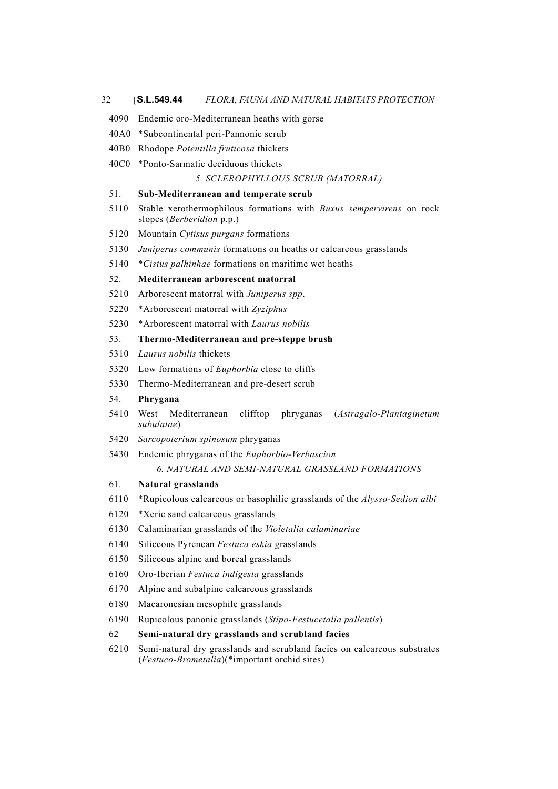| 32               | S.L.549.44<br>FLORA, FAUNA AND NATURAL HABITATS PROTECTION                                                                 |  |  |  |  |  |  |
|------------------|----------------------------------------------------------------------------------------------------------------------------|--|--|--|--|--|--|
| 4090             | Endemic oro-Mediterranean heaths with gorse                                                                                |  |  |  |  |  |  |
| 40A0             | *Subcontinental peri-Pannonic scrub                                                                                        |  |  |  |  |  |  |
| 40B <sub>0</sub> | Rhodope Potentilla fruticosa thickets                                                                                      |  |  |  |  |  |  |
| 40C0             | *Ponto-Sarmatic deciduous thickets                                                                                         |  |  |  |  |  |  |
|                  | 5. SCLEROPHYLLOUS SCRUB (MATORRAL)                                                                                         |  |  |  |  |  |  |
| 51.              | Sub-Mediterranean and temperate scrub                                                                                      |  |  |  |  |  |  |
| 5110             | Stable xerothermophilous formations with Buxus sempervirens on rock<br>slopes (Berberidion p.p.)                           |  |  |  |  |  |  |
| 5120             | Mountain Cytisus purgans formations                                                                                        |  |  |  |  |  |  |
| 5130             | Juniperus communis formations on heaths or calcareous grasslands                                                           |  |  |  |  |  |  |
| 5140             | *Cistus palhinhae formations on maritime wet heaths                                                                        |  |  |  |  |  |  |
| 52.              | Mediterranean arborescent matorral                                                                                         |  |  |  |  |  |  |
| 5210             | Arborescent matorral with Juniperus spp.                                                                                   |  |  |  |  |  |  |
| 5220             | *Arborescent matorral with Zyziphus                                                                                        |  |  |  |  |  |  |
| 5230             | *Arborescent matorral with <i>Laurus nobilis</i>                                                                           |  |  |  |  |  |  |
| 53.              | Thermo-Mediterranean and pre-steppe brush                                                                                  |  |  |  |  |  |  |
| 5310             | Laurus nobilis thickets                                                                                                    |  |  |  |  |  |  |
| 5320             | Low formations of <i>Euphorbia</i> close to cliffs                                                                         |  |  |  |  |  |  |
| 5330             | Thermo-Mediterranean and pre-desert scrub                                                                                  |  |  |  |  |  |  |
| 54.              | Phrygana                                                                                                                   |  |  |  |  |  |  |
| 5410             | Mediterranean<br>clifftop<br>West<br>phryganas<br>(Astragalo-Plantaginetum<br>subulatae)                                   |  |  |  |  |  |  |
| 5420             | Sarcopoterium spinosum phryganas                                                                                           |  |  |  |  |  |  |
| 5430             | Endemic phryganas of the Euphorbio-Verbascion                                                                              |  |  |  |  |  |  |
|                  | 6. NATURAL AND SEMI-NATURAL GRASSLAND FORMATIONS                                                                           |  |  |  |  |  |  |
| 61.              | Natural grasslands                                                                                                         |  |  |  |  |  |  |
| 6110             | *Rupicolous calcareous or basophilic grasslands of the <i>Alysso-Sedion albi</i>                                           |  |  |  |  |  |  |
| 6120             | *Xeric sand calcareous grasslands                                                                                          |  |  |  |  |  |  |
| 6130             | Calaminarian grasslands of the Violetalia calaminariae                                                                     |  |  |  |  |  |  |
| 6140             | Siliceous Pyrenean Festuca eskia grasslands                                                                                |  |  |  |  |  |  |
| 6150             | Siliceous alpine and boreal grasslands                                                                                     |  |  |  |  |  |  |
| 6160             | Oro-Iberian Festuca indigesta grasslands                                                                                   |  |  |  |  |  |  |
| 6170             | Alpine and subalpine calcareous grasslands                                                                                 |  |  |  |  |  |  |
| 6180             | Macaronesian mesophile grasslands                                                                                          |  |  |  |  |  |  |
| 6190             | Rupicolous panonic grasslands (Stipo-Festucetalia pallentis)                                                               |  |  |  |  |  |  |
| 62               | Semi-natural dry grasslands and scrubland facies                                                                           |  |  |  |  |  |  |
| 6210             | Semi-natural dry grasslands and scrubland facies on calcareous substrates<br>(Festuco-Brometalia)(*important orchid sites) |  |  |  |  |  |  |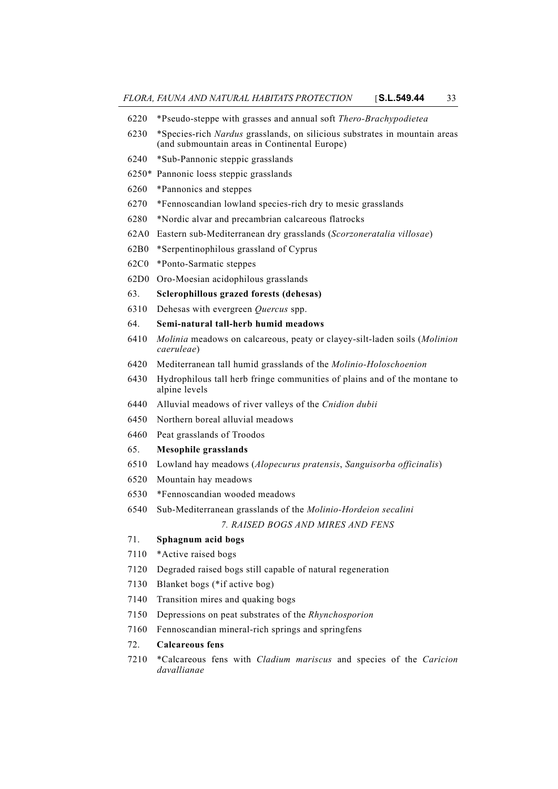- 6220 \*Pseudo-steppe with grasses and annual soft *Thero-Brachypodietea*
- 6230 \*Species-rich *Nardus* grasslands, on silicious substrates in mountain areas (and submountain areas in Continental Europe)
- 6240 \*Sub-Pannonic steppic grasslands
- 6250\* Pannonic loess steppic grasslands
- 6260 \*Pannonics and steppes
- 6270 \*Fennoscandian lowland species-rich dry to mesic grasslands
- 6280 \*Nordic alvar and precambrian calcareous flatrocks
- 62A0 Eastern sub-Mediterranean dry grasslands (*Scorzoneratalia villosae*)
- 62B0 \*Serpentinophilous grassland of Cyprus
- 62C0 \*Ponto-Sarmatic steppes
- 62D0 Oro-Moesian acidophilous grasslands
- 63. **Sclerophillous grazed forests (dehesas)**
- 6310 Dehesas with evergreen *Quercus* spp.
- 64. **Semi-natural tall-herb humid meadows**
- 6410 *Molinia* meadows on calcareous, peaty or clayey-silt-laden soils (*Molinion caeruleae*)
- 6420 Mediterranean tall humid grasslands of the *Molinio-Holoschoenion*
- 6430 Hydrophilous tall herb fringe communities of plains and of the montane to alpine levels
- 6440 Alluvial meadows of river valleys of the *Cnidion dubii*
- 6450 Northern boreal alluvial meadows
- 6460 Peat grasslands of Troodos

## 65. **Mesophile grasslands**

- 6510 Lowland hay meadows (*Alopecurus pratensis*, *Sanguisorba officinalis*)
- 6520 Mountain hay meadows
- 6530 \*Fennoscandian wooded meadows
- 6540 Sub-Mediterranean grasslands of the *Molinio-Hordeion secalini 7. RAISED BOGS AND MIRES AND FENS*

# 71. **Sphagnum acid bogs**

- 7110 \*Active raised bogs
- 
- 7120 Degraded raised bogs still capable of natural regeneration
- 7130 Blanket bogs (\*if active bog)
- 7140 Transition mires and quaking bogs
- 7150 Depressions on peat substrates of the *Rhynchosporion*
- 7160 Fennoscandian mineral-rich springs and springfens

## 72. **Calcareous fens**

7210 \*Calcareous fens with *Cladium mariscus* and species of the *Caricion davallianae*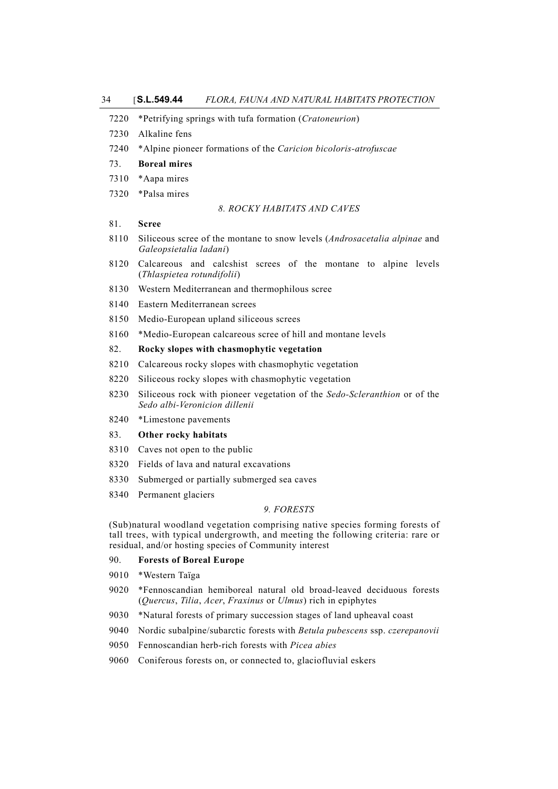|  |  | 7220 *Petrifying springs with tufa formation (Cratoneurion) |  |
|--|--|-------------------------------------------------------------|--|
|  |  |                                                             |  |

- 7230 Alkaline fens
- 7240 \*Alpine pioneer formations of the *Caricion bicoloris-atrofuscae*

#### 73. **Boreal mires**

- 7310 \*Aapa mires
- 7320 \*Palsa mires

#### *8. ROCKY HABITATS AND CAVES*

## 81. **Scree**

- 8110 Siliceous scree of the montane to snow levels (*Androsacetalia alpinae* and *Galeopsietalia ladani*)
- 8120 Calcareous and calcshist screes of the montane to alpine levels (*Thlaspietea rotundifolii*)
- 8130 Western Mediterranean and thermophilous scree
- 8140 Eastern Mediterranean screes
- 8150 Medio-European upland siliceous screes
- 8160 \*Medio-European calcareous scree of hill and montane levels

#### 82. **Rocky slopes with chasmophytic vegetation**

- 8210 Calcareous rocky slopes with chasmophytic vegetation
- 8220 Siliceous rocky slopes with chasmophytic vegetation
- 8230 Siliceous rock with pioneer vegetation of the *Sedo-Scleranthion* or of the *Sedo albi-Veronicion dillenii*
- 8240 \*Limestone pavements

## 83. **Other rocky habitats**

- 8310 Caves not open to the public
- 8320 Fields of lava and natural excavations
- 8330 Submerged or partially submerged sea caves
- 8340 Permanent glaciers

## *9. FORESTS*

(Sub)natural woodland vegetation comprising native species forming forests of tall trees, with typical undergrowth, and meeting the following criteria: rare or residual, and/or hosting species of Community interest

# 90. **Forests of Boreal Europe**

- 9010 \*Western Taïga
- 9020 \*Fennoscandian hemiboreal natural old broad-leaved deciduous forests (*Quercus*, *Tilia*, *Acer*, *Fraxinus* or *Ulmus*) rich in epiphytes
- 9030 \*Natural forests of primary succession stages of land upheaval coast
- 9040 Nordic subalpine/subarctic forests with *Betula pubescens* ssp. *czerepanovii*
- 9050 Fennoscandian herb-rich forests with *Picea abies*
- 9060 Coniferous forests on, or connected to, glaciofluvial eskers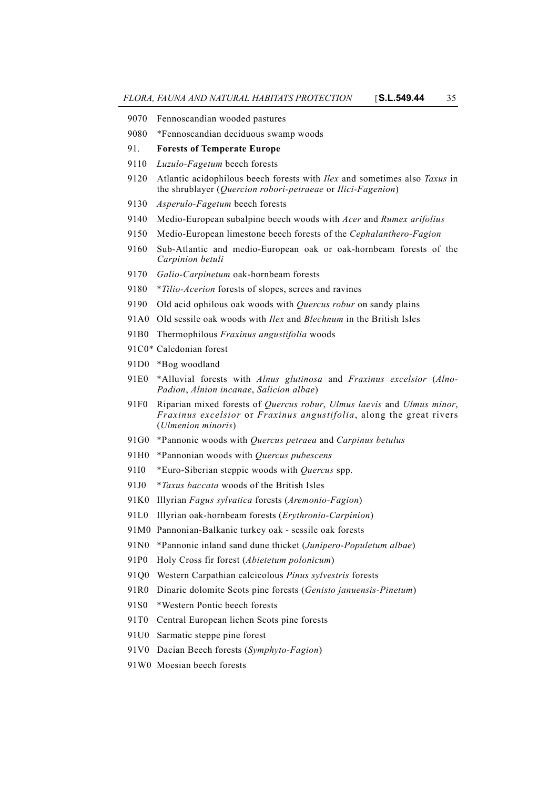- 9070 Fennoscandian wooded pastures
- 9080 \*Fennoscandian deciduous swamp woods
- 91. **Forests of Temperate Europe**
- 9110 *Luzulo-Fagetum* beech forests
- 9120 Atlantic acidophilous beech forests with *Ilex* and sometimes also *Taxus* in the shrublayer (*Quercion robori-petraeae* or *Ilici-Fagenion*)
- 9130 *Asperulo-Fagetum* beech forests
- 9140 Medio-European subalpine beech woods with *Acer* and *Rumex arifolius*
- 9150 Medio-European limestone beech forests of the *Cephalanthero-Fagion*
- 9160 Sub-Atlantic and medio-European oak or oak-hornbeam forests of the *Carpinion betuli*
- 9170 *Galio-Carpinetum* oak-hornbeam forests
- 9180 \**Tilio-Acerion* forests of slopes, screes and ravines
- 9190 Old acid ophilous oak woods with *Quercus robur* on sandy plains
- 91A0 Old sessile oak woods with *Ilex* and *Blechnum* in the British Isles
- 91B0 Thermophilous *Fraxinus angustifolia* woods
- 91C0\* Caledonian forest
- 91D0 \*Bog woodland
- 91E0 \*Alluvial forests with *Alnus glutinosa* and *Fraxinus excelsior* (*Alno-Padion*, *Alnion incanae*, *Salicion albae*)
- 91F0 Riparian mixed forests of *Quercus robur*, *Ulmus laevis* and *Ulmus minor*, *Fraxinus excelsior* or *Fraxinus angustifolia*, along the great rivers (*Ulmenion minoris*)
- 91G0 \*Pannonic woods with *Quercus petraea* and *Carpinus betulus*
- 91H0 \*Pannonian woods with *Quercus pubescens*
- 91I0 \*Euro-Siberian steppic woods with *Quercus* spp.
- 91J0 \**Taxus baccata* woods of the British Isles
- 91K0 Illyrian *Fagus sylvatica* forests (*Aremonio-Fagion*)
- 91L0 Illyrian oak-hornbeam forests (*Erythronio-Carpinion*)
- 91M0 Pannonian-Balkanic turkey oak sessile oak forests
- 91N0 \*Pannonic inland sand dune thicket (*Junipero-Populetum albae*)
- 91P0 Holy Cross fir forest (*Abietetum polonicum*)
- 91Q0 Western Carpathian calcicolous *Pinus sylvestris* forests
- 91R0 Dinaric dolomite Scots pine forests (*Genisto januensis-Pinetum*)
- 91S0 \*Western Pontic beech forests
- 91T0 Central European lichen Scots pine forests
- 91U0 Sarmatic steppe pine forest
- 91V0 Dacian Beech forests (*Symphyto-Fagion*)
- 91W0 Moesian beech forests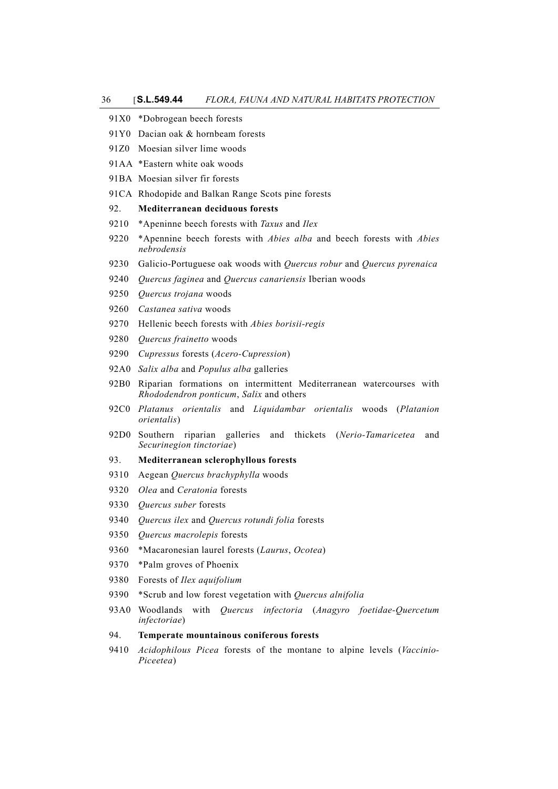|      | 91X0 *Dobrogean beech forests                                                                                  |
|------|----------------------------------------------------------------------------------------------------------------|
|      | 91Y0 Dacian oak & hornbeam forests                                                                             |
|      | 91Z0 Moesian silver lime woods                                                                                 |
|      | 91AA *Eastern white oak woods                                                                                  |
|      | 91BA Moesian silver fir forests                                                                                |
|      | 91CA Rhodopide and Balkan Range Scots pine forests                                                             |
| 92.  | Mediterranean deciduous forests                                                                                |
| 9210 | *Apeninne beech forests with Taxus and Ilex                                                                    |
| 9220 | *Apennine beech forests with <i>Abies alba</i> and beech forests with <i>Abies</i><br>nebrodensis              |
| 9230 | Galicio-Portuguese oak woods with Quercus robur and Quercus pyrenaica                                          |
| 9240 | Quercus faginea and Quercus canariensis Iberian woods                                                          |
| 9250 | Quercus trojana woods                                                                                          |
| 9260 | Castanea sativa woods                                                                                          |
| 9270 | Hellenic beech forests with Abies borisii-regis                                                                |
| 9280 | Quercus frainetto woods                                                                                        |
| 9290 | Cupressus forests (Acero-Cupression)                                                                           |
| 92A0 | Salix alba and Populus alba galleries                                                                          |
| 92B0 | Riparian formations on intermittent Mediterranean watercourses with<br>Rhododendron ponticum, Salix and others |
| 92C0 | Platanus orientalis and Liquidambar orientalis woods<br>(Platanion<br>orientalis)                              |
| 92D0 | riparian galleries<br>and thickets (Nerio-Tamaricetea<br>Southern<br>and<br>Securinegion tinctoriae)           |
| 93.  | Mediterranean sclerophyllous forests                                                                           |
| 9310 | Aegean Quercus brachyphylla woods                                                                              |
| 9320 | Olea and Ceratonia forests                                                                                     |
| 9330 | Quercus suber forests                                                                                          |
| 9340 | Quercus ilex and Quercus rotundi folia forests                                                                 |
| 9350 | Quercus macrolepis forests                                                                                     |
| 9360 | *Macaronesian laurel forests (Laurus, Ocotea)                                                                  |
| 9370 | *Palm groves of Phoenix                                                                                        |
| 9380 | Forests of Ilex aquifolium                                                                                     |
| 9390 | *Scrub and low forest vegetation with Quercus alnifolia                                                        |
| 93A0 | Woodlands<br>with<br>Quercus<br>infectoria (Anagyro foetidae-Quercetum<br><i>infectoriae</i> )                 |
| 94.  | Temperate mountainous coniferous forests                                                                       |
| 9410 | Acidophilous Picea forests of the montane to alpine levels (Vaccinio-                                          |

*Piceetea*)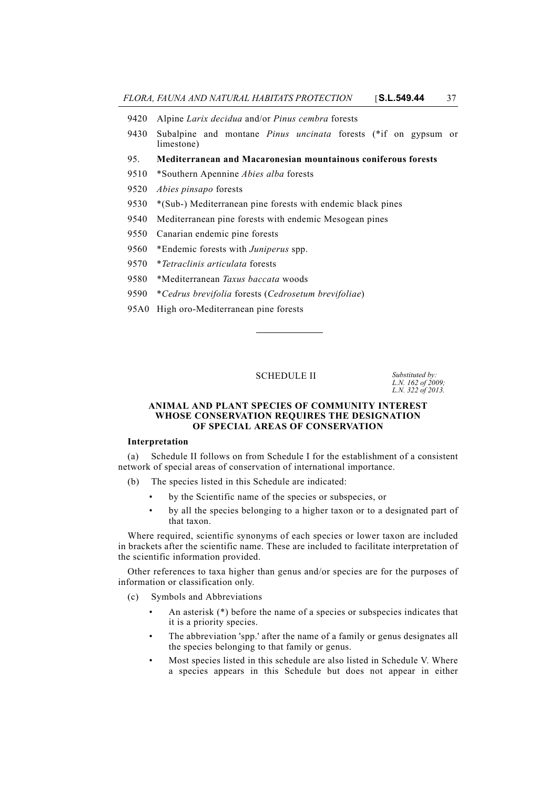- 9420 Alpine *Larix decidua* and/or *Pinus cembra* forests
- 9430 Subalpine and montane *Pinus uncinata* forests (\*if on gypsum or limestone)
- 95. **Mediterranean and Macaronesian mountainous coniferous forests**
- 9510 \*Southern Apennine *Abies alba* forests
- 9520 *Abies pinsapo* forests
- 9530 \*(Sub-) Mediterranean pine forests with endemic black pines
- 9540 Mediterranean pine forests with endemic Mesogean pines
- 9550 Canarian endemic pine forests
- 9560 \*Endemic forests with *Juniperus* spp.
- 9570 \**Tetraclinis articulata* forests
- 9580 \*Mediterranean *Taxus baccata* woods
- 9590 \**Cedrus brevifolia* forests (*Cedrosetum brevifoliae*)
- 95A0 High oro-Mediterranean pine forests

#### SCHEDULE **II**

*L.N. 162 of 2009; L.N. 322 of 2013.*

#### **ANIMAL AND PLANT SPECIES OF COMMUNITY INTEREST WHOSE CONSERVATION REQUIRES THE DESIGNATION OF SPECIAL AREAS OF CONSERVATION**

#### **Interpretation**

(a) Schedule II follows on from Schedule I for the establishment of a consistent network of special areas of conservation of international importance.

- (b) The species listed in this Schedule are indicated:
	- by the Scientific name of the species or subspecies, or
	- by all the species belonging to a higher taxon or to a designated part of that taxon.

Where required, scientific synonyms of each species or lower taxon are included in brackets after the scientific name. These are included to facilitate interpretation of the scientific information provided.

Other references to taxa higher than genus and/or species are for the purposes of information or classification only.

- (c) Symbols and Abbreviations
	- An asterisk (\*) before the name of a species or subspecies indicates that it is a priority species.
	- The abbreviation 'spp.' after the name of a family or genus designates all the species belonging to that family or genus.
	- Most species listed in this schedule are also listed in Schedule V. Where a species appears in this Schedule but does not appear in either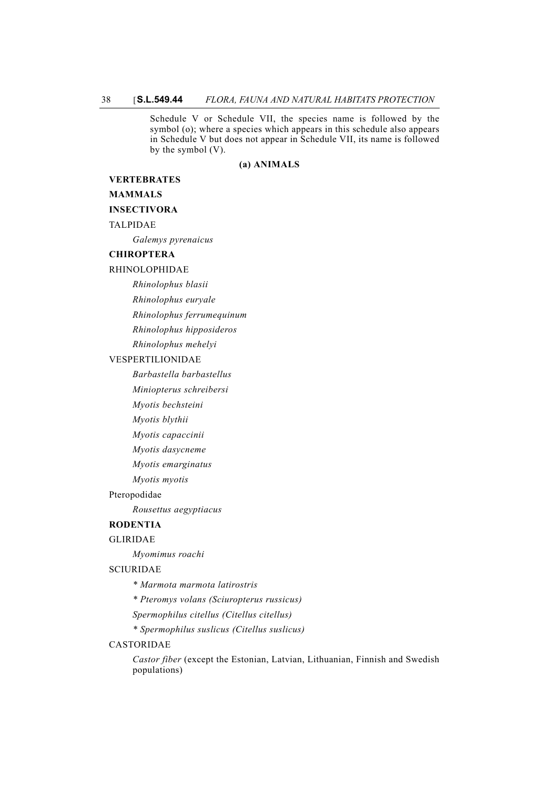Schedule V or Schedule VII, the species name is followed by the symbol (o); where a species which appears in this schedule also appears in Schedule V but does not appear in Schedule VII, its name is followed by the symbol (V).

#### **(a) ANIMALS**

## **VERTEBRATES**

#### **MAMMALS**

## **INSECTIVORA**

TALPIDAE

*Galemys pyrenaicus*

#### **CHIROPTERA**

#### RHINOLOPHIDAE

*Rhinolophus blasii*

*Rhinolophus euryale*

*Rhinolophus ferrumequinum*

*Rhinolophus hipposideros*

*Rhinolophus mehelyi*

## VESPERTILIONIDAE

*Barbastella barbastellus*

*Miniopterus schreibersi*

*Myotis bechsteini*

*Myotis blythii*

*Myotis capaccinii*

*Myotis dasycneme*

*Myotis emarginatus*

*Myotis myotis*

#### Pteropodidae

*Rousettus aegyptiacus*

# **RODENTIA**

## GLIRIDAE

*Myomimus roachi*

## SCIURIDAE

*\* Marmota marmota latirostris*

*\* Pteromys volans (Sciuropterus russicus)*

*Spermophilus citellus (Citellus citellus)*

*\* Spermophilus suslicus (Citellus suslicus)*

#### CASTORIDAE

*Castor fiber* (except the Estonian, Latvian, Lithuanian, Finnish and Swedish populations)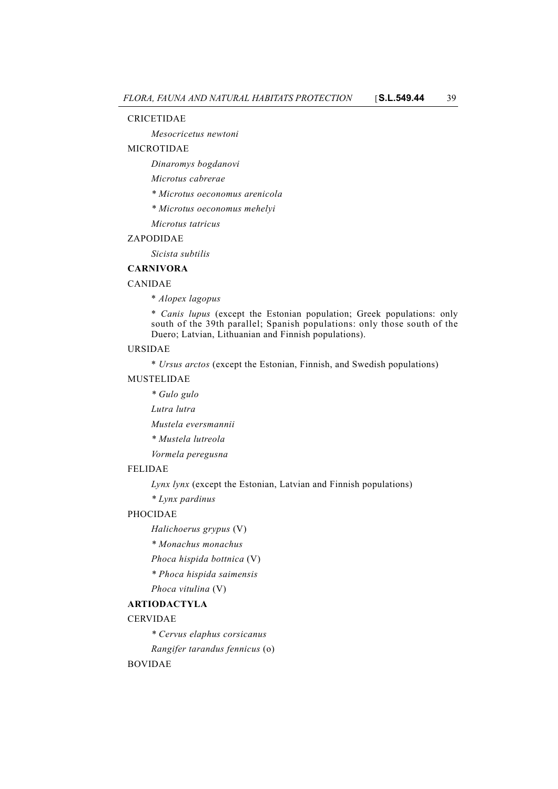#### CRICETIDAE

*Mesocricetus newtoni*

## MICROTIDAE

*Dinaromys bogdanovi*

*Microtus cabrerae*

- *\* Microtus oeconomus arenicola*
- *\* Microtus oeconomus mehelyi*
- *Microtus tatricus*

## ZAPODIDAE

*Sicista subtilis*

## **CARNIVORA**

## CANIDAE

\* *Alopex lagopus*

\* *Canis lupus* (except the Estonian population; Greek populations: only south of the 39th parallel; Spanish populations: only those south of the Duero; Latvian, Lithuanian and Finnish populations).

#### URSIDAE

\* *Ursus arctos* (except the Estonian, Finnish, and Swedish populations)

## MUSTELIDAE

*\* Gulo gulo*

*Lutra lutra*

*Mustela eversmannii*

*\* Mustela lutreola*

*Vormela peregusna*

## FELIDAE

*Lynx lynx* (except the Estonian, Latvian and Finnish populations)

*\* Lynx pardinus*

#### PHOCIDAE

*Halichoerus grypus* (V)

- *\* Monachus monachus*
- *Phoca hispida bottnica* (V)

*\* Phoca hispida saimensis*

# *Phoca vitulina* (V)

# **ARTIODACTYLA**

## CERVIDAE

*\* Cervus elaphus corsicanus*

*Rangifer tarandus fennicus* (o)

## BOVIDAE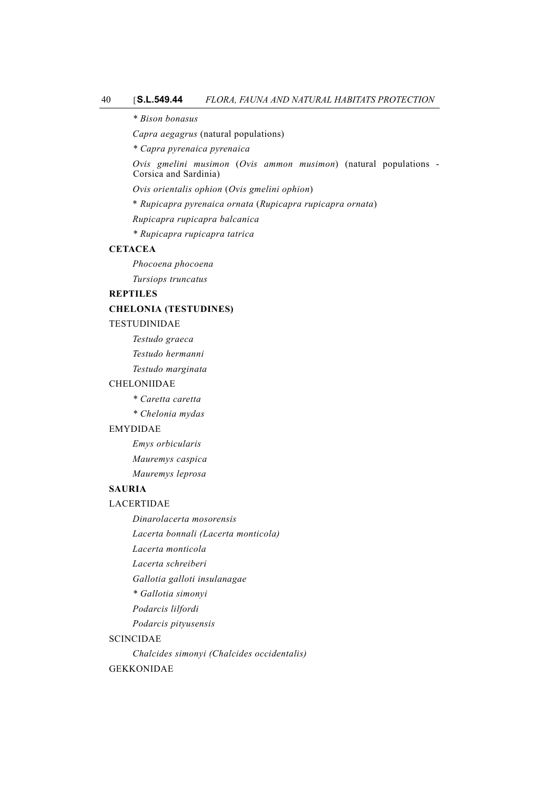*\* Bison bonasus*

*Capra aegagrus* (natural populations)

*\* Capra pyrenaica pyrenaica*

*Ovis gmelini musimon* (*Ovis ammon musimon*) (natural populations - Corsica and Sardinia)

*Ovis orientalis ophion* (*Ovis gmelini ophion*)

\* *Rupicapra pyrenaica ornata* (*Rupicapra rupicapra ornata*)

*Rupicapra rupicapra balcanica*

*\* Rupicapra rupicapra tatrica*

## **CETACEA**

*Phocoena phocoena Tursiops truncatus*

**REPTILES**

#### **CHELONIA (TESTUDINES)**

#### TESTUDINIDAE

*Testudo graeca*

*Testudo hermanni*

*Testudo marginata*

## CHELONIIDAE

*\* Caretta caretta*

*\* Chelonia mydas*

#### EMYDIDAE

*Emys orbicularis*

*Mauremys caspica*

*Mauremys leprosa*

# **SAURIA**

LACERTIDAE

*Dinarolacerta mosorensis*

*Lacerta bonnali (Lacerta monticola)*

*Lacerta monticola*

*Lacerta schreiberi*

*Gallotia galloti insulanagae*

*\* Gallotia simonyi*

*Podarcis lilfordi*

*Podarcis pityusensis*

#### SCINCIDAE

*Chalcides simonyi (Chalcides occidentalis)*

#### GEKKONIDAE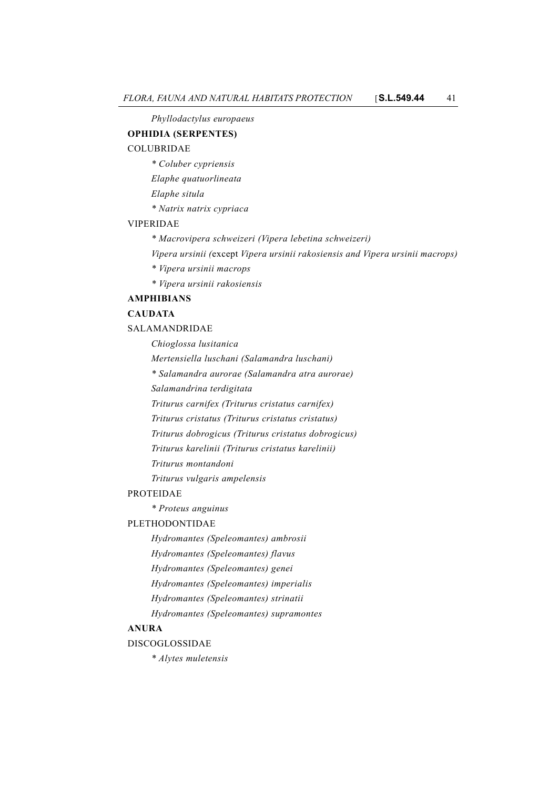*Phyllodactylus europaeus*

#### **OPHIDIA (SERPENTES)**

## COLUBRIDAE

- *\* Coluber cypriensis*
- *Elaphe quatuorlineata*
- *Elaphe situla*
- *\* Natrix natrix cypriaca*

#### VIPERIDAE

- *\* Macrovipera schweizeri (Vipera lebetina schweizeri)*
- *Vipera ursinii (*except *Vipera ursinii rakosiensis and Vipera ursinii macrops)*
- *\* Vipera ursinii macrops*
- *\* Vipera ursinii rakosiensis*

## **AMPHIBIANS**

## **CAUDATA**

SALAMANDRIDAE

- *Chioglossa lusitanica*
- *Mertensiella luschani (Salamandra luschani)*
- *\* Salamandra aurorae (Salamandra atra aurorae)*
- *Salamandrina terdigitata*
- *Triturus carnifex (Triturus cristatus carnifex)*
- *Triturus cristatus (Triturus cristatus cristatus)*
- *Triturus dobrogicus (Triturus cristatus dobrogicus)*
- *Triturus karelinii (Triturus cristatus karelinii)*
- *Triturus montandoni*
- *Triturus vulgaris ampelensis*

#### PROTEIDAE

*\* Proteus anguinus*

#### PLETHODONTIDAE

- *Hydromantes (Speleomantes) ambrosii*
- *Hydromantes (Speleomantes) flavus*
- *Hydromantes (Speleomantes) genei*
- *Hydromantes (Speleomantes) imperialis*
- *Hydromantes (Speleomantes) strinatii*
- *Hydromantes (Speleomantes) supramontes*

## **ANURA**

#### DISCOGLOSSIDAE

*\* Alytes muletensis*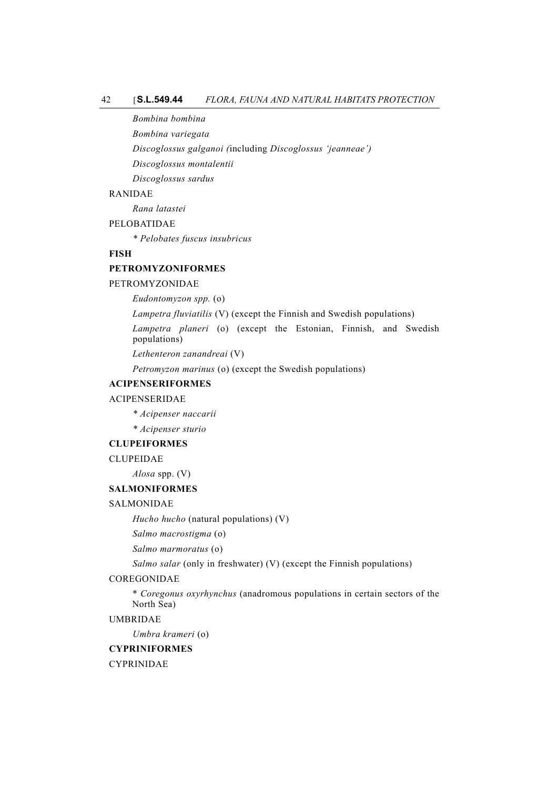#### 42 [**S.L.549.44** *FLORA, FAUNA AND NATURAL HABITATS PROTECTION*

*Bombina bombina*

*Bombina variegata*

*Discoglossus galganoi (*including *Discoglossus 'jeanneae')*

*Discoglossus montalentii*

*Discoglossus sardus*

## RANIDAE

*Rana latastei*

PELOBATIDAE

*\* Pelobates fuscus insubricus*

## **FISH**

## **PETROMYZONIFORMES**

#### PETROMYZONIDAE

*Eudontomyzon spp.* (o)

*Lampetra fluviatilis* (V) (except the Finnish and Swedish populations)

*Lampetra planeri* (o) (except the Estonian, Finnish, and Swedish populations)

*Lethenteron zanandreai* (V)

*Petromyzon marinus* (o) (except the Swedish populations)

## **ACIPENSERIFORMES**

## ACIPENSERIDAE

- *\* Acipenser naccarii*
- *\* Acipenser sturio*

## **CLUPEIFORMES**

CLUPEIDAE

*Alosa* spp. (V)

## **SALMONIFORMES**

#### SALMONIDAE

*Hucho hucho* (natural populations) (V)

*Salmo macrostigma* (o)

*Salmo marmoratus* (o)

*Salmo salar* (only in freshwater) (V) (except the Finnish populations)

#### COREGONIDAE

\* *Coregonus oxyrhynchus* (anadromous populations in certain sectors of the North Sea)

## UMBRIDAE

*Umbra krameri* (o)

## **CYPRINIFORMES**

CYPRINIDAE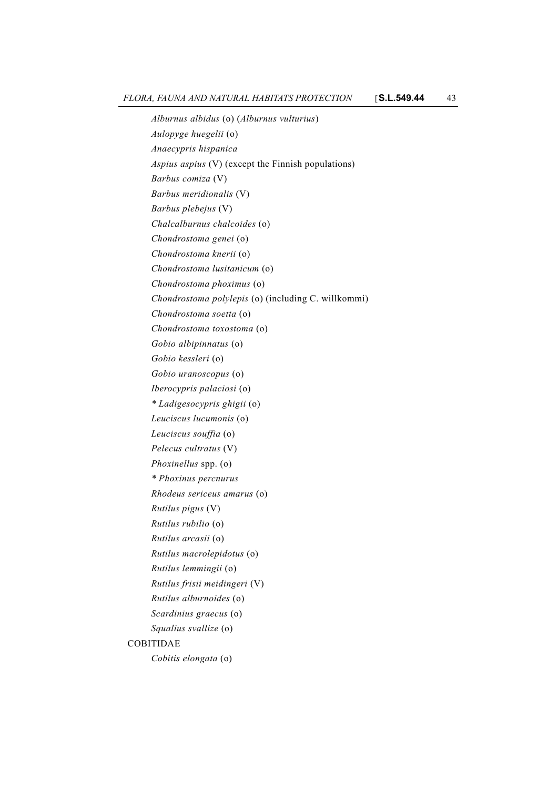*Alburnus albidus* (o) (*Alburnus vulturius*) *Aulopyge huegelii* (o) *Anaecypris hispanica Aspius aspius* (V) (except the Finnish populations) *Barbus comiza* (V) *Barbus meridionalis* (V) *Barbus plebejus* (V) *Chalcalburnus chalcoides* (o) *Chondrostoma genei* (o) *Chondrostoma knerii* (o) *Chondrostoma lusitanicum* (o) *Chondrostoma phoximus* (o) *Chondrostoma polylepis* (o) (including C. willkommi) *Chondrostoma soetta* (o) *Chondrostoma toxostoma* (o) *Gobio albipinnatus* (o) *Gobio kessleri* (o) *Gobio uranoscopus* (o) *Iberocypris palaciosi* (o) *\* Ladigesocypris ghigii* (o) *Leuciscus lucumonis* (o) *Leuciscus souffia* (o) *Pelecus cultratus* (V) *Phoxinellus* spp. (o) *\* Phoxinus percnurus Rhodeus sericeus amarus* (o) *Rutilus pigus* (V) *Rutilus rubilio* (o) *Rutilus arcasii* (o) *Rutilus macrolepidotus* (o) *Rutilus lemmingii* (o) *Rutilus frisii meidingeri* (V) *Rutilus alburnoides* (o) *Scardinius graecus* (o) *Squalius svallize* (o) COBITIDAE *Cobitis elongata* (o)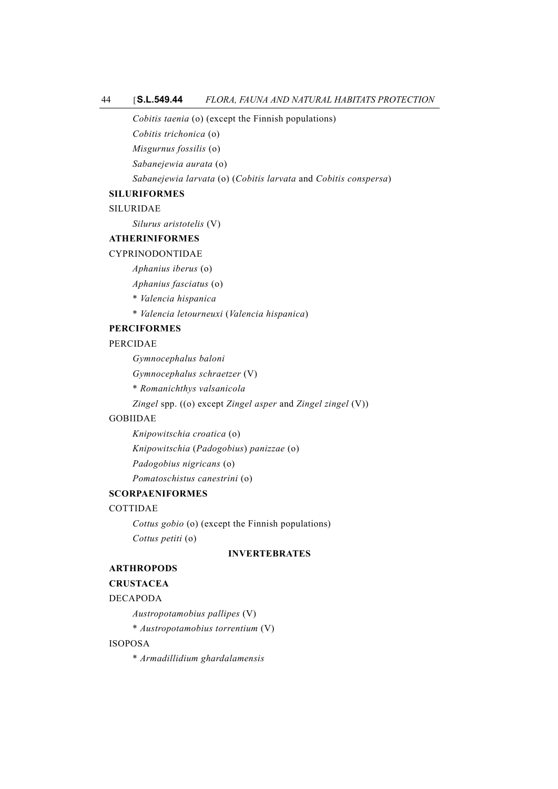## 44 [**S.L.549.44** *FLORA, FAUNA AND NATURAL HABITATS PROTECTION*

*Cobitis taenia* (o) (except the Finnish populations)

*Cobitis trichonica* (o)

*Misgurnus fossilis* (o)

*Sabanejewia aurata* (o)

*Sabanejewia larvata* (o) (*Cobitis larvata* and *Cobitis conspersa*)

## **SILURIFORMES**

SILURIDAE

*Silurus aristotelis* (V)

#### **ATHERINIFORMES**

## CYPRINODONTIDAE

*Aphanius iberus* (o)

*Aphanius fasciatus* (o)

- \* *Valencia hispanica*
- \* *Valencia letourneuxi* (*Valencia hispanica*)

## **PERCIFORMES**

#### PERCIDAE

*Gymnocephalus baloni*

*Gymnocephalus schraetzer* (V)

\* *Romanichthys valsanicola*

*Zingel* spp. ((o) except *Zingel asper* and *Zingel zingel* (V))

## GOBIIDAE

*Knipowitschia croatica* (o) *Knipowitschia* (*Padogobius*) *panizzae* (o) *Padogobius nigricans* (o) *Pomatoschistus canestrini* (o)

## **SCORPAENIFORMES**

## COTTIDAE

*Cottus gobio* (o) (except the Finnish populations) *Cottus petiti* (o)

## **INVERTEBRATES**

## **ARTHROPODS**

#### **CRUSTACEA**

## DECAPODA

*Austropotamobius pallipes* (V)

\* *Austropotamobius torrentium* (V)

## ISOPOSA

\* *Armadillidium ghardalamensis*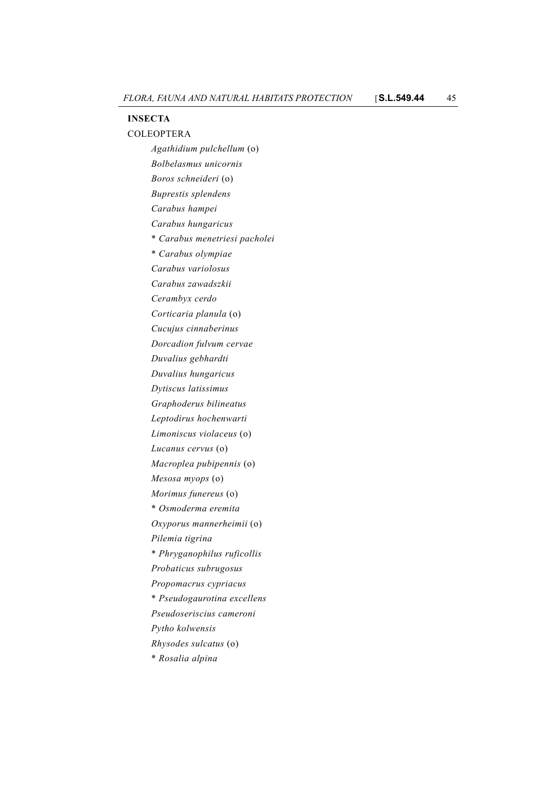#### **INSECTA**

COLEOPTERA *Agathidium pulchellum* (o) *Bolbelasmus unicornis Boros schneideri* (o) *Buprestis splendens Carabus hampei Carabus hungaricus* \* *Carabus menetriesi pacholei* \* *Carabus olympiae Carabus variolosus Carabus zawadszkii Cerambyx cerdo Corticaria planula* (o) *Cucujus cinnaberinus Dorcadion fulvum cervae Duvalius gebhardti Duvalius hungaricus Dytiscus latissimus Graphoderus bilineatus Leptodirus hochenwarti Limoniscus violaceus* (o) *Lucanus cervus* (o) *Macroplea pubipennis* (o) *Mesosa myops* (o) *Morimus funereus* (o) \* *Osmoderma eremita Oxyporus mannerheimii* (o) *Pilemia tigrina* \* *Phryganophilus ruficollis Probaticus subrugosus Propomacrus cypriacus* \* *Pseudogaurotina excellens Pseudoseriscius cameroni Pytho kolwensis Rhysodes sulcatus* (o) \* *Rosalia alpina*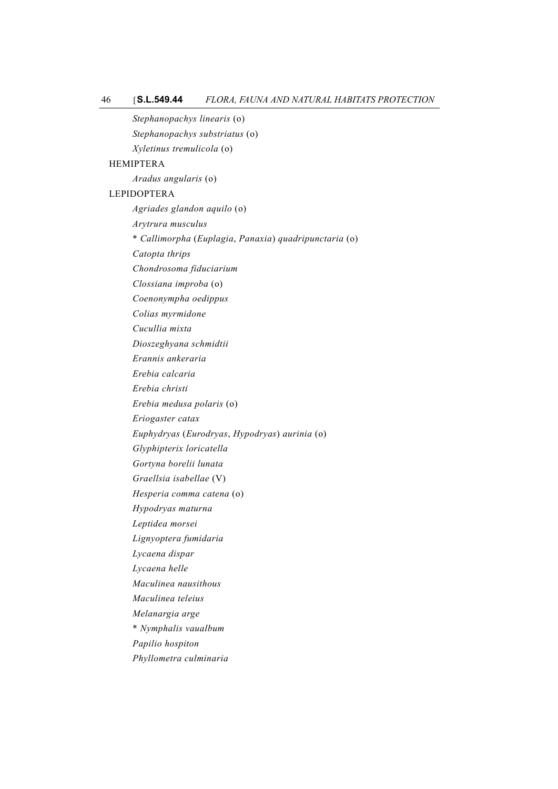*Stephanopachys linearis* (o) *Stephanopachys substriatus* (o) *Xyletinus tremulicola* (o) HEMIPTERA *Aradus angularis* (o) LEPIDOPTERA *Agriades glandon aquilo* (o) *Arytrura musculus* \* *Callimorpha* (*Euplagia*, *Panaxia*) *quadripunctaria* (o) *Catopta thrips Chondrosoma fiduciarium Clossiana improba* (o) *Coenonympha oedippus Colias myrmidone Cucullia mixta Dioszeghyana schmidtii Erannis ankeraria Erebia calcaria Erebia christi Erebia medusa polaris* (o) *Eriogaster catax Euphydryas* (*Eurodryas*, *Hypodryas*) *aurinia* (o) *Glyphipterix loricatella Gortyna borelii lunata Graellsia isabellae* (V) *Hesperia comma catena* (o) *Hypodryas maturna Leptidea morsei Lignyoptera fumidaria Lycaena dispar Lycaena helle Maculinea nausithous Maculinea teleius Melanargia arge* \* *Nymphalis vaualbum Papilio hospiton Phyllometra culminaria*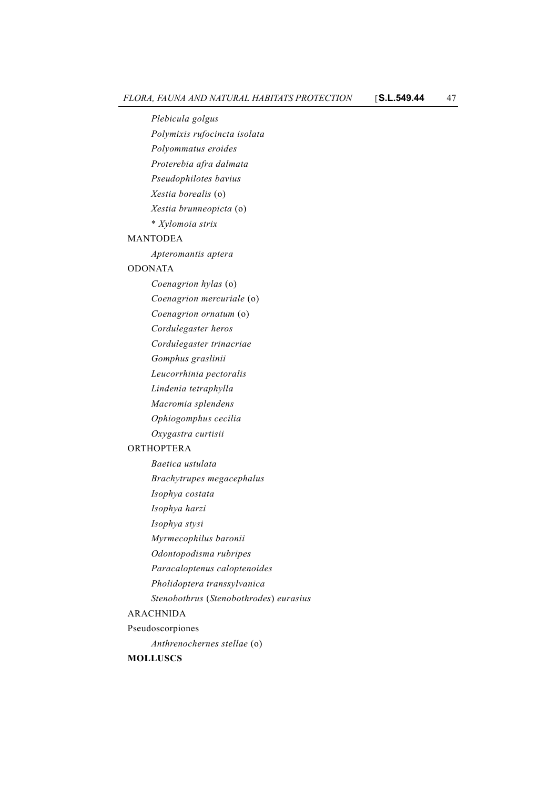*Plebicula golgus Polymixis rufocincta isolata Polyommatus eroides Proterebia afra dalmata Pseudophilotes bavius Xestia borealis* (o) *Xestia brunneopicta* (o) \* *Xylomoia strix* MANTODEA

*Apteromantis aptera*

#### ODONATA

*Coenagrion hylas* (o)

*Coenagrion mercuriale* (o)

*Coenagrion ornatum* (o)

*Cordulegaster heros*

*Cordulegaster trinacriae*

*Gomphus graslinii*

*Leucorrhinia pectoralis*

*Lindenia tetraphylla*

*Macromia splendens*

*Ophiogomphus cecilia*

*Oxygastra curtisii*

## ORTHOPTERA

- *Baetica ustulata*
- *Brachytrupes megacephalus*
- *Isophya costata*

*Isophya harzi*

- *Isophya stysi*
- *Myrmecophilus baronii*

*Odontopodisma rubripes*

*Paracaloptenus caloptenoides*

- *Pholidoptera transsylvanica*
- *Stenobothrus* (*Stenobothrodes*) *eurasius*

## ARACHNIDA

Pseudoscorpiones

*Anthrenochernes stellae* (o)

## **MOLLUSCS**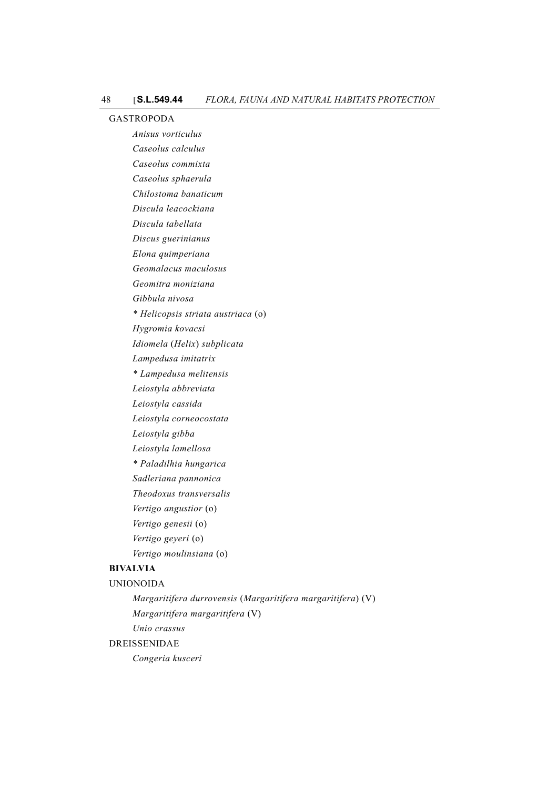#### GASTROPODA

*Anisus vorticulus Caseolus calculus Caseolus commixta Caseolus sphaerula Chilostoma banaticum Discula leacockiana Discula tabellata Discus guerinianus Elona quimperiana Geomalacus maculosus Geomitra moniziana Gibbula nivosa \* Helicopsis striata austriaca* (o) *Hygromia kovacsi Idiomela* (*Helix*) *subplicata Lampedusa imitatrix \* Lampedusa melitensis Leiostyla abbreviata Leiostyla cassida Leiostyla corneocostata Leiostyla gibba Leiostyla lamellosa \* Paladilhia hungarica Sadleriana pannonica Theodoxus transversalis Vertigo angustior* (o) *Vertigo genesii* (o) *Vertigo geyeri* (o) *Vertigo moulinsiana* (o)

# **BIVALVIA**

## UNIONOIDA

*Margaritifera durrovensis* (*Margaritifera margaritifera*) (V) *Margaritifera margaritifera* (V) *Unio crassus* DREISSENIDAE

*Congeria kusceri*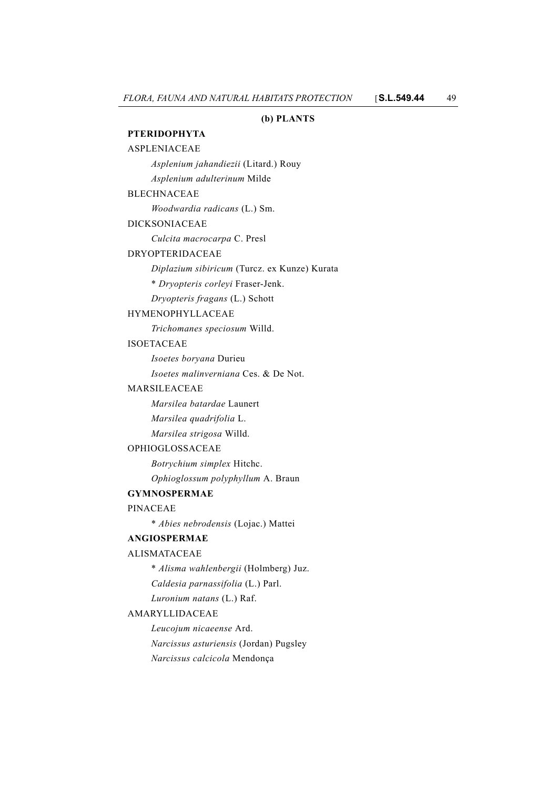## **(b) PLANTS**

## **PTERIDOPHYTA**

| <b>ASPLENIACEAE</b>                          |
|----------------------------------------------|
| Asplenium jahandiezii (Litard.) Rouy         |
| Asplenium adulterinum Milde                  |
| <b>BLECHNACEAE</b>                           |
| Woodwardia radicans (L.) Sm.                 |
| <b>DICKSONIACEAE</b>                         |
| Culcita macrocarpa C. Presl                  |
| DRYOPTERIDACEAE                              |
| Diplazium sibiricum (Turcz. ex Kunze) Kurata |
| * Dryopteris corleyi Fraser-Jenk.            |
| Dryopteris fragans (L.) Schott               |
| HYMENOPHYLLACEAE                             |
| Trichomanes speciosum Willd.                 |
| <b>ISOETACEAE</b>                            |
| Isoetes boryana Durieu                       |
| Isoetes malinverniana Ces. & De Not.         |
| <b>MARSILEACEAE</b>                          |
| Marsilea batardae Launert                    |
| Marsilea quadrifolia L.                      |
| Marsilea strigosa Willd.                     |
| OPHIOGLOSSACEAE                              |
| Botrychium simplex Hitchc.                   |
| Ophioglossum polyphyllum A. Braun            |
| <b>GYMNOSPERMAE</b>                          |
| <b>PINACEAE</b>                              |
| * Abies nebrodensis (Lojac.) Mattei          |
| <b>ANGIOSPERMAE</b>                          |
| <b>ALISMATACEAE</b>                          |
| * Alisma wahlenbergii (Holmberg) Juz.        |
| Caldesia parnassifolia (L.) Parl.            |
| Luronium natans (L.) Raf.                    |
| AMARYLLIDACEAE                               |
| Leucojum nicaeense Ard.                      |
| Narcissus asturiensis (Jordan) Pugsley       |

*Narcissus calcicola* Mendonça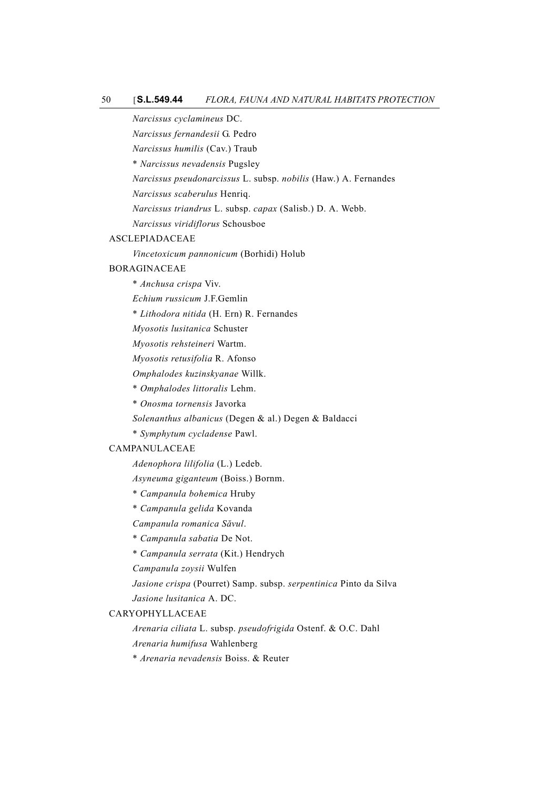#### 50 [**S.L.549.44** *FLORA, FAUNA AND NATURAL HABITATS PROTECTION*

*Narcissus cyclamineus* DC.

*Narcissus fernandesii* G. Pedro

*Narcissus humilis* (Cav.) Traub

\* *Narcissus nevadensis* Pugsley

*Narcissus pseudonarcissus* L. subsp. *nobilis* (Haw.) A. Fernandes

*Narcissus scaberulus* Henriq.

*Narcissus triandrus* L. subsp. *capax* (Salisb.) D. A. Webb.

*Narcissus viridiflorus* Schousboe

#### ASCLEPIADACEAE

*Vincetoxicum pannonicum* (Borhidi) Holub

## BORAGINACEAE

\* *Anchusa crispa* Viv.

*Echium russicum* J.F.Gemlin

\* *Lithodora nitida* (H. Ern) R. Fernandes

*Myosotis lusitanica* Schuster

*Myosotis rehsteineri* Wartm.

*Myosotis retusifolia* R. Afonso

*Omphalodes kuzinskyanae* Willk.

\* *Omphalodes littoralis* Lehm.

\* *Onosma tornensis* Javorka

*Solenanthus albanicus* (Degen & al.) Degen & Baldacci

\* *Symphytum cycladense* Pawl.

## CAMPANULACEAE

*Adenophora lilifolia* (L.) Ledeb.

*Asyneuma giganteum* (Boiss.) Bornm.

- \* *Campanula bohemica* Hruby
- \* *Campanula gelida* Kovanda

## *Campanula romanica Săvul*.

\* *Campanula sabatia* De Not.

\* *Campanula serrata* (Kit.) Hendrych

*Campanula zoysii* Wulfen

*Jasione crispa* (Pourret) Samp. subsp. *serpentinica* Pinto da Silva *Jasione lusitanica* A. DC.

## CARYOPHYLLACEAE

*Arenaria ciliata* L. subsp. *pseudofrigida* Ostenf. & O.C. Dahl

*Arenaria humifusa* Wahlenberg

\* *Arenaria nevadensis* Boiss. & Reuter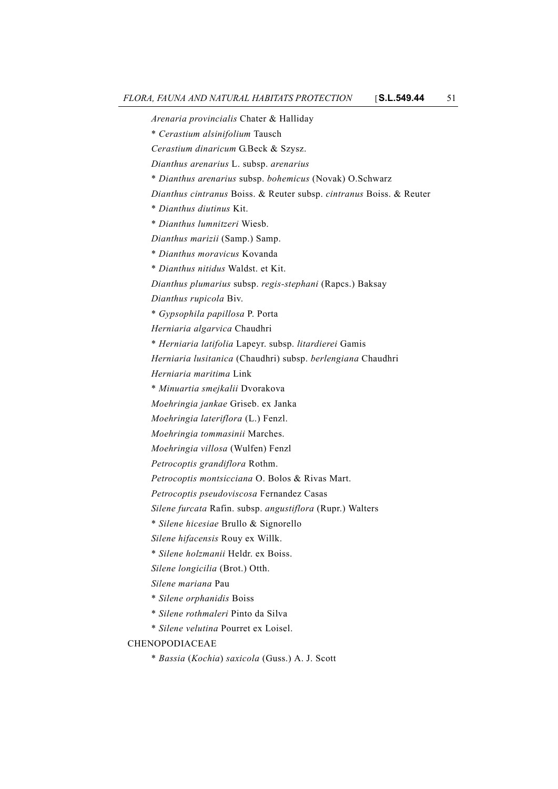*Arenaria provincialis* Chater & Halliday \* *Cerastium alsinifolium* Tausch *Cerastium dinaricum* G.Beck & Szysz. *Dianthus arenarius* L. subsp. *arenarius* \* *Dianthus arenarius* subsp. *bohemicus* (Novak) O.Schwarz *Dianthus cintranus* Boiss. & Reuter subsp. *cintranus* Boiss. & Reuter \* *Dianthus diutinus* Kit. \* *Dianthus lumnitzeri* Wiesb. *Dianthus marizii* (Samp.) Samp. \* *Dianthus moravicus* Kovanda \* *Dianthus nitidus* Waldst. et Kit. *Dianthus plumarius* subsp. *regis-stephani* (Rapcs.) Baksay *Dianthus rupicola* Biv. \* *Gypsophila papillosa* P. Porta *Herniaria algarvica* Chaudhri \* *Herniaria latifolia* Lapeyr. subsp. *litardierei* Gamis *Herniaria lusitanica* (Chaudhri) subsp. *berlengiana* Chaudhri *Herniaria maritima* Link \* *Minuartia smejkalii* Dvorakova *Moehringia jankae* Griseb. ex Janka *Moehringia lateriflora* (L.) Fenzl. *Moehringia tommasinii* Marches. *Moehringia villosa* (Wulfen) Fenzl *Petrocoptis grandiflora* Rothm. *Petrocoptis montsicciana* O. Bolos & Rivas Mart. *Petrocoptis pseudoviscosa* Fernandez Casas *Silene furcata* Rafin. subsp. *angustiflora* (Rupr.) Walters \* *Silene hicesiae* Brullo & Signorello *Silene hifacensis* Rouy ex Willk. \* *Silene holzmanii* Heldr. ex Boiss. *Silene longicilia* (Brot.) Otth. *Silene mariana* Pau \* *Silene orphanidis* Boiss \* *Silene rothmaleri* Pinto da Silva \* *Silene velutina* Pourret ex Loisel. **CHENOPODIACEAE** \* *Bassia* (*Kochia*) *saxicola* (Guss.) A. J. Scott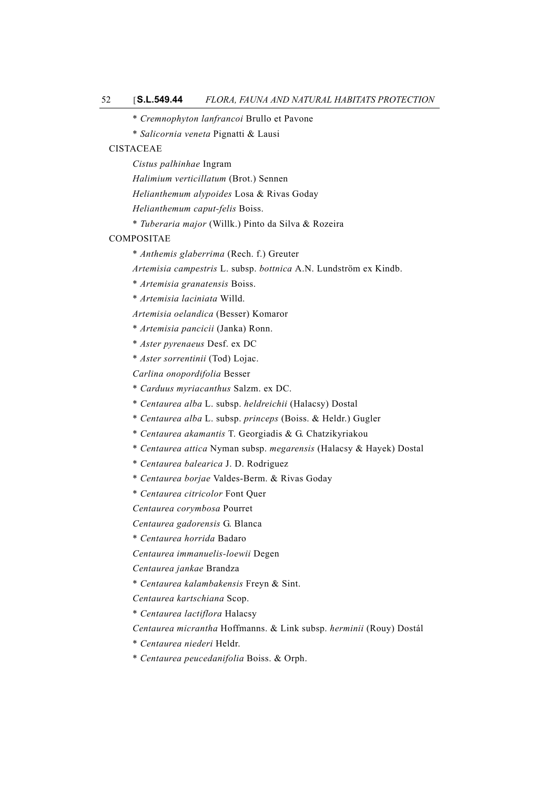- \* *Cremnophyton lanfrancoi* Brullo et Pavone
- \* *Salicornia veneta* Pignatti & Lausi

## CISTACEAE

*Cistus palhinhae* Ingram

*Halimium verticillatum* (Brot.) Sennen

*Helianthemum alypoides* Losa & Rivas Goday

*Helianthemum caput-felis* Boiss.

\* *Tuberaria major* (Willk.) Pinto da Silva & Rozeira

#### COMPOSITAE

- \* *Anthemis glaberrima* (Rech. f.) Greuter
- *Artemisia campestris* L. subsp. *bottnica* A.N. Lundström ex Kindb.
- \* *Artemisia granatensis* Boiss.
- \* *Artemisia laciniata* Willd.
- *Artemisia oelandica* (Besser) Komaror
- \* *Artemisia pancicii* (Janka) Ronn.
- \* *Aster pyrenaeus* Desf. ex DC
- \* *Aster sorrentinii* (Tod) Lojac.

*Carlina onopordifolia* Besser

- \* *Carduus myriacanthus* Salzm. ex DC.
- \* *Centaurea alba* L. subsp. *heldreichii* (Halacsy) Dostal
- \* *Centaurea alba* L. subsp. *princeps* (Boiss. & Heldr.) Gugler
- \* *Centaurea akamantis* T. Georgiadis & G. Chatzikyriakou
- \* *Centaurea attica* Nyman subsp. *megarensis* (Halacsy & Hayek) Dostal
- \* *Centaurea balearica* J. D. Rodriguez
- \* *Centaurea borjae* Valdes-Berm. & Rivas Goday
- \* *Centaurea citricolor* Font Quer

*Centaurea corymbosa* Pourret

- *Centaurea gadorensis* G. Blanca
- \* *Centaurea horrida* Badaro

*Centaurea immanuelis-loewii* Degen

*Centaurea jankae* Brandza

\* *Centaurea kalambakensis* Freyn & Sint.

*Centaurea kartschiana* Scop.

- \* *Centaurea lactiflora* Halacsy
- *Centaurea micrantha* Hoffmanns. & Link subsp. *herminii* (Rouy) Dostál
- \* *Centaurea niederi* Heldr.
- \* *Centaurea peucedanifolia* Boiss. & Orph.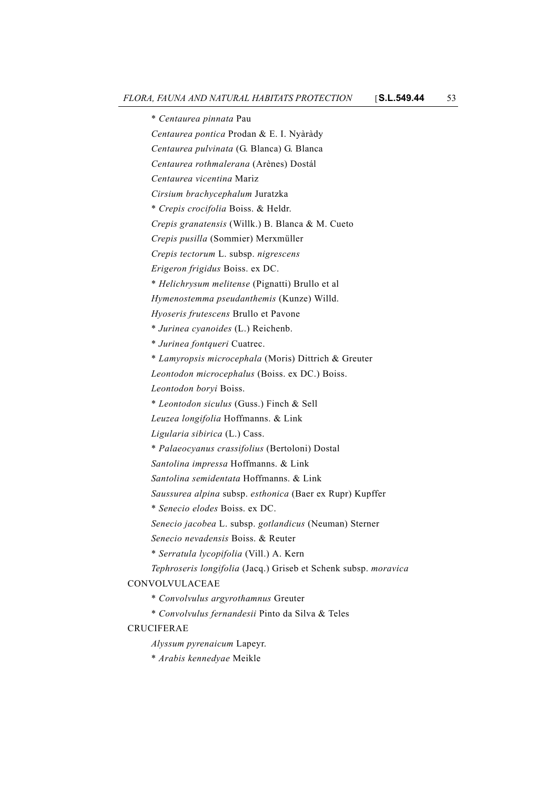\* *Centaurea pinnata* Pau *Centaurea pontica* Prodan & E. I. Nyàràdy *Centaurea pulvinata* (G. Blanca) G. Blanca *Centaurea rothmalerana* (Arènes) Dostál *Centaurea vicentina* Mariz *Cirsium brachycephalum* Juratzka \* *Crepis crocifolia* Boiss. & Heldr. *Crepis granatensis* (Willk.) B. Blanca & M. Cueto *Crepis pusilla* (Sommier) Merxmüller *Crepis tectorum* L. subsp. *nigrescens Erigeron frigidus* Boiss. ex DC. \* *Helichrysum melitense* (Pignatti) Brullo et al *Hymenostemma pseudanthemis* (Kunze) Willd. *Hyoseris frutescens* Brullo et Pavone \* *Jurinea cyanoides* (L.) Reichenb. \* *Jurinea fontqueri* Cuatrec. \* *Lamyropsis microcephala* (Moris) Dittrich & Greuter *Leontodon microcephalus* (Boiss. ex DC.) Boiss. *Leontodon boryi* Boiss. \* *Leontodon siculus* (Guss.) Finch & Sell *Leuzea longifolia* Hoffmanns. & Link *Ligularia sibirica* (L.) Cass. \* *Palaeocyanus crassifolius* (Bertoloni) Dostal *Santolina impressa* Hoffmanns. & Link *Santolina semidentata* Hoffmanns. & Link *Saussurea alpina* subsp. *esthonica* (Baer ex Rupr) Kupffer \* *Senecio elodes* Boiss. ex DC. *Senecio jacobea* L. subsp. *gotlandicus* (Neuman) Sterner *Senecio nevadensis* Boiss. & Reuter \* *Serratula lycopifolia* (Vill.) A. Kern *Tephroseris longifolia* (Jacq.) Griseb et Schenk subsp. *moravica* CONVOLVULACEAE \* *Convolvulus argyrothamnus* Greuter \* *Convolvulus fernandesii* Pinto da Silva & Teles CRUCIFERAE *Alyssum pyrenaicum* Lapeyr. \* *Arabis kennedyae* Meikle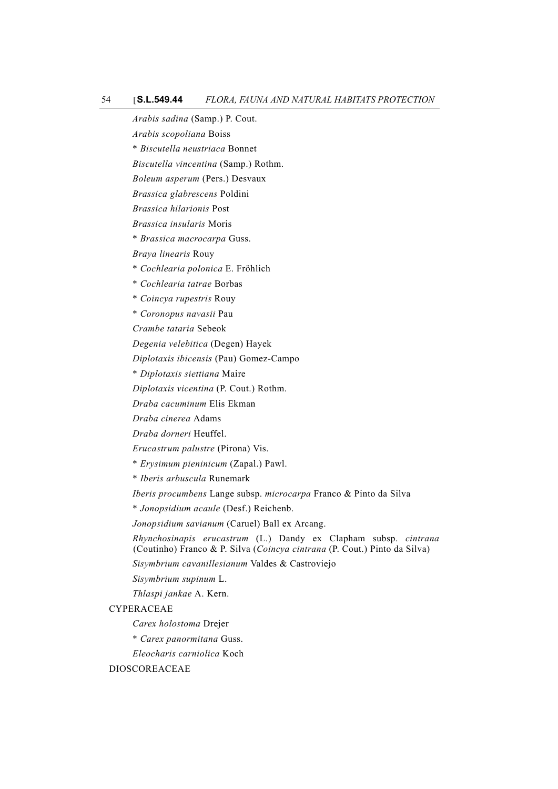#### 54 [**S.L.549.44** *FLORA, FAUNA AND NATURAL HABITATS PROTECTION*

*Arabis sadina* (Samp.) P. Cout.

*Arabis scopoliana* Boiss

\* *Biscutella neustriaca* Bonnet

*Biscutella vincentina* (Samp.) Rothm.

*Boleum asperum* (Pers.) Desvaux

*Brassica glabrescens* Poldini

*Brassica hilarionis* Post

*Brassica insularis* Moris

\* *Brassica macrocarpa* Guss.

*Braya linearis* Rouy

\* *Cochlearia polonica* E. Fröhlich

\* *Cochlearia tatrae* Borbas

\* *Coincya rupestris* Rouy

\* *Coronopus navasii* Pau

*Crambe tataria* Sebeok

*Degenia velebitica* (Degen) Hayek

*Diplotaxis ibicensis* (Pau) Gomez-Campo

\* *Diplotaxis siettiana* Maire

*Diplotaxis vicentina* (P. Cout.) Rothm.

*Draba cacuminum* Elis Ekman

*Draba cinerea* Adams

*Draba dorneri* Heuffel.

*Erucastrum palustre* (Pirona) Vis.

\* *Erysimum pieninicum* (Zapal.) Pawl.

\* *Iberis arbuscula* Runemark

*Iberis procumbens* Lange subsp. *microcarpa* Franco & Pinto da Silva

\* *Jonopsidium acaule* (Desf.) Reichenb.

*Jonopsidium savianum* (Caruel) Ball ex Arcang.

*Rhynchosinapis erucastrum* (L.) Dandy ex Clapham subsp. *cintrana* (Coutinho) Franco & P. Silva (*Coincya cintrana* (P. Cout.) Pinto da Silva)

*Sisymbrium cavanillesianum* Valdes & Castroviejo

*Sisymbrium supinum* L.

*Thlaspi jankae* A. Kern.

CYPERACEAE

*Carex holostoma* Drejer

\* *Carex panormitana* Guss.

*Eleocharis carniolica* Koch

DIOSCOREACEAE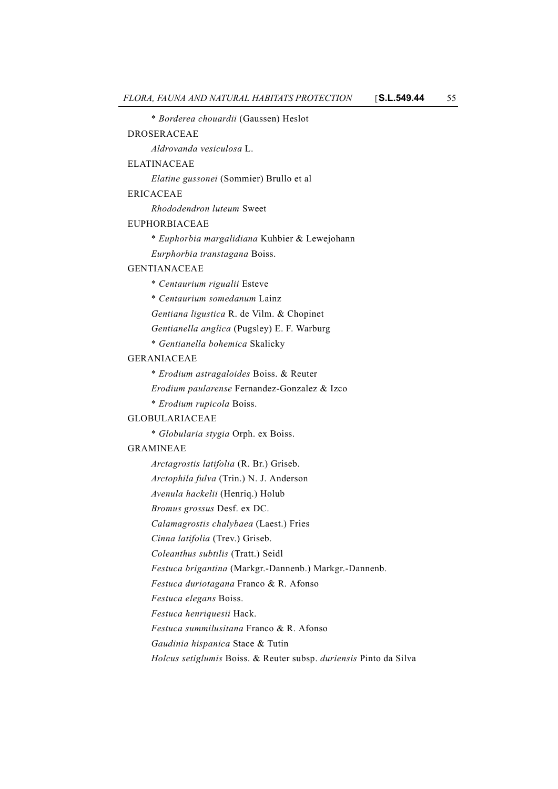\* *Borderea chouardii* (Gaussen) Heslot DROSERACEAE *Aldrovanda vesiculosa* L. ELATINACEAE *Elatine gussonei* (Sommier) Brullo et al ERICACEAE *Rhododendron luteum* Sweet EUPHORBIACEAE \* *Euphorbia margalidiana* Kuhbier & Lewejohann *Eurphorbia transtagana* Boiss. GENTIANACEAE \* *Centaurium rigualii* Esteve \* *Centaurium somedanum* Lainz *Gentiana ligustica* R. de Vilm. & Chopinet *Gentianella anglica* (Pugsley) E. F. Warburg \* *Gentianella bohemica* Skalicky GERANIACEAE \* *Erodium astragaloides* Boiss. & Reuter *Erodium paularense* Fernandez-Gonzalez & Izco \* *Erodium rupicola* Boiss. GLOBULARIACEAE \* *Globularia stygia* Orph. ex Boiss. GRAMINEAE *Arctagrostis latifolia* (R. Br.) Griseb. *Arctophila fulva* (Trin.) N. J. Anderson *Avenula hackelii* (Henriq.) Holub *Bromus grossus* Desf. ex DC. *Calamagrostis chalybaea* (Laest.) Fries *Cinna latifolia* (Trev.) Griseb. *Coleanthus subtilis* (Tratt.) Seidl *Festuca brigantina* (Markgr.-Dannenb.) Markgr.-Dannenb. *Festuca duriotagana* Franco & R. Afonso *Festuca elegans* Boiss. *Festuca henriquesii* Hack. *Festuca summilusitana* Franco & R. Afonso *Gaudinia hispanica* Stace & Tutin *Holcus setiglumis* Boiss. & Reuter subsp. *duriensis* Pinto da Silva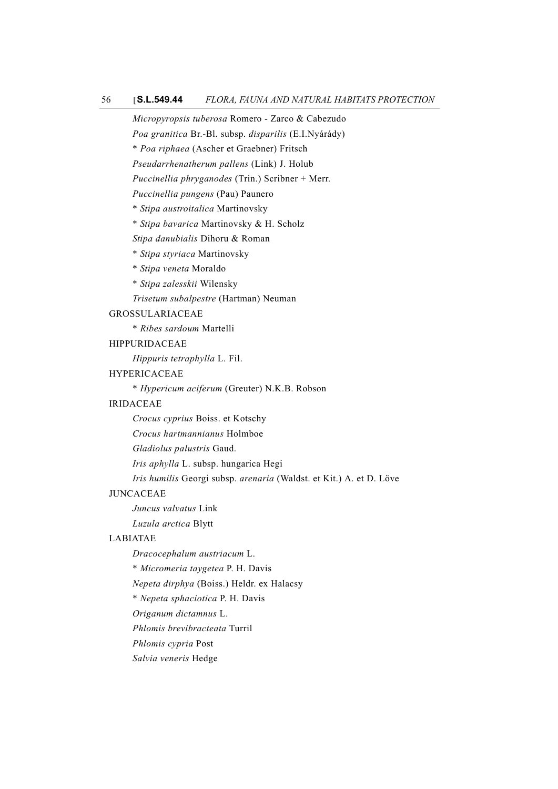*Micropyropsis tuberosa* Romero - Zarco & Cabezudo

*Poa granitica* Br.-Bl. subsp. *disparilis* (E.I.Nyárády)

\* *Poa riphaea* (Ascher et Graebner) Fritsch

*Pseudarrhenatherum pallens* (Link) J. Holub

*Puccinellia phryganodes* (Trin.) Scribner + Merr.

*Puccinellia pungens* (Pau) Paunero

\* *Stipa austroitalica* Martinovsky

\* *Stipa bavarica* Martinovsky & H. Scholz

*Stipa danubialis* Dihoru & Roman

\* *Stipa styriaca* Martinovsky

\* *Stipa veneta* Moraldo

\* *Stipa zalesskii* Wilensky

*Trisetum subalpestre* (Hartman) Neuman

GROSSULARIACEAE

\* *Ribes sardoum* Martelli

HIPPURIDACEAE

*Hippuris tetraphylla* L. Fil.

## HYPERICACEAE

\* *Hypericum aciferum* (Greuter) N.K.B. Robson

## IRIDACEAE

*Crocus cyprius* Boiss. et Kotschy

*Crocus hartmannianus* Holmboe

*Gladiolus palustris* Gaud.

*Iris aphylla* L. subsp. hungarica Hegi

*Iris humilis* Georgi subsp. *arenaria* (Waldst. et Kit.) A. et D. Löve

## JUNCACEAE

*Juncus valvatus* Link

*Luzula arctica* Blytt

## LABIATAE

*Dracocephalum austriacum* L.

\* *Micromeria taygetea* P. H. Davis

*Nepeta dirphya* (Boiss.) Heldr. ex Halacsy

\* *Nepeta sphaciotica* P. H. Davis

*Origanum dictamnus* L.

*Phlomis brevibracteata* Turril

*Phlomis cypria* Post

*Salvia veneris* Hedge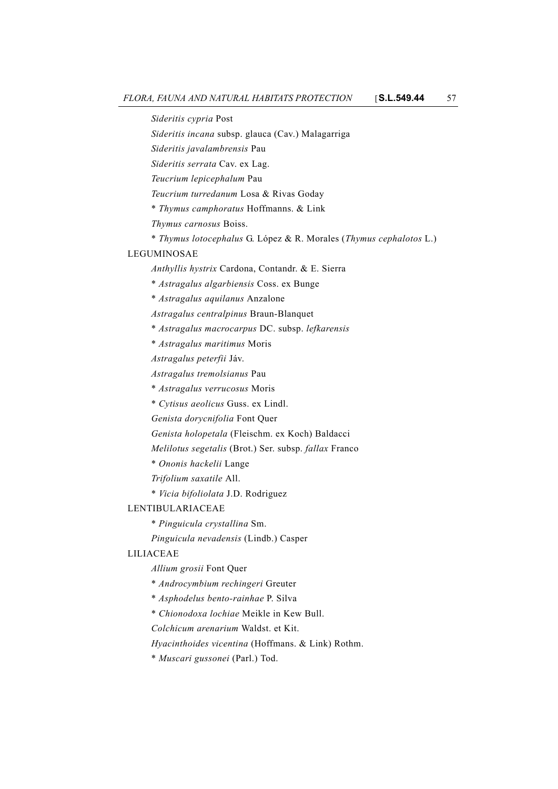*Sideritis cypria* Post

*Sideritis incana* subsp. glauca (Cav.) Malagarriga

*Sideritis javalambrensis* Pau

*Sideritis serrata* Cav. ex Lag.

*Teucrium lepicephalum* Pau

*Teucrium turredanum* Losa & Rivas Goday

\* *Thymus camphoratus* Hoffmanns. & Link

*Thymus carnosus* Boiss.

\* *Thymus lotocephalus* G. López & R. Morales (*Thymus cephalotos* L.)

## LEGUMINOSAE

*Anthyllis hystrix* Cardona, Contandr. & E. Sierra

\* *Astragalus algarbiensis* Coss. ex Bunge

\* *Astragalus aquilanus* Anzalone

*Astragalus centralpinus* Braun-Blanquet

\* *Astragalus macrocarpus* DC. subsp. *lefkarensis*

\* *Astragalus maritimus* Moris

*Astragalus peterfii* Jáv.

*Astragalus tremolsianus* Pau

\* *Astragalus verrucosus* Moris

\* *Cytisus aeolicus* Guss. ex Lindl.

*Genista dorycnifolia* Font Quer

*Genista holopetala* (Fleischm. ex Koch) Baldacci

*Melilotus segetalis* (Brot.) Ser. subsp. *fallax* Franco

\* *Ononis hackelii* Lange

*Trifolium saxatile* All.

\* *Vicia bifoliolata* J.D. Rodriguez

## LENTIBULARIACEAE

\* *Pinguicula crystallina* Sm.

*Pinguicula nevadensis* (Lindb.) Casper

#### LILIACEAE

*Allium grosii* Font Quer

\* *Androcymbium rechingeri* Greuter

\* *Asphodelus bento-rainhae* P. Silva

\* *Chionodoxa lochiae* Meikle in Kew Bull.

*Colchicum arenarium* Waldst. et Kit.

*Hyacinthoides vicentina* (Hoffmans. & Link) Rothm.

\* *Muscari gussonei* (Parl.) Tod.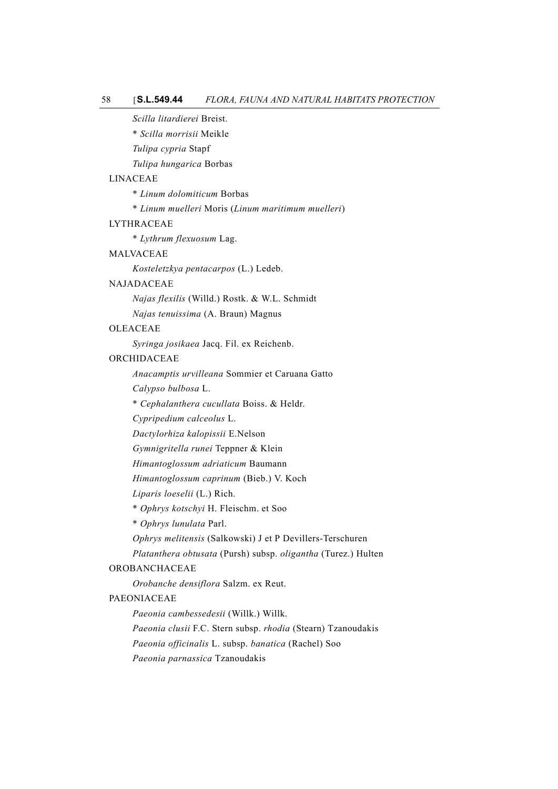*Scilla litardierei* Breist.

\* *Scilla morrisii* Meikle

*Tulipa cypria* Stapf

*Tulipa hungarica* Borbas

#### LINACEAE

\* *Linum dolomiticum* Borbas

\* *Linum muelleri* Moris (*Linum maritimum muelleri*)

## LYTHRACEAE

\* *Lythrum flexuosum* Lag.

## MALVACEAE

*Kosteletzkya pentacarpos* (L.) Ledeb.

## NAJADACEAE

*Najas flexilis* (Willd.) Rostk. & W.L. Schmidt

*Najas tenuissima* (A. Braun) Magnus

## OLEACEAE

*Syringa josikaea* Jacq. Fil. ex Reichenb.

#### ORCHIDACEAE

*Anacamptis urvilleana* Sommier et Caruana Gatto

*Calypso bulbosa* L.

\* *Cephalanthera cucullata* Boiss. & Heldr.

*Cypripedium calceolus* L.

*Dactylorhiza kalopissii* E.Nelson

*Gymnigritella runei* Teppner & Klein

*Himantoglossum adriaticum* Baumann

*Himantoglossum caprinum* (Bieb.) V. Koch

*Liparis loeselii* (L.) Rich.

\* *Ophrys kotschyi* H. Fleischm. et Soo

\* *Ophrys lunulata* Parl.

*Ophrys melitensis* (Salkowski) J et P Devillers-Terschuren

*Platanthera obtusata* (Pursh) subsp. *oligantha* (Turez.) Hulten

## OROBANCHACEAE

*Orobanche densiflora* Salzm. ex Reut.

## PAEONIACEAE

*Paeonia cambessedesii* (Willk.) Willk.

*Paeonia clusii* F.C. Stern subsp. *rhodia* (Stearn) Tzanoudakis *Paeonia officinalis* L. subsp. *banatica* (Rachel) Soo

*Paeonia parnassica* Tzanoudakis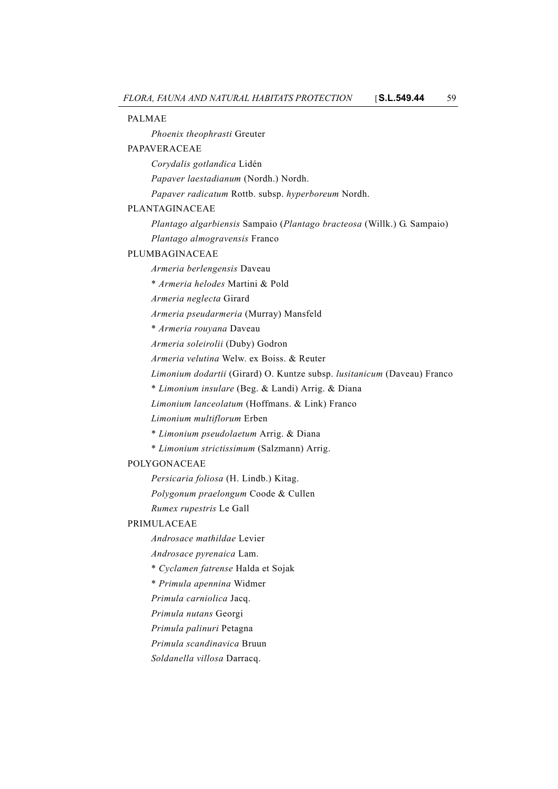PALMAE *Phoenix theophrasti* Greuter PAPAVERACEAE *Corydalis gotlandica* Lidén *Papaver laestadianum* (Nordh.) Nordh. *Papaver radicatum* Rottb. subsp. *hyperboreum* Nordh. PLANTAGINACEAE *Plantago algarbiensis* Sampaio (*Plantago bracteosa* (Willk.) G. Sampaio) *Plantago almogravensis* Franco PLUMBAGINACEAE *Armeria berlengensis* Daveau \* *Armeria helodes* Martini & Pold *Armeria neglecta* Girard *Armeria pseudarmeria* (Murray) Mansfeld \* *Armeria rouyana* Daveau *Armeria soleirolii* (Duby) Godron *Armeria velutina* Welw. ex Boiss. & Reuter *Limonium dodartii* (Girard) O. Kuntze subsp. *lusitanicum* (Daveau) Franco \* *Limonium insulare* (Beg. & Landi) Arrig. & Diana *Limonium lanceolatum* (Hoffmans. & Link) Franco *Limonium multiflorum* Erben \* *Limonium pseudolaetum* Arrig. & Diana \* *Limonium strictissimum* (Salzmann) Arrig. POLYGONACEAE *Persicaria foliosa* (H. Lindb.) Kitag. *Polygonum praelongum* Coode & Cullen *Rumex rupestris* Le Gall PRIMULACEAE *Androsace mathildae* Levier *Androsace pyrenaica* Lam. \* *Cyclamen fatrense* Halda et Sojak \* *Primula apennina* Widmer *Primula carniolica* Jacq. *Primula nutans* Georgi *Primula palinuri* Petagna *Primula scandinavica* Bruun *Soldanella villosa* Darracq.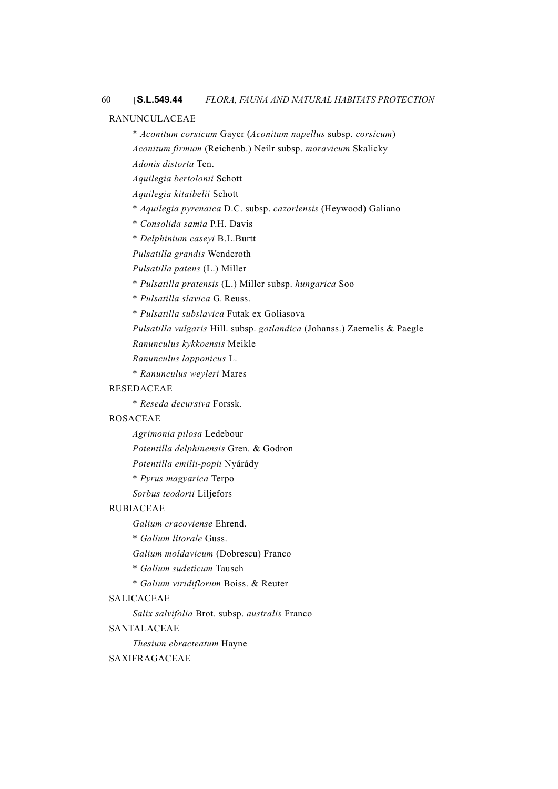## RANUNCULACEAE

\* *Aconitum corsicum* Gayer (*Aconitum napellus* subsp. *corsicum*) *Aconitum firmum* (Reichenb.) Neilr subsp. *moravicum* Skalicky

*Adonis distorta* Ten.

*Aquilegia bertolonii* Schott

*Aquilegia kitaibelii* Schott

\* *Aquilegia pyrenaica* D.C. subsp. *cazorlensis* (Heywood) Galiano

\* *Consolida samia* P.H. Davis

\* *Delphinium caseyi* B.L.Burtt

*Pulsatilla grandis* Wenderoth

*Pulsatilla patens* (L.) Miller

\* *Pulsatilla pratensis* (L.) Miller subsp. *hungarica* Soo

\* *Pulsatilla slavica* G. Reuss.

\* *Pulsatilla subslavica* Futak ex Goliasova

*Pulsatilla vulgaris* Hill. subsp. *gotlandica* (Johanss.) Zaemelis & Paegle

*Ranunculus kykkoensis* Meikle

*Ranunculus lapponicus* L.

\* *Ranunculus weyleri* Mares

## RESEDACEAE

\* *Reseda decursiva* Forssk.

## ROSACEAE

*Agrimonia pilosa* Ledebour

*Potentilla delphinensis* Gren. & Godron

*Potentilla emilii-popii* Nyárády

\* *Pyrus magyarica* Terpo

*Sorbus teodorii* Liljefors

## RUBIACEAE

*Galium cracoviense* Ehrend.

\* *Galium litorale* Guss.

*Galium moldavicum* (Dobrescu) Franco

\* *Galium sudeticum* Tausch

\* *Galium viridiflorum* Boiss. & Reuter

## SALICACEAE

*Salix salvifolia* Brot. subsp. *australis* Franco

## SANTALACEAE

*Thesium ebracteatum* Hayne

#### SAXIFRAGACEAE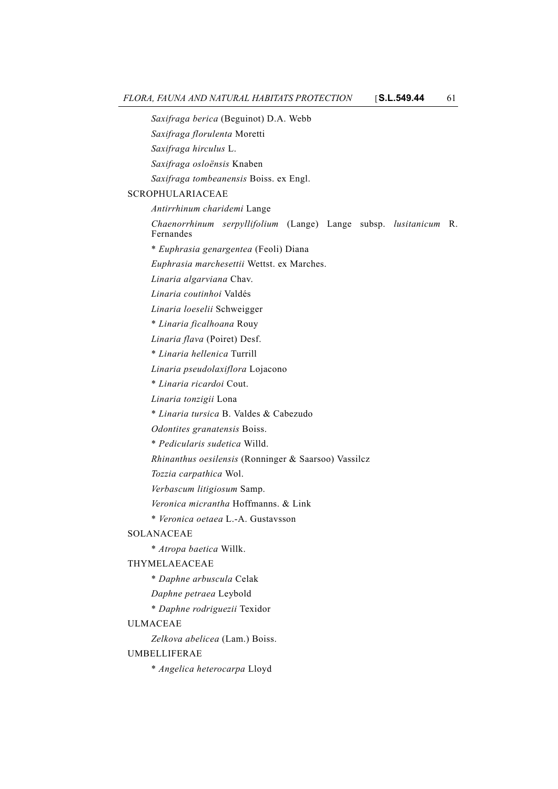*Saxifraga berica* (Beguinot) D.A. Webb *Saxifraga florulenta* Moretti *Saxifraga hirculus* L. *Saxifraga osloënsis* Knaben *Saxifraga tombeanensis* Boiss. ex Engl. SCROPHULARIACEAE *Antirrhinum charidemi* Lange *Chaenorrhinum serpyllifolium* (Lange) Lange subsp. *lusitanicum* R. Fernandes \* *Euphrasia genargentea* (Feoli) Diana *Euphrasia marchesettii* Wettst. ex Marches. *Linaria algarviana* Chav. *Linaria coutinhoi* Valdés *Linaria loeselii* Schweigger \* *Linaria ficalhoana* Rouy *Linaria flava* (Poiret) Desf. \* *Linaria hellenica* Turrill *Linaria pseudolaxiflora* Lojacono \* *Linaria ricardoi* Cout. *Linaria tonzigii* Lona \* *Linaria tursica* B. Valdes & Cabezudo *Odontites granatensis* Boiss. \* *Pedicularis sudetica* Willd. *Rhinanthus oesilensis* (Ronninger & Saarsoo) Vassilcz *Tozzia carpathica* Wol. *Verbascum litigiosum* Samp. *Veronica micrantha* Hoffmanns. & Link \* *Veronica oetaea* L.-A. Gustavsson SOLANACEAE \* *Atropa baetica* Willk. THYMELAEACEAE \* *Daphne arbuscula* Celak *Daphne petraea* Leybold \* *Daphne rodriguezii* Texidor ULMACEAE *Zelkova abelicea* (Lam.) Boiss. UMBELLIFERAE \* *Angelica heterocarpa* Lloyd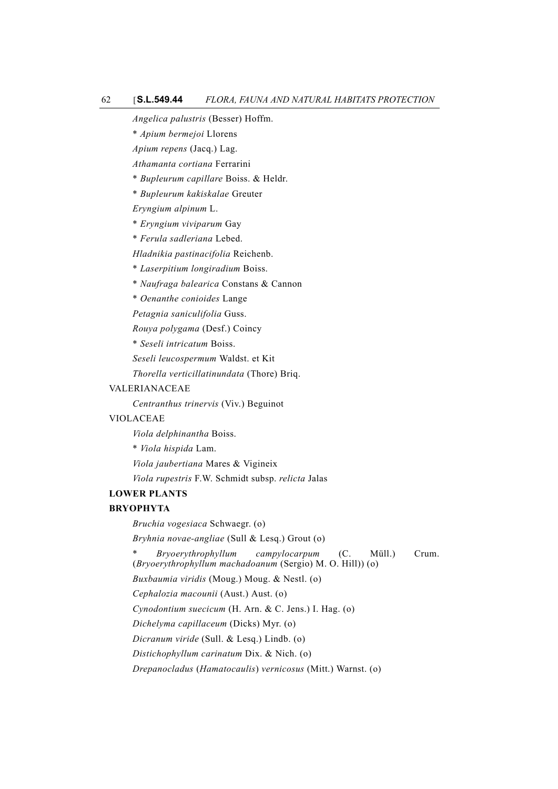*Angelica palustris* (Besser) Hoffm.

\* *Apium bermejoi* Llorens

*Apium repens* (Jacq.) Lag.

*Athamanta cortiana* Ferrarini

\* *Bupleurum capillare* Boiss. & Heldr.

\* *Bupleurum kakiskalae* Greuter

*Eryngium alpinum* L.

\* *Eryngium viviparum* Gay

\* *Ferula sadleriana* Lebed.

*Hladnikia pastinacifolia* Reichenb.

\* *Laserpitium longiradium* Boiss.

\* *Naufraga balearica* Constans & Cannon

\* *Oenanthe conioides* Lange

*Petagnia saniculifolia* Guss.

*Rouya polygama* (Desf.) Coincy

\* *Seseli intricatum* Boiss.

*Seseli leucospermum* Waldst. et Kit

*Thorella verticillatinundata* (Thore) Briq.

#### VALERIANACEAE

*Centranthus trinervis* (Viv.) Beguinot

#### VIOLACEAE

*Viola delphinantha* Boiss.

\* *Viola hispida* Lam.

*Viola jaubertiana* Mares & Vigineix

*Viola rupestris* F.W. Schmidt subsp. *relicta* Jalas

#### **LOWER PLANTS**

## **BRYOPHYTA**

*Bruchia vogesiaca* Schwaegr. (o)

*Bryhnia novae-angliae* (Sull & Lesq.) Grout (o)

\* *Bryoerythrophyllum campylocarpum* (C. Müll.) Crum. (*Bryoerythrophyllum machadoanum* (Sergio) M. O. Hill)) (o)

*Buxbaumia viridis* (Moug.) Moug. & Nestl. (o)

*Cephalozia macounii* (Aust.) Aust. (o)

*Cynodontium suecicum* (H. Arn. & C. Jens.) I. Hag. (o)

*Dichelyma capillaceum* (Dicks) Myr. (o)

*Dicranum viride* (Sull. & Lesq.) Lindb. (o)

*Distichophyllum carinatum* Dix. & Nich. (o)

*Drepanocladus* (*Hamatocaulis*) *vernicosus* (Mitt.) Warnst. (o)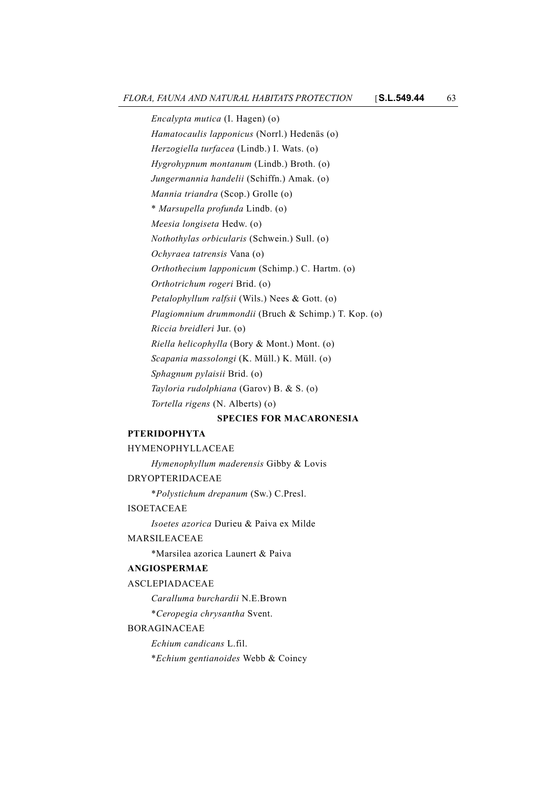*Encalypta mutica* (I. Hagen) (o) *Hamatocaulis lapponicus* (Norrl.) Hedenäs (o) *Herzogiella turfacea* (Lindb.) I. Wats. (o) *Hygrohypnum montanum* (Lindb.) Broth. (o) *Jungermannia handelii* (Schiffn.) Amak. (o) *Mannia triandra* (Scop.) Grolle (o) \* *Marsupella profunda* Lindb. (o) *Meesia longiseta* Hedw. (o) *Nothothylas orbicularis* (Schwein.) Sull. (o) *Ochyraea tatrensis* Vana (o) *Orthothecium lapponicum* (Schimp.) C. Hartm. (o) *Orthotrichum rogeri* Brid. (o) *Petalophyllum ralfsii* (Wils.) Nees & Gott. (o) *Plagiomnium drummondii* (Bruch & Schimp.) T. Kop. (o) *Riccia breidleri* Jur. (o) *Riella helicophylla* (Bory & Mont.) Mont. (o) *Scapania massolongi* (K. Müll.) K. Müll. (o) *Sphagnum pylaisii* Brid. (o) *Tayloria rudolphiana* (Garov) B. & S. (o) *Tortella rigens* (N. Alberts) (o)

#### **SPECIES FOR MACARONESIA**

## **PTERIDOPHYTA**

## HYMENOPHYLLACEAE

*Hymenophyllum maderensis* Gibby & Lovis DRYOPTERIDACEAE \**Polystichum drepanum* (Sw.) C.Presl. ISOETACEAE *Isoetes azorica* Durieu & Paiva ex Milde

## MARSILEACEAE

\*Marsilea azorica Launert & Paiva

## **ANGIOSPERMAE**

ASCLEPIADACEAE

*Caralluma burchardii* N.E.Brown

\**Ceropegia chrysantha* Svent.

#### BORAGINACEAE

*Echium candicans* L.fil.

\**Echium gentianoides* Webb & Coincy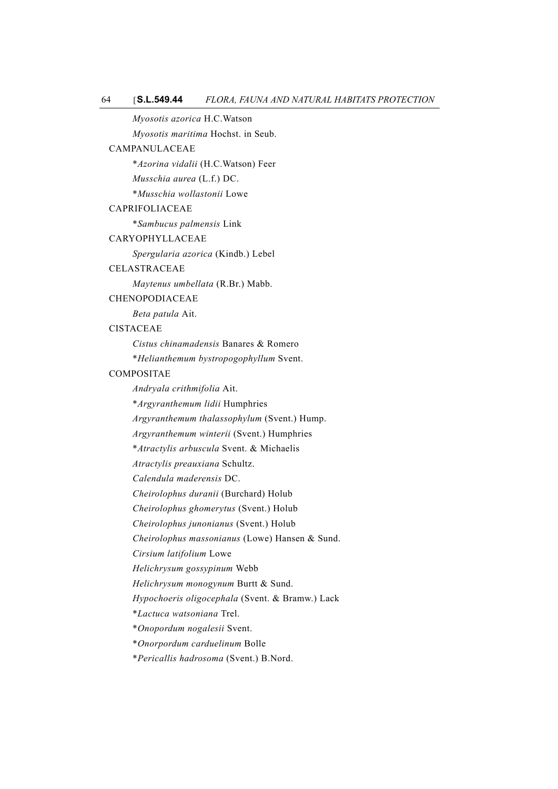*Myosotis azorica* H.C.Watson

*Myosotis maritima* Hochst. in Seub.

## CAMPANULACEAE

\**Azorina vidalii* (H.C.Watson) Feer

*Musschia aurea* (L.f.) DC.

\**Musschia wollastonii* Lowe

## CAPRIFOLIACEAE

\**Sambucus palmensis* Link

#### CARYOPHYLLACEAE

*Spergularia azorica* (Kindb.) Lebel

## CELASTRACEAE

*Maytenus umbellata* (R.Br.) Mabb.

## **CHENOPODIACEAE**

*Beta patula* Ait.

## CISTACEAE

*Cistus chinamadensis* Banares & Romero

\**Helianthemum bystropogophyllum* Svent.

#### COMPOSITAE

*Andryala crithmifolia* Ait.

\**Argyranthemum lidii* Humphries

*Argyranthemum thalassophylum* (Svent.) Hump.

*Argyranthemum winterii* (Svent.) Humphries

\**Atractylis arbuscula* Svent. & Michaelis

*Atractylis preauxiana* Schultz.

*Calendula maderensis* DC.

*Cheirolophus duranii* (Burchard) Holub

*Cheirolophus ghomerytus* (Svent.) Holub

*Cheirolophus junonianus* (Svent.) Holub

*Cheirolophus massonianus* (Lowe) Hansen & Sund.

*Cirsium latifolium* Lowe

*Helichrysum gossypinum* Webb

*Helichrysum monogynum* Burtt & Sund.

*Hypochoeris oligocephala* (Svent. & Bramw.) Lack

\**Lactuca watsoniana* Trel.

\**Onopordum nogalesii* Svent.

\**Onorpordum carduelinum* Bolle

\**Pericallis hadrosoma* (Svent.) B.Nord.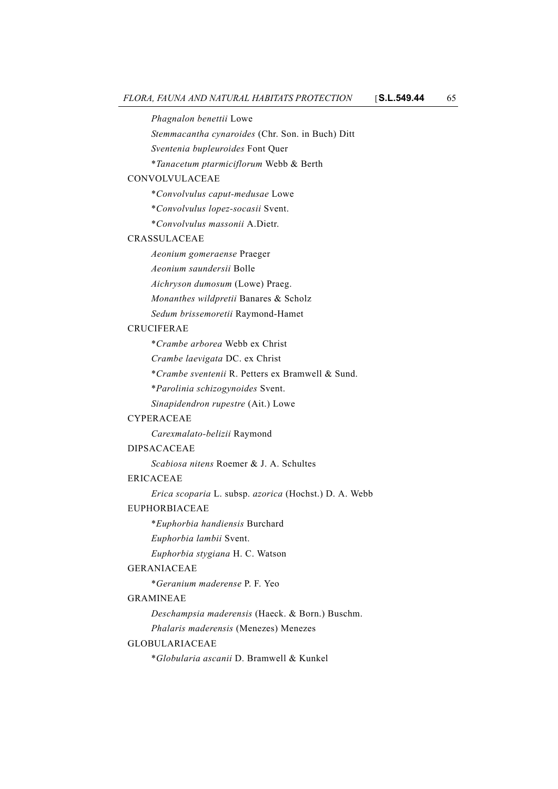*Phagnalon benettii* Lowe

*Stemmacantha cynaroides* (Chr. Son. in Buch) Ditt

*Sventenia bupleuroides* Font Quer

\**Tanacetum ptarmiciflorum* Webb & Berth

## CONVOLVULACEAE

\**Convolvulus caput-medusae* Lowe

\**Convolvulus lopez-socasii* Svent.

\**Convolvulus massonii* A.Dietr.

#### CRASSULACEAE

*Aeonium gomeraense* Praeger

*Aeonium saundersii* Bolle

*Aichryson dumosum* (Lowe) Praeg.

*Monanthes wildpretii* Banares & Scholz

*Sedum brissemoretii* Raymond-Hamet

#### **CRUCIFERAE**

\**Crambe arborea* Webb ex Christ

*Crambe laevigata* DC. ex Christ

\**Crambe sventenii* R. Petters ex Bramwell & Sund.

\**Parolinia schizogynoides* Svent.

*Sinapidendron rupestre* (Ait.) Lowe

#### CYPERACEAE

*Carexmalato-belizii* Raymond

#### DIPSACACEAE

*Scabiosa nitens* Roemer & J. A. Schultes

## ERICACEAE

*Erica scoparia* L. subsp. *azorica* (Hochst.) D. A. Webb

## EUPHORBIACEAE

\**Euphorbia handiensis* Burchard

*Euphorbia lambii* Svent.

*Euphorbia stygiana* H. C. Watson

## GERANIACEAE

\**Geranium maderense* P. F. Yeo

## GRAMINEAE

*Deschampsia maderensis* (Haeck. & Born.) Buschm.

*Phalaris maderensis* (Menezes) Menezes

## GLOBULARIACEAE

\**Globularia ascanii* D. Bramwell & Kunkel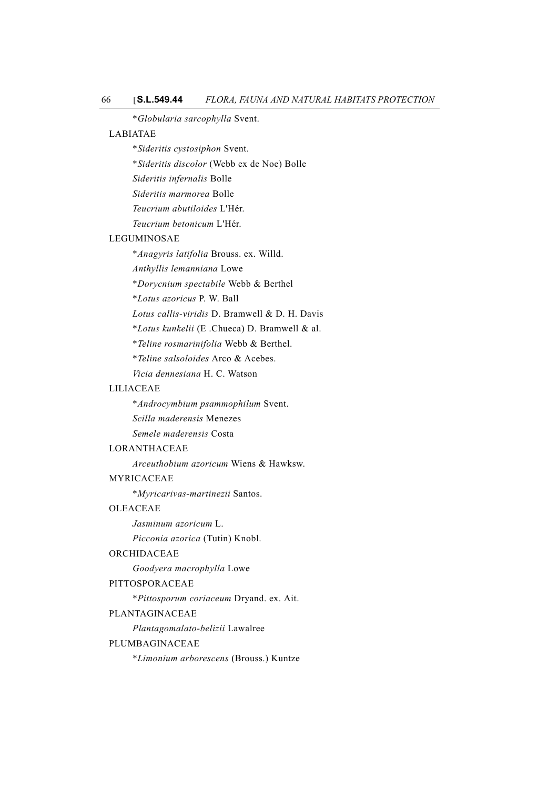\**Globularia sarcophylla* Svent.

## LABIATAE

- \**Sideritis cystosiphon* Svent.
- \**Sideritis discolor* (Webb ex de Noe) Bolle
- *Sideritis infernalis* Bolle
- *Sideritis marmorea* Bolle
- *Teucrium abutiloides* L'Hér.
- *Teucrium betonicum* L'Hér.

#### LEGUMINOSAE

- \**Anagyris latifolia* Brouss. ex. Willd.
- *Anthyllis lemanniana* Lowe
- \**Dorycnium spectabile* Webb & Berthel
- \**Lotus azoricus* P. W. Ball
- *Lotus callis-viridis* D. Bramwell & D. H. Davis
- \**Lotus kunkelii* (E .Chueca) D. Bramwell & al.
- \**Teline rosmarinifolia* Webb & Berthel.
- \**Teline salsoloides* Arco & Acebes.
- *Vicia dennesiana* H. C. Watson

## LILIACEAE

- \**Androcymbium psammophilum* Svent.
- *Scilla maderensis* Menezes
- *Semele maderensis* Costa

## LORANTHACEAE

*Arceuthobium azoricum* Wiens & Hawksw.

## MYRICACEAE

\**Myricarivas-martinezii* Santos.

## **OLEACEAE**

*Jasminum azoricum* L.

*Picconia azorica* (Tutin) Knobl.

#### ORCHIDACEAE

*Goodyera macrophylla* Lowe

#### PITTOSPORACEAE

\**Pittosporum coriaceum* Dryand. ex. Ait.

## PLANTAGINACEAE

*Plantagomalato-belizii* Lawalree

## PLUMBAGINACEAE

\**Limonium arborescens* (Brouss.) Kuntze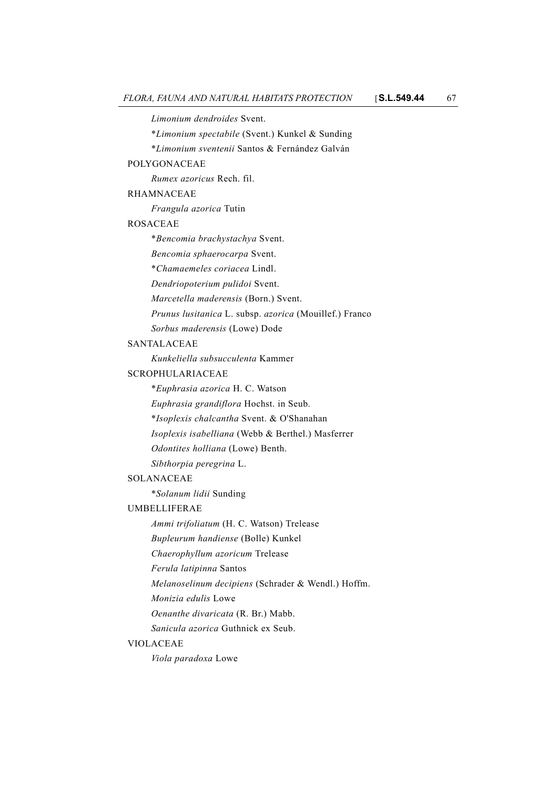*Limonium dendroides* Svent.

\**Limonium spectabile* (Svent.) Kunkel & Sunding

\**Limonium sventenii* Santos & Fernández Galván

#### POLYGONACEAE

*Rumex azoricus* Rech. fil.

# RHAMNACEAE

*Frangula azorica* Tutin

#### ROSACEAE

\**Bencomia brachystachya* Svent.

*Bencomia sphaerocarpa* Svent.

\**Chamaemeles coriacea* Lindl.

*Dendriopoterium pulidoi* Svent.

*Marcetella maderensis* (Born.) Svent.

*Prunus lusitanica* L. subsp. *azorica* (Mouillef.) Franco

*Sorbus maderensis* (Lowe) Dode

## SANTALACEAE

*Kunkeliella subsucculenta* Kammer

#### SCROPHULARIACEAE

\**Euphrasia azorica* H. C. Watson

*Euphrasia grandiflora* Hochst. in Seub.

\**Isoplexis chalcantha* Svent. & O'Shanahan

*Isoplexis isabelliana* (Webb & Berthel.) Masferrer

*Odontites holliana* (Lowe) Benth.

*Sibthorpia peregrina* L.

## SOLANACEAE

\**Solanum lidii* Sunding

## UMBELLIFERAE

*Ammi trifoliatum* (H. C. Watson) Trelease

*Bupleurum handiense* (Bolle) Kunkel

*Chaerophyllum azoricum* Trelease

*Ferula latipinna* Santos

*Melanoselinum decipiens* (Schrader & Wendl.) Hoffm.

*Monizia edulis* Lowe

*Oenanthe divaricata* (R. Br.) Mabb.

*Sanicula azorica* Guthnick ex Seub.

#### VIOLACEAE

*Viola paradoxa* Lowe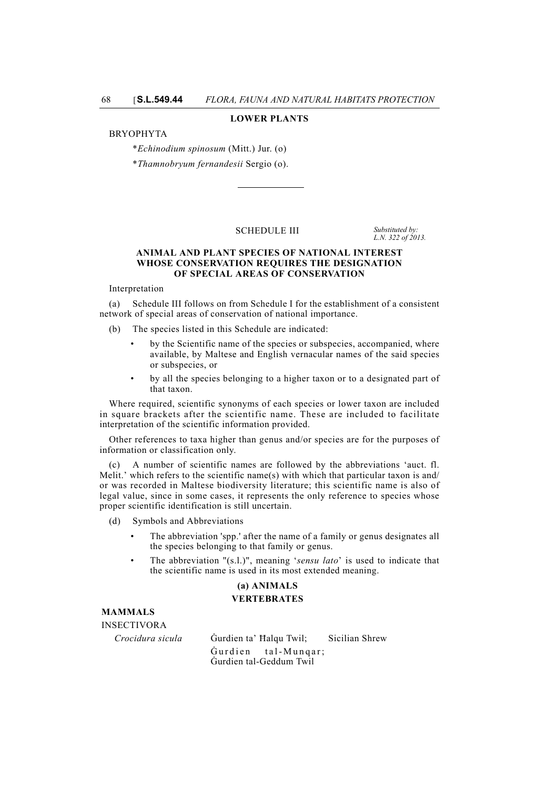#### **LOWER PLANTS**

#### BRYOPHYTA

\**Echinodium spinosum* (Mitt.) Jur. (o)

\**Thamnobryum fernandesii* Sergio (o).

#### SCHEDULE III *Substituted by:*

*L.N. 322 of 2013.*

#### **ANIMAL AND PLANT SPECIES OF NATIONAL INTEREST WHOSE CONSERVATION REQUIRES THE DESIGNATION OF SPECIAL AREAS OF CONSERVATION**

Interpretation

(a) Schedule III follows on from Schedule I for the establishment of a consistent network of special areas of conservation of national importance.

(b) The species listed in this Schedule are indicated:

- by the Scientific name of the species or subspecies, accompanied, where available, by Maltese and English vernacular names of the said species or subspecies, or
- by all the species belonging to a higher taxon or to a designated part of that taxon.

Where required, scientific synonyms of each species or lower taxon are included in square brackets after the scientific name. These are included to facilitate interpretation of the scientific information provided.

Other references to taxa higher than genus and/or species are for the purposes of information or classification only.

A number of scientific names are followed by the abbreviations 'auct. fl. Melit.' which refers to the scientific name(s) with which that particular taxon is and/ or was recorded in Maltese biodiversity literature; this scientific name is also of legal value, since in some cases, it represents the only reference to species whose proper scientific identification is still uncertain.

- (d) Symbols and Abbreviations
	- The abbreviation 'spp.' after the name of a family or genus designates all the species belonging to that family or genus.
	- The abbreviation "(s.l.)", meaning '*sensu lato*' is used to indicate that the scientific name is used in its most extended meaning.

# **(a) ANIMALS**

## **VERTEBRATES**

**MAMMALS**

INSECTIVORA

*Crocidura sicula* Ġurdien ta' Ħalqu Twil; Sicilian Shrew Ġurdien tal-Munqar; Ġurdien tal-Geddum Twil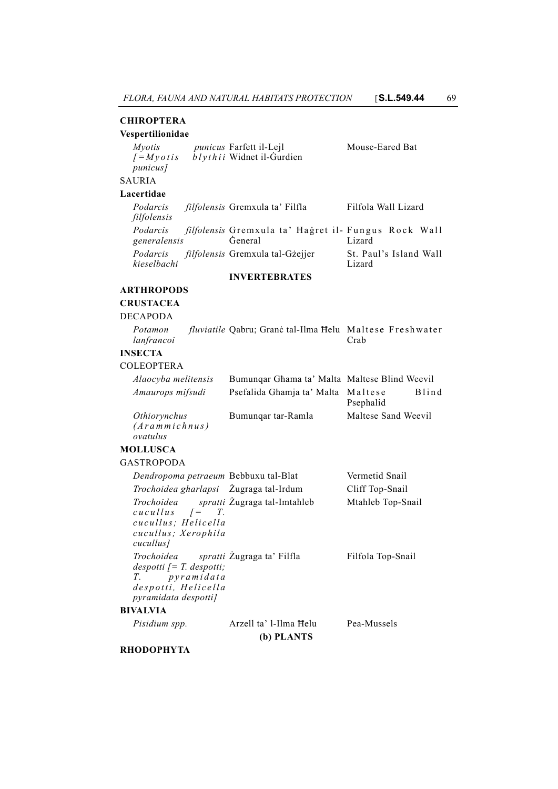## **CHIROPTERA**

## **Vespertilionidae**

| <i>Mvotis</i>                 | <i>punicus</i> Farfett il-Lejl | Mouse-Eared Bat |
|-------------------------------|--------------------------------|-----------------|
| $J=M\nu\sigma t$ is           | $b$ lythii Widnet il-Gurdien   |                 |
| <i>punicus]</i>               |                                |                 |
| <b>SAURIA</b>                 |                                |                 |
| $\mathbf{r}$ and $\mathbf{r}$ |                                |                 |

#### **Lacertidae**

Podarcis filfolensis Gremxula ta' Filfla Filfola Wall Lizard *filfolensis Podarcis filfolensis* Gremxula ta' Ħaġret il-Fungus Rock Wall *generalensis* Ġeneral Lizard *Podarcis filfolensis* Gremxula tal-Gżejjer St. Paul's Island Wall *kieselbachi* Lizard

## **INVERTEBRATES**

## **ARTHROPODS**

# **CRUSTACEA**

## DECAPODA

| Potamon    | fluviatile Qabru; Granė tal-Ilma Helu Maltese Freshwater |      |
|------------|----------------------------------------------------------|------|
| lanfrancoi |                                                          | Crab |

# **INSECTA**

## COLEOPTERA

| Alaocyba melitensis | Bumungar Ghama ta' Malta Maltese Blind Weevil |                           |
|---------------------|-----------------------------------------------|---------------------------|
| Amaurops mifsudi    | Psefalida Ghamja ta' Malta Maltese            | <b>Blind</b><br>Psephalid |
| <i>Othiorynchus</i> | Bumungar tar-Ramla                            | Maltese Sand Weevil       |

*(Arammichnus) ovatulus*

# **MOLLUSCA**

GASTROPODA

| Dendropoma petraeum Bebbuxu tal-Blat                                                                                                                                 |                        | Vermetid Snail    |
|----------------------------------------------------------------------------------------------------------------------------------------------------------------------|------------------------|-------------------|
| <i>Trochoidea gharlapsi</i> Zugraga tal-Irdum                                                                                                                        |                        | Cliff Top-Snail   |
| Trochoidea spratti Zugraga tal-Imtahleb<br>$cuculus$ $\qquad = T$ .<br>cucullus: Helicella<br>cucullus; Xerophila<br>cucullus]                                       |                        | Mtahleb Top-Snail |
| <i>Trochoidea spratti</i> Zugraga ta' Filfla<br>$despotti$ [= T. despotti;<br>T. pyramidata<br>despotti, Helicella<br><i>pyramidata despotti]</i><br><b>BIVALVIA</b> |                        | Filfola Top-Snail |
| Pisidium spp.                                                                                                                                                        | Arzell ta' l-Ilma Helu | Pea-Mussels       |
|                                                                                                                                                                      |                        |                   |

**(b) PLANTS**

## **RHODOPHYTA**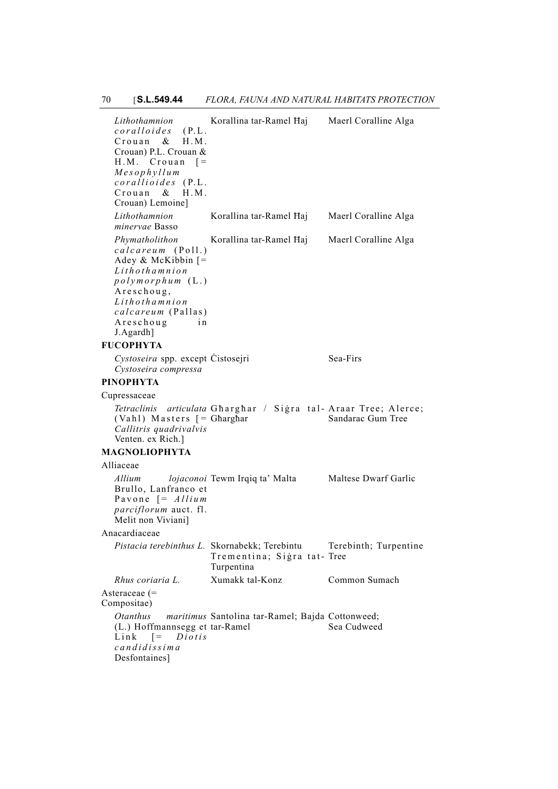*Lithothamnion coralloides* (P.L. Crouan & H.M. Crouan) P.L. Crouan & H.M. Crouan [*= Mesophyllum corallioides* (P.L. Crouan & H.M. Crouan) Lemoine] Korallina tar-Ramel Ħaj Maerl Coralline Alga *Lithothamnion minervae* Basso Korallina tar-Ramel Ħaj Maerl Coralline Alga *Phymatholithon calcareum* (Poll.) Adey & McKibbin [*= Lithothamnion polymorphum* (L.) Areschoug, *Lithothamnion calcareum* (Pallas) Areschoug in J.Agardh] Korallina tar-Ramel Ħaj Maerl Coralline Alga **FUCOPHYTA** Cystoseira spp. except Cistosejri Sea-Firs *Cystoseira compressa* **PINOPHYTA** Cupressaceae Tetraclinis articulata Gharghar / Sigra tal-Araar Tree; Alerce; (Vahl) Masters [*=* Għargħar *Callitris quadrivalvis* Venten. ex Rich.] Sandarac Gum Tree **MAGNOLIOPHYTA** Alliaceae *Allium lojaconoi* Tewm Irqiq ta' Malta Maltese Dwarf Garlic Brullo, Lanfranco et Pavone [= *Allium parciflorum* auct. fl. Melit non Viviani] Anacardiaceae *Pistacia terebinthus L.* Skornabekk; Terebintu Trementina; Sigra tat- Tree Turpentina Terebinth; Turpentine *Rhus coriaria L.* Xumakk tal-Konz Common Sumach Asteraceae (= Compositae) *Otanthus maritimus* Santolina tar-Ramel; Bajda Cottonweed; (L.) Hoffmannsegg et tar-Ramel Link [= *Diotis candidissima* Desfontaines] Sea Cudweed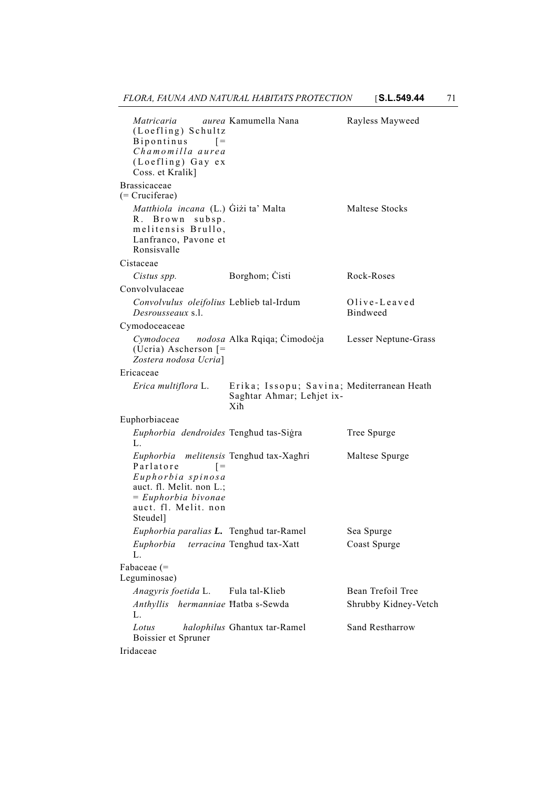| Matricaria aurea Kamumella Nana<br>(Loefling) Schultz<br><b>Bipontinus</b><br>$=$<br>Chamomilla aurea<br>(Loefling) Gay ex<br>Coss. et Kralik]                                        |                                                                                | Rayless Mayweed                 |
|---------------------------------------------------------------------------------------------------------------------------------------------------------------------------------------|--------------------------------------------------------------------------------|---------------------------------|
| Brassicaceae<br>(= Cruciferae)                                                                                                                                                        |                                                                                |                                 |
| Matthiola incana (L.) Gizi ta' Malta<br>R. Brown subsp.<br>melitensis Brullo,<br>Lanfranco, Pavone et<br>Ronsisvalle                                                                  |                                                                                | Maltese Stocks                  |
| Cistaceae                                                                                                                                                                             |                                                                                |                                 |
| Cistus spp.                                                                                                                                                                           | Borghom; Cisti                                                                 | Rock-Roses                      |
| Convolvulaceae                                                                                                                                                                        |                                                                                |                                 |
| Convolvulus oleifolius Leblieb tal-Irdum<br>Desrousseaux s.l.                                                                                                                         |                                                                                | Olive-Leaved<br><b>Bindweed</b> |
| Cymodoceaceae                                                                                                                                                                         |                                                                                |                                 |
| (Ucria) Ascherson $\vert$ =<br>Zostera nodosa Ucria]                                                                                                                                  | Cymodocea nodosa Alka Rqiqa; Cimodocja Lesser Neptune-Grass                    |                                 |
| Ericaceae                                                                                                                                                                             |                                                                                |                                 |
| Erica multiflora L.                                                                                                                                                                   | Erika; Issopu; Savina; Mediterranean Heath<br>Saghtar Ahmar; Lehjet ix-<br>Xih |                                 |
| Euphorbiaceae                                                                                                                                                                         |                                                                                |                                 |
| Euphorbia dendroides Tenghud tas-Sigra<br>L.                                                                                                                                          |                                                                                | Tree Spurge                     |
| Euphorbia melitensis Tenghud tax-Xaghri<br>Parlatore<br>$=$<br>Euphorbia spinosa<br>auct. fl. Melit. non L.;<br>$= Euphorbia bivonae$<br>auct. fl. Melit. non<br>Steudel <sup>1</sup> |                                                                                | Maltese Spurge                  |
| Euphorbia paralias L. Tenghud tar-Ramel                                                                                                                                               |                                                                                | Sea Spurge                      |
| Euphorbia<br>L.                                                                                                                                                                       | terracina Tenghud tax-Xatt                                                     | Coast Spurge                    |
| Fabaceae (=<br>Leguminosae)                                                                                                                                                           |                                                                                |                                 |
| Anagyris foetida L.                                                                                                                                                                   | Fula tal-Klieb                                                                 | Bean Trefoil Tree               |
| Anthyllis hermanniae Hatba s-Sewda<br>L.                                                                                                                                              |                                                                                | Shrubby Kidney-Vetch            |
| Lotus<br>Boissier et Spruner                                                                                                                                                          | halophilus Ghantux tar-Ramel                                                   | Sand Restharrow                 |
| Iridaceae                                                                                                                                                                             |                                                                                |                                 |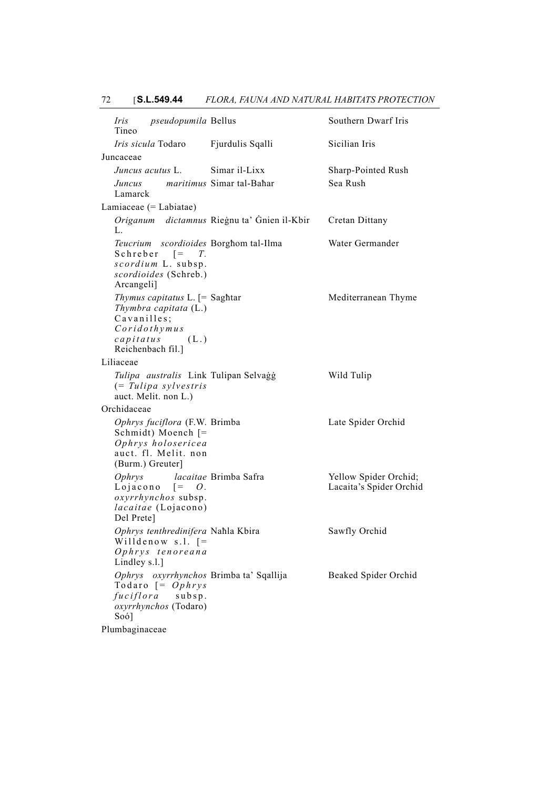| <i>pseudopumila</i> Bellus<br>Iris<br>Tineo                                                                                          |                                             | Southern Dwarf Iris                              |
|--------------------------------------------------------------------------------------------------------------------------------------|---------------------------------------------|--------------------------------------------------|
| <i>Iris sicula</i> Todaro                                                                                                            | Fjurdulis Sqalli                            | Sicilian Iris                                    |
| Juncaceae                                                                                                                            |                                             |                                                  |
| Juncus acutus L.                                                                                                                     | Simar il-Lixx                               | Sharp-Pointed Rush                               |
| Juncus maritimus Simar tal-Bahar<br>Lamarck                                                                                          |                                             | Sea Rush                                         |
| Lamiaceae $(=$ Labiatae $)$                                                                                                          |                                             |                                                  |
| L.                                                                                                                                   | Origanum dictamnus Riegnu ta' Gnien il-Kbir | Cretan Dittany                                   |
| Teucrium scordioides Borghom tal-Ilma<br>Schreber $[= T$ .<br>scordium L. subsp.<br>scordioides (Schreb.)<br>Arcangeli]              |                                             | Water Germander                                  |
| Thymus capitatus $L$ . $[=$ Saghtar<br>Thymbra capitata (L.)<br>Cavanilles;<br>Coridothymus<br>$capitatus$ (L.)<br>Reichenbach fil.] |                                             | Mediterranean Thyme                              |
| Liliaceae                                                                                                                            |                                             |                                                  |
| Tulipa australis Link Tulipan Selvaģģ<br>$(= Tulipa$ sylvestris<br>auct. Melit. non L.)                                              |                                             | Wild Tulip                                       |
| Orchidaceae                                                                                                                          |                                             |                                                  |
| Ophrys fuciflora (F.W. Brimba<br>Schmidt) Moench $\lceil$ =<br>Ophrys holosericea<br>auct. fl. Melit. non<br>(Burm.) Greuter]        |                                             | Late Spider Orchid                               |
| Ophrys<br>Lojacono $[= O.$<br>oxyrrhynchos subsp.<br>lacaitae (Lojacono)<br>Del Prete]                                               | <i>lacaitae</i> Brimba Safra                | Yellow Spider Orchid;<br>Lacaita's Spider Orchid |
| Ophrys tenthredinifera Nahla Kbira<br>Willdenow s.l. $=$<br>Ophrys tenoreana<br>Lindley s.l.]                                        |                                             | Sawfly Orchid                                    |
| Ophrys oxyrrhynchos Brimba ta' Sqallija<br>Todaro $[=Ophrys]$<br>fuciflora subsp.<br>oxyrrhynchos (Todaro)<br>$Soo$ ]                |                                             | Beaked Spider Orchid                             |
| Plumbaginaceae                                                                                                                       |                                             |                                                  |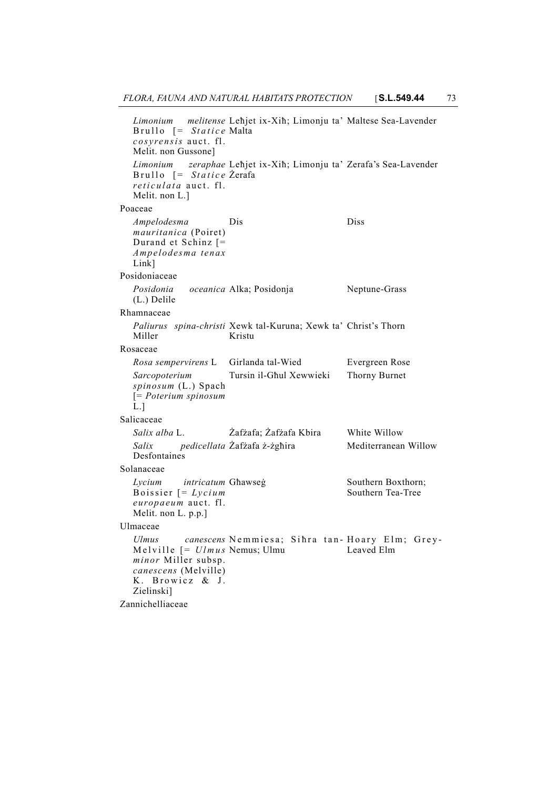```
Limonium melitense
   Brullo [= Statice
  cosyrensis auct. fl.
  Melit. non Gussone]
                      Leħjet ix-Xiħ; Limonju ta'
                      Malta
                                              Maltese Sea-Lavender
   Limonium zeraphae
Leħjet ix-Xiħ; Limonju ta'
Zerafa's Sea-Lavender
   Brullo [= Statice
Żerafa
  reticulata auct. fl.
  Melit. non L.]
Poaceae
  Ampelodesma
  mauritanica (Poiret)
  Durand et Schinz [=
  Ampelodesma tenax
  Link]
                      Dis Diss
Posidoniaceae
  Posidonia(L.) Delile
              oceanica Alka; Posidonja Neptune-Grass
Rhamnaceae
   Paliurus spina-christi Xewk tal-Kuruna; Xewk ta' Christ's Thorn
  Miller
                      Kristu
Rosaceae
  Rosa sempervirens L Girlanda tal-Wied Evergreen Rose
  Sarcopoterium
  spinosum (L.) Spach
  [= Poterium spinosum
  \rm \bar L.]
                      Tursin il-Għul Xewwieki Thorny Burnet
Salicaceae
  Salix alba L. Żafżafa; Żafżafa Kbira White Willow
  Salix pedicellata
  Desfontaines
                                              Mediterranean Willow
Solanaceae
  Lycium intricatum
  Boissier [= Lycium
  europaeum auct. fl.
  Melit. non L. p.p.]
                                              Southern Boxthorn;
                                              Southern Tea-Tree
Ulmaceae
   Ulmus canescens
Nemmiesa; Siħra tan-
Hoary Elm; Grey-
   Melville [= Ulmus
Nemus; Ulmu
  minor Miller subsp.
  canescens (Melville)
  K. Browicz & J.
  Zielinski]
                                              Leaved Elm
Zannichelliaceae
```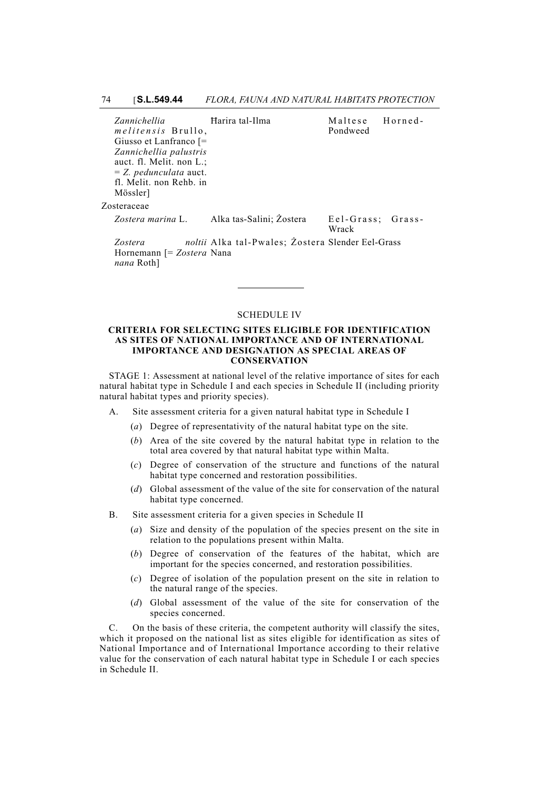| Zannichellia                    | Harira tal-Ilma                                   | Maltese                    | Horned- |
|---------------------------------|---------------------------------------------------|----------------------------|---------|
| <i>melitensis</i> Brullo,       |                                                   | Pondweed                   |         |
| Giusso et Lanfranco $\vert =$   |                                                   |                            |         |
| Zannichellia palustris          |                                                   |                            |         |
| auct. fl. Melit. non L.;        |                                                   |                            |         |
| $= Z.$ <i>pedunculata</i> auct. |                                                   |                            |         |
| fl. Melit. non Rehb. in         |                                                   |                            |         |
| Mössler]                        |                                                   |                            |         |
| Zosteraceae                     |                                                   |                            |         |
| Zostera marina L.               | Alka tas-Salini; Zostera                          | Eel-Grass: Grass-<br>Wrack |         |
| Zostera                         | noltii Alka tal-Pwales; Zostera Slender Eel-Grass |                            |         |
| Hornemann [= Zostera Nana       |                                                   |                            |         |

SCHEDULE IV

*nana* Roth]

#### **CRITERIA FOR SELECTING SITES ELIGIBLE FOR IDENTIFICATION AS SITES OF NATIONAL IMPORTANCE AND OF INTERNATIONAL IMPORTANCE AND DESIGNATION AS SPECIAL AREAS OF CONSERVATION**

STAGE 1: Assessment at national level of the relative importance of sites for each natural habitat type in Schedule I and each species in Schedule II (including priority natural habitat types and priority species).

- A. Site assessment criteria for a given natural habitat type in Schedule I
	- (*a*) Degree of representativity of the natural habitat type on the site.
	- (*b*) Area of the site covered by the natural habitat type in relation to the total area covered by that natural habitat type within Malta.
	- (*c*) Degree of conservation of the structure and functions of the natural habitat type concerned and restoration possibilities.
	- (*d*) Global assessment of the value of the site for conservation of the natural habitat type concerned.
- B. Site assessment criteria for a given species in Schedule II
	- (*a*) Size and density of the population of the species present on the site in relation to the populations present within Malta.
	- (*b*) Degree of conservation of the features of the habitat, which are important for the species concerned, and restoration possibilities.
	- (*c*) Degree of isolation of the population present on the site in relation to the natural range of the species.
	- (*d*) Global assessment of the value of the site for conservation of the species concerned.

C. On the basis of these criteria, the competent authority will classify the sites, which it proposed on the national list as sites eligible for identification as sites of National Importance and of International Importance according to their relative value for the conservation of each natural habitat type in Schedule I or each species in Schedule II.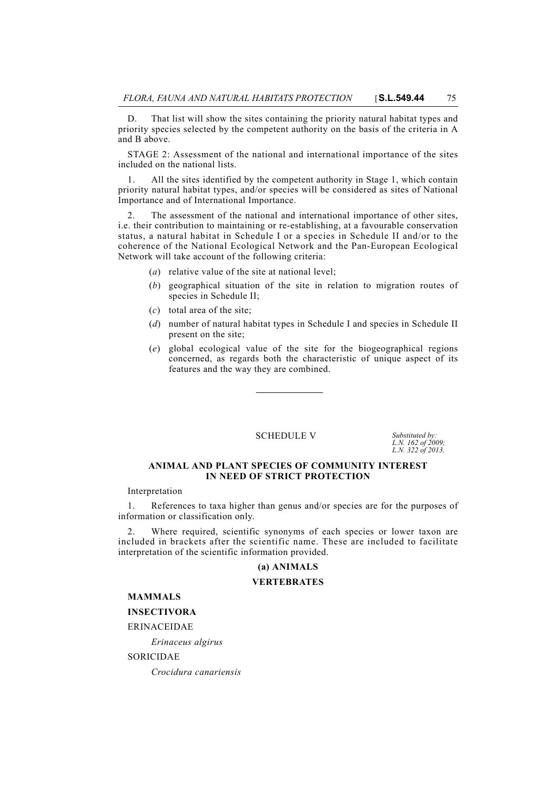D. That list will show the sites containing the priority natural habitat types and priority species selected by the competent authority on the basis of the criteria in A and B above.

STAGE 2: Assessment of the national and international importance of the sites included on the national lists.

1. All the sites identified by the competent authority in Stage 1, which contain priority natural habitat types, and/or species will be considered as sites of National Importance and of International Importance.

The assessment of the national and international importance of other sites, i.e. their contribution to maintaining or re-establishing, at a favourable conservation status, a natural habitat in Schedule I or a species in Schedule II and/or to the coherence of the National Ecological Network and the Pan-European Ecological Network will take account of the following criteria:

- (*a*) relative value of the site at national level;
- (*b*) geographical situation of the site in relation to migration routes of species in Schedule II;
- (*c*) total area of the site;
- (*d*) number of natural habitat types in Schedule I and species in Schedule II present on the site;
- (*e*) global ecological value of the site for the biogeographical regions concerned, as regards both the characteristic of unique aspect of its features and the way they are combined.

SCHEDULE V Substituted by:

*L.N. 162 of 2009; L.N. 322 of 2013.*

#### **ANIMAL AND PLANT SPECIES OF COMMUNITY INTEREST IN NEED OF STRICT PROTECTION**

Interpretation

1. References to taxa higher than genus and/or species are for the purposes of information or classification only.

2. Where required, scientific synonyms of each species or lower taxon are included in brackets after the scientific name. These are included to facilitate interpretation of the scientific information provided.

#### **(a) ANIMALS**

### **VERTEBRATES**

**MAMMALS**

### **INSECTIVORA**

ERINACEIDAE

*Erinaceus algirus*

SORICIDAE

*Crocidura canariensis*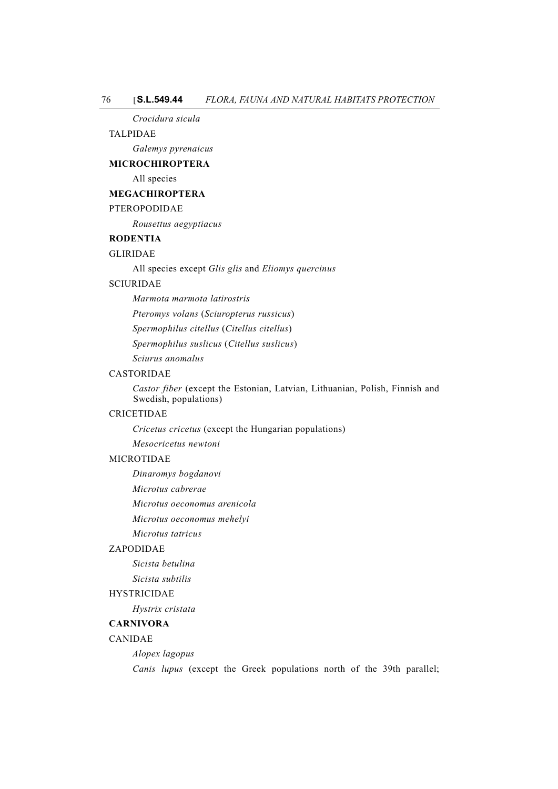#### *Crocidura sicula*

#### TALPIDAE

*Galemys pyrenaicus*

#### **MICROCHIROPTERA**

All species

### **MEGACHIROPTERA**

#### PTEROPODIDAE

*Rousettus aegyptiacus*

### **RODENTIA**

### GLIRIDAE

All species except *Glis glis* and *Eliomys quercinus*

### SCIURIDAE

*Marmota marmota latirostris*

*Pteromys volans* (*Sciuropterus russicus*)

*Spermophilus citellus* (*Citellus citellus*)

*Spermophilus suslicus* (*Citellus suslicus*)

*Sciurus anomalus*

#### CASTORIDAE

*Castor fiber* (except the Estonian, Latvian, Lithuanian, Polish, Finnish and Swedish, populations)

#### CRICETIDAE

*Cricetus cricetus* (except the Hungarian populations)

*Mesocricetus newtoni*

### MICROTIDAE

*Dinaromys bogdanovi*

*Microtus cabrerae*

*Microtus oeconomus arenicola*

*Microtus oeconomus mehelyi*

*Microtus tatricus*

### ZAPODIDAE

*Sicista betulina*

*Sicista subtilis*

#### HYSTRICIDAE

*Hystrix cristata*

### **CARNIVORA**

### CANIDAE

*Alopex lagopus*

*Canis lupus* (except the Greek populations north of the 39th parallel;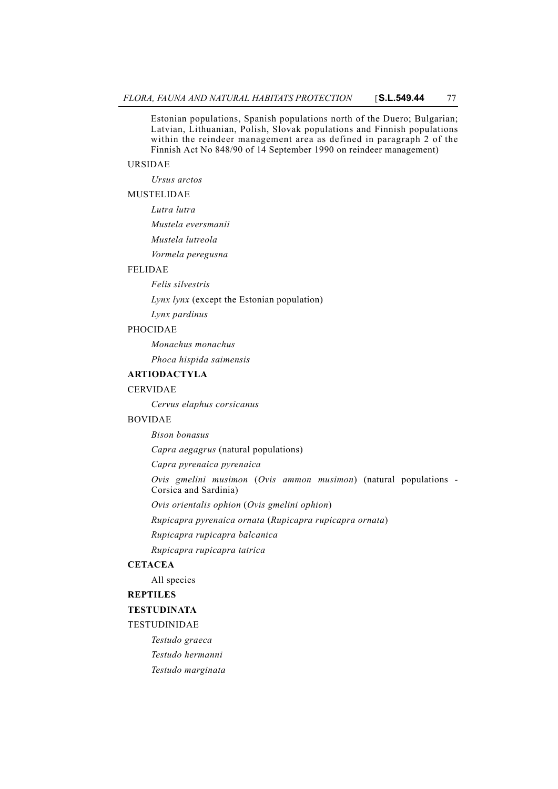Estonian populations, Spanish populations north of the Duero; Bulgarian; Latvian, Lithuanian, Polish, Slovak populations and Finnish populations within the reindeer management area as defined in paragraph 2 of the Finnish Act No 848/90 of 14 September 1990 on reindeer management)

### URSIDAE

*Ursus arctos*

### MUSTELIDAE

*Lutra lutra Mustela eversmanii Mustela lutreola Vormela peregusna*

#### FELIDAE

*Felis silvestris*

*Lynx lynx* (except the Estonian population)

*Lynx pardinus*

#### PHOCIDAE

*Monachus monachus*

*Phoca hispida saimensis*

# **ARTIODACTYLA**

#### CERVIDAE

*Cervus elaphus corsicanus*

### BOVIDAE

*Bison bonasus*

*Capra aegagrus* (natural populations)

*Capra pyrenaica pyrenaica*

*Ovis gmelini musimon* (*Ovis ammon musimon*) (natural populations - Corsica and Sardinia)

*Ovis orientalis ophion* (*Ovis gmelini ophion*)

*Rupicapra pyrenaica ornata* (*Rupicapra rupicapra ornata*)

*Rupicapra rupicapra balcanica*

*Rupicapra rupicapra tatrica*

### **CETACEA**

All species

#### **REPTILES**

### **TESTUDINATA**

#### TESTUDINIDAE

*Testudo graeca Testudo hermanni*

*Testudo marginata*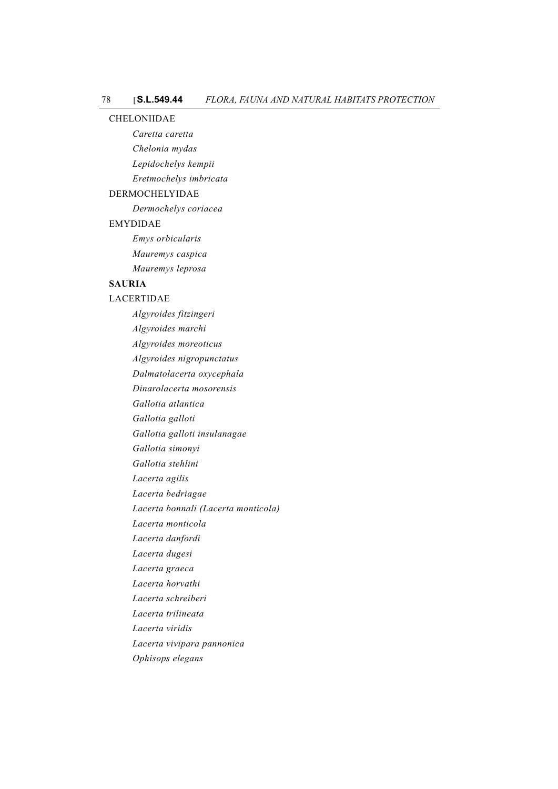#### CHELONIIDAE

- *Caretta caretta*
- *Chelonia mydas*
- *Lepidochelys kempii*
- *Eretmochelys imbricata*

## DERMOCHELYIDAE

*Dermochelys coriacea*

### EMYDIDAE

*Emys orbicularis Mauremys caspica Mauremys leprosa*

### **SAURIA**

### LACERTIDAE

*Algyroides fitzingeri Algyroides marchi Algyroides moreoticus Algyroides nigropunctatus Dalmatolacerta oxycephala Dinarolacerta mosorensis Gallotia atlantica Gallotia galloti Gallotia galloti insulanagae Gallotia simonyi Gallotia stehlini Lacerta agilis Lacerta bedriagae Lacerta bonnali (Lacerta monticola) Lacerta monticola Lacerta danfordi Lacerta dugesi Lacerta graeca Lacerta horvathi Lacerta schreiberi Lacerta trilineata Lacerta viridis Lacerta vivipara pannonica Ophisops elegans*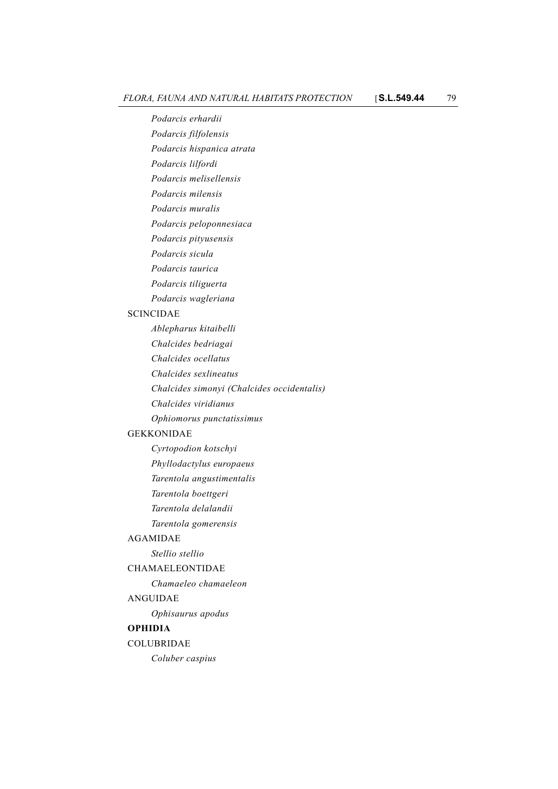*Podarcis erhardii Podarcis filfolensis Podarcis hispanica atrata Podarcis lilfordi Podarcis melisellensis Podarcis milensis Podarcis muralis Podarcis peloponnesiaca Podarcis pityusensis Podarcis sicula Podarcis taurica Podarcis tiliguerta Podarcis wagleriana* SCINCIDAE *Ablepharus kitaibelli Chalcides bedriagai Chalcides ocellatus Chalcides sexlineatus Chalcides simonyi (Chalcides occidentalis) Chalcides viridianus Ophiomorus punctatissimus* GEKKONIDAE *Cyrtopodion kotschyi Phyllodactylus europaeus Tarentola angustimentalis Tarentola boettgeri Tarentola delalandii Tarentola gomerensis* AGAMIDAE *Stellio stellio* CHAMAELEONTIDAE *Chamaeleo chamaeleon* ANGUIDAE *Ophisaurus apodus* **OPHIDIA** COLUBRIDAE *Coluber caspius*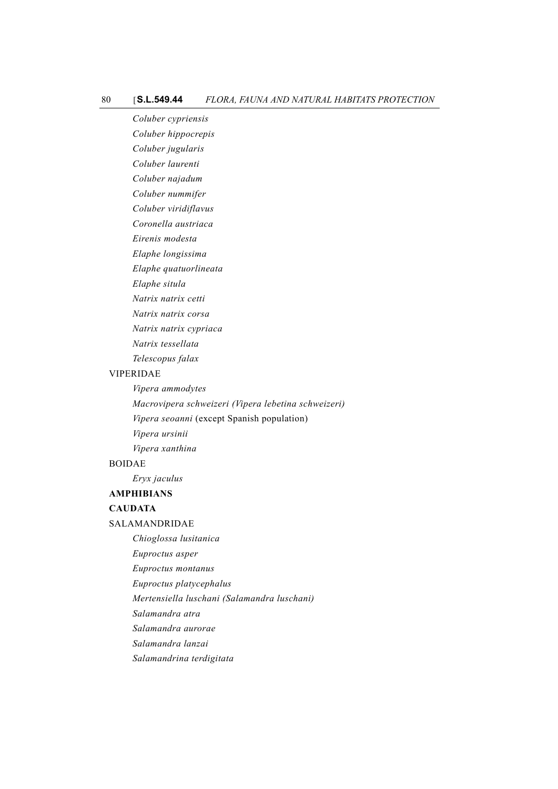*Coluber cypriensis Coluber hippocrepis Coluber jugularis Coluber laurenti Coluber najadum Coluber nummifer*

*Coluber viridiflavus*

*Coronella austriaca*

*Eirenis modesta*

*Elaphe longissima*

*Elaphe quatuorlineata*

*Elaphe situla*

*Natrix natrix cetti*

*Natrix natrix corsa*

*Natrix natrix cypriaca*

*Natrix tessellata*

*Telescopus falax*

#### VIPERIDAE

*Vipera ammodytes Macrovipera schweizeri (Vipera lebetina schweizeri) Vipera seoanni* (except Spanish population) *Vipera ursinii Vipera xanthina*

## BOIDAE

*Eryx jaculus*

#### **AMPHIBIANS**

## **CAUDATA**

SALAMANDRIDAE

*Chioglossa lusitanica*

*Euproctus asper*

*Euproctus montanus*

*Euproctus platycephalus*

*Mertensiella luschani (Salamandra luschani)*

*Salamandra atra*

*Salamandra aurorae*

*Salamandra lanzai*

*Salamandrina terdigitata*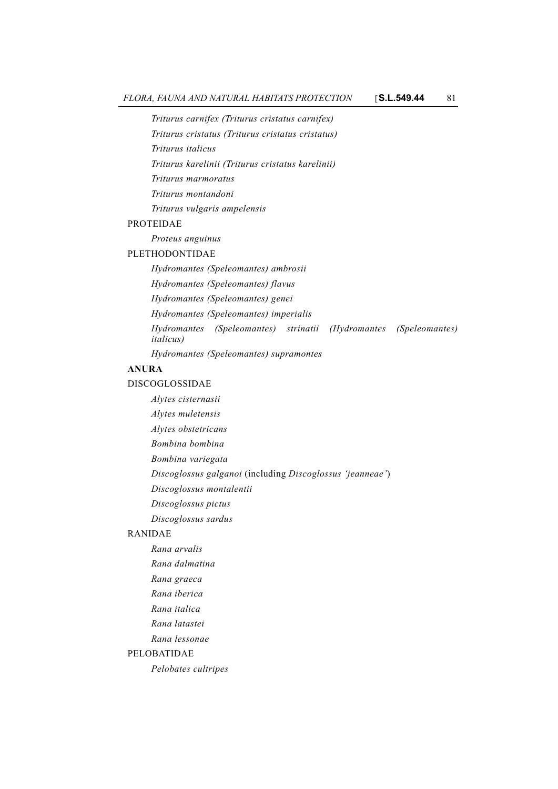*Triturus carnifex (Triturus cristatus carnifex)*

*Triturus cristatus (Triturus cristatus cristatus)*

*Triturus italicus*

*Triturus karelinii (Triturus cristatus karelinii)*

*Triturus marmoratus*

*Triturus montandoni*

*Triturus vulgaris ampelensis*

### PROTEIDAE

*Proteus anguinus*

## PLETHODONTIDAE

*Hydromantes (Speleomantes) ambrosii Hydromantes (Speleomantes) flavus Hydromantes (Speleomantes) genei Hydromantes (Speleomantes) imperialis Hydromantes (Speleomantes) strinatii (Hydromantes (Speleomantes) italicus)*

*Hydromantes (Speleomantes) supramontes*

# **ANURA**

## DISCOGLOSSIDAE

*Alytes cisternasii Alytes muletensis Alytes obstetricans Bombina bombina Bombina variegata Discoglossus galganoi* (including *Discoglossus 'jeanneae'*) *Discoglossus montalentii Discoglossus pictus Discoglossus sardus* RANIDAE *Rana arvalis Rana dalmatina*

*Rana graeca*

*Rana iberica*

*Rana italica*

*Rana latastei*

*Rana lessonae*

#### PELOBATIDAE

*Pelobates cultripes*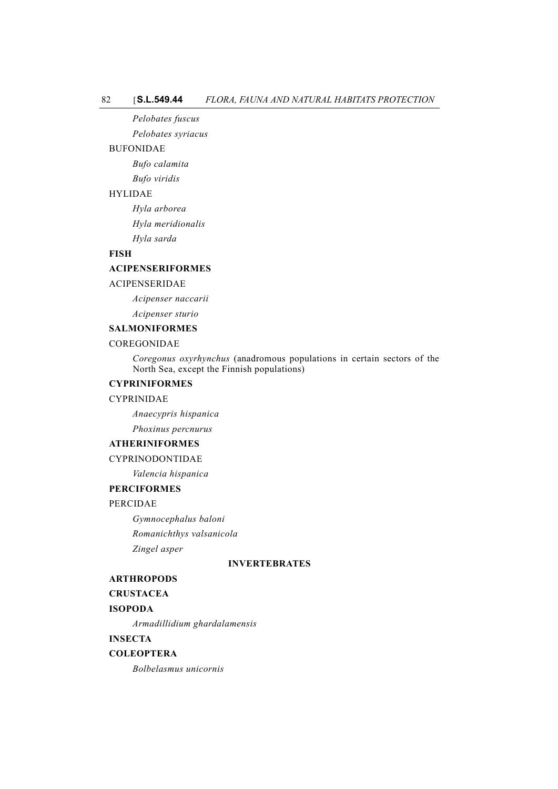*Pelobates fuscus*

*Pelobates syriacus*

### BUFONIDAE

*Bufo calamita*

*Bufo viridis*

# HYLIDAE

*Hyla arborea Hyla meridionalis Hyla sarda*

### **FISH**

### **ACIPENSERIFORMES**

#### ACIPENSERIDAE

*Acipenser naccarii*

*Acipenser sturio*

### **SALMONIFORMES**

## COREGONIDAE

*Coregonus oxyrhynchus* (anadromous populations in certain sectors of the North Sea, except the Finnish populations)

## **CYPRINIFORMES**

### CYPRINIDAE

*Anaecypris hispanica Phoxinus percnurus*

#### **ATHERINIFORMES**

CYPRINODONTIDAE

*Valencia hispanica*

## **PERCIFORMES**

#### PERCIDAE

*Gymnocephalus baloni Romanichthys valsanicola Zingel asper*

#### **INVERTEBRATES**

### **ARTHROPODS**

#### **CRUSTACEA**

#### **ISOPODA**

*Armadillidium ghardalamensis*

**INSECTA**

### **COLEOPTERA**

*Bolbelasmus unicornis*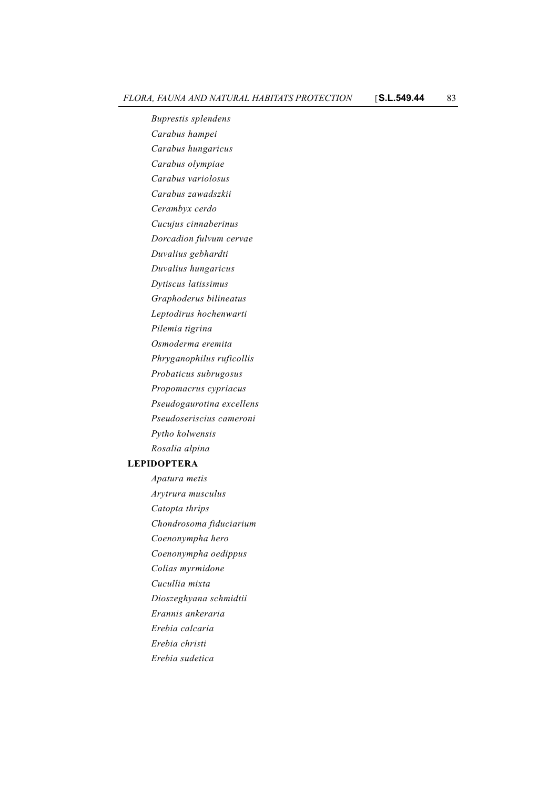*Buprestis splendens Carabus hampei Carabus hungaricus Carabus olympiae Carabus variolosus Carabus zawadszkii Cerambyx cerdo Cucujus cinnaberinus Dorcadion fulvum cervae Duvalius gebhardti Duvalius hungaricus Dytiscus latissimus Graphoderus bilineatus Leptodirus hochenwarti Pilemia tigrina Osmoderma eremita Phryganophilus ruficollis Probaticus subrugosus Propomacrus cypriacus Pseudogaurotina excellens Pseudoseriscius cameroni Pytho kolwensis Rosalia alpina* **LEPIDOPTERA** *Apatura metis Arytrura musculus Catopta thrips Chondrosoma fiduciarium Coenonympha hero Coenonympha oedippus Colias myrmidone Cucullia mixta*

*Dioszeghyana schmidtii*

- *Erannis ankeraria*
- *Erebia calcaria*
- *Erebia christi*
- *Erebia sudetica*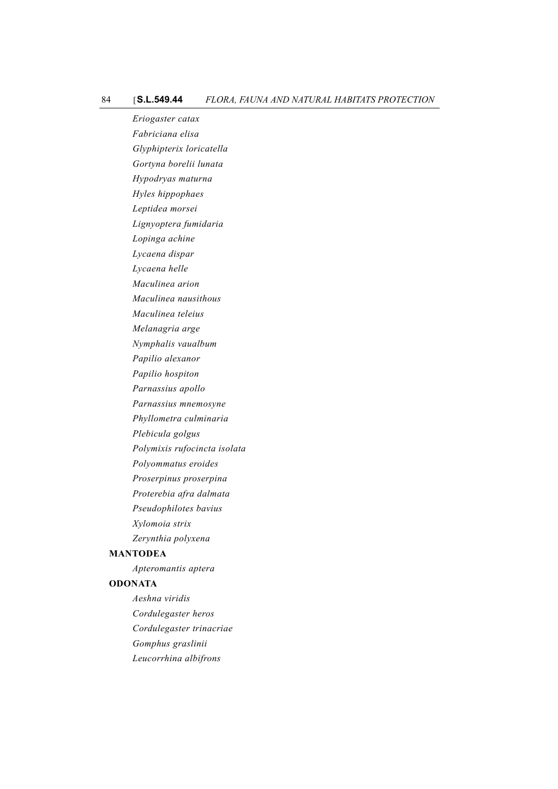*Eriogaster catax Fabriciana elisa Glyphipterix loricatella Gortyna borelii lunata Hypodryas maturna Hyles hippophaes Leptidea morsei Lignyoptera fumidaria Lopinga achine Lycaena dispar Lycaena helle Maculinea arion Maculinea nausithous Maculinea teleius Melanagria arge Nymphalis vaualbum Papilio alexanor Papilio hospiton Parnassius apollo Parnassius mnemosyne Phyllometra culminaria Plebicula golgus Polymixis rufocincta isolata Polyommatus eroides Proserpinus proserpina Proterebia afra dalmata Pseudophilotes bavius Xylomoia strix Zerynthia polyxena* **MANTODEA** *Apteromantis aptera* **ODONATA** *Aeshna viridis*

*Cordulegaster heros Cordulegaster trinacriae Gomphus graslinii Leucorrhina albifrons*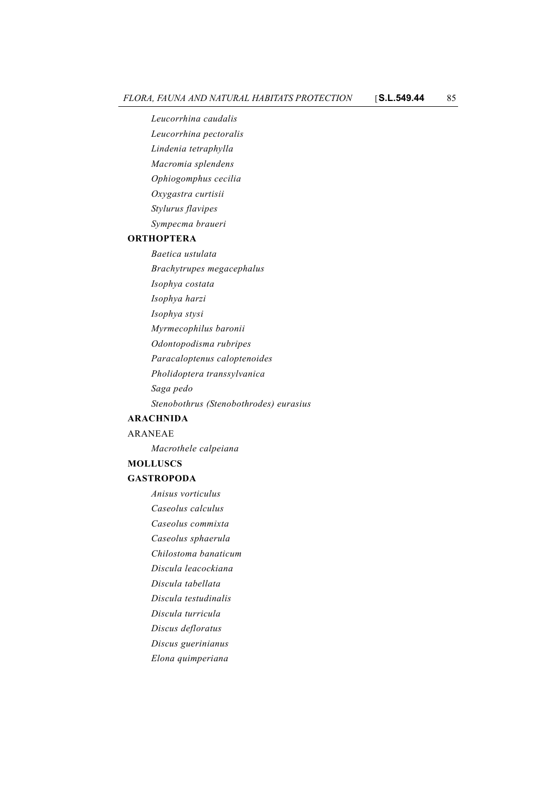*Leucorrhina caudalis*

*Leucorrhina pectoralis*

*Lindenia tetraphylla*

*Macromia splendens*

*Ophiogomphus cecilia*

*Oxygastra curtisii*

*Stylurus flavipes*

*Sympecma braueri*

### **ORTHOPTERA**

*Baetica ustulata*

*Brachytrupes megacephalus*

*Isophya costata*

*Isophya harzi*

*Isophya stysi*

*Myrmecophilus baronii*

*Odontopodisma rubripes*

*Paracaloptenus caloptenoides*

*Pholidoptera transsylvanica*

*Saga pedo*

*Stenobothrus (Stenobothrodes) eurasius*

### **ARACHNIDA**

ARANEAE

*Macrothele calpeiana*

#### **MOLLUSCS**

### **GASTROPODA**

*Anisus vorticulus Caseolus calculus*

*Caseolus commixta*

*Caseolus sphaerula*

*Chilostoma banaticum*

*Discula leacockiana*

*Discula tabellata*

*Discula testudinalis*

*Discula turricula*

*Discus defloratus*

*Discus guerinianus*

*Elona quimperiana*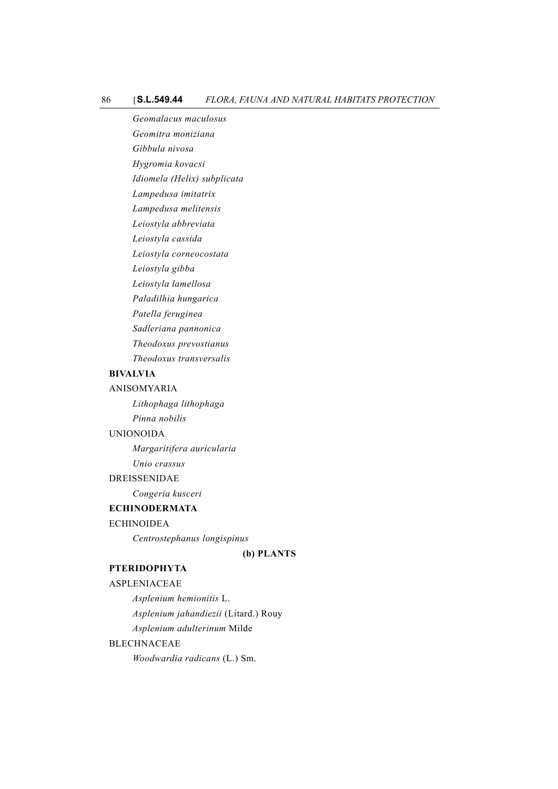*Geomalacus maculosus Geomitra moniziana Gibbula nivosa Hygromia kovacsi Idiomela (Helix) subplicata Lampedusa imitatrix Lampedusa melitensis Leiostyla abbreviata Leiostyla cassida Leiostyla corneocostata Leiostyla gibba Leiostyla lamellosa Paladilhia hungarica Patella feruginea Sadleriana pannonica Theodoxus prevostianus Theodoxus transversalis*

#### **BIVALVIA**

### ANISOMYARIA

*Lithophaga lithophaga Pinna nobilis*

#### UNIONOIDA

*Margaritifera auricularia*

*Unio crassus*

### DREISSENIDAE

*Congeria kusceri*

# **ECHINODERMATA**

### ECHINOIDEA

*Centrostephanus longispinus*

#### **(b) PLANTS**

## **PTERIDOPHYTA**

#### ASPLENIACEAE

*Asplenium hemionitis* L. *Asplenium jahandiezii* (Litard.) Rouy *Asplenium adulterinum* Milde

# BLECHNACEAE

*Woodwardia radicans* (L.) Sm.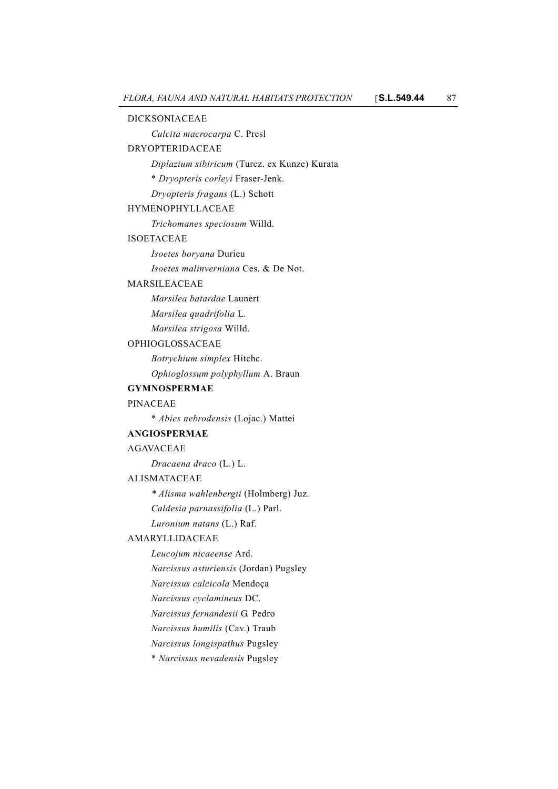#### DICKSONIACEAE

*Culcita macrocarpa* C. Presl

## DRYOPTERIDACEAE

*Diplazium sibiricum* (Turcz. ex Kunze) Kurata

\* *Dryopteris corleyi* Fraser-Jenk.

*Dryopteris fragans* (L.) Schott

#### HYMENOPHYLLACEAE

*Trichomanes speciosum* Willd.

#### ISOETACEAE

*Isoetes boryana* Durieu

*Isoetes malinverniana* Ces. & De Not.

## MARSILEACEAE

*Marsilea batardae* Launert

*Marsilea quadrifolia* L.

*Marsilea strigosa* Willd.

## OPHIOGLOSSACEAE

*Botrychium simplex* Hitchc. *Ophioglossum polyphyllum* A. Braun

#### **GYMNOSPERMAE**

#### PINACEAE

\* *Abies nebrodensis* (Lojac.) Mattei

#### **ANGIOSPERMAE**

#### AGAVACEAE

*Dracaena draco* (L.) L.

### ALISMATACEAE

*\* Alisma wahlenbergii* (Holmberg) Juz.

*Caldesia parnassifolia* (L.) Parl.

*Luronium natans* (L.) Raf.

#### AMARYLLIDACEAE

*Leucojum nicaeense* Ard.

*Narcissus asturiensis* (Jordan) Pugsley

*Narcissus calcicola* Mendoça

*Narcissus cyclamineus* DC.

*Narcissus fernandesii* G. Pedro

*Narcissus humilis* (Cav.) Traub

*Narcissus longispathus* Pugsley

\* *Narcissus nevadensis* Pugsley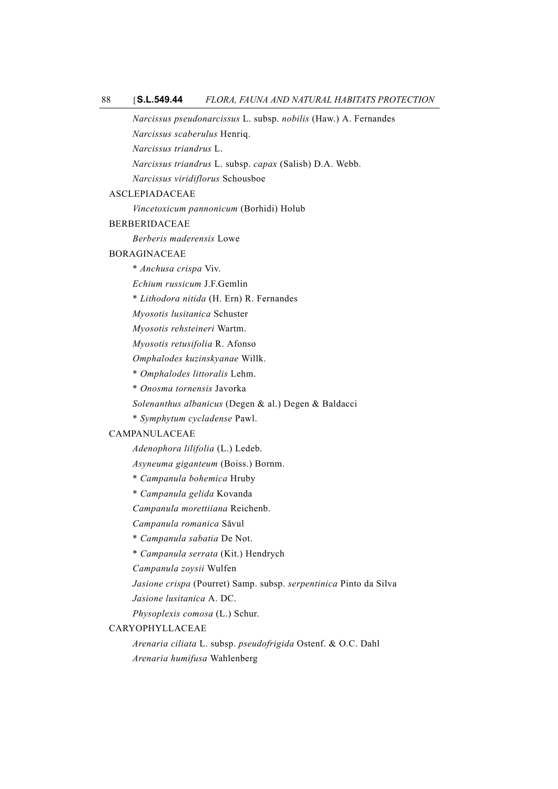#### 88 [**S.L.549.44** *FLORA, FAUNA AND NATURAL HABITATS PROTECTION*

*Narcissus pseudonarcissus* L. subsp. *nobilis* (Haw.) A. Fernandes *Narcissus scaberulus* Henriq. *Narcissus triandrus* L. *Narcissus triandrus* L. subsp. *capax* (Salisb) D.A. Webb. *Narcissus viridiflorus* Schousboe ASCLEPIADACEAE *Vincetoxicum pannonicum* (Borhidi) Holub BERBERIDACEAE *Berberis maderensis* Lowe BORAGINACEAE \* *Anchusa crispa* Viv. *Echium russicum* J.F.Gemlin \* *Lithodora nitida* (H. Ern) R. Fernandes *Myosotis lusitanica* Schuster *Myosotis rehsteineri* Wartm. *Myosotis retusifolia* R. Afonso *Omphalodes kuzinskyanae* Willk. \* *Omphalodes littoralis* Lehm. \* *Onosma tornensis* Javorka *Solenanthus albanicus* (Degen & al.) Degen & Baldacci \* *Symphytum cycladense* Pawl.

## CAMPANULACEAE

*Adenophora lilifolia* (L.) Ledeb.

*Asyneuma giganteum* (Boiss.) Bornm.

- \* *Campanula bohemica* Hruby
- \* *Campanula gelida* Kovanda

*Campanula morettiiana* Reichenb.

# *Campanula romanica* Săvul

\* *Campanula sabatia* De Not.

\* *Campanula serrata* (Kit.) Hendrych

*Campanula zoysii* Wulfen

*Jasione crispa* (Pourret) Samp. subsp. *serpentinica* Pinto da Silva

*Jasione lusitanica* A. DC.

*Physoplexis comosa* (L.) Schur.

## CARYOPHYLLACEAE

*Arenaria ciliata* L. subsp. *pseudofrigida* Ostenf. & O.C. Dahl *Arenaria humifusa* Wahlenberg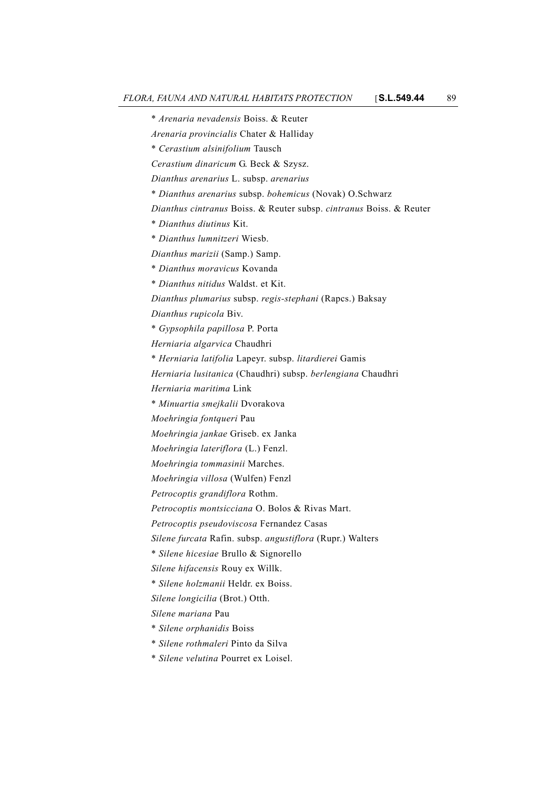\* *Arenaria nevadensis* Boiss. & Reuter *Arenaria provincialis* Chater & Halliday \* *Cerastium alsinifolium* Tausch *Cerastium dinaricum* G. Beck & Szysz. *Dianthus arenarius* L. subsp. *arenarius* \* *Dianthus arenarius* subsp. *bohemicus* (Novak) O.Schwarz *Dianthus cintranus* Boiss. & Reuter subsp. *cintranus* Boiss. & Reuter \* *Dianthus diutinus* Kit. \* *Dianthus lumnitzeri* Wiesb. *Dianthus marizii* (Samp.) Samp. \* *Dianthus moravicus* Kovanda \* *Dianthus nitidus* Waldst. et Kit. *Dianthus plumarius* subsp. *regis-stephani* (Rapcs.) Baksay *Dianthus rupicola* Biv. \* *Gypsophila papillosa* P. Porta *Herniaria algarvica* Chaudhri \* *Herniaria latifolia* Lapeyr. subsp. *litardierei* Gamis *Herniaria lusitanica* (Chaudhri) subsp. *berlengiana* Chaudhri *Herniaria maritima* Link \* *Minuartia smejkalii* Dvorakova *Moehringia fontqueri* Pau *Moehringia jankae* Griseb. ex Janka *Moehringia lateriflora* (L.) Fenzl. *Moehringia tommasinii* Marches. *Moehringia villosa* (Wulfen) Fenzl *Petrocoptis grandiflora* Rothm. *Petrocoptis montsicciana* O. Bolos & Rivas Mart. *Petrocoptis pseudoviscosa* Fernandez Casas *Silene furcata* Rafin. subsp. *angustiflora* (Rupr.) Walters \* *Silene hicesiae* Brullo & Signorello *Silene hifacensis* Rouy ex Willk. \* *Silene holzmanii* Heldr. ex Boiss. *Silene longicilia* (Brot.) Otth. *Silene mariana* Pau \* *Silene orphanidis* Boiss \* *Silene rothmaleri* Pinto da Silva \* *Silene velutina* Pourret ex Loisel.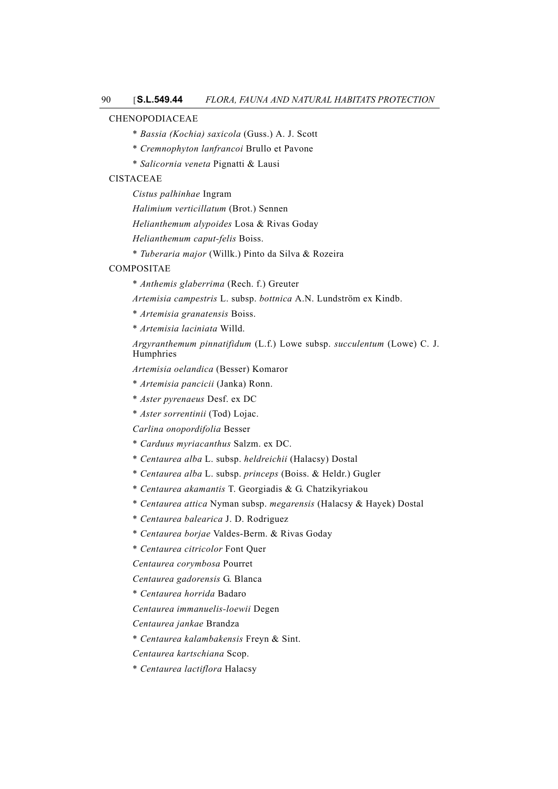### CHENOPODIACEAE

- \* *Bassia (Kochia) saxicola* (Guss.) A. J. Scott
- \* *Cremnophyton lanfrancoi* Brullo et Pavone
- \* *Salicornia veneta* Pignatti & Lausi

## CISTACEAE

- *Cistus palhinhae* Ingram
- *Halimium verticillatum* (Brot.) Sennen
- *Helianthemum alypoides* Losa & Rivas Goday

*Helianthemum caput-felis* Boiss.

\* *Tuberaria major* (Willk.) Pinto da Silva & Rozeira

#### COMPOSITAE

\* *Anthemis glaberrima* (Rech. f.) Greuter

*Artemisia campestris* L. subsp. *bottnica* A.N. Lundström ex Kindb.

- \* *Artemisia granatensis* Boiss.
- \* *Artemisia laciniata* Willd.

*Argyranthemum pinnatifidum* (L.f.) Lowe subsp. *succulentum* (Lowe) C. J. Humphries

*Artemisia oelandica* (Besser) Komaror

- \* *Artemisia pancicii* (Janka) Ronn.
- \* *Aster pyrenaeus* Desf. ex DC
- \* *Aster sorrentinii* (Tod) Lojac.

*Carlina onopordifolia* Besser

- \* *Carduus myriacanthus* Salzm. ex DC.
- \* *Centaurea alba* L. subsp. *heldreichii* (Halacsy) Dostal
- \* *Centaurea alba* L. subsp. *princeps* (Boiss. & Heldr.) Gugler
- \* *Centaurea akamantis* T. Georgiadis & G. Chatzikyriakou
- \* *Centaurea attica* Nyman subsp. *megarensis* (Halacsy & Hayek) Dostal
- \* *Centaurea balearica* J. D. Rodriguez
- \* *Centaurea borjae* Valdes-Berm. & Rivas Goday
- \* *Centaurea citricolor* Font Quer

*Centaurea corymbosa* Pourret

*Centaurea gadorensis* G. Blanca

- \* *Centaurea horrida* Badaro
- *Centaurea immanuelis-loewii* Degen

*Centaurea jankae* Brandza

- \* *Centaurea kalambakensis* Freyn & Sint.
- *Centaurea kartschiana* Scop.
- \* *Centaurea lactiflora* Halacsy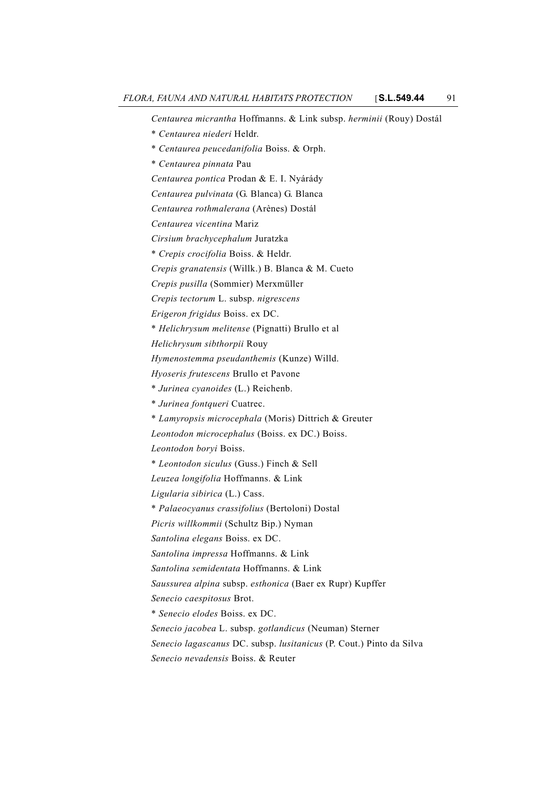*Centaurea micrantha* Hoffmanns. & Link subsp. *herminii* (Rouy) Dostál

- \* *Centaurea niederi* Heldr.
- \* *Centaurea peucedanifolia* Boiss. & Orph.
- \* *Centaurea pinnata* Pau
- *Centaurea pontica* Prodan & E. I. Nyárády
- *Centaurea pulvinata* (G. Blanca) G. Blanca
- *Centaurea rothmalerana* (Arènes) Dostál
- *Centaurea vicentina* Mariz
- *Cirsium brachycephalum* Juratzka
- \* *Crepis crocifolia* Boiss. & Heldr.
- *Crepis granatensis* (Willk.) B. Blanca & M. Cueto
- *Crepis pusilla* (Sommier) Merxmüller
- *Crepis tectorum* L. subsp. *nigrescens*
- *Erigeron frigidus* Boiss. ex DC.
- \* *Helichrysum melitense* (Pignatti) Brullo et al
- *Helichrysum sibthorpii* Rouy
- *Hymenostemma pseudanthemis* (Kunze) Willd.
- *Hyoseris frutescens* Brullo et Pavone
- \* *Jurinea cyanoides* (L.) Reichenb.
- \* *Jurinea fontqueri* Cuatrec.
- \* *Lamyropsis microcephala* (Moris) Dittrich & Greuter
- *Leontodon microcephalus* (Boiss. ex DC.) Boiss.
- *Leontodon boryi* Boiss.
- \* *Leontodon siculus* (Guss.) Finch & Sell
- *Leuzea longifolia* Hoffmanns. & Link
- *Ligularia sibirica* (L.) Cass.
- \* *Palaeocyanus crassifolius* (Bertoloni) Dostal
- *Picris willkommii* (Schultz Bip.) Nyman
- *Santolina elegans* Boiss. ex DC.
- *Santolina impressa* Hoffmanns. & Link
- *Santolina semidentata* Hoffmanns. & Link
- *Saussurea alpina* subsp. *esthonica* (Baer ex Rupr) Kupffer
- *Senecio caespitosus* Brot.
- \* *Senecio elodes* Boiss. ex DC.
- *Senecio jacobea* L. subsp. *gotlandicus* (Neuman) Sterner
- *Senecio lagascanus* DC. subsp. *lusitanicus* (P. Cout.) Pinto da Silva
- *Senecio nevadensis* Boiss. & Reuter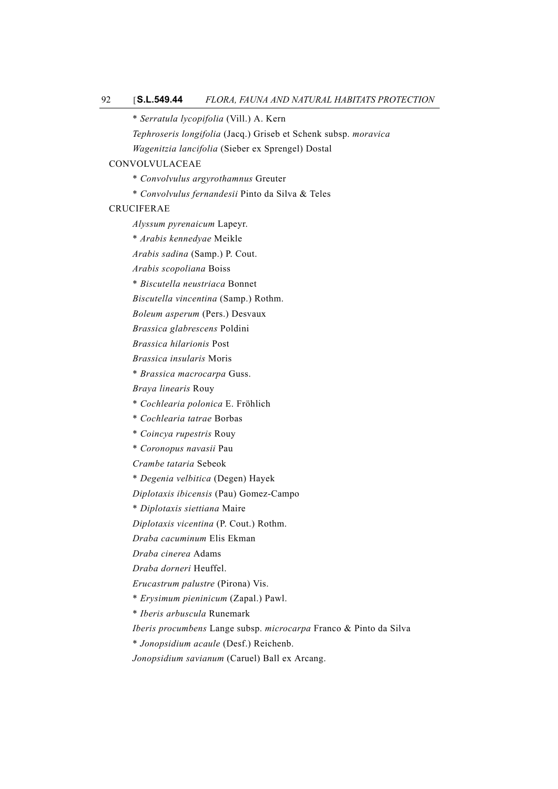\* *Serratula lycopifolia* (Vill.) A. Kern

*Tephroseris longifolia* (Jacq.) Griseb et Schenk subsp. *moravica*

*Wagenitzia lancifolia* (Sieber ex Sprengel) Dostal

#### CONVOLVULACEAE

- \* *Convolvulus argyrothamnus* Greuter
- \* *Convolvulus fernandesii* Pinto da Silva & Teles

### CRUCIFERAE

*Alyssum pyrenaicum* Lapeyr.

- \* *Arabis kennedyae* Meikle
- *Arabis sadina* (Samp.) P. Cout.

*Arabis scopoliana* Boiss

\* *Biscutella neustriaca* Bonnet

*Biscutella vincentina* (Samp.) Rothm.

*Boleum asperum* (Pers.) Desvaux

*Brassica glabrescens* Poldini

*Brassica hilarionis* Post

*Brassica insularis* Moris

\* *Brassica macrocarpa* Guss.

*Braya linearis* Rouy

\* *Cochlearia polonica* E. Fröhlich

\* *Cochlearia tatrae* Borbas

\* *Coincya rupestris* Rouy

\* *Coronopus navasii* Pau

*Crambe tataria* Sebeok

\* *Degenia velbitica* (Degen) Hayek

*Diplotaxis ibicensis* (Pau) Gomez-Campo

\* *Diplotaxis siettiana* Maire

*Diplotaxis vicentina* (P. Cout.) Rothm.

*Draba cacuminum* Elis Ekman

*Draba cinerea* Adams

*Draba dorneri* Heuffel.

*Erucastrum palustre* (Pirona) Vis.

\* *Erysimum pieninicum* (Zapal.) Pawl.

\* *Iberis arbuscula* Runemark

*Iberis procumbens* Lange subsp. *microcarpa* Franco & Pinto da Silva

\* *Jonopsidium acaule* (Desf.) Reichenb.

*Jonopsidium savianum* (Caruel) Ball ex Arcang.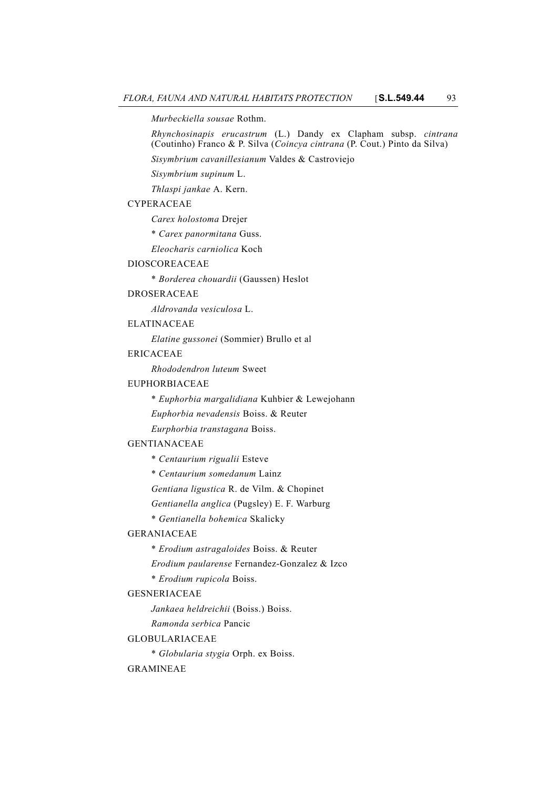*Murbeckiella sousae* Rothm.

*Rhynchosinapis erucastrum* (L.) Dandy ex Clapham subsp. *cintrana* (Coutinho) Franco & P. Silva (*Coincya cintrana* (P. Cout.) Pinto da Silva)

*Sisymbrium cavanillesianum* Valdes & Castroviejo

*Sisymbrium supinum* L.

*Thlaspi jankae* A. Kern.

#### CYPERACEAE

*Carex holostoma* Drejer

\* *Carex panormitana* Guss.

*Eleocharis carniolica* Koch

### DIOSCOREACEAE

\* *Borderea chouardii* (Gaussen) Heslot

#### DROSERACEAE

*Aldrovanda vesiculosa* L.

## ELATINACEAE

*Elatine gussonei* (Sommier) Brullo et al

## ERICACEAE

*Rhododendron luteum* Sweet

#### EUPHORBIACEAE

\* *Euphorbia margalidiana* Kuhbier & Lewejohann

*Euphorbia nevadensis* Boiss. & Reuter

*Eurphorbia transtagana* Boiss.

### GENTIANACEAE

\* *Centaurium rigualii* Esteve

\* *Centaurium somedanum* Lainz

*Gentiana ligustica* R. de Vilm. & Chopinet

*Gentianella anglica* (Pugsley) E. F. Warburg

\* *Gentianella bohemica* Skalicky

#### GERANIACEAE

- \* *Erodium astragaloides* Boiss. & Reuter
- *Erodium paularense* Fernandez-Gonzalez & Izco
- \* *Erodium rupicola* Boiss.

#### GESNERIACEAE

*Jankaea heldreichii* (Boiss.) Boiss.

*Ramonda serbica* Pancic

#### GLOBULARIACEAE

\* *Globularia stygia* Orph. ex Boiss.

#### GRAMINEAE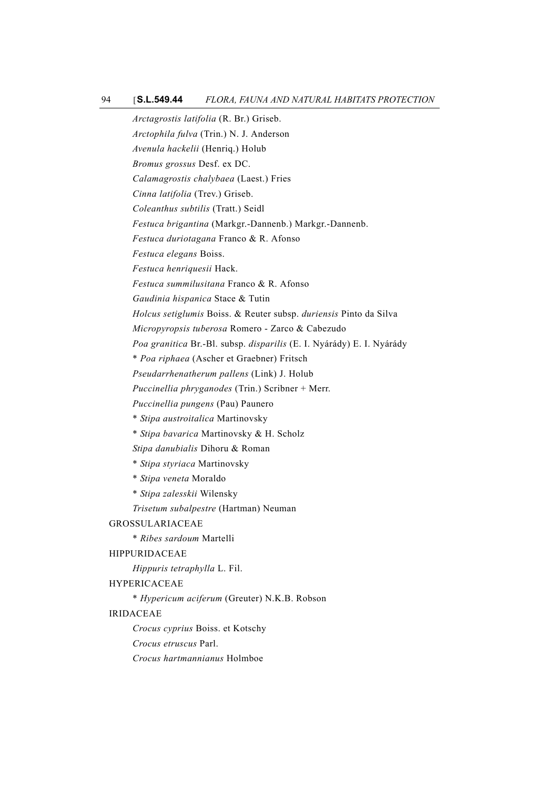*Arctagrostis latifolia* (R. Br.) Griseb.

*Arctophila fulva* (Trin.) N. J. Anderson

*Avenula hackelii* (Henriq.) Holub

*Bromus grossus* Desf. ex DC.

*Calamagrostis chalybaea* (Laest.) Fries

*Cinna latifolia* (Trev.) Griseb.

*Coleanthus subtilis* (Tratt.) Seidl

*Festuca brigantina* (Markgr.-Dannenb.) Markgr.-Dannenb.

*Festuca duriotagana* Franco & R. Afonso

*Festuca elegans* Boiss.

*Festuca henriquesii* Hack.

*Festuca summilusitana* Franco & R. Afonso

*Gaudinia hispanica* Stace & Tutin

*Holcus setiglumis* Boiss. & Reuter subsp. *duriensis* Pinto da Silva

*Micropyropsis tuberosa* Romero - Zarco & Cabezudo

*Poa granitica* Br.-Bl. subsp. *disparilis* (E. I. Nyárády) E. I. Nyárády

\* *Poa riphaea* (Ascher et Graebner) Fritsch

*Pseudarrhenatherum pallens* (Link) J. Holub

*Puccinellia phryganodes* (Trin.) Scribner + Merr.

*Puccinellia pungens* (Pau) Paunero

- \* *Stipa austroitalica* Martinovsky
- \* *Stipa bavarica* Martinovsky & H. Scholz

*Stipa danubialis* Dihoru & Roman

\* *Stipa styriaca* Martinovsky

- \* *Stipa veneta* Moraldo
- \* *Stipa zalesskii* Wilensky

*Trisetum subalpestre* (Hartman) Neuman

GROSSULARIACEAE

\* *Ribes sardoum* Martelli

### HIPPURIDACEAE

*Hippuris tetraphylla* L. Fil.

### HYPERICACEAE

\* *Hypericum aciferum* (Greuter) N.K.B. Robson

### IRIDACEAE

*Crocus cyprius* Boiss. et Kotschy

*Crocus etruscus* Parl.

*Crocus hartmannianus* Holmboe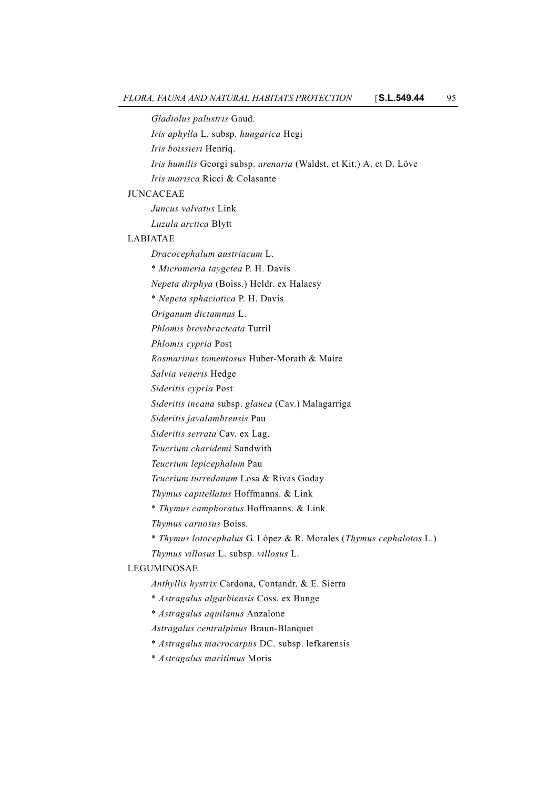*Gladiolus palustris* Gaud.

*Iris aphylla* L. subsp. *hungarica* Hegi

*Iris boissieri* Henriq.

*Iris humilis* Georgi subsp. *arenaria* (Waldst. et Kit.) A. et D. Löve

*Iris marisca* Ricci & Colasante

### JUNCACEAE

*Juncus valvatus* Link

*Luzula arctica* Blytt

#### LABIATAE

*Dracocephalum austriacum* L.

\* *Micromeria taygetea* P. H. Davis

*Nepeta dirphya* (Boiss.) Heldr. ex Halacsy

\* *Nepeta sphaciotica* P. H. Davis

*Origanum dictamnus* L.

*Phlomis brevibracteata* Turril

*Phlomis cypria* Post

*Rosmarinus tomentosus* Huber-Morath & Maire

*Salvia veneris* Hedge

*Sideritis cypria* Post

*Sideritis incana* subsp. *glauca* (Cav.) Malagarriga

*Sideritis javalambrensis* Pau

*Sideritis serrata* Cav. ex Lag.

*Teucrium charidemi* Sandwith

*Teucrium lepicephalum* Pau

*Teucrium turredanum* Losa & Rivas Goday

*Thymus capitellatus* Hoffmanns. & Link

\* *Thymus camphoratus* Hoffmanns. & Link

*Thymus carnosus* Boiss.

\* *Thymus lotocephalus* G. López & R. Morales (*Thymus cephalotos* L.)

*Thymus villosus* L. subsp. *villosus* L.

## LEGUMINOSAE

*Anthyllis hystrix* Cardona, Contandr. & E. Sierra

\* *Astragalus algarbiensis* Coss. ex Bunge

\* *Astragalus aquilanus* Anzalone

*Astragalus centralpinus* Braun-Blanquet

\* *Astragalus macrocarpus* DC. subsp. lefkarensis

\* *Astragalus maritimus* Moris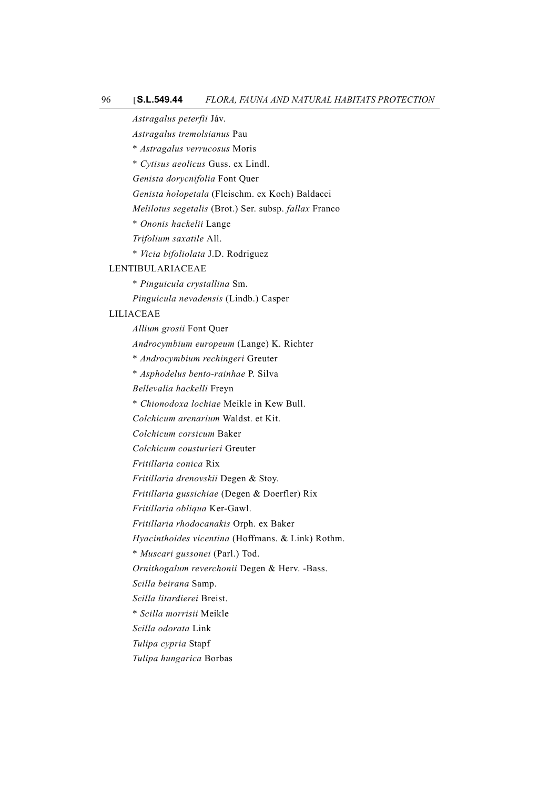*Astragalus peterfii* Jáv.

*Astragalus tremolsianus* Pau

\* *Astragalus verrucosus* Moris

\* *Cytisus aeolicus* Guss. ex Lindl.

*Genista dorycnifolia* Font Quer

*Genista holopetala* (Fleischm. ex Koch) Baldacci

*Melilotus segetalis* (Brot.) Ser. subsp. *fallax* Franco

\* *Ononis hackelii* Lange

*Trifolium saxatile* All.

\* *Vicia bifoliolata* J.D. Rodriguez

#### LENTIBULARIACEAE

\* *Pinguicula crystallina* Sm.

*Pinguicula nevadensis* (Lindb.) Casper

### LILIACEAE

*Allium grosii* Font Quer

*Androcymbium europeum* (Lange) K. Richter

\* *Androcymbium rechingeri* Greuter

\* *Asphodelus bento-rainhae* P. Silva

*Bellevalia hackelli* Freyn

\* *Chionodoxa lochiae* Meikle in Kew Bull.

*Colchicum arenarium* Waldst. et Kit.

*Colchicum corsicum* Baker

*Colchicum cousturieri* Greuter

*Fritillaria conica* Rix

*Fritillaria drenovskii* Degen & Stoy.

*Fritillaria gussichiae* (Degen & Doerfler) Rix

*Fritillaria obliqua* Ker-Gawl.

*Fritillaria rhodocanakis* Orph. ex Baker

*Hyacinthoides vicentina* (Hoffmans. & Link) Rothm.

\* *Muscari gussonei* (Parl.) Tod.

*Ornithogalum reverchonii* Degen & Herv. -Bass.

*Scilla beirana* Samp.

*Scilla litardierei* Breist.

\* *Scilla morrisii* Meikle

*Scilla odorata* Link

*Tulipa cypria* Stapf

*Tulipa hungarica* Borbas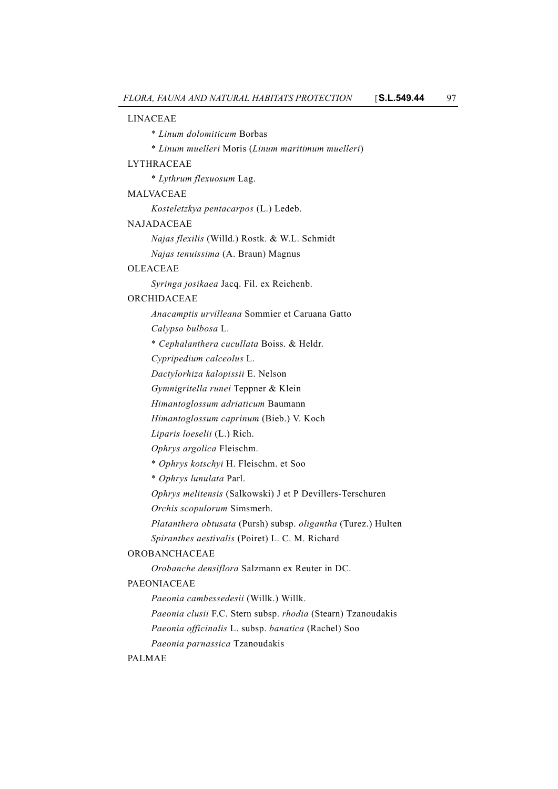#### LINACEAE

- \* *Linum dolomiticum* Borbas
- \* *Linum muelleri* Moris (*Linum maritimum muelleri*)

### LYTHRACEAE

\* *Lythrum flexuosum* Lag.

MALVACEAE

*Kosteletzkya pentacarpos* (L.) Ledeb.

#### NAJADACEAE

*Najas flexilis* (Willd.) Rostk. & W.L. Schmidt *Najas tenuissima* (A. Braun) Magnus

### OLEACEAE

*Syringa josikaea* Jacq. Fil. ex Reichenb.

#### ORCHIDACEAE

*Anacamptis urvilleana* Sommier et Caruana Gatto

*Calypso bulbosa* L.

\* *Cephalanthera cucullata* Boiss. & Heldr.

*Cypripedium calceolus* L.

*Dactylorhiza kalopissii* E. Nelson

*Gymnigritella runei* Teppner & Klein

*Himantoglossum adriaticum* Baumann

*Himantoglossum caprinum* (Bieb.) V. Koch

*Liparis loeselii* (L.) Rich.

*Ophrys argolica* Fleischm.

\* *Ophrys kotschyi* H. Fleischm. et Soo

\* *Ophrys lunulata* Parl.

*Ophrys melitensis* (Salkowski) J et P Devillers-Terschuren

*Orchis scopulorum* Simsmerh.

*Platanthera obtusata* (Pursh) subsp. *oligantha* (Turez.) Hulten

*Spiranthes aestivalis* (Poiret) L. C. M. Richard

### OROBANCHACEAE

*Orobanche densiflora* Salzmann ex Reuter in DC.

## PAEONIACEAE

*Paeonia cambessedesii* (Willk.) Willk.

*Paeonia clusii* F.C. Stern subsp. *rhodia* (Stearn) Tzanoudakis *Paeonia officinalis* L. subsp. *banatica* (Rachel) Soo

*Paeonia parnassica* Tzanoudakis

### PALMAE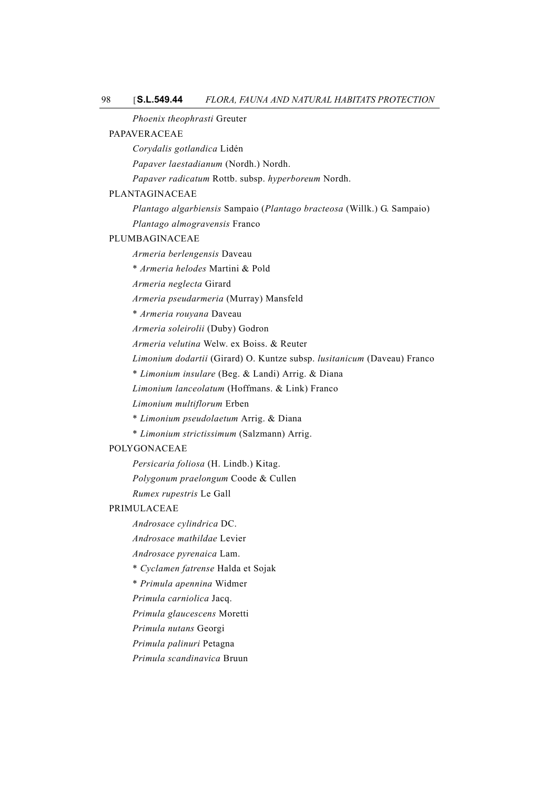*Phoenix theophrasti* Greuter

### PAPAVERACEAE

*Corydalis gotlandica* Lidén

*Papaver laestadianum* (Nordh.) Nordh.

*Papaver radicatum* Rottb. subsp. *hyperboreum* Nordh.

#### PLANTAGINACEAE

*Plantago algarbiensis* Sampaio (*Plantago bracteosa* (Willk.) G. Sampaio)

*Plantago almogravensis* Franco

#### PLUMBAGINACEAE

*Armeria berlengensis* Daveau

\* *Armeria helodes* Martini & Pold

*Armeria neglecta* Girard

*Armeria pseudarmeria* (Murray) Mansfeld

\* *Armeria rouyana* Daveau

*Armeria soleirolii* (Duby) Godron

*Armeria velutina* Welw. ex Boiss. & Reuter

*Limonium dodartii* (Girard) O. Kuntze subsp. *lusitanicum* (Daveau) Franco

\* *Limonium insulare* (Beg. & Landi) Arrig. & Diana

*Limonium lanceolatum* (Hoffmans. & Link) Franco

*Limonium multiflorum* Erben

- \* *Limonium pseudolaetum* Arrig. & Diana
- \* *Limonium strictissimum* (Salzmann) Arrig.

### POLYGONACEAE

*Persicaria foliosa* (H. Lindb.) Kitag.

*Polygonum praelongum* Coode & Cullen

*Rumex rupestris* Le Gall

## PRIMULACEAE

*Androsace cylindrica* DC.

*Androsace mathildae* Levier

*Androsace pyrenaica* Lam.

\* *Cyclamen fatrense* Halda et Sojak

\* *Primula apennina* Widmer

*Primula carniolica* Jacq.

*Primula glaucescens* Moretti

*Primula nutans* Georgi

*Primula palinuri* Petagna

*Primula scandinavica* Bruun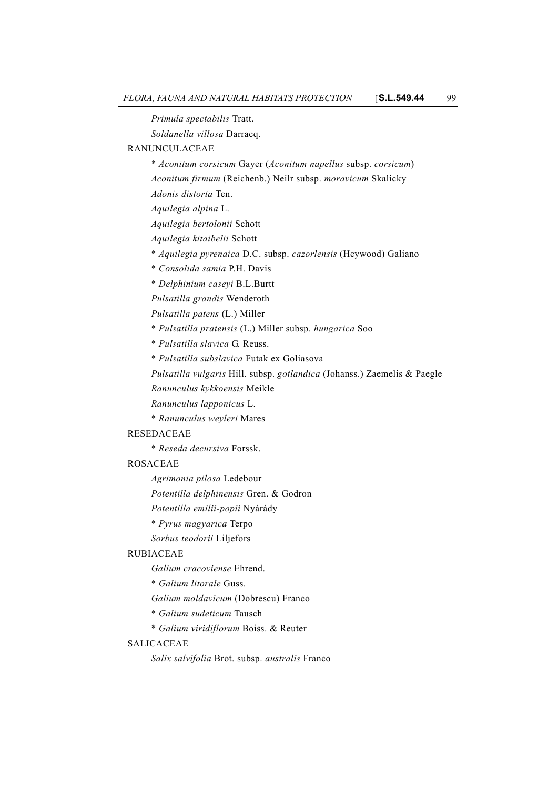*Primula spectabilis* Tratt. *Soldanella villosa* Darracq. RANUNCULACEAE \* *Aconitum corsicum* Gayer (*Aconitum napellus* subsp. *corsicum*) *Aconitum firmum* (Reichenb.) Neilr subsp. *moravicum* Skalicky *Adonis distorta* Ten. *Aquilegia alpina* L. *Aquilegia bertolonii* Schott *Aquilegia kitaibelii* Schott \* *Aquilegia pyrenaica* D.C. subsp. *cazorlensis* (Heywood) Galiano \* *Consolida samia* P.H. Davis \* *Delphinium caseyi* B.L.Burtt *Pulsatilla grandis* Wenderoth *Pulsatilla patens* (L.) Miller \* *Pulsatilla pratensis* (L.) Miller subsp. *hungarica* Soo \* *Pulsatilla slavica* G. Reuss. \* *Pulsatilla subslavica* Futak ex Goliasova *Pulsatilla vulgaris* Hill. subsp. *gotlandica* (Johanss.) Zaemelis & Paegle *Ranunculus kykkoensis* Meikle *Ranunculus lapponicus* L. \* *Ranunculus weyleri* Mares RESEDACEAE \* *Reseda decursiva* Forssk. ROSACEAE *Agrimonia pilosa* Ledebour *Potentilla delphinensis* Gren. & Godron *Potentilla emilii-popii* Nyárády \* *Pyrus magyarica* Terpo *Sorbus teodorii* Liljefors RUBIACEAE *Galium cracoviense* Ehrend. \* *Galium litorale* Guss. *Galium moldavicum* (Dobrescu) Franco \* *Galium sudeticum* Tausch \* *Galium viridiflorum* Boiss. & Reuter SALICACEAE *Salix salvifolia* Brot. subsp. *australis* Franco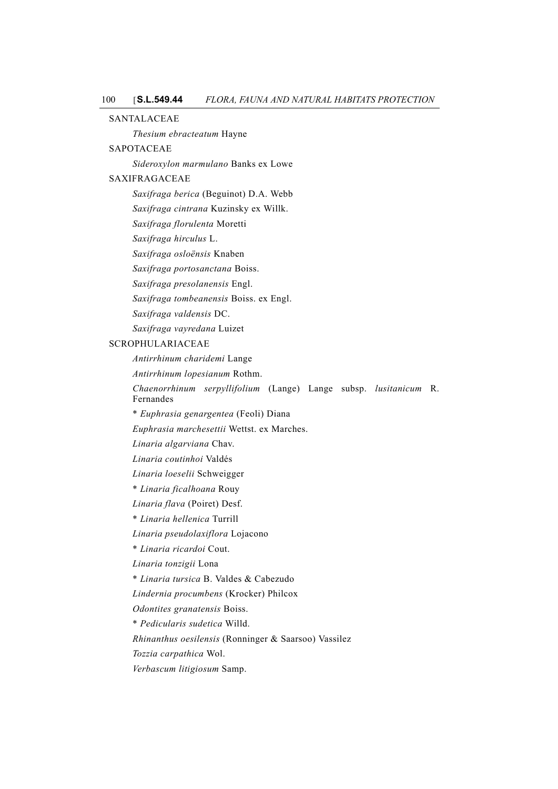SANTALACEAE

*Thesium ebracteatum* Hayne

## SAPOTACEAE

*Sideroxylon marmulano* Banks ex Lowe

## SAXIFRAGACEAE

*Saxifraga berica* (Beguinot) D.A. Webb

*Saxifraga cintrana* Kuzinsky ex Willk.

*Saxifraga florulenta* Moretti

*Saxifraga hirculus* L.

*Saxifraga osloënsis* Knaben

*Saxifraga portosanctana* Boiss.

*Saxifraga presolanensis* Engl.

*Saxifraga tombeanensis* Boiss. ex Engl.

*Saxifraga valdensis* DC.

*Saxifraga vayredana* Luizet

## SCROPHULARIACEAE

*Antirrhinum charidemi* Lange

*Antirrhinum lopesianum* Rothm.

*Chaenorrhinum serpyllifolium* (Lange) Lange subsp. *lusitanicum* R. Fernandes

\* *Euphrasia genargentea* (Feoli) Diana

*Euphrasia marchesettii* Wettst. ex Marches.

*Linaria algarviana* Chav.

*Linaria coutinhoi* Valdés

*Linaria loeselii* Schweigger

\* *Linaria ficalhoana* Rouy

*Linaria flava* (Poiret) Desf.

\* *Linaria hellenica* Turrill

*Linaria pseudolaxiflora* Lojacono

\* *Linaria ricardoi* Cout.

*Linaria tonzigii* Lona

\* *Linaria tursica* B. Valdes & Cabezudo

*Lindernia procumbens* (Krocker) Philcox

*Odontites granatensis* Boiss.

\* *Pedicularis sudetica* Willd.

*Rhinanthus oesilensis* (Ronninger & Saarsoo) Vassilez

*Tozzia carpathica* Wol.

*Verbascum litigiosum* Samp.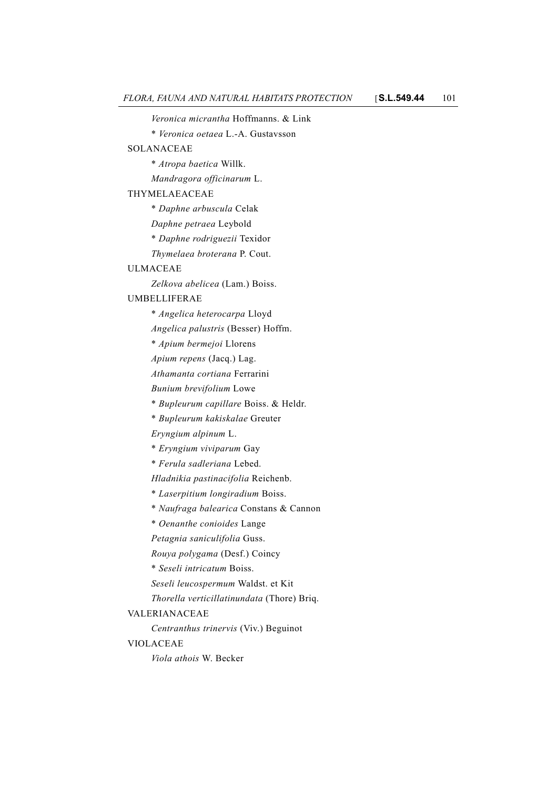*Veronica micrantha* Hoffmanns. & Link

\* *Veronica oetaea* L.-A. Gustavsson

### SOLANACEAE

\* *Atropa baetica* Willk.

*Mandragora officinarum* L.

### THYMELAEACEAE

\* *Daphne arbuscula* Celak

*Daphne petraea* Leybold

\* *Daphne rodriguezii* Texidor

*Thymelaea broterana* P. Cout.

#### ULMACEAE

*Zelkova abelicea* (Lam.) Boiss.

### UMBELLIFERAE

\* *Angelica heterocarpa* Lloyd

*Angelica palustris* (Besser) Hoffm.

\* *Apium bermejoi* Llorens

*Apium repens* (Jacq.) Lag.

*Athamanta cortiana* Ferrarini

*Bunium brevifolium* Lowe

\* *Bupleurum capillare* Boiss. & Heldr.

\* *Bupleurum kakiskalae* Greuter

*Eryngium alpinum* L.

- \* *Eryngium viviparum* Gay
- \* *Ferula sadleriana* Lebed.

*Hladnikia pastinacifolia* Reichenb.

- \* *Laserpitium longiradium* Boiss.
- \* *Naufraga balearica* Constans & Cannon
- \* *Oenanthe conioides* Lange
- *Petagnia saniculifolia* Guss.

*Rouya polygama* (Desf.) Coincy

\* *Seseli intricatum* Boiss.

*Seseli leucospermum* Waldst. et Kit

*Thorella verticillatinundata* (Thore) Briq.

### VALERIANACEAE

*Centranthus trinervis* (Viv.) Beguinot

### VIOLACEAE

*Viola athois* W. Becker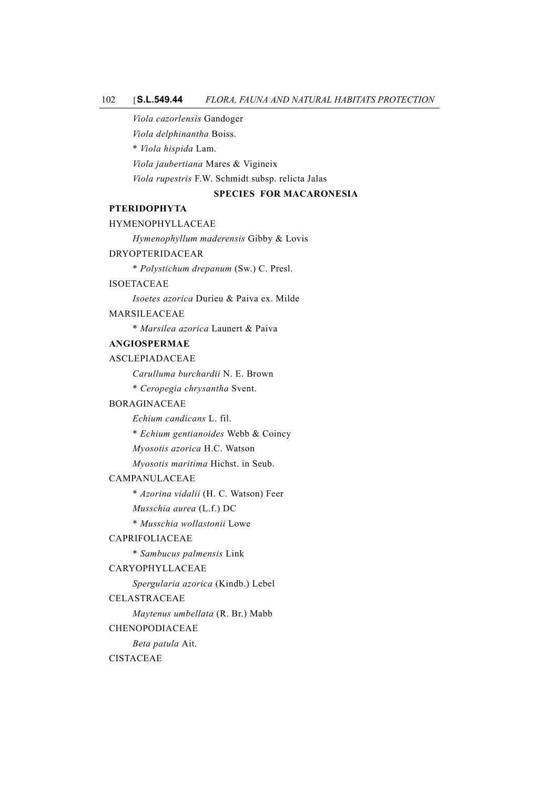#### 102 [**S.L.549.44** *FLORA, FAUNA AND NATURAL HABITATS PROTECTION*

*Viola cazorlensis* Gandoger

*Viola delphinantha* Boiss.

\* *Viola hispida* Lam.

*Viola jaubertiana* Mares & Vigineix

*Viola rupestris* F.W. Schmidt subsp. relicta Jalas

### **SPECIES FOR MACARONESIA**

### **PTERIDOPHYTA**

### HYMENOPHYLLACEAE

*Hymenophyllum maderensis* Gibby & Lovis

### DRYOPTERIDACEAR

\* *Polystichum drepanum* (Sw.) C. Presl.

### ISOETACEAE

*Isoetes azorica* Durieu & Paiva ex. Milde

### MARSILEACEAE

\* *Marsilea azorica* Launert & Paiva

## **ANGIOSPERMAE**

### ASCLEPIADACEAE

*Carulluma burchardii* N. E. Brown

\* *Ceropegia chrysantha* Svent.

#### BORAGINACEAE

*Echium candicans* L. fil.

\* *Echium gentianoides* Webb & Coincy

*Myosotis azorica* H.C. Watson

*Myosotis maritima* Hichst. in Seub.

#### CAMPANULACEAE

\* *Azorina vidalii* (H. C. Watson) Feer

*Musschia aurea* (L.f.) DC

\* *Musschia wollastonii* Lowe

## CAPRIFOLIACEAE

\* *Sambucus palmensis* Link

### CARYOPHYLLACEAE

*Spergularia azorica* (Kindb.) Lebel

### CELASTRACEAE

*Maytenus umbellata* (R. Br.) Mabb

#### CHENOPODIACEAE

*Beta patula* Ait.

#### CISTACEAE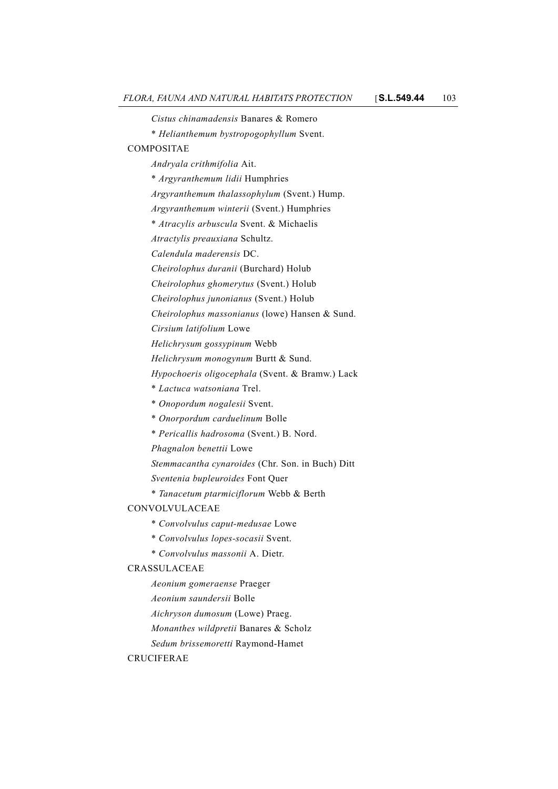*Cistus chinamadensis* Banares & Romero

\* *Helianthemum bystropogophyllum* Svent.

### COMPOSITAE

*Andryala crithmifolia* Ait.

- \* *Argyranthemum lidii* Humphries
- *Argyranthemum thalassophylum* (Svent.) Hump.
- *Argyranthemum winterii* (Svent.) Humphries
- \* *Atracylis arbuscula* Svent. & Michaelis
- *Atractylis preauxiana* Schultz.
- *Calendula maderensis* DC.
- *Cheirolophus duranii* (Burchard) Holub
- *Cheirolophus ghomerytus* (Svent.) Holub
- *Cheirolophus junonianus* (Svent.) Holub
- *Cheirolophus massonianus* (lowe) Hansen & Sund.
- *Cirsium latifolium* Lowe
- *Helichrysum gossypinum* Webb
- *Helichrysum monogynum* Burtt & Sund.
- *Hypochoeris oligocephala* (Svent. & Bramw.) Lack
- \* *Lactuca watsoniana* Trel.
- \* *Onopordum nogalesii* Svent.
- \* *Onorpordum carduelinum* Bolle
- \* *Pericallis hadrosoma* (Svent.) B. Nord.
- *Phagnalon benettii* Lowe
- *Stemmacantha cynaroides* (Chr. Son. in Buch) Ditt
- *Sventenia bupleuroides* Font Quer
- \* *Tanacetum ptarmiciflorum* Webb & Berth

## CONVOLVULACEAE

- \* *Convolvulus caput-medusae* Lowe
- \* *Convolvulus lopes-socasii* Svent.
- \* *Convolvulus massonii* A. Dietr.

#### CRASSULACEAE

- *Aeonium gomeraense* Praeger
- *Aeonium saundersii* Bolle
- *Aichryson dumosum* (Lowe) Praeg.
- *Monanthes wildpretii* Banares & Scholz
- *Sedum brissemoretti* Raymond-Hamet

#### CRUCIFERAE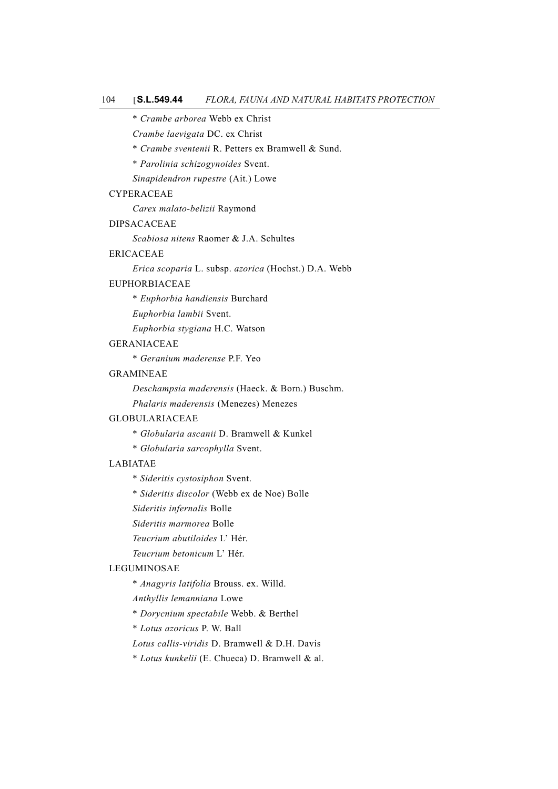\* *Crambe arborea* Webb ex Christ

*Crambe laevigata* DC. ex Christ

\* *Crambe sventenii* R. Petters ex Bramwell & Sund.

\* *Parolinia schizogynoides* Svent.

*Sinapidendron rupestre* (Ait.) Lowe

#### CYPERACEAE

*Carex malato-belizii* Raymond

### DIPSACACEAE

*Scabiosa nitens* Raomer & J.A. Schultes

### ERICACEAE

*Erica scoparia* L. subsp. *azorica* (Hochst.) D.A. Webb

#### EUPHORBIACEAE

\* *Euphorbia handiensis* Burchard

*Euphorbia lambii* Svent.

*Euphorbia stygiana* H.C. Watson

## GERANIACEAE

\* *Geranium maderense* P.F. Yeo

## GRAMINEAE

*Deschampsia maderensis* (Haeck. & Born.) Buschm. *Phalaris maderensis* (Menezes) Menezes

#### GLOBULARIACEAE

\* *Globularia ascanii* D. Bramwell & Kunkel

\* *Globularia sarcophylla* Svent.

#### LABIATAE

- \* *Sideritis cystosiphon* Svent.
- \* *Sideritis discolor* (Webb ex de Noe) Bolle
- *Sideritis infernalis* Bolle
- *Sideritis marmorea* Bolle
- *Teucrium abutiloides* L' Hér.
- *Teucrium betonicum* L' Hér.

## LEGUMINOSAE

\* *Anagyris latifolia* Brouss. ex. Willd.

*Anthyllis lemanniana* Lowe

\* *Dorycnium spectabile* Webb. & Berthel

\* *Lotus azoricus* P. W. Ball

*Lotus callis-viridis* D. Bramwell & D.H. Davis

\* *Lotus kunkelii* (E. Chueca) D. Bramwell & al.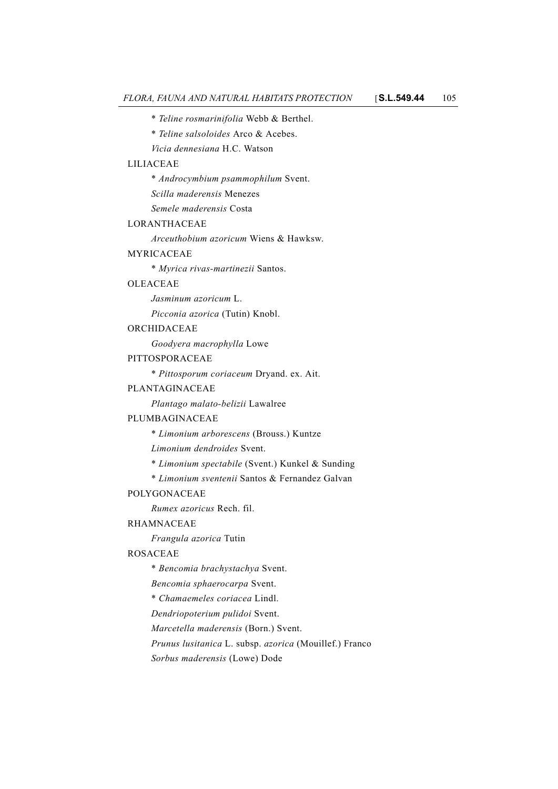- \* *Teline rosmarinifolia* Webb & Berthel.
- \* *Teline salsoloides* Arco & Acebes.
- *Vicia dennesiana* H.C. Watson

#### LILIACEAE

\* *Androcymbium psammophilum* Svent.

*Scilla maderensis* Menezes

*Semele maderensis* Costa

### LORANTHACEAE

*Arceuthobium azoricum* Wiens & Hawksw.

#### MYRICACEAE

\* *Myrica rivas-martinezii* Santos.

### OLEACEAE

*Jasminum azoricum* L.

*Picconia azorica* (Tutin) Knobl.

#### ORCHIDACEAE

*Goodyera macrophylla* Lowe

#### PITTOSPORACEAE

\* *Pittosporum coriaceum* Dryand. ex. Ait.

#### PLANTAGINACEAE

*Plantago malato-belizii* Lawalree

#### PLUMBAGINACEAE

\* *Limonium arborescens* (Brouss.) Kuntze

*Limonium dendroides* Svent.

\* *Limonium spectabile* (Svent.) Kunkel & Sunding

\* *Limonium sventenii* Santos & Fernandez Galvan

### POLYGONACEAE

*Rumex azoricus* Rech. fil.

#### RHAMNACEAE

*Frangula azorica* Tutin

#### ROSACEAE

\* *Bencomia brachystachya* Svent.

*Bencomia sphaerocarpa* Svent.

\* *Chamaemeles coriacea* Lindl.

*Dendriopoterium pulidoi* Svent.

*Marcetella maderensis* (Born.) Svent.

*Prunus lusitanica* L. subsp. *azorica* (Mouillef.) Franco

*Sorbus maderensis* (Lowe) Dode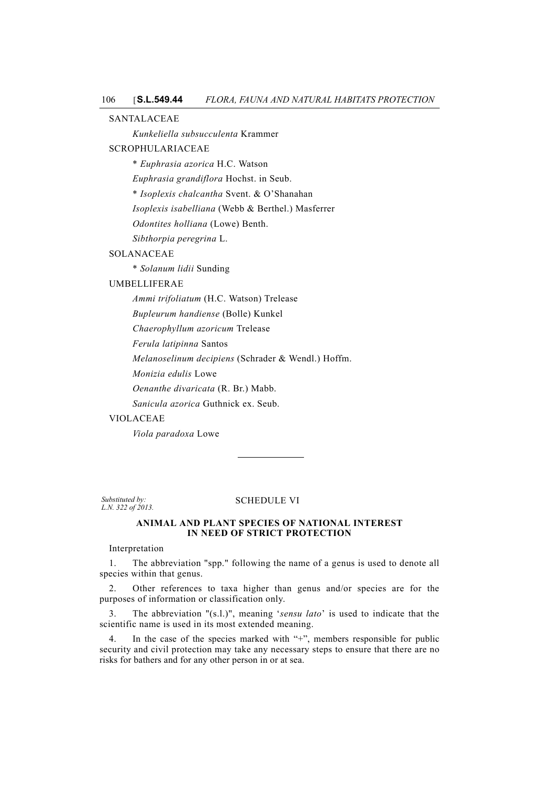SANTALACEAE

*Kunkeliella subsucculenta* Krammer

### SCROPHULARIACEAE

\* *Euphrasia azorica* H.C. Watson

*Euphrasia grandiflora* Hochst. in Seub.

\* *Isoplexis chalcantha* Svent. & O'Shanahan

*Isoplexis isabelliana* (Webb & Berthel.) Masferrer

*Odontites holliana* (Lowe) Benth.

*Sibthorpia peregrina* L.

## SOLANACEAE

\* *Solanum lidii* Sunding

### UMBELLIFERAE

*Ammi trifoliatum* (H.C. Watson) Trelease

*Bupleurum handiense* (Bolle) Kunkel

*Chaerophyllum azoricum* Trelease

*Ferula latipinna* Santos

*Melanoselinum decipiens* (Schrader & Wendl.) Hoffm.

*Monizia edulis* Lowe

*Oenanthe divaricata* (R. Br.) Mabb.

*Sanicula azorica* Guthnick ex. Seub.

#### VIOLACEAE

*Viola paradoxa* Lowe

*Substituted by: L.N. 322 of 2013.*

#### SCHEDULE VI

#### **ANIMAL AND PLANT SPECIES OF NATIONAL INTEREST IN NEED OF STRICT PROTECTION**

#### Interpretation

1. The abbreviation "spp." following the name of a genus is used to denote all species within that genus.

2. Other references to taxa higher than genus and/or species are for the purposes of information or classification only.

3. The abbreviation "(s.l.)", meaning '*sensu lato*' is used to indicate that the scientific name is used in its most extended meaning.

4. In the case of the species marked with "+", members responsible for public security and civil protection may take any necessary steps to ensure that there are no risks for bathers and for any other person in or at sea.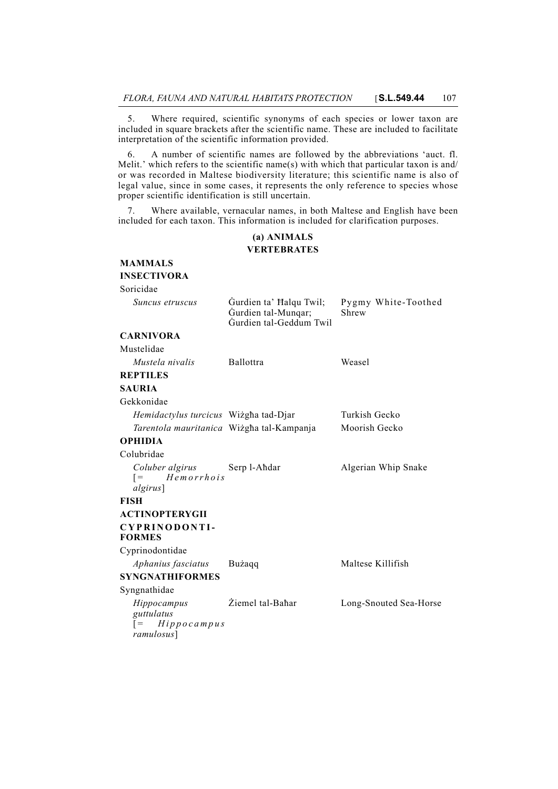5. Where required, scientific synonyms of each species or lower taxon are included in square brackets after the scientific name. These are included to facilitate interpretation of the scientific information provided.

6. A number of scientific names are followed by the abbreviations 'auct. fl. Melit.' which refers to the scientific name(s) with which that particular taxon is and/ or was recorded in Maltese biodiversity literature; this scientific name is also of legal value, since in some cases, it represents the only reference to species whose proper scientific identification is still uncertain.

7. Where available, vernacular names, in both Maltese and English have been included for each taxon. This information is included for clarification purposes.

### **(a) ANIMALS VERTEBRATES**

| <b>MAMMALS</b>                                                |                                                                           |                              |
|---------------------------------------------------------------|---------------------------------------------------------------------------|------------------------------|
| <b>INSECTIVORA</b>                                            |                                                                           |                              |
| Soricidae                                                     |                                                                           |                              |
| Suncus etruscus                                               | Gurdien ta' Halqu Twil;<br>Gurdien tal-Mungar;<br>Gurdien tal-Geddum Twil | Pygmy White-Toothed<br>Shrew |
| <b>CARNIVORA</b>                                              |                                                                           |                              |
| Mustelidae                                                    |                                                                           |                              |
| Mustela nivalis                                               | <b>Ballottra</b>                                                          | Weasel                       |
| <b>REPTILES</b>                                               |                                                                           |                              |
| <b>SAURIA</b>                                                 |                                                                           |                              |
| Gekkonidae                                                    |                                                                           |                              |
| Hemidactylus turcicus Wiżgha tad-Djar                         |                                                                           | Turkish Gecko                |
| Tarentola mauritanica Wiżgha tal-Kampanja                     |                                                                           | Moorish Gecko                |
| <b>OPHIDIA</b>                                                |                                                                           |                              |
| Colubridae                                                    |                                                                           |                              |
| Coluber algirus<br>Hemorrhois<br>$=$<br>algirus]              | Serp l-Ahdar                                                              | Algerian Whip Snake          |
| <b>FISH</b>                                                   |                                                                           |                              |
| <b>ACTINOPTERYGII</b>                                         |                                                                           |                              |
| CYPRINODONTI-<br><b>FORMES</b>                                |                                                                           |                              |
| Cyprinodontidae                                               |                                                                           |                              |
| Aphanius fasciatus                                            | Bużaqq                                                                    | Maltese Killifish            |
| <b>SYNGNATHIFORMES</b>                                        |                                                                           |                              |
| Syngnathidae                                                  |                                                                           |                              |
| Hippocampus<br>guttulatus<br>Hippocampus<br>$=$<br>ramulosus] | Žiemel tal-Bahar                                                          | Long-Snouted Sea-Horse       |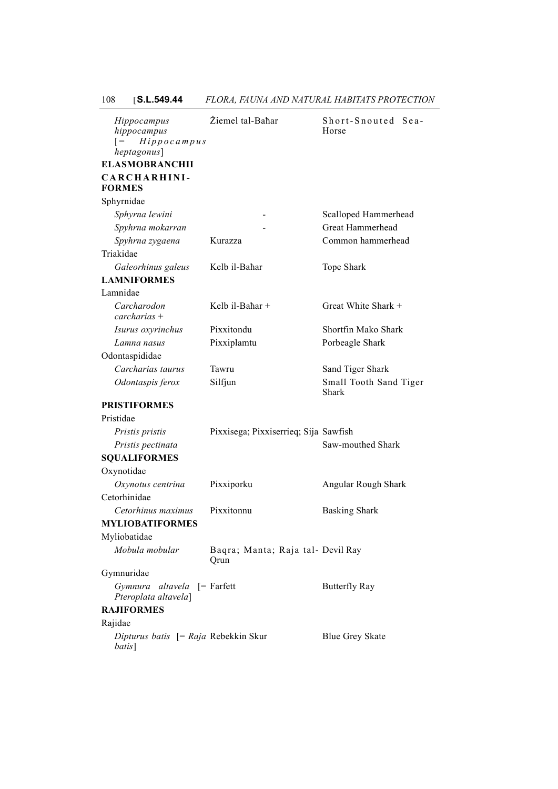| Hippocampus<br>hippocampus<br>$H$ ippocampus<br>$=$<br>heptagonus]<br><b>ELASMOBRANCHII</b> | Żiemel tal-Bahar                          | Short-Snouted Sea-<br>Horse     |  |
|---------------------------------------------------------------------------------------------|-------------------------------------------|---------------------------------|--|
| CARCHARHINI-<br><b>FORMES</b>                                                               |                                           |                                 |  |
| Sphyrnidae                                                                                  |                                           |                                 |  |
| Sphyrna lewini                                                                              |                                           | Scalloped Hammerhead            |  |
| Spyhrna mokarran                                                                            |                                           | Great Hammerhead                |  |
| Spyhrna zygaena                                                                             | Kurazza                                   | Common hammerhead               |  |
| Triakidae                                                                                   |                                           |                                 |  |
| Galeorhinus galeus                                                                          | Kelb il-Bahar                             | Tope Shark                      |  |
| <b>LAMNIFORMES</b>                                                                          |                                           |                                 |  |
| Lamnidae                                                                                    |                                           |                                 |  |
| Carcharodon<br>$carcharias +$                                                               | Kelb il-Bahar +                           | Great White Shark +             |  |
| Isurus oxyrinchus                                                                           | Pixxitondu                                | Shortfin Mako Shark             |  |
| Lamna nasus                                                                                 | Pixxiplamtu                               | Porbeagle Shark                 |  |
| Odontaspididae                                                                              |                                           |                                 |  |
| Carcharias taurus                                                                           | Tawru                                     | Sand Tiger Shark                |  |
| Odontaspis ferox                                                                            | Silfjun                                   | Small Tooth Sand Tiger<br>Shark |  |
| <b>PRISTIFORMES</b>                                                                         |                                           |                                 |  |
| Pristidae                                                                                   |                                           |                                 |  |
| Pristis pristis                                                                             | Pixxisega; Pixxiserrieq; Sija Sawfish     |                                 |  |
| Pristis pectinata                                                                           |                                           | Saw-mouthed Shark               |  |
| <b>SQUALIFORMES</b>                                                                         |                                           |                                 |  |
| Oxynotidae                                                                                  |                                           |                                 |  |
| Oxynotus centrina                                                                           | Pixxiporku                                | Angular Rough Shark             |  |
| Cetorhinidae                                                                                |                                           |                                 |  |
| Cetorhinus maximus                                                                          | Pixxitonnu                                | <b>Basking Shark</b>            |  |
| <b>MYLIOBATIFORMES</b>                                                                      |                                           |                                 |  |
| Myliobatidae                                                                                |                                           |                                 |  |
| Mobula mobular                                                                              | Baqra; Manta; Raja tal- Devil Ray<br>Qrun |                                 |  |
| Gymnuridae                                                                                  |                                           |                                 |  |
| Gymnura altavela [= Farfett<br>Pteroplata altavela]                                         |                                           | <b>Butterfly Ray</b>            |  |
| <b>RAJIFORMES</b>                                                                           |                                           |                                 |  |
| Rajidae                                                                                     |                                           |                                 |  |
| Dipturus batis [= Raja Rebekkin Skur<br>batis]                                              |                                           | <b>Blue Grey Skate</b>          |  |

## 108 [**S.L.549.44** *FLORA, FAUNA AND NATURAL HABITATS PROTECTION*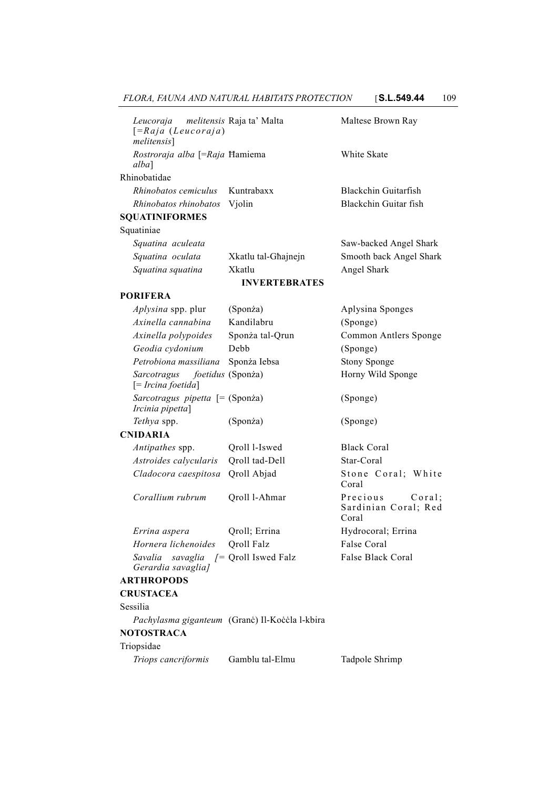| Leucoraja melitensis Raja ta' Malta<br>$[ = Raja (Leucoraja)$<br>melitensis] |        | Maltese Brown Ray      |
|------------------------------------------------------------------------------|--------|------------------------|
| Rostroraja alba [=Raja Hamiema<br>alba]                                      |        | White Skate            |
| Rhinobatidae                                                                 |        |                        |
| <i>Rhinobatos cemiculus</i> Kuntrabaxx                                       |        | Blackchin Guitarfish   |
| Rhinobatos rhinobatos                                                        | Violin | Blackchin Guitar fish  |
| <b>SOUATINIFORMES</b>                                                        |        |                        |
| Squatiniae                                                                   |        |                        |
| Squatina aculeata                                                            |        | Saw-backed Angel Shark |

| <b>INVERTEBRATES</b> |                     |                                                                  |
|----------------------|---------------------|------------------------------------------------------------------|
| Squatina squatina    | Xkatlu              | Angel Shark                                                      |
| Squatina oculata     | Xkatlu tal-Ghainein | Smooth back Angel Shark                                          |
| squama acancana      |                     | $Du$ $\sim$ $Du$ $\sim$ $Du$ $\sim$ $Du$ $\sim$ $Du$ $\sim$ $Du$ |

## **PORIFERA**

| <i>Aplysina</i> spp. plur                                          | (Sponża)        | Aplysina Sponges      |
|--------------------------------------------------------------------|-----------------|-----------------------|
| Axinella cannabina                                                 | Kandilabru      | (Sponge)              |
| Axinella polypoides                                                | Sponża tal-Qrun | Common Antlers Sponge |
| Geodia cydonium                                                    | Debb            | (Sponge)              |
| Petrobiona massiliana                                              | Sponża Iebsa    | <b>Stony Sponge</b>   |
| Sarcotragus foetidus (Sponza)<br>$\left[ = Ircina foetida \right]$ |                 | Horny Wild Sponge     |
| Sarcotragus pipetta $[= (Sponza)$<br>Ircinia pipetta]              |                 | (Sponge)              |
| <i>Tethya</i> spp.                                                 | (Sponża)        | (Sponge)              |
| <b>NINA DI A</b>                                                   |                 |                       |

### **CNIDARIA**

| <i>Antipathes</i> spp.                      | Oroll 1-Iswed | Black Coral |
|---------------------------------------------|---------------|-------------|
| <i>Astroides calvcularis</i> Oroll tad-Dell |               | Star-Coral  |
| <i>Cladocora caespitosa</i> Qroll Abjad     |               | Stone Co    |

*Corallium rubrum* Qroll l-Aħmar Precious Coral;

*Errina aspera* **Qroll**; Errina **Hydrocoral**; Errina *Hornera lichenoides* Qroll Falz False Coral *Savalia savaglia [=* Qroll Iswed Falz False Black Coral *Gerardia savaglia]*

### **ARTHROPODS**

# **CRUSTACEA**

Sessilia

*Pachylasma giganteum* (Granċ) Il-Koċċla l-kbira

# **NOTOSTRACA**

# Triopsidae

*Triops cancriformis* Gamblu tal-Elmu Tadpole Shrimp

Coral

Coral

Stone Coral; White

Sardinian Coral; Red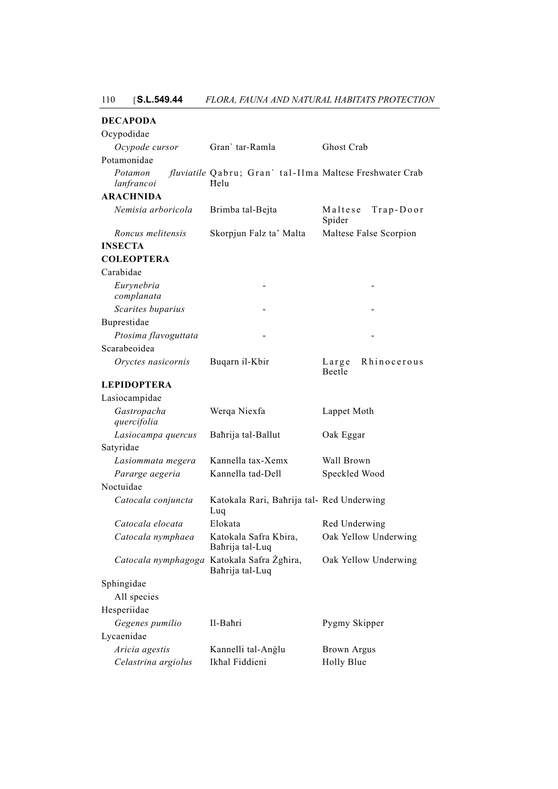| <b>DECAPODA</b>            |                                                                 |                                   |  |
|----------------------------|-----------------------------------------------------------------|-----------------------------------|--|
| Ocypodidae                 |                                                                 |                                   |  |
| Ocypode cursor             | Gran' tar-Ramla                                                 | Ghost Crab                        |  |
| Potamonidae                |                                                                 |                                   |  |
| Potamon<br>lanfrancoi      | fluviatile Qabru; Gran'tal-Ilma Maltese Freshwater Crab<br>Helu |                                   |  |
| <b>ARACHNIDA</b>           |                                                                 |                                   |  |
| Nemisia arboricola         | Brimba tal-Bejta                                                | $Trap-Door$<br>Maltese<br>Spider  |  |
| Roncus melitensis          | Skorpjun Falz ta' Malta                                         | Maltese False Scorpion            |  |
| <b>INSECTA</b>             |                                                                 |                                   |  |
| <b>COLEOPTERA</b>          |                                                                 |                                   |  |
| Carabidae                  |                                                                 |                                   |  |
| Eurynebria<br>complanata   |                                                                 |                                   |  |
| Scarites buparius          |                                                                 |                                   |  |
| Buprestidae                |                                                                 |                                   |  |
| Ptosima flavoguttata       |                                                                 |                                   |  |
| Scarabeoidea               |                                                                 |                                   |  |
| Oryctes nasicornis         | Buqarn il-Kbir                                                  | Rhinocerous<br>$L$ arge<br>Beetle |  |
| <b>LEPIDOPTERA</b>         |                                                                 |                                   |  |
| Lasiocampidae              |                                                                 |                                   |  |
| Gastropacha<br>quercifolia | Werqa Niexfa                                                    | Lappet Moth                       |  |
| Lasiocampa quercus         | Bahrija tal-Ballut                                              | Oak Eggar                         |  |
| Satyridae                  |                                                                 |                                   |  |
| Lasiommata megera          | Kannella tax-Xemx                                               | Wall Brown                        |  |
| Pararge aegeria            | Kannella tad-Dell                                               | Speckled Wood                     |  |
| Noctuidae                  |                                                                 |                                   |  |
| Catocala conjuncta         | Katokala Rari, Bahrija tal- Red Underwing<br>Luq                |                                   |  |
| Catocala elocata           | Elokata                                                         | Red Underwing                     |  |
| Catocala nymphaea          | Katokala Safra Kbira,<br>Bahrija tal-Luq                        | Oak Yellow Underwing              |  |
|                            | Catocala nymphagoga Katokala Safra Żghira,<br>Bahrija tal-Luq   | Oak Yellow Underwing              |  |
| Sphingidae                 |                                                                 |                                   |  |
| All species                |                                                                 |                                   |  |
| Hesperiidae                |                                                                 |                                   |  |
| Gegenes pumilio            | Il-Bahri                                                        | Pygmy Skipper                     |  |
| Lycaenidae                 |                                                                 |                                   |  |
| Aricia agestis             | Kannelli tal-Anglu                                              | <b>Brown Argus</b>                |  |
| Celastrina argiolus        | Ikhal Fiddieni                                                  | Holly Blue                        |  |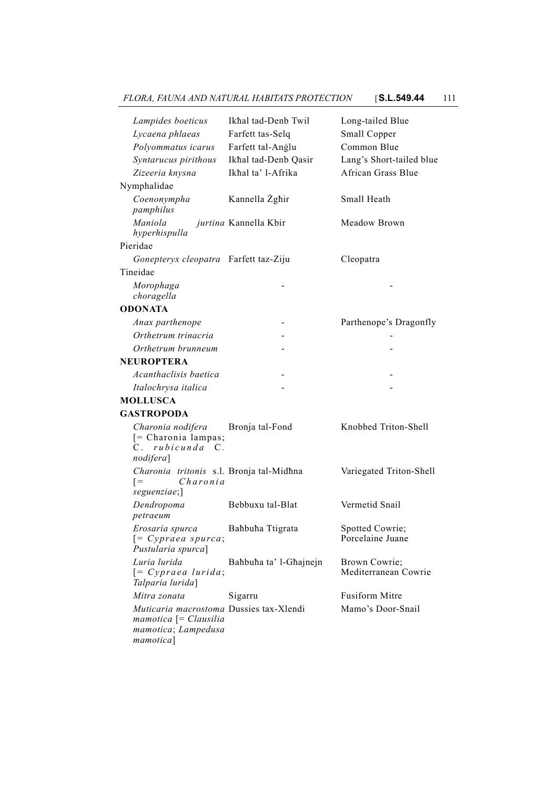*FLORA, FAUNA AND NATURAL HABITATS PROTECTION* [**S.L.549.44** 111

| Lampides boeticus<br>Lycaena phlaeas<br>Polyommatus icarus<br>Syntarucus pirithous<br>Zizeeria knysna           | Ikhal tad-Denb Twil<br>Farfett tas-Selq<br>Farfett tal-Anglu<br>Ikhal tad-Denb Qasir<br>Ikhal ta' l-Afrika | Long-tailed Blue<br>Small Copper<br>Common Blue<br>Lang's Short-tailed blue<br>African Grass Blue |
|-----------------------------------------------------------------------------------------------------------------|------------------------------------------------------------------------------------------------------------|---------------------------------------------------------------------------------------------------|
| Nymphalidae                                                                                                     |                                                                                                            |                                                                                                   |
| Coenonympha<br>pamphilus                                                                                        | Kannella Żgħir                                                                                             | Small Heath                                                                                       |
| Maniola<br>hyperhispulla                                                                                        | jurtina Kannella Kbir                                                                                      | Meadow Brown                                                                                      |
| Pieridae                                                                                                        |                                                                                                            |                                                                                                   |
| Gonepteryx cleopatra Farfett taz-Ziju                                                                           |                                                                                                            | Cleopatra                                                                                         |
| Tineidae                                                                                                        |                                                                                                            |                                                                                                   |
| Morophaga<br>choragella                                                                                         |                                                                                                            |                                                                                                   |
| <b>ODONATA</b>                                                                                                  |                                                                                                            |                                                                                                   |
| Anax parthenope                                                                                                 |                                                                                                            | Parthenope's Dragonfly                                                                            |
| Orthetrum trinacria                                                                                             |                                                                                                            |                                                                                                   |
| Orthetrum brunneum                                                                                              |                                                                                                            |                                                                                                   |
| <b>NEUROPTERA</b>                                                                                               |                                                                                                            |                                                                                                   |
| Acanthaclisis baetica                                                                                           |                                                                                                            |                                                                                                   |
| Italochrysa italica                                                                                             |                                                                                                            |                                                                                                   |
| <b>MOLLUSCA</b>                                                                                                 |                                                                                                            |                                                                                                   |
| <b>GASTROPODA</b>                                                                                               |                                                                                                            |                                                                                                   |
| Charonia nodifera<br>[= Charonia lampas;<br>C. rubicunda C.<br>nodifera]                                        | Bronja tal-Fond                                                                                            | Knobbed Triton-Shell                                                                              |
| Charonia tritonis s.l. Bronja tal-Midhna<br>Charonia<br>$=$<br>seguenziae;]                                     |                                                                                                            | Variegated Triton-Shell                                                                           |
| Dendropoma<br>petraeum                                                                                          | Bebbuxu tal-Blat                                                                                           | Vermetid Snail                                                                                    |
| Erosaria spurca<br>$[= Cypraea spurca;$<br>Pustularia spurca]                                                   | Bahbuha Ttigrata                                                                                           | Spotted Cowrie;<br>Porcelaine Juane                                                               |
| Luria lurida<br>$[= Cypraea Iurida;$<br>Talparia lurida]                                                        | Bahbuha ta' l-Ghajnejn                                                                                     | Brown Cowrie;<br>Mediterranean Cowrie                                                             |
| Mitra zonata                                                                                                    | Sigarru                                                                                                    | Fusiform Mitre                                                                                    |
| Muticaria macrostoma Dussies tax-Xlendi<br>$m$ amotica $\lceil$ = Clausilia<br>mamotica; Lampedusa<br>mamotica] |                                                                                                            | Mamo's Door-Snail                                                                                 |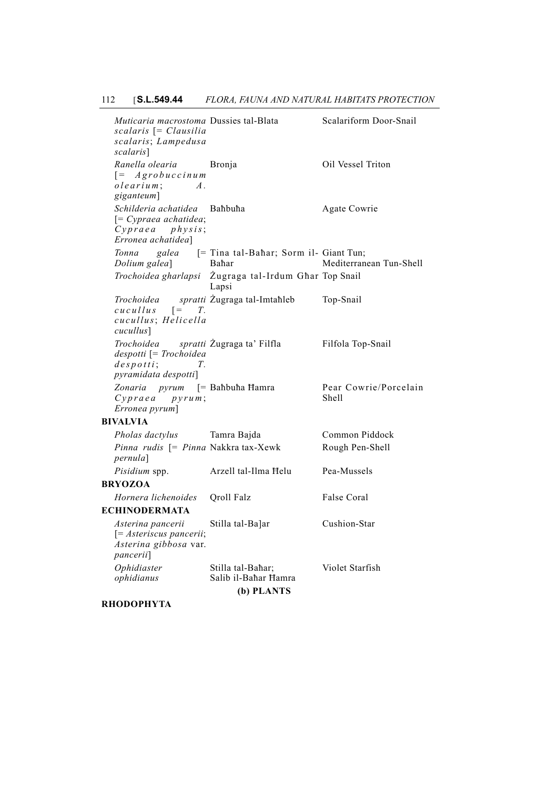*Muticaria macrostoma scalaris* [= *Clausilia scalaris*; *Lampedusa scalaris*] Scalariform Door-Snail *Ranella olearia* [= *Agrobuccinum olearium* ; *A . giganteum*] Bronja Oil Vessel Triton *Schilderia achatidea* [= *Cypraea achatidea*; *Cypraea physis*; *Erronea achatidea*] Agate Cowrie  $T$ onna galea *Dolium galea*] Tina tal-Baħar; Sorm il-Giant Tun; Baħar Mediterranean Tun-Shell *Trochoidea gharlapsi* Żugraga tal-Irdum Għar Top Snail Lapsi *Trochoidea sp*<br>*cucullus*  $I =$ *cucullus* [= *T. cucullus*; *Helicella cucullus*] spratti Żugraga tal-Imtaħleb Top-Snail *Trochoidea spratti despotti* [= *Trochoidea despotti* ; *T. pyramidata despotti*] spratti Żugraga ta' Filfla Filfola Top-Snail *Zonaria pyrum* [= *Cypraea pyrum* ; *Erronea pyrum*] Pear Cowrie/Porcelain Shell **BIVALVIA** *Pholas dactylus* Tamra Bajda Common Piddock Pinna rudis [= Pinna Nakkra tax-Xewk Rough Pen-Shell *pernula*] *Pisidium* spp. Arzell tal-Ilma Helu Pea-Mussels **BRYOZOA** *Hornera lichenoides* Qroll Falz False Coral **ECHINODERMATA** *Asterina pancerii* [= *Asteriscus pancerii*; *Asterina gibbosa* var. *pancerii*] Stilla tal-Ba]ar Cushion-Star *Ophidiaster ophidianus* Stilla tal-Baħar; Salib il-Baħar Ħamra Violet Starfish **(b) PLANTS**

**RHODOPHYTA**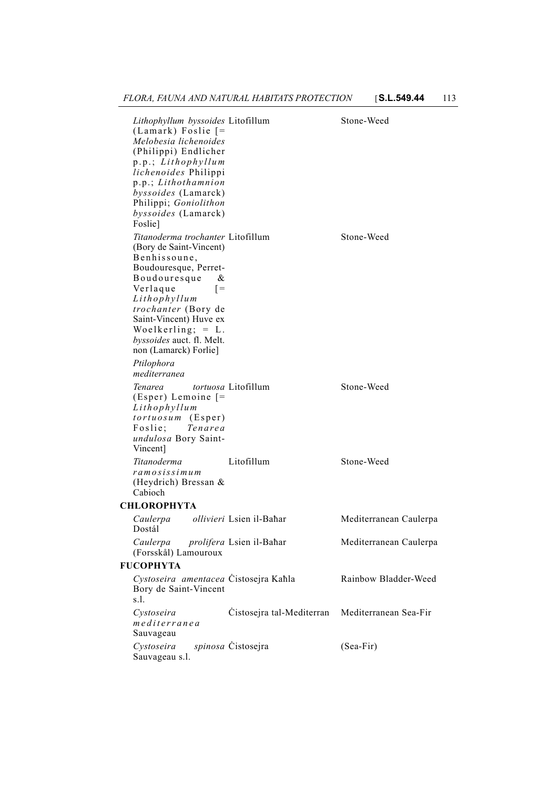*Lithophyllum byssoides* (Lamark) Foslie [= *Melobesia lichenoides* (Philippi) Endlicher p.p.; *Lithophyllum lichenoides* Philippi p.p.; *Lithothamnion byssoides* (Lamarck) Philippi; *Goniolithon byssoides* (Lamarck) Foslie] Stone-Weed *Titanoderma trochanter* (Bory de Saint-Vincent) Benhissoune, Boudouresque, Perret-Boudouresque & Verlaque [= *Lithophyllum trochanter* (Bory de Saint-Vincent) Huve ex Woelkerling;  $= L$ . *byssoides* auct. fl. Melt. non (Lamarck) Forlie] Stone-Weed *Ptilophora mediterranea Tenarea tortuosa* (Esper) Lemoine [= *Lithophyllum tortuosum* (Esper) Foslie; *Tenarea undulosa* Bory Saint-Vincent] Stone-Weed *Titanoderma ramosissimum* (Heydrich) Bressan & Cabioch Litofillum Stone-Weed **CHLOROPHYTA** *Caulerpa ollivieri* Dostál Mediterranean Caulerpa *Caulerpa prolifera* (Forsskål) Lamouroux Mediterranean Caulerpa **FUCOPHYTA** *Cystoseira amentacea* Bory de Saint-Vincent s.l. Rainbow Bladder-Weed *Cystoseira mediterranea* Sauvageau Ċistosejra tal-Mediterran Mediterranean Sea-Fir  $Cystoseira$ Sauvageau s.l. spinosa Čistosejra (Sea-Fir)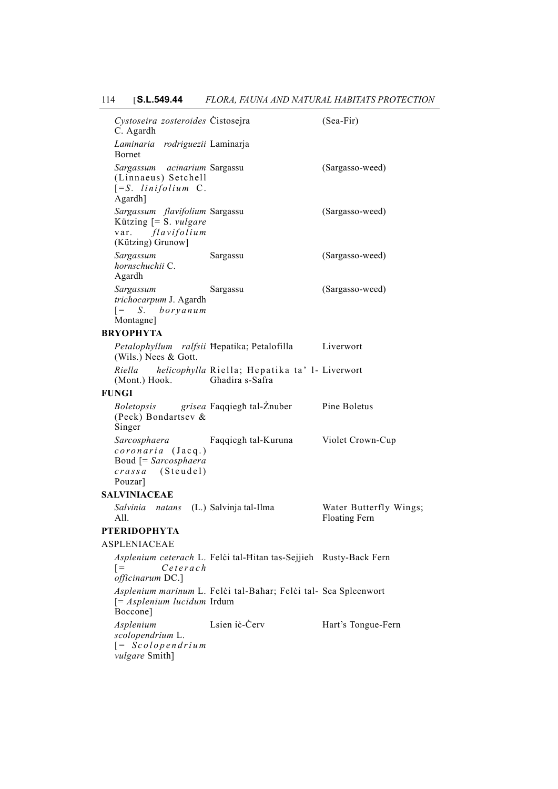# 114 [**S.L.549.44** *FLORA, FAUNA AND NATURAL HABITATS PROTECTION*

| Cystoseira zosteroides Cistosejra<br>C. Agardh                                                        |                                                                   | $(Sea-Fir)$                                    |
|-------------------------------------------------------------------------------------------------------|-------------------------------------------------------------------|------------------------------------------------|
| Laminaria rodriguezii Laminarja<br><b>Bornet</b>                                                      |                                                                   |                                                |
| Sargassum acinarium Sargassu<br>(Linnaeus) Setchell<br>$[=S.$ linifolium C.<br>Agardh]                |                                                                   | (Sargasso-weed)                                |
| Sargassum flavifolium Sargassu<br>Kützing [= S. vulgare<br>var. flavifolium<br>(Kützing) Grunow]      |                                                                   | (Sargasso-weed)                                |
| Sargassum<br>hornschuchii C.<br>Agardh                                                                | Sargassu                                                          | (Sargasso-weed)                                |
| Sargassum<br>trichocarpum J. Agardh<br>$\begin{bmatrix} = & S. & boryanum \end{bmatrix}$<br>Montagne] | Sargassu                                                          | (Sargasso-weed)                                |
| <b>BRYOPHYTA</b>                                                                                      |                                                                   |                                                |
| (Wils.) Nees & Gott.                                                                                  | Petalophyllum ralfsii Hepatika; Petalofilla Liverwort             |                                                |
| Riella<br>(Mont.) Hook. Ghadira s-Safra                                                               | helicophylla Riella; Hepatika ta' l- Liverwort                    |                                                |
| <b>FUNGI</b>                                                                                          |                                                                   |                                                |
| (Peck) Bondartsev &<br>Singer                                                                         | <i>Boletopsis</i> grisea Faqqiegh tal-Znuber Pine Boletus         |                                                |
| Sarcosphaera<br>coronaria (Jacq.)<br>Boud [= Sarcosphaera<br><i>crassa</i> (Steudel)<br>Pouzar]       | Faqqiegh tal-Kuruna Violet Crown-Cup                              |                                                |
| <b>SALVINIACEAE</b>                                                                                   |                                                                   |                                                |
| Salvinia natans (L.) Salvinja tal-Ilma<br>All.                                                        |                                                                   | Water Butterfly Wings;<br><b>Floating Fern</b> |
| <b>PTERIDOPHYTA</b>                                                                                   |                                                                   |                                                |
| <b>ASPLENIACEAE</b>                                                                                   |                                                                   |                                                |
| Ceterach<br>$=$<br>officinarum DC.]                                                                   | Asplenium ceterach L. Felci tal-Hitan tas-Sejjieh Rusty-Back Fern |                                                |
| $[= Asplenim lucidum Irdum]$<br>Boccone]                                                              | Asplenium marinum L. Felci tal-Bahar; Felci tal- Sea Spleenwort   |                                                |
| Asplenium<br>scolopendrium L.<br>$[= Scolopendrium]$<br><i>vulgare</i> Smith]                         | Lsien iċ-Cerv                                                     | Hart's Tongue-Fern                             |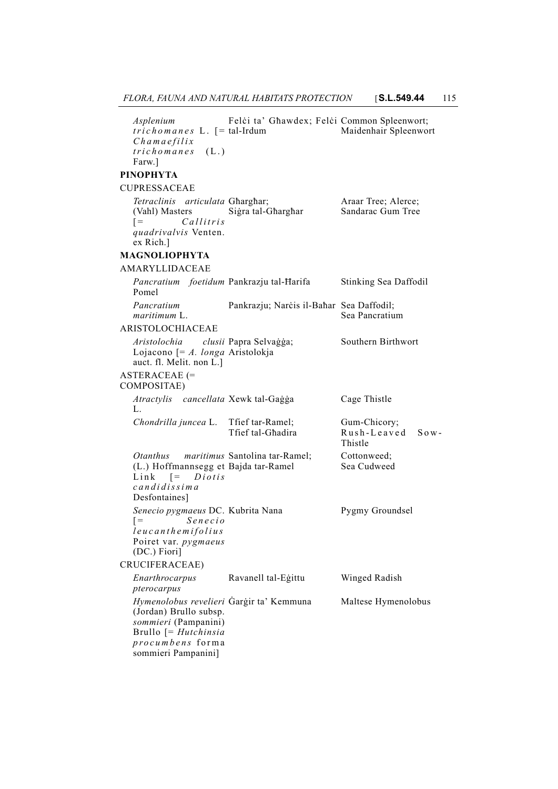| Asplenium<br>$trichomanes$ L. $[= tal-Irdum$<br>$Chama$ gfilix                                                                                                | Felci ta' Ghawdex; Felci Common Spleenwort; | Maidenhair Spleenwort                       |
|---------------------------------------------------------------------------------------------------------------------------------------------------------------|---------------------------------------------|---------------------------------------------|
| $trichomanes$ (L.)<br>Farw.]                                                                                                                                  |                                             |                                             |
| <b>PINOPHYTA</b>                                                                                                                                              |                                             |                                             |
| <b>CUPRESSACEAE</b>                                                                                                                                           |                                             |                                             |
| Tetraclinis articulata Gharghar;<br>(Vahl) Masters<br>Callitris<br>$=$<br>quadrivalvis Venten.<br>ex Rich.]                                                   | Sigra tal-Gharghar                          | Araar Tree; Alerce;<br>Sandarac Gum Tree    |
| <b>MAGNOLIOPHYTA</b>                                                                                                                                          |                                             |                                             |
| AMARYLLIDACEAE                                                                                                                                                |                                             |                                             |
| Pomel                                                                                                                                                         | Pancratium foetidum Pankrazju tal-Harifa    | Stinking Sea Daffodil                       |
| Pancratium<br>maritimum L.                                                                                                                                    | Pankrazju; Narcis il-Bahar Sea Daffodil;    | Sea Pancratium                              |
| <b>ARISTOLOCHIACEAE</b>                                                                                                                                       |                                             |                                             |
| Aristolochia clusii Papra Selvaģģa;<br>Lojacono $\mathcal{F} = A$ . longa Aristolokja<br>auct. fl. Melit. non L.]                                             |                                             | Southern Birthwort                          |
| <b>ASTERACEAE</b> (=<br>COMPOSITAE)                                                                                                                           |                                             |                                             |
| Atractylis cancellata Xewk tal-Gaġġa<br>L.                                                                                                                    |                                             | Cage Thistle                                |
| Chondrilla juncea L. Tfief tar-Ramel;                                                                                                                         | Trief tal-Ghadira                           | Gum-Chicory;<br>Rush-Leaved Sow-<br>Thistle |
| Otanthus maritimus Santolina tar-Ramel;<br>(L.) Hoffmannsegg et Bajda tar-Ramel<br>Link $[= Diotis$<br>candidissima<br>Desfontaines]                          |                                             | Cottonweed;<br>Sea Cudweed                  |
| Senecio pygmaeus DC. Kubrita Nana<br>Senecio<br>$[ =$<br>leucanthemifolius<br>Poiret var. pygmaeus<br>(DC.) Fiori]                                            |                                             | Pygmy Groundsel                             |
| CRUCIFERACEAE)                                                                                                                                                |                                             |                                             |
| Enarthrocarpus<br>pterocarpus                                                                                                                                 | Ravanell tal-Egittu                         | Winged Radish                               |
| Hymenolobus revelieri Gargir ta' Kemmuna<br>(Jordan) Brullo subsp.<br>sommieri (Pampanini)<br>Brullo [= Hutchinsia<br>procumbens forma<br>sommieri Pampanini] |                                             | Maltese Hymenolobus                         |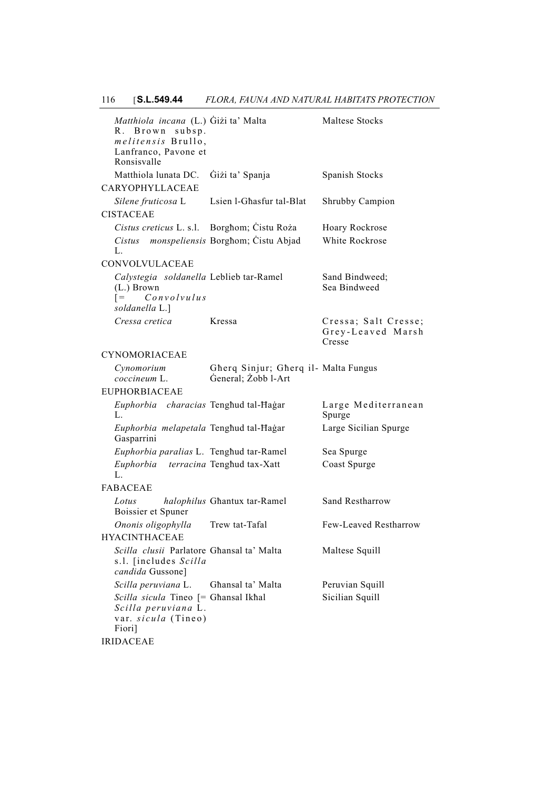| Matthiola incana (L.) Gizi ta' Malta<br>R. Brown subsp.<br>melitensis Brullo,<br>Lanfranco, Pavone et<br>Ronsisvalle |                                                             | Maltese Stocks                                      |
|----------------------------------------------------------------------------------------------------------------------|-------------------------------------------------------------|-----------------------------------------------------|
| Matthiola lunata DC.                                                                                                 | Giżi ta' Spanja                                             | Spanish Stocks                                      |
| CARYOPHYLLACEAE                                                                                                      |                                                             |                                                     |
| Silene fruticosa L                                                                                                   | Lsien l-Ghasfur tal-Blat                                    | Shrubby Campion                                     |
| <b>CISTACEAE</b>                                                                                                     |                                                             |                                                     |
| Cistus creticus L. s.l. Borghom; Cistu Roża                                                                          |                                                             | Hoary Rockrose                                      |
| Cistus monspeliensis Borghom; Cistu Abjad<br>L.                                                                      |                                                             | White Rockrose                                      |
| CONVOLVULACEAE                                                                                                       |                                                             |                                                     |
| Calystegia soldanella Leblieb tar-Ramel<br>(L.) Brown<br>Convolvulus<br>$=$<br>soldanella L.]                        |                                                             | Sand Bindweed;<br>Sea Bindweed                      |
| Cressa cretica                                                                                                       | Kressa                                                      | Cressa; Salt Cresse;<br>Grey-Leaved Marsh<br>Cresse |
| <b>CYNOMORIACEAE</b>                                                                                                 |                                                             |                                                     |
| Cynomorium<br>coccineum L.                                                                                           | Gherq Sinjur; Gherq il- Malta Fungus<br>General; Żobb l-Art |                                                     |
| <b>EUPHORBIACEAE</b>                                                                                                 |                                                             |                                                     |
| Euphorbia characias Tenghud tal-Hagar<br>L.                                                                          |                                                             | Large Mediterranean<br>Spurge                       |
| Euphorbia melapetala Tenghud tal-Hagar<br>Gasparrini                                                                 |                                                             | Large Sicilian Spurge                               |
| Euphorbia paralias L. Tenghud tar-Ramel                                                                              |                                                             | Sea Spurge                                          |
| Euphorbia terracina Tenghud tax-Xatt<br>L.                                                                           |                                                             | Coast Spurge                                        |
| <b>FABACEAE</b>                                                                                                      |                                                             |                                                     |
| Lotus<br>Boissier et Spuner                                                                                          | halophilus Ghantux tar-Ramel                                | Sand Restharrow                                     |
| Ononis oligophylla                                                                                                   | Trew tat-Tafal                                              | Few-Leaved Restharrow                               |
| <b>HYACINTHACEAE</b>                                                                                                 |                                                             |                                                     |
| Scilla clusii Parlatore Ghansal ta' Malta<br>s.l. [includes Scilla<br>candida Gussone]                               |                                                             | Maltese Squill                                      |
| Scilla peruviana L.                                                                                                  | Ghansal ta' Malta                                           | Peruvian Squill                                     |
| Scilla sicula Tineo [= Ghansal Ikhal<br>Scilla peruviana L.<br>var. sicula (Tineo)<br>Fiori]                         |                                                             | Sicilian Squill                                     |
| <b>IRIDACEAE</b>                                                                                                     |                                                             |                                                     |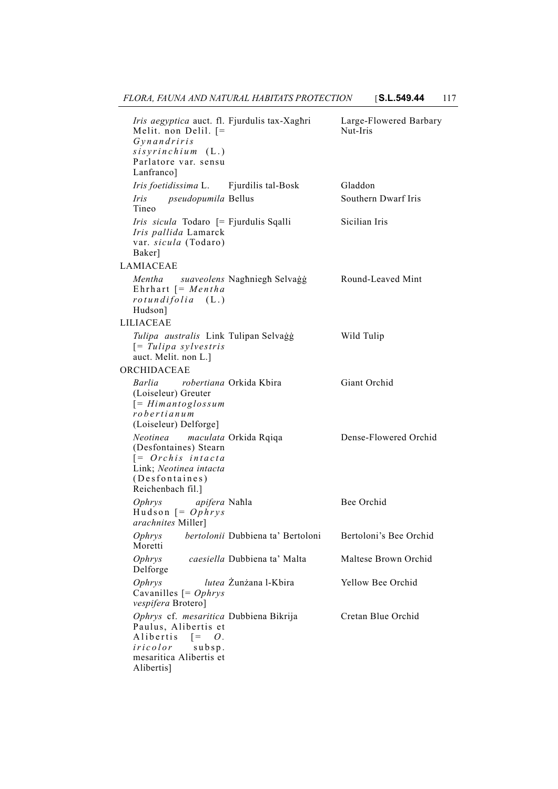*Iris aegyptica* auct. fl. Melit. non Delil. [= *Gynandriris sisyrinchium* (L.) Parlatore var. sensu Lanfranco] Large-Flowered Barbary Nut-Iris *Iris foetidissima* L. Fjurdilis tal-Bosk Gladdon *Iris pseudopumila* Tineo Southern Dwarf Iris *Iris sicula* Todaro [= Fjurdulis Sqalli Sicilian Iris *Iris pallida* Lamarck var. *sicula* (Todaro) Baker] LAMIACEAE Mentha suaveolens Naghniegh Selvaġġ Round-Leaved Mint Ehrhart [= *Mentha rotundifolia* (L.) Hudson] LILIACEAE *Tulipa australis* Link Tulipan Selvaġġ Wild Tulip [= *Tulipa sylvestris* auct. Melit. non L.] ORCHIDACEAE *Barlia robertiana* Orkida Kbira Giant Orchid (Loiseleur) Greuter [= *Himantoglossum robertianum* (Loiseleur) Delforge] *Neotinea maculata* (Desfontaines) Stearn [= *Orchis intacta* Link; *Neotinea intacta* (Desfontaines) Reichenbach fil.] Dense-Flowered Orchid *Ophrys apifera* Hudson [= *Ophrys arachnites* Miller] Bee Orchid *Ophrys bertolonii* Dubbiena ta' Bertoloni Bertoloni's Bee Orchid Moretti *Ophrys caesiella* Delforge Maltese Brown Orchid *Ophrys lutea* Cavanilles [= *Ophrys vespifera* Brotero] Yellow Bee Orchid *Ophrys* cf. *mesaritica* Paulus, Alibertis et Alibertis [= *O . iricolor* subsp. mesaritica Alibertis et Alibertis] Cretan Blue Orchid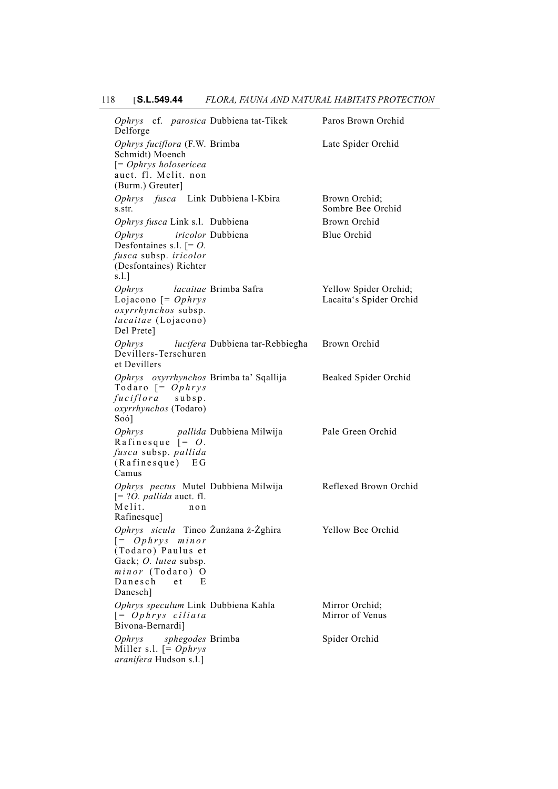*Ophrys* cf. *parosica* Dubbiena tat-Tikek Paros Brown Orchid Delforge *Ophrys fuciflora* (F.W. Schmidt) Moench [= *Ophrys holosericea* auct. fl. Melit. non (Burm.) Greuter] Late Spider Orchid Ophrys fusca Link Dubbiena l-Kbira Brown Orchid; s.str. Sombre Bee Orchid *Ophrys fusca* Link s.l. Dubbiena Brown Orchid *Ophrys iricolor* Desfontaines s.l. [= *O. fusca* subsp. *iricolor* (Desfontaines) Richter s.l.] Blue Orchid *Ophrys lacaitae* Lojacono [= *Ophrys oxyrrhynchos* subsp. *lacaitae* (Lojacono) Del Prete] Yellow Spider Orchid; Lacaita's Spider Orchid *Ophrys lucifera* Dubbiena tar-Rebbiegħa Brown Orchid Devillers-Terschuren et Devillers *Ophrys oxyrrhynchos* Todaro [= *Ophrys fuciflora* subsp. *oxyrrhynchos* (Todaro) Soó] Beaked Spider Orchid *Ophrys pallida* Dubbiena Milwija Pale Green Orchid Rafinesque [= *O . fusca* subsp. *pallida* (Rafinesque) EG Camus *Ophrys pectus* Mutel  $[= ? \dot{O}]$ . *pallida* auct. fl. Melit. non Rafinesque] Reflexed Brown Orchid *Ophrys sicula* Tineo Żunżana ż-Żgħira Yellow Bee Orchid [= *Ophrys minor* (Todaro) Paulus et Gack; *O. lutea* subsp. *minor* (Todaro) O Danesch et Danesch] Ophrys speculum Link Dubbiena Kahla Mirror Orchid; [= *Ophrys ciliata* Bivona-Bernardi] Mirror of Venus *Ophrys sphegodes* Miller s.l. [= *Ophrys aranifera* Hudson s.l.] Spider Orchid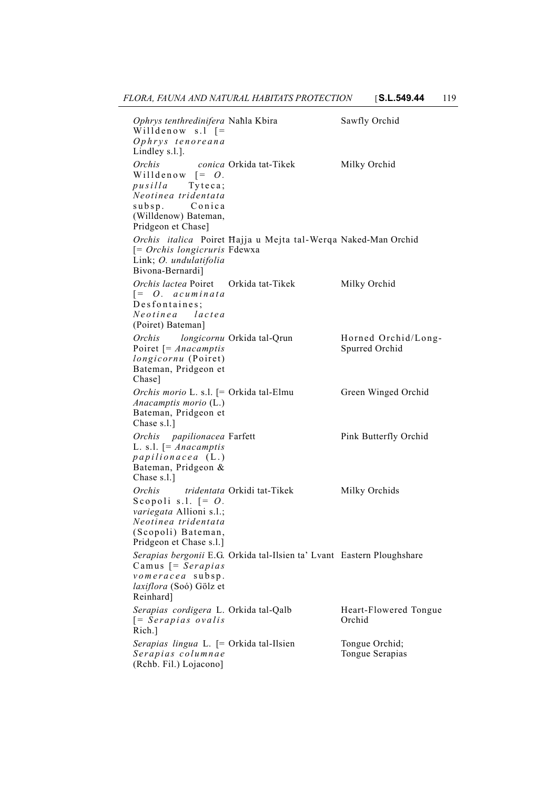*Ophrys tenthredinifera* Willdenow s.l  $=$ *Ophrys tenoreana* Lindley s.l.]. Sawfly Orchid *Orchis conica* Orkida tat-Tikek Milky Orchid Willdenow  $[= O.$ *pusilla* Tyteca; *Neotinea tridentata* subsp. Conica (Willdenow) Bateman, Pridgeon et Chase] *Orchis italica* Poiret Ħajja u Mejta tal-Werqa Naked-Man Orchid [= *Orchis longicruris* Fdewxa Link; *O. undulatifolia* Bivona-Bernardi] *Orchis lactea* Poiret [= *O. acuminata* Desfontaines; *Neotinea lactea* (Poiret) Bateman] Orkida tat-Tikek Milky Orchid *Orchis longicornu* Poiret [= *Anacamptis longicornu* (Poiret) Bateman, Pridgeon et Chase] Horned Orchid/Long-Spurred Orchid *Orchis morio* L. s.l. [= *Anacamptis morio* (L.) Bateman, Pridgeon et Chase s.l.] Green Winged Orchid *Orchis papilionacea* L. s.l. [= *Anacamptis papilionacea* (L.) Bateman, Pridgeon & Chase s.l.] Pink Butterfly Orchid Orchis tridentata Orkidi tat-Tikek Milky Orchids Scopoli s.l. [= *O . variegata* Allioni s.l.; *Neotinea tridentata* (Scopoli) Bateman, Pridgeon et Chase s.l.] *Serapias bergonii* E.G. Orkida tal-Ilsien ta' Lvant Eastern Ploughshare Camus [= *Serapias vomeracea* subsp. *laxiflora* (Soó) Gölz et Reinhard] *Serapias cordigera* L. [= *Serapias ovalis* Rich.] Heart-Flowered Tongue Orchid Serapias lingua L. [= Orkida tal-Ilsien Tongue Orchid; *Serapias columnae* (Rchb. Fil.) Lojacono] Tongue Serapias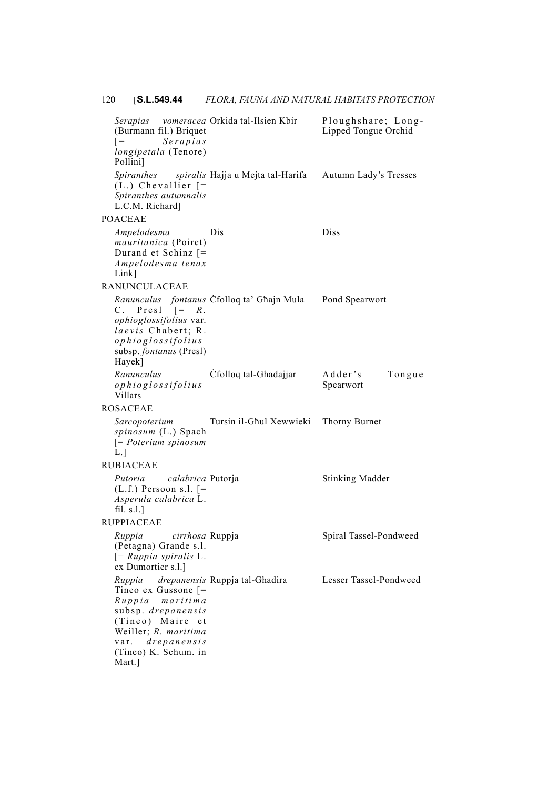| Serapias vomeracea Orkida tal-Ilsien Kbir<br>(Burmann fil.) Briquet<br>Serapias<br>$=$<br>longipetala (Tenore)<br>Pollini]                                                                   |                                              | Ploughshare; Long-<br>Lipped Tongue Orchid |
|----------------------------------------------------------------------------------------------------------------------------------------------------------------------------------------------|----------------------------------------------|--------------------------------------------|
| $(L.)$ Chevallier $[=$<br>Spiranthes autumnalis<br>L.C.M. Richard]                                                                                                                           | Spiranthes spiralis Hajja u Mejta tal-Harifa | Autumn Lady's Tresses                      |
| <b>POACEAE</b>                                                                                                                                                                               |                                              |                                            |
| Ampelodesma<br><i>mauritanica</i> (Poiret)<br>Durand et Schinz [=<br>Ampelodesma tenax<br>$Link$ ]                                                                                           | Dis                                          | Diss                                       |
| RANUNCULACEAE                                                                                                                                                                                |                                              |                                            |
| C. Presl $\left[ = R \right]$<br>ophioglossifolius var.<br>laevis Chabert; R.<br>ophioglossifolius<br>subsp. fontanus (Presl)<br>Hayek]                                                      | Ranunculus fontanus Cfolloq ta' Ghajn Mula   | Pond Spearwort                             |
| Ranunculus<br>ophioglossifolius<br>Villars                                                                                                                                                   | Cfolloq tal-Ghadajjar                        | Adder's<br>Tongue<br>Spearwort             |
| ROSACEAE                                                                                                                                                                                     |                                              |                                            |
| Sarcopoterium<br>spinosum (L.) Spach<br>$[= Poterium spinosum]$<br>L.                                                                                                                        | Tursin il-Ghul Xewwieki                      | Thorny Burnet                              |
| RUBIACEAE                                                                                                                                                                                    |                                              |                                            |
| Putoria<br>calabrica Putorja<br>$(L.f.)$ Persoon s.l. $[=$<br>Asperula calabrica L.<br>fil. $s.l.$ ]                                                                                         |                                              | <b>Stinking Madder</b>                     |
| RUPPIACEAE                                                                                                                                                                                   |                                              |                                            |
| Ruppia<br>cirrhosa Ruppja<br>(Petagna) Grande s.l.<br>$[= Ruppia spiralis L.$<br>ex Dumortier s.l.]                                                                                          |                                              | Spiral Tassel-Pondweed                     |
| Ruppia<br>Tineo ex Gussone $\mathcal{F}$<br>maritima<br>$R$ uppia<br>subsp. drepanensis<br>(Tineo) Maire et<br>Weiller; R. maritima<br>drepanes is<br>var.<br>(Tineo) K. Schum. in<br>Mart.] | drepanensis Ruppja tal-Ghadira               | Lesser Tassel-Pondweed                     |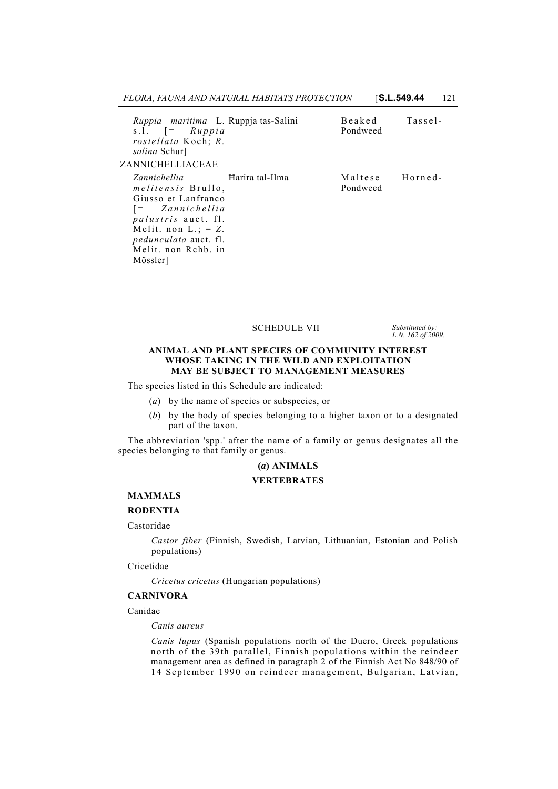| FLORA. FAUNA AND NATURAL HABITATS PROTECTION | <b>S.L.549.44</b> | 121 |
|----------------------------------------------|-------------------|-----|
|----------------------------------------------|-------------------|-----|

| Ruppia maritima L. Ruppja tas-Salini<br>s.l. $=$ $\int Ruppi a$<br>rostellata Koch; R.<br><i>salina</i> Schur]<br>ZANNICHELLIACEAE                                                                                    |                   | Beaked<br>Pondweed          | Tassel- |
|-----------------------------------------------------------------------------------------------------------------------------------------------------------------------------------------------------------------------|-------------------|-----------------------------|---------|
| Zannichellia<br><i>melitensis</i> Brullo,<br>Giusso et Lanfranco<br>[= Zannichellia<br><i>palustris</i> auct. fl.<br>Melit. non $L_{\cdot}$ : = Z.<br><i>pedunculata</i> auct. fl.<br>Melit, non Rchb, in<br>Mössler] | - Harira tal-Ilma | Maltese Horned-<br>Pondweed |         |

### SCHEDULE VII *Substituted by:*

*L.N. 162 of 2009.*

### **ANIMAL AND PLANT SPECIES OF COMMUNITY INTEREST WHOSE TAKING IN THE WILD AND EXPLOITATION MAY BE SUBJECT TO MANAGEMENT MEASURES**

The species listed in this Schedule are indicated:

- (*a*) by the name of species or subspecies, or
- (*b*) by the body of species belonging to a higher taxon or to a designated part of the taxon.

The abbreviation 'spp.' after the name of a family or genus designates all the species belonging to that family or genus.

## **(***a***) ANIMALS**

### **VERTEBRATES**

## **MAMMALS**

### **RODENTIA**

### Castoridae

*Castor fiber* (Finnish, Swedish, Latvian, Lithuanian, Estonian and Polish populations)

Cricetidae

*Cricetus cricetus* (Hungarian populations)

#### **CARNIVORA**

Canidae

*Canis aureus*

*Canis lupus* (Spanish populations north of the Duero, Greek populations north of the 39th parallel, Finnish populations within the reindeer management area as defined in paragraph 2 of the Finnish Act No 848/90 of 14 September 1990 on reindeer management, Bulgarian, Latvian,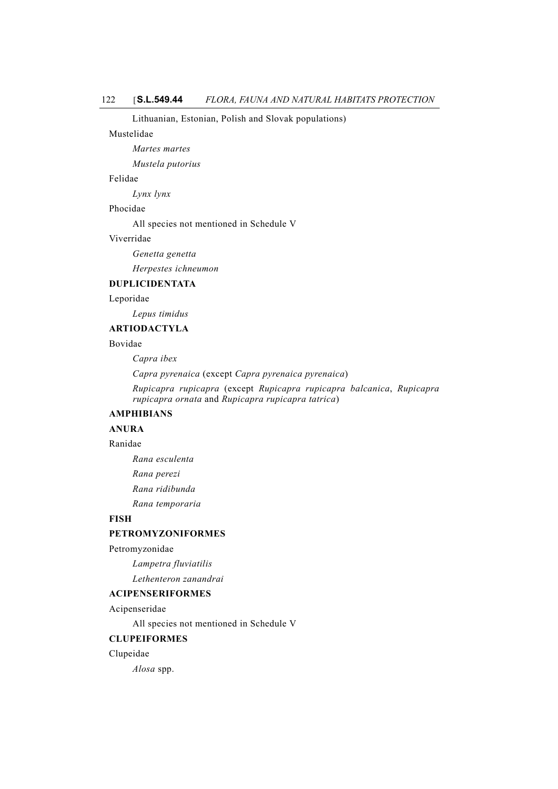Lithuanian, Estonian, Polish and Slovak populations)

#### Mustelidae

*Martes martes*

*Mustela putorius*

### Felidae

*Lynx lynx*

### Phocidae

All species not mentioned in Schedule V

### Viverridae

*Genetta genetta*

*Herpestes ichneumon*

# **DUPLICIDENTATA**

Leporidae

*Lepus timidus*

## **ARTIODACTYLA**

# Bovidae

*Capra ibex*

*Capra pyrenaica* (except *Capra pyrenaica pyrenaica*)

*Rupicapra rupicapra* (except *Rupicapra rupicapra balcanica*, *Rupicapra rupicapra ornata* and *Rupicapra rupicapra tatrica*)

## **AMPHIBIANS**

# **ANURA**

## Ranidae

*Rana esculenta Rana perezi Rana ridibunda Rana temporaria*

# **FISH**

## **PETROMYZONIFORMES**

Petromyzonidae

*Lampetra fluviatilis*

*Lethenteron zanandrai*

## **ACIPENSERIFORMES**

Acipenseridae

All species not mentioned in Schedule V

#### **CLUPEIFORMES**

Clupeidae

*Alosa* spp.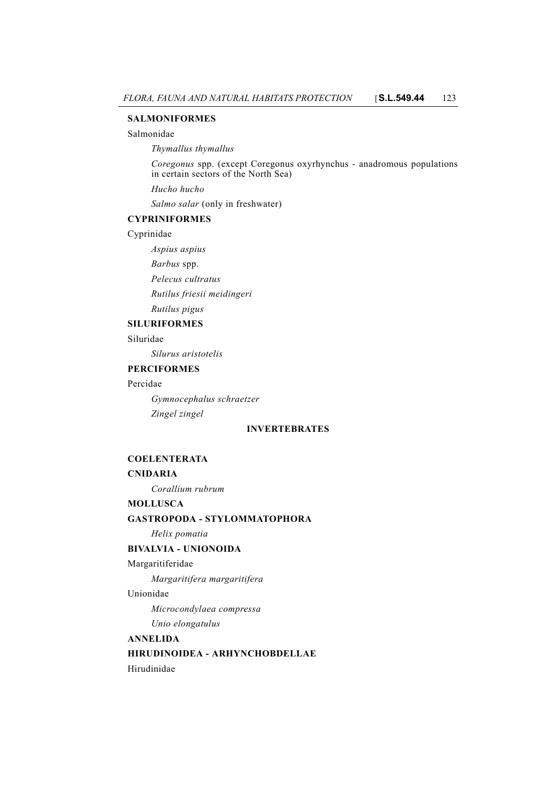### **SALMONIFORMES**

### Salmonidae

*Thymallus thymallus*

*Coregonus* spp. (except Coregonus oxyrhynchus - anadromous populations in certain sectors of the North Sea)

*Hucho hucho*

*Salmo salar* (only in freshwater)

## **CYPRINIFORMES**

Cyprinidae

*Aspius aspius*

*Barbus* spp.

*Pelecus cultratus*

*Rutilus friesii meidingeri*

# *Rutilus pigus*

# **SILURIFORMES**

Siluridae

*Silurus aristotelis*

## **PERCIFORMES**

## Percidae

*Gymnocephalus schraetzer Zingel zingel*

## **INVERTEBRATES**

## **COELENTERATA**

## **CNIDARIA**

*Corallium rubrum*

## **MOLLUSCA**

## **GASTROPODA - STYLOMMATOPHORA**

*Helix pomatia*

# **BIVALVIA - UNIONOIDA**

## Margaritiferidae

*Margaritifera margaritifera*

### Unionidae

*Microcondylaea compressa Unio elongatulus*

## **ANNELIDA**

**HIRUDINOIDEA - ARHYNCHOBDELLAE**

Hirudinidae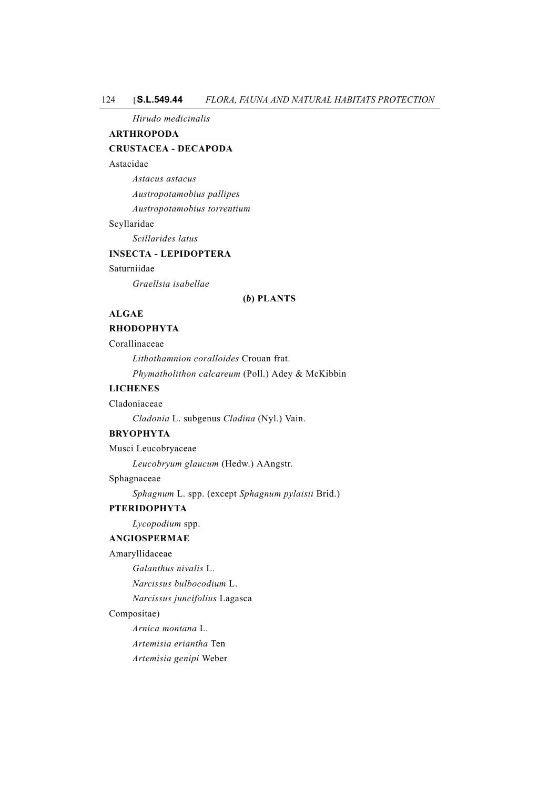### 124 [**S.L.549.44** *FLORA, FAUNA AND NATURAL HABITATS PROTECTION*

*Hirudo medicinalis*

## **ARTHROPODA**

## **CRUSTACEA - DECAPODA**

## Astacidae

*Astacus astacus Austropotamobius pallipes Austropotamobius torrentium*

## Scyllaridae

*Scillarides latus*

# **INSECTA - LEPIDOPTERA**

### Saturniidae

*Graellsia isabellae*

### **(***b***) PLANTS**

# **ALGAE**

# **RHODOPHYTA**

Corallinaceae

*Lithothamnion coralloides* Crouan frat. *Phymatholithon calcareum* (Poll.) Adey & McKibbin

### **LICHENES**

Cladoniaceae

*Cladonia* L. subgenus *Cladina* (Nyl.) Vain.

### **BRYOPHYTA**

Musci Leucobryaceae

*Leucobryum glaucum* (Hedw.) AAngstr.

## Sphagnaceae

*Sphagnum* L. spp. (except *Sphagnum pylaisii* Brid.)

# **PTERIDOPHYTA**

# *Lycopodium* spp.

### **ANGIOSPERMAE**

Amaryllidaceae

*Galanthus nivalis* L.

*Narcissus bulbocodium* L.

*Narcissus juncifolius* Lagasca

### Compositae)

*Arnica montana* L.

*Artemisia eriantha* Ten

*Artemisia genipi* Weber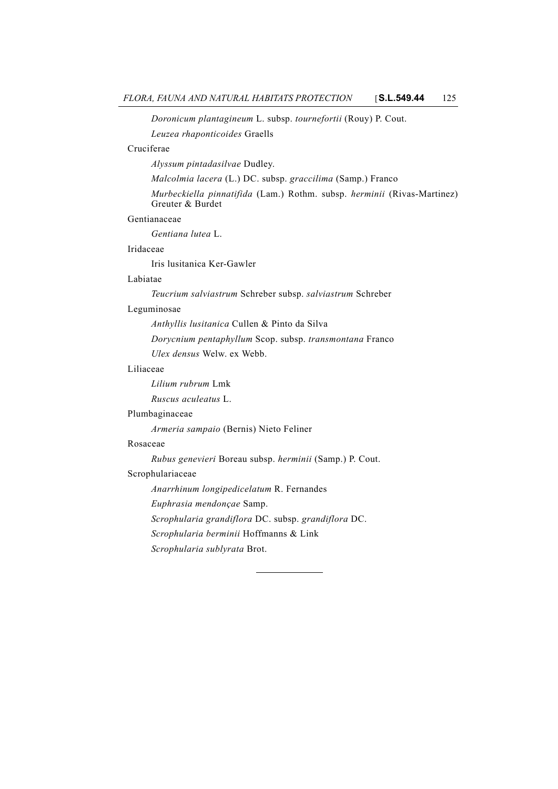# *Doronicum plantagineum* L. subsp. *tournefortii* (Rouy) P. Cout.

*Leuzea rhaponticoides* Graells

# Cruciferae

*Alyssum pintadasilvae* Dudley.

*Malcolmia lacera* (L.) DC. subsp. *graccilima* (Samp.) Franco

*Murbeckiella pinnatifida* (Lam.) Rothm. subsp. *herminii* (Rivas-Martinez) Greuter & Burdet

## Gentianaceae

*Gentiana lutea* L.

### Iridaceae

Iris lusitanica Ker-Gawler

## Labiatae

*Teucrium salviastrum* Schreber subsp. *salviastrum* Schreber

### Leguminosae

*Anthyllis lusitanica* Cullen & Pinto da Silva

*Dorycnium pentaphyllum* Scop. subsp. *transmontana* Franco *Ulex densus* Welw. ex Webb.

## Liliaceae

*Lilium rubrum* Lmk

*Ruscus aculeatus* L.

### Plumbaginaceae

*Armeria sampaio* (Bernis) Nieto Feliner

### Rosaceae

*Rubus genevieri* Boreau subsp. *herminii* (Samp.) P. Cout.

## Scrophulariaceae

*Anarrhinum longipedicelatum* R. Fernandes

*Euphrasia mendonçae* Samp.

*Scrophularia grandiflora* DC. subsp. *grandiflora* DC.

*Scrophularia berminii* Hoffmanns & Link

*Scrophularia sublyrata* Brot.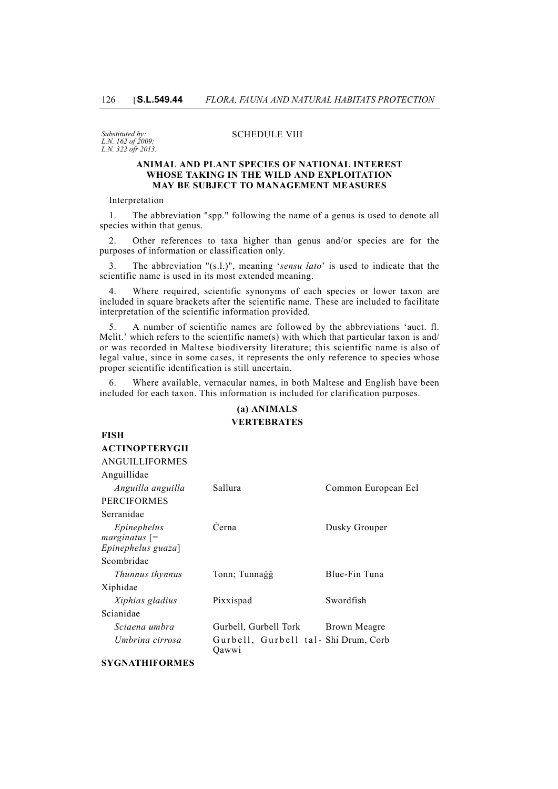*Substituted by: L.N. 162 of 2009; L.N. 322 ofr 2013.*

### SCHEDULE VIII

### **ANIMAL AND PLANT SPECIES OF NATIONAL INTEREST WHOSE TAKING IN THE WILD AND EXPLOITATION MAY BE SUBJECT TO MANAGEMENT MEASURES**

Interpretation

1. The abbreviation "spp." following the name of a genus is used to denote all species within that genus.

2. Other references to taxa higher than genus and/or species are for the purposes of information or classification only.

3. The abbreviation "(s.l.)", meaning '*sensu lato*' is used to indicate that the scientific name is used in its most extended meaning.

4. Where required, scientific synonyms of each species or lower taxon are included in square brackets after the scientific name. These are included to facilitate interpretation of the scientific information provided.

5. A number of scientific names are followed by the abbreviations 'auct. fl. Melit.' which refers to the scientific name(s) with which that particular taxon is and/ or was recorded in Maltese biodiversity literature; this scientific name is also of legal value, since in some cases, it represents the only reference to species whose proper scientific identification is still uncertain.

6. Where available, vernacular names, in both Maltese and English have been included for each taxon. This information is included for clarification purposes.

# **(a) ANIMALS VERTEBRATES**

| FISH                           |                                              |                     |
|--------------------------------|----------------------------------------------|---------------------|
| <b>ACTINOPTERYGII</b>          |                                              |                     |
| <b>ANGUILLIFORMES</b>          |                                              |                     |
| Anguillidae                    |                                              |                     |
| Anguilla anguilla              | Sallura                                      | Common European Eel |
| <b>PERCIFORMES</b>             |                                              |                     |
| Serranidae                     |                                              |                     |
| Epinephelus<br>$marginatus$ [= | Cerna                                        | Dusky Grouper       |
| Epinephelus guaza]             |                                              |                     |
| Scombridae                     |                                              |                     |
| Thunnus thynnus                | Tonn; Tunnagg                                | Blue-Fin Tuna       |
| Xiphidae                       |                                              |                     |
| Xiphias gladius                | Pixxispad                                    | Swordfish           |
| Scianidae                      |                                              |                     |
| Sciaena umbra                  | Gurbell, Gurbell Tork                        | Brown Meagre        |
| Umbrina cirrosa                | Gurbell, Gurbell tal-Shi Drum, Corb<br>Oawwi |                     |

## **SYGNATHIFORMES**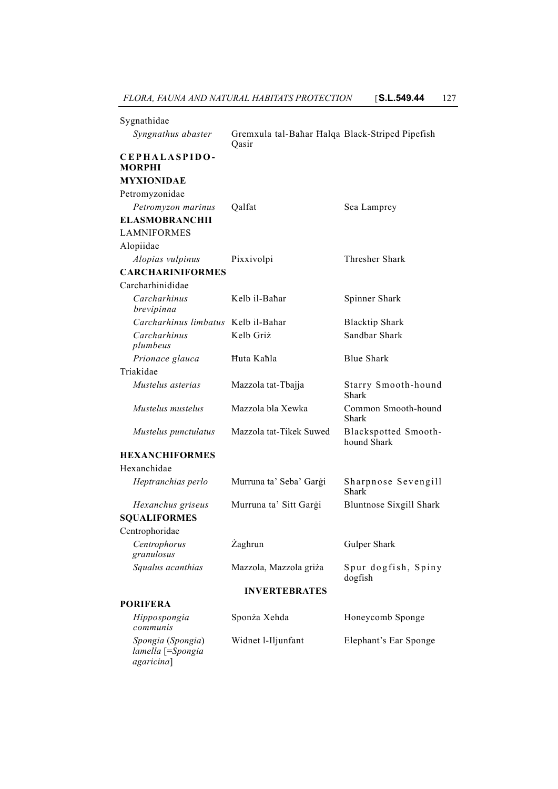| Sygnathidae                                          |                                                          |                                     |
|------------------------------------------------------|----------------------------------------------------------|-------------------------------------|
| Syngnathus abaster                                   | Gremxula tal-Bahar Halqa Black-Striped Pipefish<br>Qasir |                                     |
| CEPHALASPIDO-<br><b>MORPHI</b>                       |                                                          |                                     |
| <b>MYXIONIDAE</b>                                    |                                                          |                                     |
| Petromyzonidae                                       |                                                          |                                     |
| Petromyzon marinus                                   | Qalfat                                                   | Sea Lamprey                         |
| <b>ELASMOBRANCHII</b>                                |                                                          |                                     |
| <b>LAMNIFORMES</b>                                   |                                                          |                                     |
| Alopiidae                                            |                                                          |                                     |
| Alopias vulpinus                                     | Pixxivolpi                                               | <b>Thresher Shark</b>               |
| <b>CARCHARINIFORMES</b>                              |                                                          |                                     |
| Carcharhinididae                                     |                                                          |                                     |
| Carcharhinus<br>brevipinna                           | Kelb il-Bahar                                            | Spinner Shark                       |
| Carcharhinus limbatus Kelb il-Bahar                  |                                                          | <b>Blacktip Shark</b>               |
| Carcharhinus<br>plumbeus                             | Kelb Griż                                                | Sandbar Shark                       |
| Prionace glauca                                      | Huta Kahla                                               | <b>Blue Shark</b>                   |
| Triakidae                                            |                                                          |                                     |
| Mustelus asterias                                    | Mazzola tat-Tbajja                                       | Starry Smooth-hound<br>Shark        |
| Mustelus mustelus                                    | Mazzola bla Xewka                                        | Common Smooth-hound<br>Shark        |
| Mustelus punctulatus                                 | Mazzola tat-Tikek Suwed                                  | Blackspotted Smooth-<br>hound Shark |
| <b>HEXANCHIFORMES</b>                                |                                                          |                                     |
| Hexanchidae                                          |                                                          |                                     |
| Heptranchias perlo                                   | Murruna ta' Seba' Gargi                                  | Sharpnose Sevengill<br>Shark        |
| Hexanchus griseus                                    | Murruna ta' Sitt Gargi                                   | <b>Bluntnose Sixgill Shark</b>      |
| <b>SQUALIFORMES</b>                                  |                                                          |                                     |
| Centrophoridae                                       |                                                          |                                     |
| Centrophorus<br>granulosus                           | Żaghrun                                                  | Gulper Shark                        |
| Squalus acanthias                                    | Mazzola, Mazzola griża                                   | Spur dogfish, Spiny<br>dogfish      |
|                                                      | <b>INVERTEBRATES</b>                                     |                                     |
| <b>PORIFERA</b>                                      |                                                          |                                     |
| Hippospongia<br>communis                             | Sponża Xehda                                             | Honeycomb Sponge                    |
| Spongia (Spongia)<br>lamella [=Spongia<br>agaricina] | Widnet l-Iljunfant                                       | Elephant's Ear Sponge               |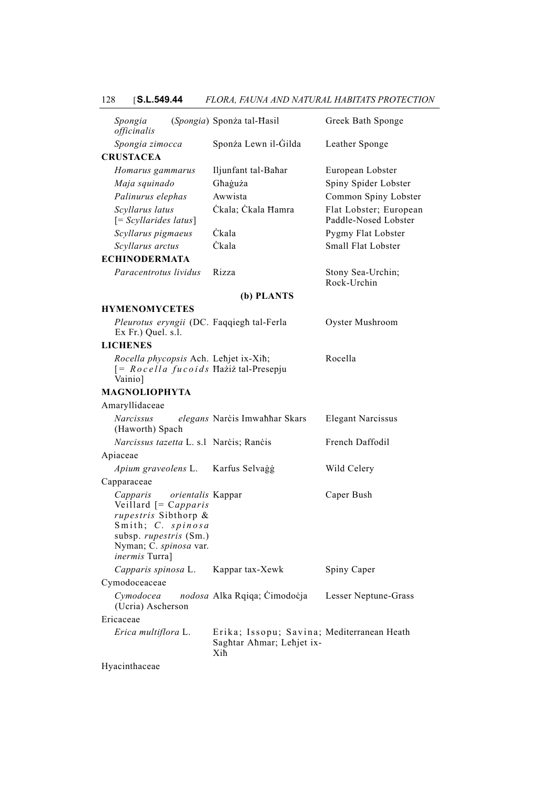# 128 [**S.L.549.44** *FLORA, FAUNA AND NATURAL HABITATS PROTECTION*

| Spongia<br>officinalis             |                                                                                                                                                            | (Spongia) Sponża tal-Hasil                                                        | Greek Bath Sponge                                                |
|------------------------------------|------------------------------------------------------------------------------------------------------------------------------------------------------------|-----------------------------------------------------------------------------------|------------------------------------------------------------------|
| Spongia zimocca                    |                                                                                                                                                            | Sponża Lewn il-Gilda                                                              | Leather Sponge                                                   |
| <b>CRUSTACEA</b>                   |                                                                                                                                                            |                                                                                   |                                                                  |
| Maja squinado<br>Palinurus elephas | Homarus gammarus                                                                                                                                           | Iljunfant tal-Bahar<br>Ghaguża<br>Awwista                                         | European Lobster<br>Spiny Spider Lobster<br>Common Spiny Lobster |
| Scyllarus latus                    | $[=Scyllarides latus]$                                                                                                                                     | Ckala; Ckala Hamra                                                                | Flat Lobster; European<br>Paddle-Nosed Lobster                   |
|                                    | Scyllarus pigmaeus                                                                                                                                         | Čkala                                                                             | Pygmy Flat Lobster                                               |
| Scyllarus arctus                   |                                                                                                                                                            | <b>Ckala</b>                                                                      | Small Flat Lobster                                               |
| <b>ECHINODERMATA</b>               |                                                                                                                                                            |                                                                                   |                                                                  |
|                                    | Paracentrotus lividus                                                                                                                                      | Rizza                                                                             | Stony Sea-Urchin;<br>Rock-Urchin                                 |
|                                    |                                                                                                                                                            | (b) PLANTS                                                                        |                                                                  |
| <b>HYMENOMYCETES</b>               |                                                                                                                                                            |                                                                                   |                                                                  |
| Ex Fr.) Quel. s.l.                 |                                                                                                                                                            | Pleurotus eryngii (DC. Faqqiegh tal-Ferla                                         | Oyster Mushroom                                                  |
| <b>LICHENES</b>                    |                                                                                                                                                            |                                                                                   |                                                                  |
| Vainio]                            |                                                                                                                                                            | Rocella phycopsis Ach. Lehjet ix-Xih;<br>$[= Rocella fucoids Haziż tal-Presepju]$ | Rocella                                                          |
| <b>MAGNOLIOPHYTA</b>               |                                                                                                                                                            |                                                                                   |                                                                  |
| Amaryllidaceae                     |                                                                                                                                                            |                                                                                   |                                                                  |
| Narcissus<br>(Haworth) Spach       |                                                                                                                                                            | elegans Narcis Imwahhar Skars                                                     | <b>Elegant Narcissus</b>                                         |
|                                    |                                                                                                                                                            | Narcissus tazetta L. s.l Narcis; Rancis                                           | French Daffodil                                                  |
| Apiaceae                           |                                                                                                                                                            |                                                                                   |                                                                  |
|                                    | Apium graveolens L.                                                                                                                                        | Karfus Selvaģģ                                                                    | Wild Celery                                                      |
| Capparaceae                        |                                                                                                                                                            |                                                                                   |                                                                  |
| Capparis<br><i>inermis</i> Turra]  | <i>orientalis</i> Kappar<br>Veillard $[=Capparis]$<br>rupestris Sibthorp &<br>Smith; C. spinosa<br>subsp. <i>rupestris</i> (Sm.)<br>Nyman; C. spinosa var. |                                                                                   | Caper Bush                                                       |
|                                    | Capparis spinosa L.                                                                                                                                        | Kappar tax-Xewk                                                                   | Spiny Caper                                                      |
| Cymodoceaceae                      |                                                                                                                                                            |                                                                                   |                                                                  |
| Cymodocea                          | (Ucria) Ascherson                                                                                                                                          | nodosa Alka Rqiqa; Cimodocja                                                      | Lesser Neptune-Grass                                             |
| Ericaceae                          |                                                                                                                                                            |                                                                                   |                                                                  |
|                                    | Erica multiflora L.                                                                                                                                        | Erika; Issopu; Savina; Mediterranean Heath<br>Saghtar Ahmar; Lehjet ix-<br>Xiħ    |                                                                  |
| Hyacinthaceae                      |                                                                                                                                                            |                                                                                   |                                                                  |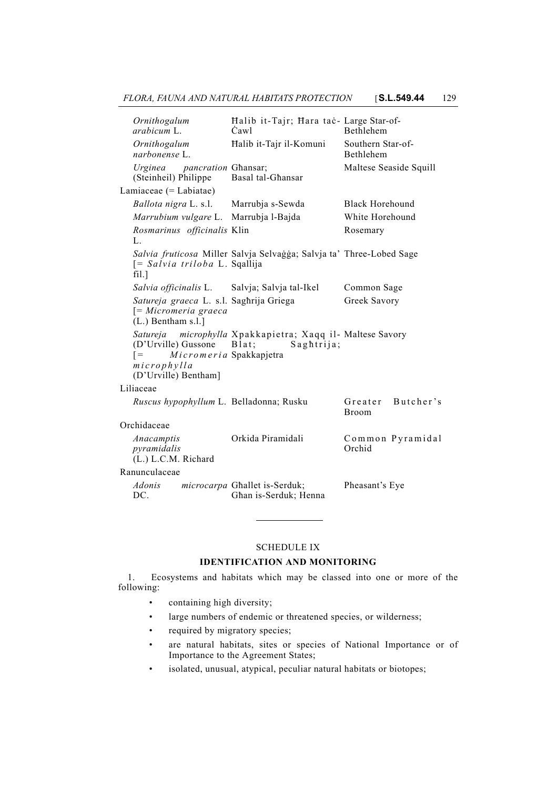| Ornithogalum<br>arabicum L                                                                               | Halib it-Tajr; Hara tac- Large Star-of-<br>Cawl                                | <b>Bethlehem</b>                      |
|----------------------------------------------------------------------------------------------------------|--------------------------------------------------------------------------------|---------------------------------------|
| Ornithogalum<br>narbonense L                                                                             | Halib it-Tajr il-Komuni                                                        | Southern Star-of-<br><b>Bethlehem</b> |
| Urginea<br><i>pancration Ghansar</i> ;<br>(Steinheil) Philippe                                           | Basal tal-Ghansar                                                              | Maltese Seaside Squill                |
| Lamiaceae (= Labiatae)                                                                                   |                                                                                |                                       |
| Ballota nigra L. s.l.                                                                                    | Marrubja s-Sewda                                                               | <b>Black Horehound</b>                |
| Marrubium vulgare L.                                                                                     | Marrubja l-Bajda                                                               | White Horehound                       |
| Rosmarinus officinalis Klin<br>L.                                                                        |                                                                                | Rosemary                              |
| [= Salvia triloba L. Sqallija<br>fill.]                                                                  | Salvia fruticosa Miller Salvja Selvaģģa; Salvja ta' Three-Lobed Sage           |                                       |
| Salvia officinalis L.                                                                                    | Salvja; Salvja tal-Ikel                                                        | Common Sage                           |
| Satureja graeca L. s.l. Saghrija Griega<br>$= Micromeria\ graeca$<br>$(L.)$ Bentham s.l.]                |                                                                                | Greek Savory                          |
| Satureja<br>(D'Urville) Gussone<br>Micromeria Spakkapjetra<br>$=$<br>microphylla<br>(D'Urville) Bentham] | microphylla Xpakkapietra; Xaqq il- Maltese Savory<br>$B$ lat;<br>$S$ aghtrija; |                                       |
| Liliaceae                                                                                                |                                                                                |                                       |
| Ruscus hypophyllum L. Belladonna; Rusku                                                                  |                                                                                | Butcher's<br>Greater<br><b>Broom</b>  |
| Orchidaceae                                                                                              |                                                                                |                                       |
| Anacamptis<br>pyramidalis<br>(L.) L.C.M. Richard                                                         | Orkida Piramidali                                                              | Common Pyramidal<br>Orchid            |
| Ranunculaceae                                                                                            |                                                                                |                                       |
| <i>Adonis</i><br>DC.                                                                                     | microcarpa Ghallet is-Serduk;<br>Ghan is-Serduk; Henna                         | Pheasant's Eye                        |

### SCHEDULE IX

## **IDENTIFICATION AND MONITORING**

1. Ecosystems and habitats which may be classed into one or more of the following:

- containing high diversity;
- large numbers of endemic or threatened species, or wilderness;
- required by migratory species;
- are natural habitats, sites or species of National Importance or of Importance to the Agreement States;
- isolated, unusual, atypical, peculiar natural habitats or biotopes;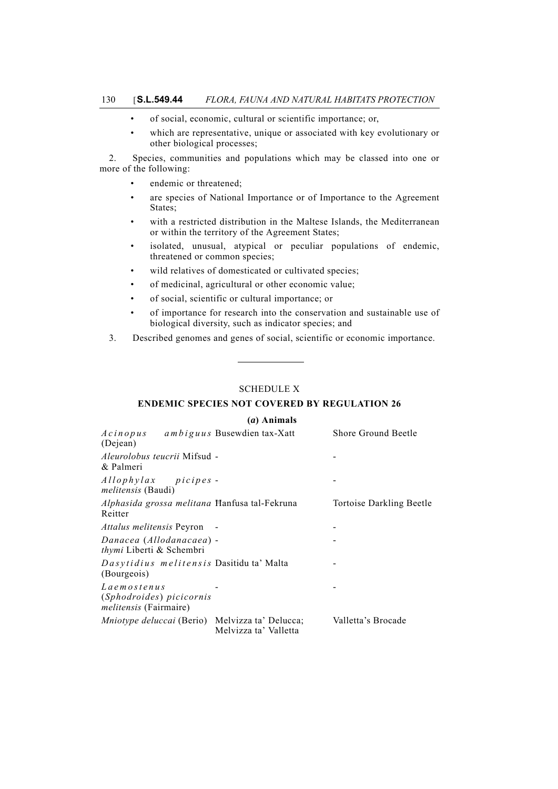- of social, economic, cultural or scientific importance; or,
- which are representative, unique or associated with key evolutionary or other biological processes;

2. Species, communities and populations which may be classed into one or more of the following:

- endemic or threatened;
- are species of National Importance or of Importance to the Agreement States;
- with a restricted distribution in the Maltese Islands, the Mediterranean or within the territory of the Agreement States;
- isolated, unusual, atypical or peculiar populations of endemic, threatened or common species;
- wild relatives of domesticated or cultivated species;
- of medicinal, agricultural or other economic value;
- of social, scientific or cultural importance; or
- of importance for research into the conservation and sustainable use of biological diversity, such as indicator species; and
- 3. Described genomes and genes of social, scientific or economic importance.

### SCHEDULE X

## **ENDEMIC SPECIES NOT COVERED BY REGULATION 26**

### **(***a***) Animals**

| Acinopus<br>(Dejean)                                                     | ambiguus Busewdien tax-Xatt                                                     | <b>Shore Ground Beetle</b> |
|--------------------------------------------------------------------------|---------------------------------------------------------------------------------|----------------------------|
| <i>Aleurolobus teucrii</i> Mifsud -<br>& Palmeri                         |                                                                                 |                            |
| Allophylax picipes-<br><i>melitensis</i> (Baudi)                         |                                                                                 |                            |
| Reitter                                                                  | Alphasida grossa melitana Hanfusa tal-Fekruna                                   | Tortoise Darkling Beetle   |
| <i>Attalus melitensis</i> Peyron                                         |                                                                                 |                            |
| Danacea (Allodanacaea) -<br><i>thymi</i> Liberti & Schembri              |                                                                                 |                            |
| (Bourgeois)                                                              | Dasytidius melitensis Dasitidu ta' Malta                                        |                            |
| Laemostenus<br>(Sphodroides) picicornis<br><i>melitensis</i> (Fairmaire) |                                                                                 |                            |
|                                                                          | <i>Mniotype deluccai</i> (Berio) Melvizza ta' Delucca;<br>Melvizza ta' Valletta | Valletta's Brocade         |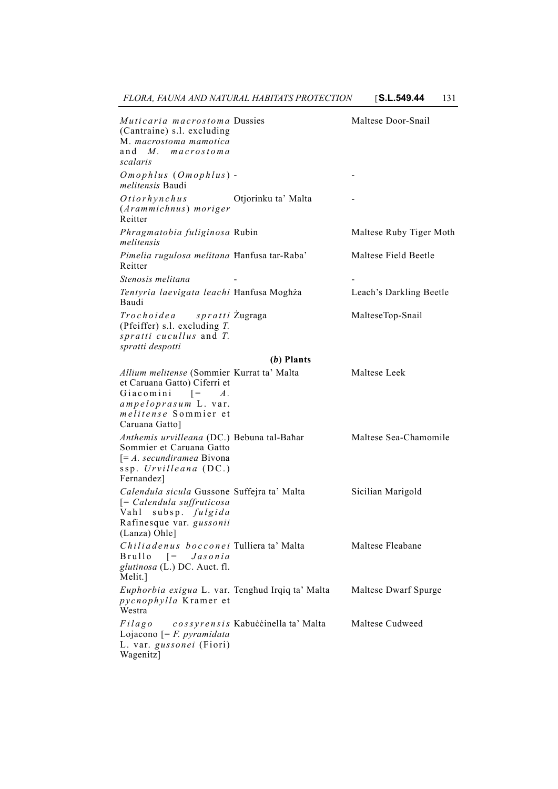| Muticaria macrostoma Dussies<br>(Cantraine) s.l. excluding<br>M. macrostoma mamotica<br>and M. macrostoma<br>scalaris                                                                                  |                                    | Maltese Door-Snail      |
|--------------------------------------------------------------------------------------------------------------------------------------------------------------------------------------------------------|------------------------------------|-------------------------|
| $Omophlus (Omophlus) -$<br><i>melitensis</i> Baudi                                                                                                                                                     |                                    |                         |
| Otiorhynchus<br>(Arammichnus) moriger<br>Reitter                                                                                                                                                       | Otjorinku ta' Malta                |                         |
| Phragmatobia fuliginosa Rubin<br>melitensis                                                                                                                                                            |                                    | Maltese Ruby Tiger Moth |
| Pimelia rugulosa melitana Hanfusa tar-Raba'<br>Reitter                                                                                                                                                 |                                    | Maltese Field Beetle    |
| Stenosis melitana                                                                                                                                                                                      |                                    |                         |
| Tentyria laevigata leachi Hanfusa Moghża<br>Baudi                                                                                                                                                      |                                    | Leach's Darkling Beetle |
| Trochoidea spratti Žugraga<br>(Pfeiffer) s.l. excluding $T$ .<br>spratti cucullus and T.<br>spratti despotti                                                                                           |                                    | MalteseTop-Snail        |
|                                                                                                                                                                                                        | $(b)$ Plants                       |                         |
| Allium melitense (Sommier Kurrat ta' Malta<br>et Caruana Gatto) Ciferri et<br>Giacomini $\begin{bmatrix} = & A \end{bmatrix}$<br>ampeloprasum L. var.<br><i>melitense</i> Sommier et<br>Caruana Gatto] |                                    | Maltese Leek            |
| Anthemis urvilleana (DC.) Bebuna tal-Bahar<br>Sommier et Caruana Gatto<br>$\left[ \begin{matrix} = A. \; secundiramea \; Bivona \end{matrix} \right]$<br>ssp. Urvilleana (DC.)<br>Fernandez            |                                    | Maltese Sea-Chamomile   |
| Calendula sicula Gussone Suffejra ta' Malta<br>$\left[ = Calendula$ suffruticosa<br>Vahl<br>subsp. fulgida<br>Rafinesque var. gussonii<br>(Lanza) Ohle]                                                |                                    | Sicilian Marigold       |
| Chiliadenus bocconei Tulliera ta' Malta<br>Brullo<br>$\lceil = \rceil$<br>Jasonia<br>glutinosa (L.) DC. Auct. fl.<br>Melit.]                                                                           |                                    | Maltese Fleabane        |
| Euphorbia exigua L. var. Tenghud Irqiq ta' Malta<br>pycnophylla Kramer et<br>Westra                                                                                                                    |                                    | Maltese Dwarf Spurge    |
| Filago<br>Lojacono $F = F$ . <i>pyramidata</i><br>L. var. gussonei (Fiori)<br>Wagenitz]                                                                                                                | cossyrensis Kabuċċinella ta' Malta | Maltese Cudweed         |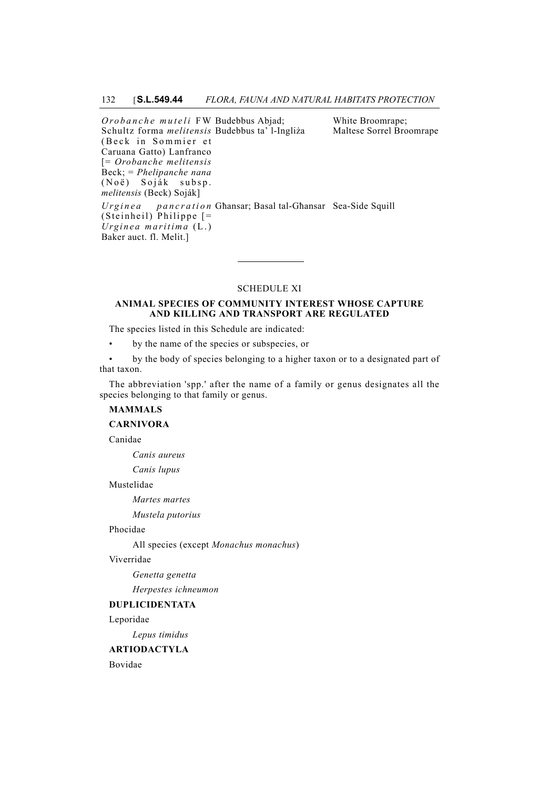*Orobanche muteli* FW Budebbus Abjad; Schultz forma *melitensis* Budebbus ta' l-Ingliża (Beck in Sommier et Caruana Gatto) Lanfranco [= *Orobanche melitensis* Beck; = *Phelipanche nana* (Noë) Soják subsp. *melitensis* (Beck) Soják] White Broomrape; Maltese Sorrel Broomrape *Urginea pancration* Għansar; Basal tal-Għansar Sea-Side Squill(Steinheil) Philippe [= *Urginea maritima* (L.) Baker auct. fl. Melit.]

## SCHEDULE XI

### **ANIMAL SPECIES OF COMMUNITY INTEREST WHOSE CAPTURE AND KILLING AND TRANSPORT ARE REGULATED**

The species listed in this Schedule are indicated:

• by the name of the species or subspecies, or

• by the body of species belonging to a higher taxon or to a designated part of that taxon.

The abbreviation 'spp.' after the name of a family or genus designates all the species belonging to that family or genus.

## **MAMMALS**

**CARNIVORA**

Canidae

*Canis aureus*

*Canis lupus*

Mustelidae

*Martes martes*

*Mustela putorius*

### Phocidae

All species (except *Monachus monachus*)

### Viverridae

*Genetta genetta*

*Herpestes ichneumon*

# **DUPLICIDENTATA**

Leporidae

*Lepus timidus*

### **ARTIODACTYLA**

Bovidae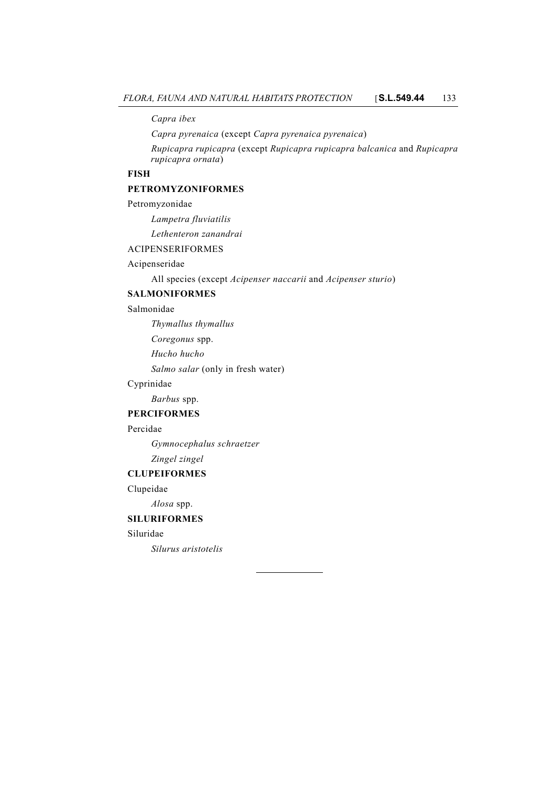*Capra ibex*

*Capra pyrenaica* (except *Capra pyrenaica pyrenaica*)

*Rupicapra rupicapra* (except *Rupicapra rupicapra balcanica* and *Rupicapra rupicapra ornata*)

## **FISH**

## **PETROMYZONIFORMES**

### Petromyzonidae

*Lampetra fluviatilis*

*Lethenteron zanandrai*

# ACIPENSERIFORMES

# Acipenseridae

All species (except *Acipenser naccarii* and *Acipenser sturio*)

# **SALMONIFORMES**

## Salmonidae

*Thymallus thymallus*

*Coregonus* spp.

*Hucho hucho*

*Salmo salar* (only in fresh water)

## Cyprinidae

*Barbus* spp.

## **PERCIFORMES**

## Percidae

*Gymnocephalus schraetzer*

# *Zingel zingel*

**CLUPEIFORMES**

Clupeidae

*Alosa* spp.

## **SILURIFORMES**

# Siluridae

*Silurus aristotelis*